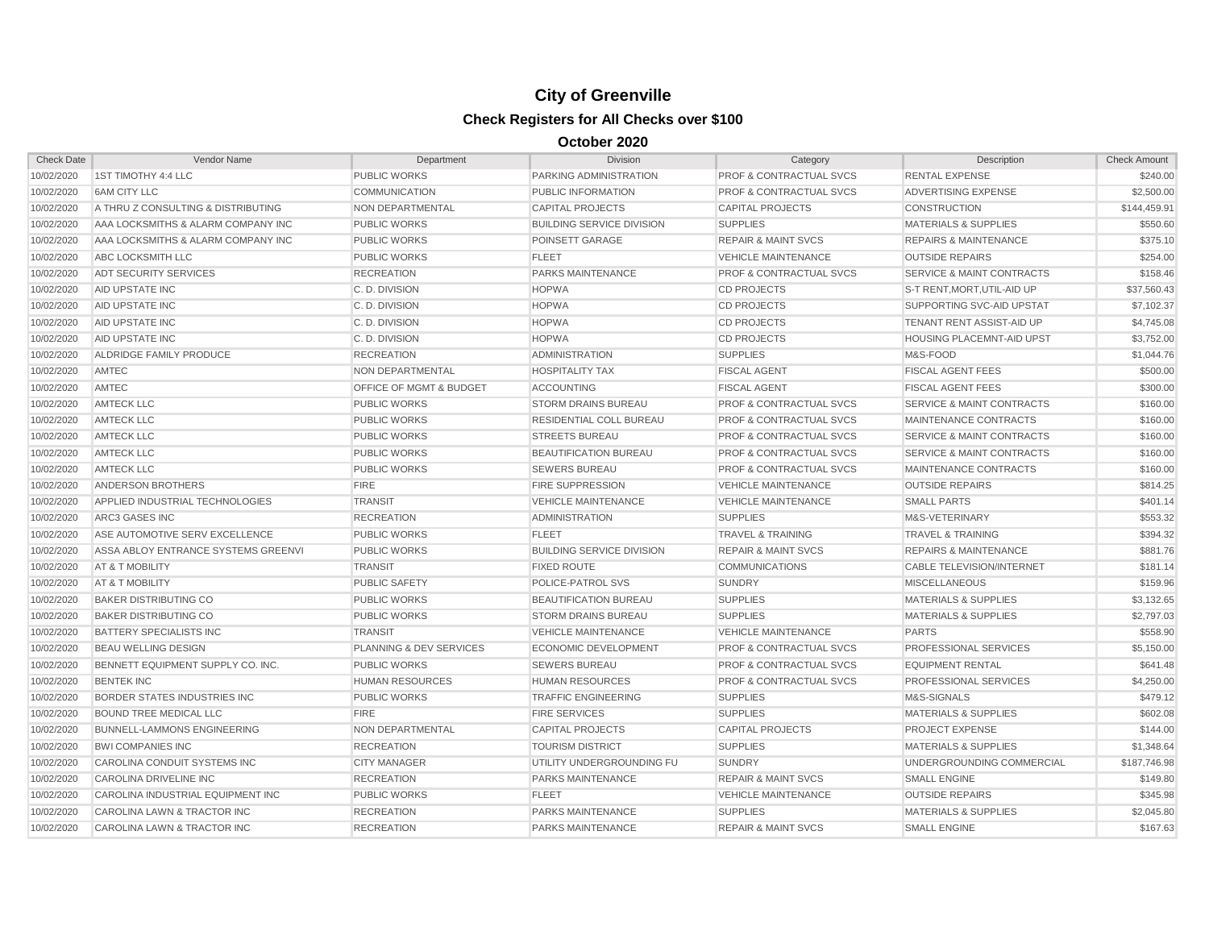## **City of Greenville Check Registers for All Checks over \$100**

## **October 2020**

| <b>Check Date</b> | Vendor Name                         | Department                         | <b>Division</b>                  | Category                           | Description                          | <b>Check Amount</b> |
|-------------------|-------------------------------------|------------------------------------|----------------------------------|------------------------------------|--------------------------------------|---------------------|
| 10/02/2020        | 1ST TIMOTHY 4:4 LLC                 | <b>PUBLIC WORKS</b>                | PARKING ADMINISTRATION           | <b>PROF &amp; CONTRACTUAL SVCS</b> | <b>RENTAL EXPENSE</b>                | \$240.00            |
| 10/02/2020        | <b>6AM CITY LLC</b>                 | <b>COMMUNICATION</b>               | PUBLIC INFORMATION               | <b>PROF &amp; CONTRACTUAL SVCS</b> | ADVERTISING EXPENSE                  | \$2,500.00          |
| 10/02/2020        | A THRU Z CONSULTING & DISTRIBUTING  | NON DEPARTMENTAL                   | <b>CAPITAL PROJECTS</b>          | <b>CAPITAL PROJECTS</b>            | <b>CONSTRUCTION</b>                  | \$144,459.91        |
| 10/02/2020        | AAA LOCKSMITHS & ALARM COMPANY INC  | <b>PUBLIC WORKS</b>                | <b>BUILDING SERVICE DIVISION</b> | <b>SUPPLIES</b>                    | <b>MATERIALS &amp; SUPPLIES</b>      | \$550.60            |
| 10/02/2020        | AAA LOCKSMITHS & ALARM COMPANY INC  | <b>PUBLIC WORKS</b>                | POINSETT GARAGE                  | <b>REPAIR &amp; MAINT SVCS</b>     | <b>REPAIRS &amp; MAINTENANCE</b>     | \$375.10            |
| 10/02/2020        | <b>ABC LOCKSMITH LLC</b>            | <b>PUBLIC WORKS</b>                | <b>FLEET</b>                     | <b>VEHICLE MAINTENANCE</b>         | <b>OUTSIDE REPAIRS</b>               | \$254.00            |
| 10/02/2020        | <b>ADT SECURITY SERVICES</b>        | <b>RECREATION</b>                  | PARKS MAINTENANCE                | <b>PROF &amp; CONTRACTUAL SVCS</b> | <b>SERVICE &amp; MAINT CONTRACTS</b> | \$158.46            |
| 10/02/2020        | AID UPSTATE INC                     | C. D. DIVISION                     | <b>HOPWA</b>                     | <b>CD PROJECTS</b>                 | S-T RENT, MORT, UTIL-AID UP          | \$37,560.43         |
| 10/02/2020        | <b>AID UPSTATE INC</b>              | C.D. DIVISION                      | <b>HOPWA</b>                     | <b>CD PROJECTS</b>                 | <b>SUPPORTING SVC-AID UPSTAT</b>     | \$7,102.37          |
| 10/02/2020        | <b>AID UPSTATE INC</b>              | C.D. DIVISION                      | <b>HOPWA</b>                     | <b>CD PROJECTS</b>                 | <b>TENANT RENT ASSIST-AID UP</b>     | \$4,745.08          |
| 10/02/2020        | AID UPSTATE INC                     | C.D. DIVISION                      | <b>HOPWA</b>                     | <b>CD PROJECTS</b>                 | <b>HOUSING PLACEMNT-AID UPST</b>     | \$3,752.00          |
| 10/02/2020        | ALDRIDGE FAMILY PRODUCE             | <b>RECREATION</b>                  | <b>ADMINISTRATION</b>            | <b>SUPPLIES</b>                    | M&S-FOOD                             | \$1,044.76          |
| 10/02/2020        | AMTEC                               | NON DEPARTMENTAL                   | <b>HOSPITALITY TAX</b>           | <b>FISCAL AGENT</b>                | <b>FISCAL AGENT FEES</b>             | \$500.00            |
| 10/02/2020        | AMTEC                               | <b>OFFICE OF MGMT &amp; BUDGET</b> | <b>ACCOUNTING</b>                | <b>FISCAL AGENT</b>                | <b>FISCAL AGENT FEES</b>             | \$300.00            |
| 10/02/2020        | <b>AMTECK LLC</b>                   | <b>PUBLIC WORKS</b>                | <b>STORM DRAINS BUREAU</b>       | PROF & CONTRACTUAL SVCS            | <b>SERVICE &amp; MAINT CONTRACTS</b> | \$160.00            |
| 10/02/2020        | <b>AMTECK LLC</b>                   | <b>PUBLIC WORKS</b>                | RESIDENTIAL COLL BUREAU          | <b>PROF &amp; CONTRACTUAL SVCS</b> | MAINTENANCE CONTRACTS                | \$160.00            |
| 10/02/2020        | <b>AMTECK LLC</b>                   | <b>PUBLIC WORKS</b>                | <b>STREETS BUREAU</b>            | <b>PROF &amp; CONTRACTUAL SVCS</b> | <b>SERVICE &amp; MAINT CONTRACTS</b> | \$160.00            |
| 10/02/2020        | <b>AMTECK LLC</b>                   | <b>PUBLIC WORKS</b>                | <b>BEAUTIFICATION BUREAU</b>     | <b>PROF &amp; CONTRACTUAL SVCS</b> | <b>SERVICE &amp; MAINT CONTRACTS</b> | \$160.00            |
| 10/02/2020        | <b>AMTECK LLC</b>                   | <b>PUBLIC WORKS</b>                | <b>SEWERS BUREAU</b>             | <b>PROF &amp; CONTRACTUAL SVCS</b> | MAINTENANCE CONTRACTS                | \$160.00            |
| 10/02/2020        | ANDERSON BROTHERS                   | <b>FIRE</b>                        | <b>FIRE SUPPRESSION</b>          | <b>VEHICLE MAINTENANCE</b>         | <b>OUTSIDE REPAIRS</b>               | \$814.25            |
| 10/02/2020        | APPLIED INDUSTRIAL TECHNOLOGIES     | <b>TRANSIT</b>                     | <b>VEHICLE MAINTENANCE</b>       | <b>VEHICLE MAINTENANCE</b>         | <b>SMALL PARTS</b>                   | \$401.14            |
| 10/02/2020        | ARC3 GASES INC                      | <b>RECREATION</b>                  | <b>ADMINISTRATION</b>            | <b>SUPPLIES</b>                    | M&S-VETERINARY                       | \$553.32            |
| 10/02/2020        | ASE AUTOMOTIVE SERV EXCELLENCE      | <b>PUBLIC WORKS</b>                | <b>FLEET</b>                     | <b>TRAVEL &amp; TRAINING</b>       | <b>TRAVEL &amp; TRAINING</b>         | \$394.32            |
| 10/02/2020        | ASSA ABLOY ENTRANCE SYSTEMS GREENVI | <b>PUBLIC WORKS</b>                | <b>BUILDING SERVICE DIVISION</b> | <b>REPAIR &amp; MAINT SVCS</b>     | <b>REPAIRS &amp; MAINTENANCE</b>     | \$881.76            |
| 10/02/2020        | AT & T MOBILITY                     | <b>TRANSIT</b>                     | <b>FIXED ROUTE</b>               | <b>COMMUNICATIONS</b>              | CABLE TELEVISION/INTERNET            | \$181.14            |
| 10/02/2020        | AT & T MOBILITY                     | <b>PUBLIC SAFETY</b>               | POLICE-PATROL SVS                | <b>SUNDRY</b>                      | <b>MISCELLANEOUS</b>                 | \$159.96            |
| 10/02/2020        | <b>BAKER DISTRIBUTING CO</b>        | <b>PUBLIC WORKS</b>                | <b>BEAUTIFICATION BUREAU</b>     | <b>SUPPLIES</b>                    | <b>MATERIALS &amp; SUPPLIES</b>      | \$3,132.65          |
| 10/02/2020        | <b>BAKER DISTRIBUTING CO</b>        | <b>PUBLIC WORKS</b>                | <b>STORM DRAINS BUREAU</b>       | <b>SUPPLIES</b>                    | <b>MATERIALS &amp; SUPPLIES</b>      | \$2,797.03          |
| 10/02/2020        | BATTERY SPECIALISTS INC             | <b>TRANSIT</b>                     | <b>VEHICLE MAINTENANCE</b>       | <b>VEHICLE MAINTENANCE</b>         | <b>PARTS</b>                         | \$558.90            |
| 10/02/2020        | <b>BEAU WELLING DESIGN</b>          | PLANNING & DEV SERVICES            | <b>ECONOMIC DEVELOPMENT</b>      | <b>PROF &amp; CONTRACTUAL SVCS</b> | PROFESSIONAL SERVICES                | \$5,150.00          |
| 10/02/2020        | BENNETT EQUIPMENT SUPPLY CO. INC.   | <b>PUBLIC WORKS</b>                | <b>SEWERS BUREAU</b>             | <b>PROF &amp; CONTRACTUAL SVCS</b> | <b>EQUIPMENT RENTAL</b>              | \$641.48            |
| 10/02/2020        | <b>BENTEK INC</b>                   | <b>HUMAN RESOURCES</b>             | <b>HUMAN RESOURCES</b>           | <b>PROF &amp; CONTRACTUAL SVCS</b> | <b>PROFESSIONAL SERVICES</b>         | \$4,250.00          |
| 10/02/2020        | BORDER STATES INDUSTRIES INC        | <b>PUBLIC WORKS</b>                | <b>TRAFFIC ENGINEERING</b>       | <b>SUPPLIES</b>                    | M&S-SIGNALS                          | \$479.12            |
| 10/02/2020        | <b>BOUND TREE MEDICAL LLC</b>       | <b>FIRE</b>                        | <b>FIRE SERVICES</b>             | <b>SUPPLIES</b>                    | <b>MATERIALS &amp; SUPPLIES</b>      | \$602.08            |
| 10/02/2020        | <b>BUNNELL-LAMMONS ENGINEERING</b>  | <b>NON DEPARTMENTAL</b>            | <b>CAPITAL PROJECTS</b>          | <b>CAPITAL PROJECTS</b>            | <b>PROJECT EXPENSE</b>               | \$144.00            |
| 10/02/2020        | <b>BWI COMPANIES INC</b>            | <b>RECREATION</b>                  | <b>TOURISM DISTRICT</b>          | <b>SUPPLIES</b>                    | <b>MATERIALS &amp; SUPPLIES</b>      | \$1,348.64          |
| 10/02/2020        | CAROLINA CONDUIT SYSTEMS INC        | <b>CITY MANAGER</b>                | UTILITY UNDERGROUNDING FU        | <b>SUNDRY</b>                      | UNDERGROUNDING COMMERCIAL            | \$187,746.98        |
| 10/02/2020        | CAROLINA DRIVELINE INC              | <b>RECREATION</b>                  | <b>PARKS MAINTENANCE</b>         | <b>REPAIR &amp; MAINT SVCS</b>     | <b>SMALL ENGINE</b>                  | \$149.80            |
| 10/02/2020        | CAROLINA INDUSTRIAL EQUIPMENT INC   | <b>PUBLIC WORKS</b>                | <b>FLEET</b>                     | <b>VEHICLE MAINTENANCE</b>         | <b>OUTSIDE REPAIRS</b>               | \$345.98            |
| 10/02/2020        | CAROLINA LAWN & TRACTOR INC         | <b>RECREATION</b>                  | PARKS MAINTENANCE                | <b>SUPPLIES</b>                    | <b>MATERIALS &amp; SUPPLIES</b>      | \$2,045.80          |
| 10/02/2020        | CAROLINA LAWN & TRACTOR INC         | <b>RECREATION</b>                  | PARKS MAINTENANCE                | <b>REPAIR &amp; MAINT SVCS</b>     | <b>SMALL ENGINE</b>                  | \$167.63            |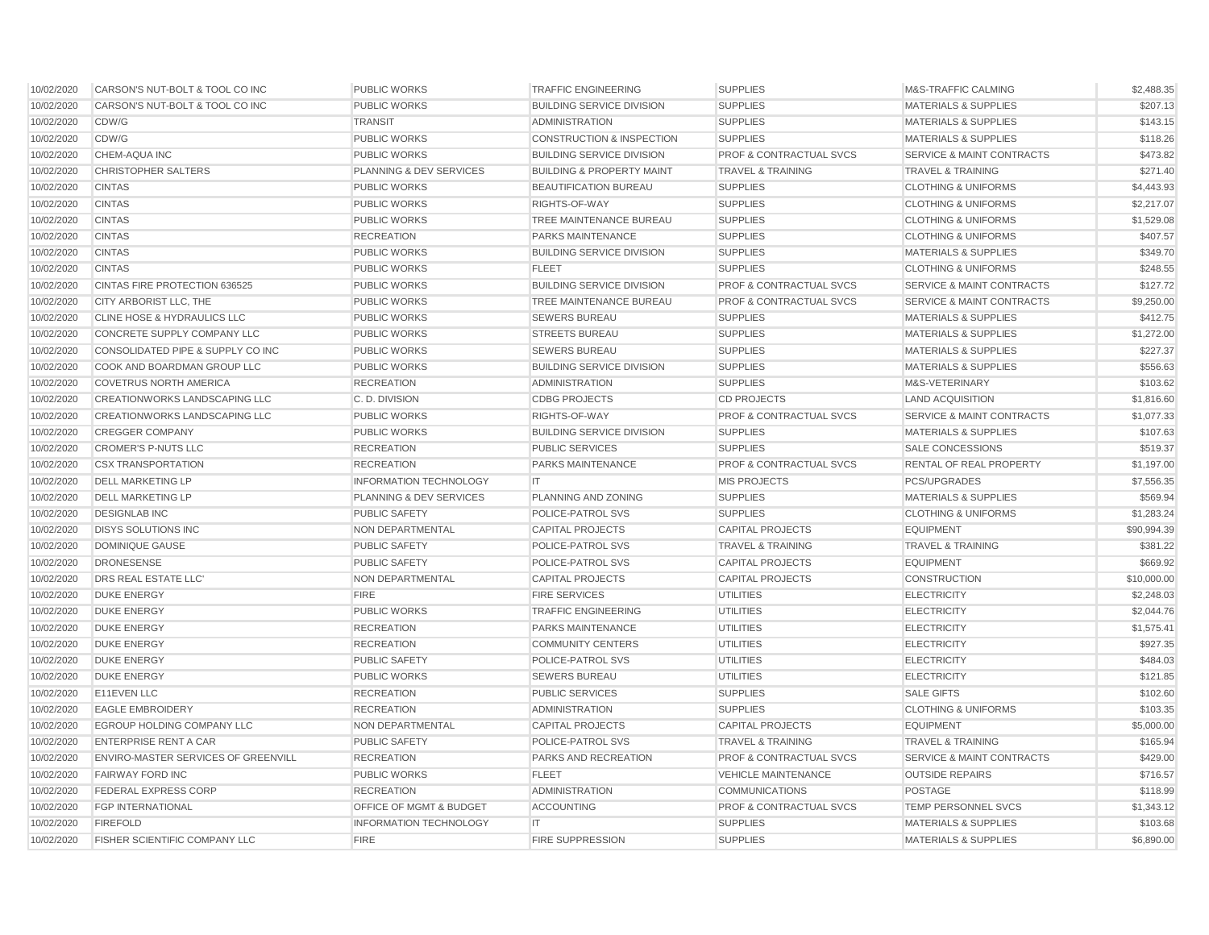| 10/02/2020 | CARSON'S NUT-BOLT & TOOL CO INC      | <b>PUBLIC WORKS</b>                | <b>TRAFFIC ENGINEERING</b>           | <b>SUPPLIES</b>                    | M&S-TRAFFIC CALMING                  | \$2,488.35  |
|------------|--------------------------------------|------------------------------------|--------------------------------------|------------------------------------|--------------------------------------|-------------|
| 10/02/2020 | CARSON'S NUT-BOLT & TOOL CO INC      | <b>PUBLIC WORKS</b>                | <b>BUILDING SERVICE DIVISION</b>     | <b>SUPPLIES</b>                    | <b>MATERIALS &amp; SUPPLIES</b>      | \$207.13    |
| 10/02/2020 | CDW/G                                | <b>TRANSIT</b>                     | <b>ADMINISTRATION</b>                | <b>SUPPLIES</b>                    | <b>MATERIALS &amp; SUPPLIES</b>      | \$143.15    |
| 10/02/2020 | CDW/G                                | <b>PUBLIC WORKS</b>                | <b>CONSTRUCTION &amp; INSPECTION</b> | <b>SUPPLIES</b>                    | <b>MATERIALS &amp; SUPPLIES</b>      | \$118.26    |
| 10/02/2020 | <b>CHEM-AQUA INC</b>                 | <b>PUBLIC WORKS</b>                | <b>BUILDING SERVICE DIVISION</b>     | <b>PROF &amp; CONTRACTUAL SVCS</b> | <b>SERVICE &amp; MAINT CONTRACTS</b> | \$473.82    |
| 10/02/2020 | <b>CHRISTOPHER SALTERS</b>           | <b>PLANNING &amp; DEV SERVICES</b> | <b>BUILDING &amp; PROPERTY MAINT</b> | <b>TRAVEL &amp; TRAINING</b>       | <b>TRAVEL &amp; TRAINING</b>         | \$271.40    |
| 10/02/2020 | <b>CINTAS</b>                        | <b>PUBLIC WORKS</b>                | <b>BEAUTIFICATION BUREAU</b>         | <b>SUPPLIES</b>                    | <b>CLOTHING &amp; UNIFORMS</b>       | \$4,443.93  |
| 10/02/2020 | <b>CINTAS</b>                        | <b>PUBLIC WORKS</b>                | RIGHTS-OF-WAY                        | <b>SUPPLIES</b>                    | <b>CLOTHING &amp; UNIFORMS</b>       | \$2,217.07  |
| 10/02/2020 | <b>CINTAS</b>                        | <b>PUBLIC WORKS</b>                | TREE MAINTENANCE BUREAU              | <b>SUPPLIES</b>                    | <b>CLOTHING &amp; UNIFORMS</b>       | \$1,529.08  |
| 10/02/2020 | <b>CINTAS</b>                        | <b>RECREATION</b>                  | PARKS MAINTENANCE                    | <b>SUPPLIES</b>                    | <b>CLOTHING &amp; UNIFORMS</b>       | \$407.57    |
| 10/02/2020 | <b>CINTAS</b>                        | <b>PUBLIC WORKS</b>                | <b>BUILDING SERVICE DIVISION</b>     | <b>SUPPLIES</b>                    | <b>MATERIALS &amp; SUPPLIES</b>      | \$349.70    |
| 10/02/2020 | <b>CINTAS</b>                        | <b>PUBLIC WORKS</b>                | <b>FLEET</b>                         | <b>SUPPLIES</b>                    | <b>CLOTHING &amp; UNIFORMS</b>       | \$248.55    |
| 10/02/2020 | CINTAS FIRE PROTECTION 636525        | <b>PUBLIC WORKS</b>                | <b>BUILDING SERVICE DIVISION</b>     | PROF & CONTRACTUAL SVCS            | <b>SERVICE &amp; MAINT CONTRACTS</b> | \$127.72    |
| 10/02/2020 | CITY ARBORIST LLC, THE               | <b>PUBLIC WORKS</b>                | TREE MAINTENANCE BUREAU              | PROF & CONTRACTUAL SVCS            | SERVICE & MAINT CONTRACTS            | \$9,250.00  |
| 10/02/2020 | CLINE HOSE & HYDRAULICS LLC          | <b>PUBLIC WORKS</b>                | <b>SEWERS BUREAU</b>                 | <b>SUPPLIES</b>                    | <b>MATERIALS &amp; SUPPLIES</b>      | \$412.75    |
| 10/02/2020 | CONCRETE SUPPLY COMPANY LLC          | <b>PUBLIC WORKS</b>                | <b>STREETS BUREAU</b>                | <b>SUPPLIES</b>                    | <b>MATERIALS &amp; SUPPLIES</b>      | \$1,272.00  |
| 10/02/2020 | CONSOLIDATED PIPE & SUPPLY CO INC    | <b>PUBLIC WORKS</b>                | <b>SEWERS BUREAU</b>                 | <b>SUPPLIES</b>                    | <b>MATERIALS &amp; SUPPLIES</b>      | \$227.37    |
| 10/02/2020 | COOK AND BOARDMAN GROUP LLC          | <b>PUBLIC WORKS</b>                | <b>BUILDING SERVICE DIVISION</b>     | <b>SUPPLIES</b>                    | <b>MATERIALS &amp; SUPPLIES</b>      | \$556.63    |
| 10/02/2020 | <b>COVETRUS NORTH AMERICA</b>        | <b>RECREATION</b>                  | <b>ADMINISTRATION</b>                | <b>SUPPLIES</b>                    | M&S-VETERINARY                       | \$103.62    |
| 10/02/2020 | <b>CREATIONWORKS LANDSCAPING LLC</b> | C.D. DIVISION                      | <b>CDBG PROJECTS</b>                 | <b>CD PROJECTS</b>                 | <b>LAND ACQUISITION</b>              | \$1,816.60  |
| 10/02/2020 | CREATIONWORKS LANDSCAPING LLC        | <b>PUBLIC WORKS</b>                | RIGHTS-OF-WAY                        | <b>PROF &amp; CONTRACTUAL SVCS</b> | <b>SERVICE &amp; MAINT CONTRACTS</b> | \$1,077.33  |
| 10/02/2020 | <b>CREGGER COMPANY</b>               | <b>PUBLIC WORKS</b>                | <b>BUILDING SERVICE DIVISION</b>     | <b>SUPPLIES</b>                    | <b>MATERIALS &amp; SUPPLIES</b>      | \$107.63    |
| 10/02/2020 | <b>CROMER'S P-NUTS LLC</b>           | <b>RECREATION</b>                  | <b>PUBLIC SERVICES</b>               | <b>SUPPLIES</b>                    | SALE CONCESSIONS                     | \$519.37    |
| 10/02/2020 | <b>CSX TRANSPORTATION</b>            | <b>RECREATION</b>                  | PARKS MAINTENANCE                    | PROF & CONTRACTUAL SVCS            | RENTAL OF REAL PROPERTY              | \$1,197.00  |
| 10/02/2020 | <b>DELL MARKETING LP</b>             | <b>INFORMATION TECHNOLOGY</b>      | IT                                   | <b>MIS PROJECTS</b>                | <b>PCS/UPGRADES</b>                  | \$7,556.35  |
| 10/02/2020 | <b>DELL MARKETING LP</b>             | <b>PLANNING &amp; DEV SERVICES</b> | PLANNING AND ZONING                  | <b>SUPPLIES</b>                    | <b>MATERIALS &amp; SUPPLIES</b>      | \$569.94    |
| 10/02/2020 | <b>DESIGNLAB INC</b>                 | <b>PUBLIC SAFETY</b>               | POLICE-PATROL SVS                    | <b>SUPPLIES</b>                    | <b>CLOTHING &amp; UNIFORMS</b>       | \$1,283.24  |
| 10/02/2020 | <b>DISYS SOLUTIONS INC</b>           | NON DEPARTMENTAL                   | <b>CAPITAL PROJECTS</b>              | <b>CAPITAL PROJECTS</b>            | <b>EQUIPMENT</b>                     | \$90,994.39 |
| 10/02/2020 | <b>DOMINIQUE GAUSE</b>               | <b>PUBLIC SAFETY</b>               | POLICE-PATROL SVS                    | <b>TRAVEL &amp; TRAINING</b>       | <b>TRAVEL &amp; TRAINING</b>         | \$381.22    |
| 10/02/2020 | <b>DRONESENSE</b>                    | <b>PUBLIC SAFETY</b>               | POLICE-PATROL SVS                    | <b>CAPITAL PROJECTS</b>            | <b>EQUIPMENT</b>                     | \$669.92    |
| 10/02/2020 | DRS REAL ESTATE LLC'                 | NON DEPARTMENTAL                   | <b>CAPITAL PROJECTS</b>              | <b>CAPITAL PROJECTS</b>            | CONSTRUCTION                         | \$10,000.00 |
| 10/02/2020 | <b>DUKE ENERGY</b>                   | <b>FIRE</b>                        | <b>FIRE SERVICES</b>                 | <b>UTILITIES</b>                   | <b>ELECTRICITY</b>                   | \$2,248.03  |
| 10/02/2020 | <b>DUKE ENERGY</b>                   | <b>PUBLIC WORKS</b>                | <b>TRAFFIC ENGINEERING</b>           | <b>UTILITIES</b>                   | <b>ELECTRICITY</b>                   | \$2,044.76  |
| 10/02/2020 | <b>DUKE ENERGY</b>                   | <b>RECREATION</b>                  | PARKS MAINTENANCE                    | <b>UTILITIES</b>                   | <b>ELECTRICITY</b>                   | \$1,575.41  |
| 10/02/2020 | <b>DUKE ENERGY</b>                   | <b>RECREATION</b>                  | <b>COMMUNITY CENTERS</b>             | <b>UTILITIES</b>                   | <b>ELECTRICITY</b>                   | \$927.35    |
| 10/02/2020 | <b>DUKE ENERGY</b>                   | <b>PUBLIC SAFETY</b>               | POLICE-PATROL SVS                    | <b>UTILITIES</b>                   | <b>ELECTRICITY</b>                   | \$484.03    |
| 10/02/2020 | <b>DUKE ENERGY</b>                   | <b>PUBLIC WORKS</b>                | <b>SEWERS BUREAU</b>                 | <b>UTILITIES</b>                   | <b>ELECTRICITY</b>                   | \$121.85    |
| 10/02/2020 | E11EVEN LLC                          | <b>RECREATION</b>                  | <b>PUBLIC SERVICES</b>               | <b>SUPPLIES</b>                    | <b>SALE GIFTS</b>                    | \$102.60    |
| 10/02/2020 | <b>EAGLE EMBROIDERY</b>              | <b>RECREATION</b>                  | <b>ADMINISTRATION</b>                | <b>SUPPLIES</b>                    | <b>CLOTHING &amp; UNIFORMS</b>       | \$103.35    |
| 10/02/2020 | EGROUP HOLDING COMPANY LLC           | NON DEPARTMENTAL                   | <b>CAPITAL PROJECTS</b>              | <b>CAPITAL PROJECTS</b>            | <b>EQUIPMENT</b>                     | \$5,000.00  |
| 10/02/2020 | <b>ENTERPRISE RENT A CAR</b>         | <b>PUBLIC SAFETY</b>               | POLICE-PATROL SVS                    | <b>TRAVEL &amp; TRAINING</b>       | <b>TRAVEL &amp; TRAINING</b>         | \$165.94    |
| 10/02/2020 | ENVIRO-MASTER SERVICES OF GREENVILL  | <b>RECREATION</b>                  | PARKS AND RECREATION                 | PROF & CONTRACTUAL SVCS            | <b>SERVICE &amp; MAINT CONTRACTS</b> | \$429.00    |
| 10/02/2020 | <b>FAIRWAY FORD INC</b>              | <b>PUBLIC WORKS</b>                | <b>FLEET</b>                         | <b>VEHICLE MAINTENANCE</b>         | <b>OUTSIDE REPAIRS</b>               | \$716.57    |
| 10/02/2020 | FEDERAL EXPRESS CORP                 | <b>RECREATION</b>                  | <b>ADMINISTRATION</b>                | <b>COMMUNICATIONS</b>              | <b>POSTAGE</b>                       | \$118.99    |
| 10/02/2020 | <b>FGP INTERNATIONAL</b>             | OFFICE OF MGMT & BUDGET            | <b>ACCOUNTING</b>                    | PROF & CONTRACTUAL SVCS            | <b>TEMP PERSONNEL SVCS</b>           | \$1,343.12  |
| 10/02/2020 | <b>FIREFOLD</b>                      | <b>INFORMATION TECHNOLOGY</b>      | IT.                                  | <b>SUPPLIES</b>                    | <b>MATERIALS &amp; SUPPLIES</b>      | \$103.68    |
| 10/02/2020 | <b>FISHER SCIENTIFIC COMPANY LLC</b> | <b>FIRE</b>                        | <b>FIRE SUPPRESSION</b>              | <b>SUPPLIES</b>                    | <b>MATERIALS &amp; SUPPLIES</b>      | \$6,890.00  |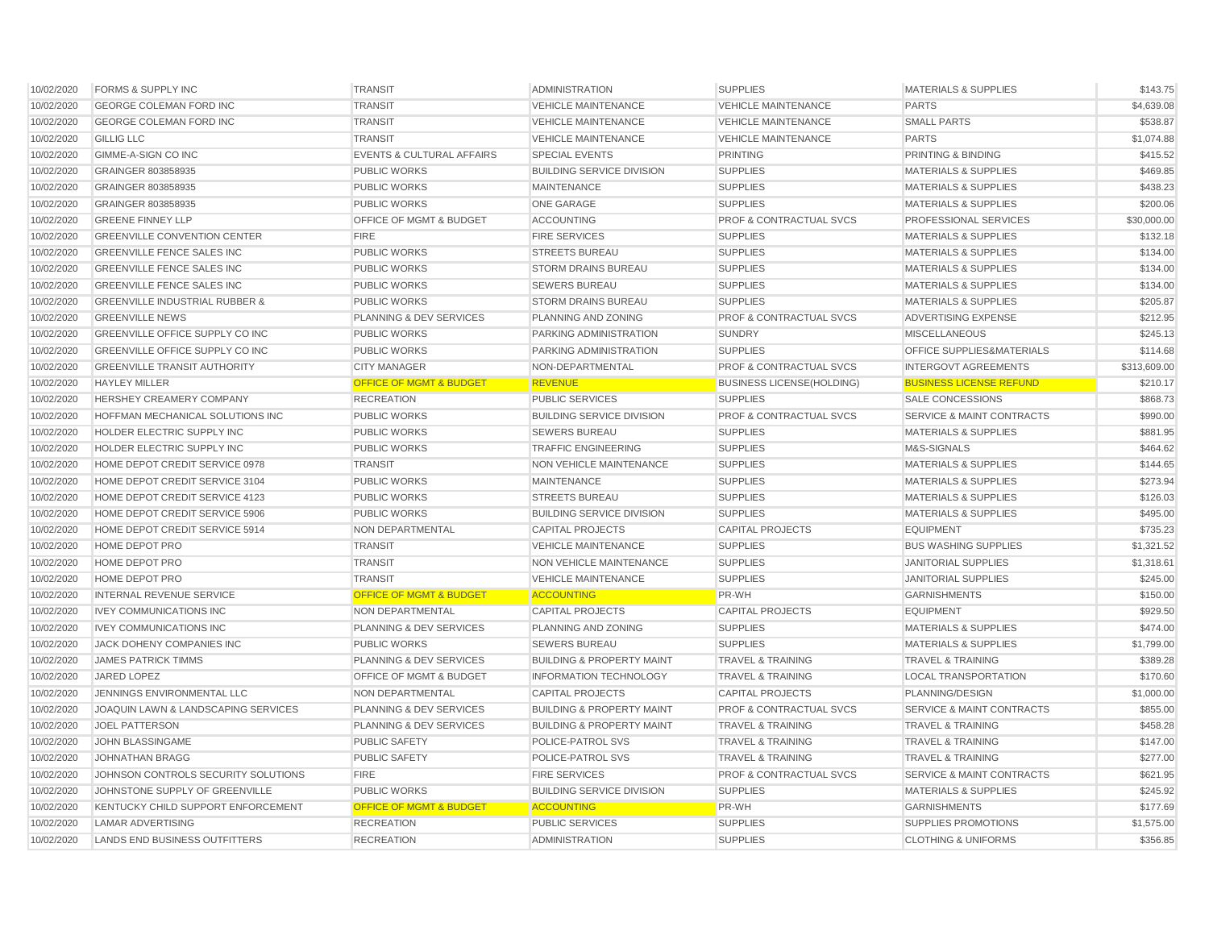| 10/02/2020 | <b>FORMS &amp; SUPPLY INC</b>             | <b>TRANSIT</b>                       | <b>ADMINISTRATION</b>                | <b>SUPPLIES</b>                    | MATERIALS & SUPPLIES                 | \$143.75     |
|------------|-------------------------------------------|--------------------------------------|--------------------------------------|------------------------------------|--------------------------------------|--------------|
| 10/02/2020 | <b>GEORGE COLEMAN FORD INC</b>            | <b>TRANSIT</b>                       | <b>VEHICLE MAINTENANCE</b>           | <b>VEHICLE MAINTENANCE</b>         | <b>PARTS</b>                         | \$4,639.08   |
| 10/02/2020 | <b>GEORGE COLEMAN FORD INC</b>            | <b>TRANSIT</b>                       | <b>VEHICLE MAINTENANCE</b>           | <b>VEHICLE MAINTENANCE</b>         | <b>SMALL PARTS</b>                   | \$538.87     |
| 10/02/2020 | <b>GILLIG LLC</b>                         | <b>TRANSIT</b>                       | <b>VEHICLE MAINTENANCE</b>           | <b>VEHICLE MAINTENANCE</b>         | <b>PARTS</b>                         | \$1,074.88   |
| 10/02/2020 | GIMME-A-SIGN CO INC                       | <b>EVENTS &amp; CULTURAL AFFAIRS</b> | <b>SPECIAL EVENTS</b>                | <b>PRINTING</b>                    | <b>PRINTING &amp; BINDING</b>        | \$415.52     |
| 10/02/2020 | GRAINGER 803858935                        | <b>PUBLIC WORKS</b>                  | <b>BUILDING SERVICE DIVISION</b>     | <b>SUPPLIES</b>                    | <b>MATERIALS &amp; SUPPLIES</b>      | \$469.85     |
| 10/02/2020 | GRAINGER 803858935                        | <b>PUBLIC WORKS</b>                  | <b>MAINTENANCE</b>                   | <b>SUPPLIES</b>                    | <b>MATERIALS &amp; SUPPLIES</b>      | \$438.23     |
| 10/02/2020 | GRAINGER 803858935                        | <b>PUBLIC WORKS</b>                  | ONE GARAGE                           | <b>SUPPLIES</b>                    | <b>MATERIALS &amp; SUPPLIES</b>      | \$200.06     |
| 10/02/2020 | <b>GREENE FINNEY LLP</b>                  | OFFICE OF MGMT & BUDGET              | <b>ACCOUNTING</b>                    | <b>PROF &amp; CONTRACTUAL SVCS</b> | PROFESSIONAL SERVICES                | \$30,000.00  |
| 10/02/2020 | <b>GREENVILLE CONVENTION CENTER</b>       | <b>FIRE</b>                          | <b>FIRE SERVICES</b>                 | <b>SUPPLIES</b>                    | <b>MATERIALS &amp; SUPPLIES</b>      | \$132.18     |
| 10/02/2020 | <b>GREENVILLE FENCE SALES INC</b>         | <b>PUBLIC WORKS</b>                  | <b>STREETS BUREAU</b>                | <b>SUPPLIES</b>                    | <b>MATERIALS &amp; SUPPLIES</b>      | \$134.00     |
| 10/02/2020 | <b>GREENVILLE FENCE SALES INC</b>         | <b>PUBLIC WORKS</b>                  | <b>STORM DRAINS BUREAU</b>           | <b>SUPPLIES</b>                    | <b>MATERIALS &amp; SUPPLIES</b>      | \$134.00     |
| 10/02/2020 | <b>GREENVILLE FENCE SALES INC</b>         | <b>PUBLIC WORKS</b>                  | <b>SEWERS BUREAU</b>                 | <b>SUPPLIES</b>                    | <b>MATERIALS &amp; SUPPLIES</b>      | \$134.00     |
| 10/02/2020 | <b>GREENVILLE INDUSTRIAL RUBBER &amp;</b> | <b>PUBLIC WORKS</b>                  | <b>STORM DRAINS BUREAU</b>           | <b>SUPPLIES</b>                    | <b>MATERIALS &amp; SUPPLIES</b>      | \$205.87     |
| 10/02/2020 | <b>GREENVILLE NEWS</b>                    | <b>PLANNING &amp; DEV SERVICES</b>   | PLANNING AND ZONING                  | <b>PROF &amp; CONTRACTUAL SVCS</b> | <b>ADVERTISING EXPENSE</b>           | \$212.95     |
| 10/02/2020 | GREENVILLE OFFICE SUPPLY CO INC           | <b>PUBLIC WORKS</b>                  | PARKING ADMINISTRATION               | <b>SUNDRY</b>                      | <b>MISCELLANEOUS</b>                 | \$245.13     |
| 10/02/2020 | GREENVILLE OFFICE SUPPLY CO INC           | <b>PUBLIC WORKS</b>                  | PARKING ADMINISTRATION               | <b>SUPPLIES</b>                    | OFFICE SUPPLIES&MATERIALS            | \$114.68     |
| 10/02/2020 | <b>GREENVILLE TRANSIT AUTHORITY</b>       | <b>CITY MANAGER</b>                  | NON-DEPARTMENTAL                     | PROF & CONTRACTUAL SVCS            | <b>INTERGOVT AGREEMENTS</b>          | \$313,609.00 |
| 10/02/2020 | <b>HAYLEY MILLER</b>                      | <b>OFFICE OF MGMT &amp; BUDGET</b>   | <b>REVENUE</b>                       | <b>BUSINESS LICENSE(HOLDING)</b>   | <b>BUSINESS LICENSE REFUND</b>       | \$210.17     |
| 10/02/2020 | HERSHEY CREAMERY COMPANY                  | <b>RECREATION</b>                    | PUBLIC SERVICES                      | <b>SUPPLIES</b>                    | <b>SALE CONCESSIONS</b>              | \$868.73     |
| 10/02/2020 | HOFFMAN MECHANICAL SOLUTIONS INC          | <b>PUBLIC WORKS</b>                  | <b>BUILDING SERVICE DIVISION</b>     | <b>PROF &amp; CONTRACTUAL SVCS</b> | <b>SERVICE &amp; MAINT CONTRACTS</b> | \$990.00     |
| 10/02/2020 | HOLDER ELECTRIC SUPPLY INC                | <b>PUBLIC WORKS</b>                  | <b>SEWERS BUREAU</b>                 | <b>SUPPLIES</b>                    | <b>MATERIALS &amp; SUPPLIES</b>      | \$881.95     |
| 10/02/2020 | HOLDER ELECTRIC SUPPLY INC                | <b>PUBLIC WORKS</b>                  | <b>TRAFFIC ENGINEERING</b>           | <b>SUPPLIES</b>                    | M&S-SIGNALS                          | \$464.62     |
| 10/02/2020 | HOME DEPOT CREDIT SERVICE 0978            | <b>TRANSIT</b>                       | NON VEHICLE MAINTENANCE              | <b>SUPPLIES</b>                    | <b>MATERIALS &amp; SUPPLIES</b>      | \$144.65     |
| 10/02/2020 | HOME DEPOT CREDIT SERVICE 3104            | <b>PUBLIC WORKS</b>                  | <b>MAINTENANCE</b>                   | <b>SUPPLIES</b>                    | <b>MATERIALS &amp; SUPPLIES</b>      | \$273.94     |
| 10/02/2020 | HOME DEPOT CREDIT SERVICE 4123            | <b>PUBLIC WORKS</b>                  | <b>STREETS BUREAU</b>                | <b>SUPPLIES</b>                    | <b>MATERIALS &amp; SUPPLIES</b>      | \$126.03     |
| 10/02/2020 | HOME DEPOT CREDIT SERVICE 5906            | <b>PUBLIC WORKS</b>                  | <b>BUILDING SERVICE DIVISION</b>     | <b>SUPPLIES</b>                    | <b>MATERIALS &amp; SUPPLIES</b>      | \$495.00     |
| 10/02/2020 | HOME DEPOT CREDIT SERVICE 5914            | NON DEPARTMENTAL                     | <b>CAPITAL PROJECTS</b>              | <b>CAPITAL PROJECTS</b>            | <b>EQUIPMENT</b>                     | \$735.23     |
| 10/02/2020 | HOME DEPOT PRO                            | <b>TRANSIT</b>                       | <b>VEHICLE MAINTENANCE</b>           | <b>SUPPLIES</b>                    | <b>BUS WASHING SUPPLIES</b>          | \$1,321.52   |
| 10/02/2020 | <b>HOME DEPOT PRO</b>                     | <b>TRANSIT</b>                       | <b>NON VEHICLE MAINTENANCE</b>       | <b>SUPPLIES</b>                    | <b>JANITORIAL SUPPLIES</b>           | \$1,318.61   |
| 10/02/2020 | HOME DEPOT PRO                            | <b>TRANSIT</b>                       | <b>VEHICLE MAINTENANCE</b>           | <b>SUPPLIES</b>                    | <b>JANITORIAL SUPPLIES</b>           | \$245.00     |
| 10/02/2020 | <b>INTERNAL REVENUE SERVICE</b>           | <b>OFFICE OF MGMT &amp; BUDGET</b>   | <b>ACCOUNTING</b>                    | PR-WH                              | <b>GARNISHMENTS</b>                  | \$150.00     |
| 10/02/2020 | <b>IVEY COMMUNICATIONS INC</b>            | NON DEPARTMENTAL                     | <b>CAPITAL PROJECTS</b>              | <b>CAPITAL PROJECTS</b>            | <b>EQUIPMENT</b>                     | \$929.50     |
| 10/02/2020 | <b>IVEY COMMUNICATIONS INC</b>            | PLANNING & DEV SERVICES              | PLANNING AND ZONING                  | <b>SUPPLIES</b>                    | <b>MATERIALS &amp; SUPPLIES</b>      | \$474.00     |
| 10/02/2020 | JACK DOHENY COMPANIES INC                 | <b>PUBLIC WORKS</b>                  | <b>SEWERS BUREAU</b>                 | <b>SUPPLIES</b>                    | <b>MATERIALS &amp; SUPPLIES</b>      | \$1,799.00   |
| 10/02/2020 | <b>JAMES PATRICK TIMMS</b>                | PLANNING & DEV SERVICES              | <b>BUILDING &amp; PROPERTY MAINT</b> | <b>TRAVEL &amp; TRAINING</b>       | <b>TRAVEL &amp; TRAINING</b>         | \$389.28     |
| 10/02/2020 | JARED LOPEZ                               | <b>OFFICE OF MGMT &amp; BUDGET</b>   | <b>INFORMATION TECHNOLOGY</b>        | <b>TRAVEL &amp; TRAINING</b>       | <b>LOCAL TRANSPORTATION</b>          | \$170.60     |
| 10/02/2020 | JENNINGS ENVIRONMENTAL LLC                | NON DEPARTMENTAL                     | <b>CAPITAL PROJECTS</b>              | <b>CAPITAL PROJECTS</b>            | PLANNING/DESIGN                      | \$1,000.00   |
| 10/02/2020 | JOAQUIN LAWN & LANDSCAPING SERVICES       | PLANNING & DEV SERVICES              | <b>BUILDING &amp; PROPERTY MAINT</b> | PROF & CONTRACTUAL SVCS            | <b>SERVICE &amp; MAINT CONTRACTS</b> | \$855.00     |
| 10/02/2020 | <b>JOEL PATTERSON</b>                     | <b>PLANNING &amp; DEV SERVICES</b>   | <b>BUILDING &amp; PROPERTY MAINT</b> | <b>TRAVEL &amp; TRAINING</b>       | <b>TRAVEL &amp; TRAINING</b>         | \$458.28     |
| 10/02/2020 | JOHN BLASSINGAME                          | <b>PUBLIC SAFETY</b>                 | POLICE-PATROL SVS                    | <b>TRAVEL &amp; TRAINING</b>       | <b>TRAVEL &amp; TRAINING</b>         | \$147.00     |
| 10/02/2020 | <b>JOHNATHAN BRAGG</b>                    | <b>PUBLIC SAFETY</b>                 | POLICE-PATROL SVS                    | <b>TRAVEL &amp; TRAINING</b>       | <b>TRAVEL &amp; TRAINING</b>         | \$277.00     |
| 10/02/2020 | JOHNSON CONTROLS SECURITY SOLUTIONS       | <b>FIRE</b>                          | <b>FIRE SERVICES</b>                 | <b>PROF &amp; CONTRACTUAL SVCS</b> | <b>SERVICE &amp; MAINT CONTRACTS</b> | \$621.95     |
| 10/02/2020 | JOHNSTONE SUPPLY OF GREENVILLE            | PUBLIC WORKS                         | <b>BUILDING SERVICE DIVISION</b>     | <b>SUPPLIES</b>                    | <b>MATERIALS &amp; SUPPLIES</b>      | \$245.92     |
| 10/02/2020 | KENTUCKY CHILD SUPPORT ENFORCEMENT        | <b>OFFICE OF MGMT &amp; BUDGET</b>   | <b>ACCOUNTING</b>                    | PR-WH                              | <b>GARNISHMENTS</b>                  | \$177.69     |
| 10/02/2020 | <b>LAMAR ADVERTISING</b>                  | <b>RECREATION</b>                    | <b>PUBLIC SERVICES</b>               | <b>SUPPLIES</b>                    | SUPPLIES PROMOTIONS                  | \$1,575.00   |
| 10/02/2020 | LANDS END BUSINESS OUTFITTERS             | <b>RECREATION</b>                    | <b>ADMINISTRATION</b>                | <b>SUPPLIES</b>                    | <b>CLOTHING &amp; UNIFORMS</b>       | \$356.85     |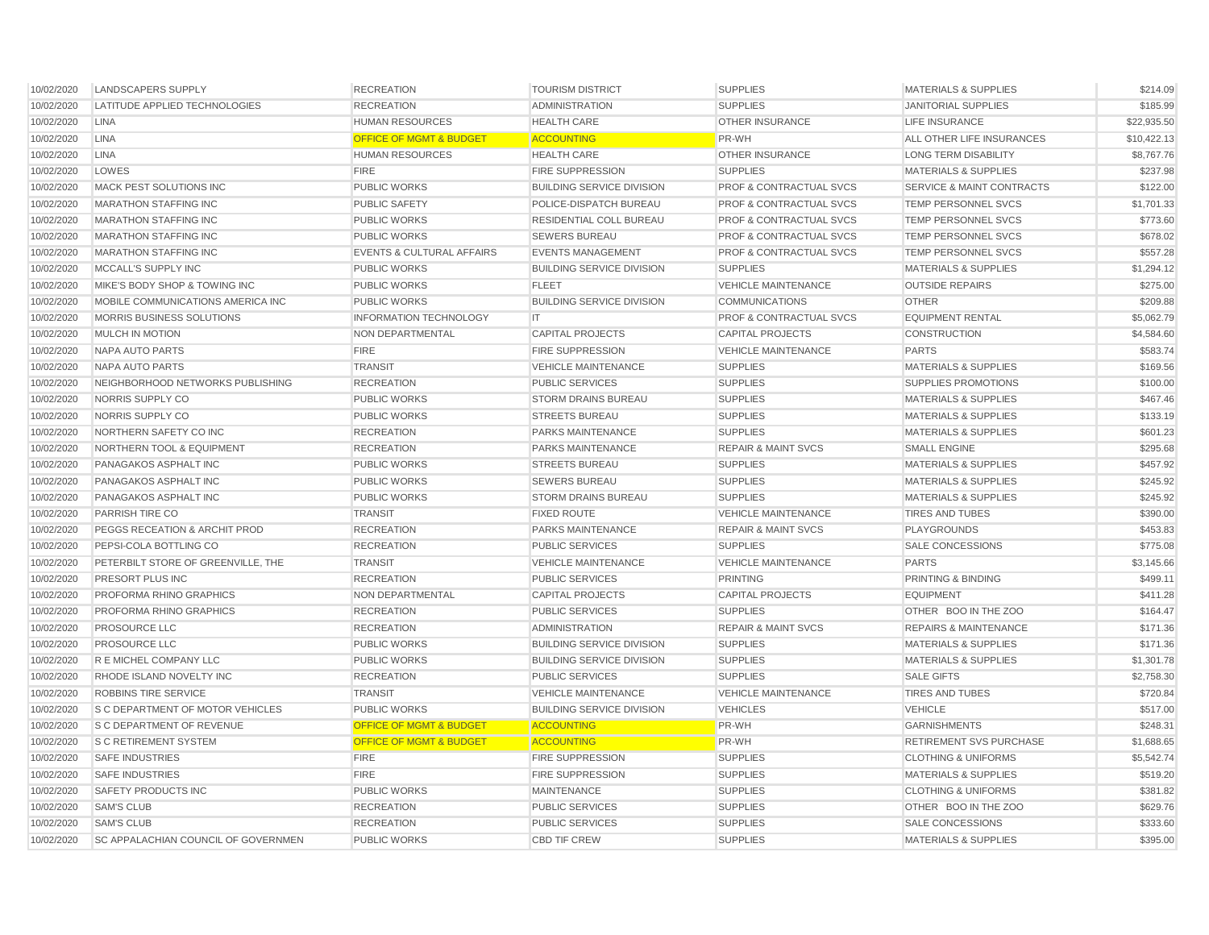| 10/02/2020 | <b>LANDSCAPERS SUPPLY</b>                  | <b>RECREATION</b>                    | <b>TOURISM DISTRICT</b>          | <b>SUPPLIES</b>                    | <b>MATERIALS &amp; SUPPLIES</b>      | \$214.09    |
|------------|--------------------------------------------|--------------------------------------|----------------------------------|------------------------------------|--------------------------------------|-------------|
| 10/02/2020 | LATITUDE APPLIED TECHNOLOGIES              | <b>RECREATION</b>                    | <b>ADMINISTRATION</b>            | <b>SUPPLIES</b>                    | <b>JANITORIAL SUPPLIES</b>           | \$185.99    |
| 10/02/2020 | <b>LINA</b>                                | <b>HUMAN RESOURCES</b>               | <b>HEALTH CARE</b>               | <b>OTHER INSURANCE</b>             | <b>LIFE INSURANCE</b>                | \$22,935.50 |
| 10/02/2020 | <b>LINA</b>                                | <b>OFFICE OF MGMT &amp; BUDGET</b>   | <b>ACCOUNTING</b>                | PR-WH                              | ALL OTHER LIFE INSURANCES            | \$10,422.13 |
| 10/02/2020 | <b>LINA</b>                                | <b>HUMAN RESOURCES</b>               | <b>HEALTH CARE</b>               | OTHER INSURANCE                    | <b>LONG TERM DISABILITY</b>          | \$8,767.76  |
| 10/02/2020 | LOWES                                      | <b>FIRE</b>                          | <b>FIRE SUPPRESSION</b>          | <b>SUPPLIES</b>                    | <b>MATERIALS &amp; SUPPLIES</b>      | \$237.98    |
| 10/02/2020 | MACK PEST SOLUTIONS INC                    | <b>PUBLIC WORKS</b>                  | <b>BUILDING SERVICE DIVISION</b> | <b>PROF &amp; CONTRACTUAL SVCS</b> | <b>SERVICE &amp; MAINT CONTRACTS</b> | \$122.00    |
| 10/02/2020 | <b>MARATHON STAFFING INC</b>               | PUBLIC SAFETY                        | POLICE-DISPATCH BUREAU           | <b>PROF &amp; CONTRACTUAL SVCS</b> | <b>TEMP PERSONNEL SVCS</b>           | \$1,701.33  |
| 10/02/2020 | <b>MARATHON STAFFING INC</b>               | <b>PUBLIC WORKS</b>                  | RESIDENTIAL COLL BUREAU          | <b>PROF &amp; CONTRACTUAL SVCS</b> | TEMP PERSONNEL SVCS                  | \$773.60    |
| 10/02/2020 | <b>MARATHON STAFFING INC</b>               | <b>PUBLIC WORKS</b>                  | <b>SEWERS BUREAU</b>             | <b>PROF &amp; CONTRACTUAL SVCS</b> | TEMP PERSONNEL SVCS                  | \$678.02    |
| 10/02/2020 | <b>MARATHON STAFFING INC</b>               | <b>EVENTS &amp; CULTURAL AFFAIRS</b> | <b>EVENTS MANAGEMENT</b>         | <b>PROF &amp; CONTRACTUAL SVCS</b> | TEMP PERSONNEL SVCS                  | \$557.28    |
| 10/02/2020 | MCCALL'S SUPPLY INC                        | <b>PUBLIC WORKS</b>                  | <b>BUILDING SERVICE DIVISION</b> | <b>SUPPLIES</b>                    | <b>MATERIALS &amp; SUPPLIES</b>      | \$1,294.12  |
| 10/02/2020 | MIKE'S BODY SHOP & TOWING INC              | PUBLIC WORKS                         | <b>FLEET</b>                     | VEHICLE MAINTENANCE                | <b>OUTSIDE REPAIRS</b>               | \$275.00    |
| 10/02/2020 | MOBILE COMMUNICATIONS AMERICA INC          | <b>PUBLIC WORKS</b>                  | <b>BUILDING SERVICE DIVISION</b> | <b>COMMUNICATIONS</b>              | <b>OTHER</b>                         | \$209.88    |
| 10/02/2020 | MORRIS BUSINESS SOLUTIONS                  | <b>INFORMATION TECHNOLOGY</b>        | IT                               | <b>PROF &amp; CONTRACTUAL SVCS</b> | <b>EQUIPMENT RENTAL</b>              | \$5,062.79  |
| 10/02/2020 | MULCH IN MOTION                            | NON DEPARTMENTAL                     | <b>CAPITAL PROJECTS</b>          | <b>CAPITAL PROJECTS</b>            | <b>CONSTRUCTION</b>                  | \$4,584.60  |
| 10/02/2020 | NAPA AUTO PARTS                            | <b>FIRE</b>                          | <b>FIRE SUPPRESSION</b>          | <b>VEHICLE MAINTENANCE</b>         | <b>PARTS</b>                         | \$583.74    |
| 10/02/2020 | NAPA AUTO PARTS                            | <b>TRANSIT</b>                       | <b>VEHICLE MAINTENANCE</b>       | <b>SUPPLIES</b>                    | <b>MATERIALS &amp; SUPPLIES</b>      | \$169.56    |
| 10/02/2020 | NEIGHBORHOOD NETWORKS PUBLISHING           | <b>RECREATION</b>                    | <b>PUBLIC SERVICES</b>           | <b>SUPPLIES</b>                    | <b>SUPPLIES PROMOTIONS</b>           | \$100.00    |
| 10/02/2020 | NORRIS SUPPLY CO                           | <b>PUBLIC WORKS</b>                  | <b>STORM DRAINS BUREAU</b>       | <b>SUPPLIES</b>                    | <b>MATERIALS &amp; SUPPLIES</b>      | \$467.46    |
| 10/02/2020 | NORRIS SUPPLY CO                           | <b>PUBLIC WORKS</b>                  | <b>STREETS BUREAU</b>            | <b>SUPPLIES</b>                    | <b>MATERIALS &amp; SUPPLIES</b>      | \$133.19    |
| 10/02/2020 | NORTHERN SAFETY CO INC                     | <b>RECREATION</b>                    | PARKS MAINTENANCE                | <b>SUPPLIES</b>                    | MATERIALS & SUPPLIES                 | \$601.23    |
| 10/02/2020 | NORTHERN TOOL & EQUIPMENT                  | <b>RECREATION</b>                    | PARKS MAINTENANCE                | <b>REPAIR &amp; MAINT SVCS</b>     | <b>SMALL ENGINE</b>                  | \$295.68    |
| 10/02/2020 | PANAGAKOS ASPHALT INC                      | <b>PUBLIC WORKS</b>                  | <b>STREETS BUREAU</b>            | <b>SUPPLIES</b>                    | <b>MATERIALS &amp; SUPPLIES</b>      | \$457.92    |
| 10/02/2020 | PANAGAKOS ASPHALT INC                      | <b>PUBLIC WORKS</b>                  | <b>SEWERS BUREAU</b>             | <b>SUPPLIES</b>                    | <b>MATERIALS &amp; SUPPLIES</b>      | \$245.92    |
| 10/02/2020 | PANAGAKOS ASPHALT INC                      | <b>PUBLIC WORKS</b>                  | <b>STORM DRAINS BUREAU</b>       | <b>SUPPLIES</b>                    | <b>MATERIALS &amp; SUPPLIES</b>      | \$245.92    |
| 10/02/2020 | PARRISH TIRE CO                            | <b>TRANSIT</b>                       | <b>FIXED ROUTE</b>               | <b>VEHICLE MAINTENANCE</b>         | <b>TIRES AND TUBES</b>               | \$390.00    |
| 10/02/2020 | PEGGS RECEATION & ARCHIT PROD              | <b>RECREATION</b>                    | <b>PARKS MAINTENANCE</b>         | <b>REPAIR &amp; MAINT SVCS</b>     | PLAYGROUNDS                          | \$453.83    |
| 10/02/2020 | PEPSI-COLA BOTTLING CO                     | <b>RECREATION</b>                    | <b>PUBLIC SERVICES</b>           | <b>SUPPLIES</b>                    | SALE CONCESSIONS                     | \$775.08    |
| 10/02/2020 | PETERBILT STORE OF GREENVILLE, THE         | <b>TRANSIT</b>                       | <b>VEHICLE MAINTENANCE</b>       | <b>VEHICLE MAINTENANCE</b>         | <b>PARTS</b>                         | \$3,145.66  |
| 10/02/2020 | PRESORT PLUS INC                           | <b>RECREATION</b>                    | <b>PUBLIC SERVICES</b>           | PRINTING                           | PRINTING & BINDING                   | \$499.11    |
| 10/02/2020 | PROFORMA RHINO GRAPHICS                    | NON DEPARTMENTAL                     | <b>CAPITAL PROJECTS</b>          | <b>CAPITAL PROJECTS</b>            | <b>EQUIPMENT</b>                     | \$411.28    |
| 10/02/2020 | PROFORMA RHINO GRAPHICS                    | <b>RECREATION</b>                    | <b>PUBLIC SERVICES</b>           | <b>SUPPLIES</b>                    | OTHER BOO IN THE ZOO                 | \$164.47    |
| 10/02/2020 | <b>PROSOURCE LLC</b>                       | <b>RECREATION</b>                    | <b>ADMINISTRATION</b>            | <b>REPAIR &amp; MAINT SVCS</b>     | <b>REPAIRS &amp; MAINTENANCE</b>     | \$171.36    |
| 10/02/2020 | PROSOURCE LLC                              | <b>PUBLIC WORKS</b>                  | <b>BUILDING SERVICE DIVISION</b> | <b>SUPPLIES</b>                    | <b>MATERIALS &amp; SUPPLIES</b>      | \$171.36    |
| 10/02/2020 | R E MICHEL COMPANY LLC                     | PUBLIC WORKS                         | <b>BUILDING SERVICE DIVISION</b> | <b>SUPPLIES</b>                    | <b>MATERIALS &amp; SUPPLIES</b>      | \$1,301.78  |
| 10/02/2020 | RHODE ISLAND NOVELTY INC                   | <b>RECREATION</b>                    | <b>PUBLIC SERVICES</b>           | <b>SUPPLIES</b>                    | <b>SALE GIFTS</b>                    | \$2,758.30  |
| 10/02/2020 | ROBBINS TIRE SERVICE                       | <b>TRANSIT</b>                       | <b>VEHICLE MAINTENANCE</b>       | <b>VEHICLE MAINTENANCE</b>         | <b>TIRES AND TUBES</b>               | \$720.84    |
| 10/02/2020 | S C DEPARTMENT OF MOTOR VEHICLES           | <b>PUBLIC WORKS</b>                  | <b>BUILDING SERVICE DIVISION</b> | <b>VEHICLES</b>                    | <b>VEHICLE</b>                       | \$517.00    |
| 10/02/2020 | S C DEPARTMENT OF REVENUE                  | <b>OFFICE OF MGMT &amp; BUDGET</b>   | <b>ACCOUNTING</b>                | PR-WH                              | <b>GARNISHMENTS</b>                  | \$248.31    |
| 10/02/2020 | S C RETIREMENT SYSTEM                      | <b>OFFICE OF MGMT &amp; BUDGET</b>   | <b>ACCOUNTING</b>                | <b>PR-WH</b>                       | <b>RETIREMENT SVS PURCHASE</b>       | \$1,688.65  |
| 10/02/2020 | <b>SAFE INDUSTRIES</b>                     | <b>FIRE</b>                          | <b>FIRE SUPPRESSION</b>          | <b>SUPPLIES</b>                    | <b>CLOTHING &amp; UNIFORMS</b>       | \$5,542.74  |
| 10/02/2020 | <b>SAFE INDUSTRIES</b>                     | <b>FIRE</b>                          | <b>FIRE SUPPRESSION</b>          | <b>SUPPLIES</b>                    | <b>MATERIALS &amp; SUPPLIES</b>      | \$519.20    |
| 10/02/2020 | <b>SAFETY PRODUCTS INC</b>                 | <b>PUBLIC WORKS</b>                  | <b>MAINTENANCE</b>               | <b>SUPPLIES</b>                    | <b>CLOTHING &amp; UNIFORMS</b>       | \$381.82    |
| 10/02/2020 | <b>SAM'S CLUB</b>                          | <b>RECREATION</b>                    | <b>PUBLIC SERVICES</b>           | <b>SUPPLIES</b>                    | OTHER BOO IN THE ZOO                 | \$629.76    |
| 10/02/2020 | <b>SAM'S CLUB</b>                          | <b>RECREATION</b>                    | <b>PUBLIC SERVICES</b>           | <b>SUPPLIES</b>                    | <b>SALE CONCESSIONS</b>              | \$333.60    |
|            |                                            |                                      |                                  |                                    |                                      |             |
| 10/02/2020 | <b>SC APPALACHIAN COUNCIL OF GOVERNMEN</b> | <b>PUBLIC WORKS</b>                  | <b>CBD TIF CREW</b>              | <b>SUPPLIES</b>                    | <b>MATERIALS &amp; SUPPLIES</b>      | \$395.00    |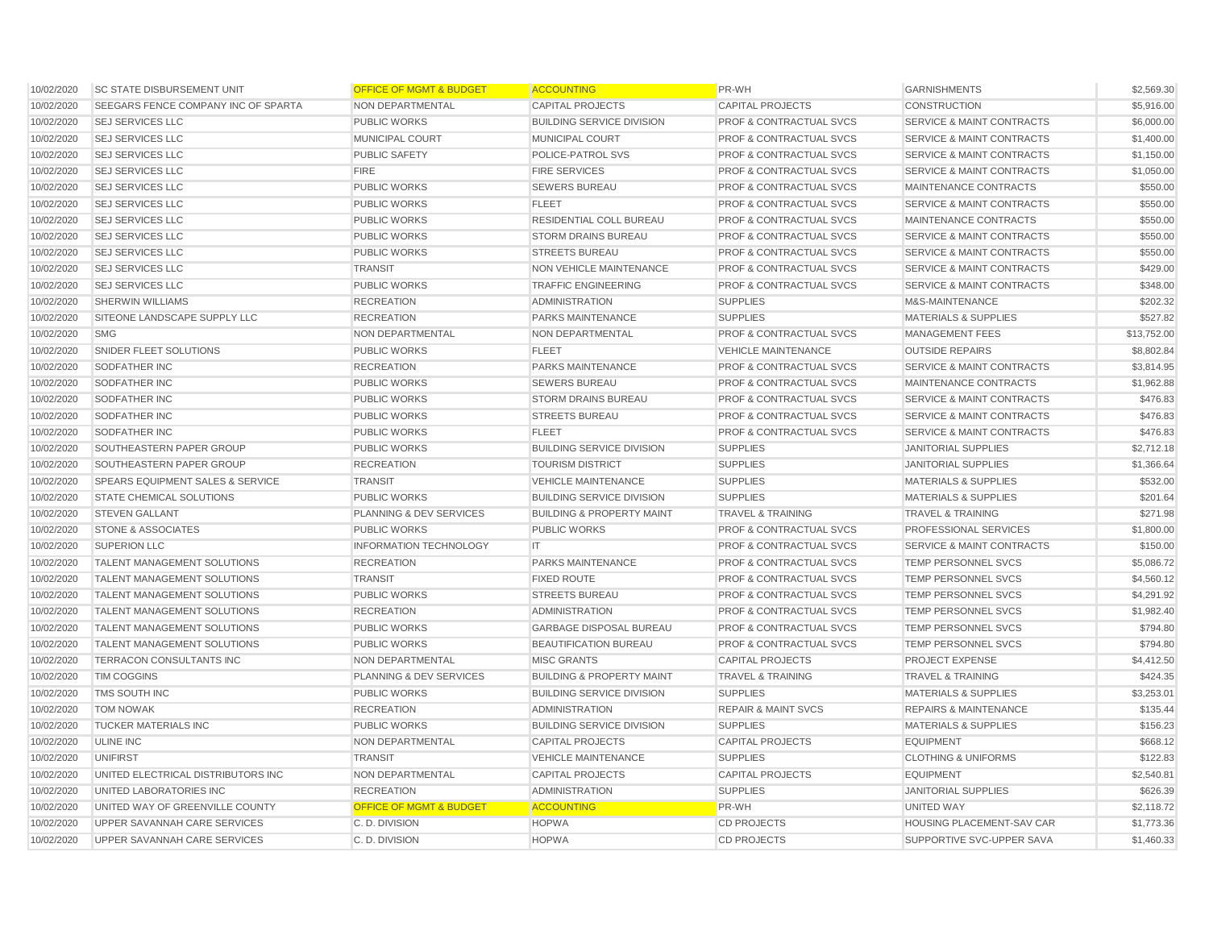| 10/02/2020 | <b>SC STATE DISBURSEMENT UNIT</b>   | <b>OFFICE OF MGMT &amp; BUDGET</b> | <b>ACCOUNTING</b>                    | PR-WH                              | <b>GARNISHMENTS</b>                  | \$2,569.30  |
|------------|-------------------------------------|------------------------------------|--------------------------------------|------------------------------------|--------------------------------------|-------------|
| 10/02/2020 | SEEGARS FENCE COMPANY INC OF SPARTA | <b>NON DEPARTMENTAL</b>            | <b>CAPITAL PROJECTS</b>              | <b>CAPITAL PROJECTS</b>            | <b>CONSTRUCTION</b>                  | \$5,916.00  |
| 10/02/2020 | <b>SEJ SERVICES LLC</b>             | <b>PUBLIC WORKS</b>                | <b>BUILDING SERVICE DIVISION</b>     | <b>PROF &amp; CONTRACTUAL SVCS</b> | <b>SERVICE &amp; MAINT CONTRACTS</b> | \$6,000.00  |
| 10/02/2020 | <b>SEJ SERVICES LLC</b>             | MUNICIPAL COURT                    | <b>MUNICIPAL COURT</b>               | <b>PROF &amp; CONTRACTUAL SVCS</b> | <b>SERVICE &amp; MAINT CONTRACTS</b> | \$1,400.00  |
| 10/02/2020 | <b>SEJ SERVICES LLC</b>             | PUBLIC SAFETY                      | POLICE-PATROL SVS                    | <b>PROF &amp; CONTRACTUAL SVCS</b> | <b>SERVICE &amp; MAINT CONTRACTS</b> | \$1,150.00  |
| 10/02/2020 | <b>SEJ SERVICES LLC</b>             | <b>FIRE</b>                        | <b>FIRE SERVICES</b>                 | <b>PROF &amp; CONTRACTUAL SVCS</b> | <b>SERVICE &amp; MAINT CONTRACTS</b> | \$1,050.00  |
| 10/02/2020 | <b>SEJ SERVICES LLC</b>             | <b>PUBLIC WORKS</b>                | <b>SEWERS BUREAU</b>                 | PROF & CONTRACTUAL SVCS            | MAINTENANCE CONTRACTS                | \$550.00    |
| 10/02/2020 | <b>SEJ SERVICES LLC</b>             | <b>PUBLIC WORKS</b>                | <b>FLEET</b>                         | <b>PROF &amp; CONTRACTUAL SVCS</b> | <b>SERVICE &amp; MAINT CONTRACTS</b> | \$550.00    |
| 10/02/2020 | <b>SEJ SERVICES LLC</b>             | <b>PUBLIC WORKS</b>                | RESIDENTIAL COLL BUREAU              | <b>PROF &amp; CONTRACTUAL SVCS</b> | MAINTENANCE CONTRACTS                | \$550.00    |
| 10/02/2020 | <b>SEJ SERVICES LLC</b>             | <b>PUBLIC WORKS</b>                | <b>STORM DRAINS BUREAU</b>           | <b>PROF &amp; CONTRACTUAL SVCS</b> | <b>SERVICE &amp; MAINT CONTRACTS</b> | \$550.00    |
| 10/02/2020 | <b>SEJ SERVICES LLC</b>             | <b>PUBLIC WORKS</b>                | <b>STREETS BUREAU</b>                | <b>PROF &amp; CONTRACTUAL SVCS</b> | <b>SERVICE &amp; MAINT CONTRACTS</b> | \$550.00    |
| 10/02/2020 | <b>SEJ SERVICES LLC</b>             | <b>TRANSIT</b>                     | <b>NON VEHICLE MAINTENANCE</b>       | <b>PROF &amp; CONTRACTUAL SVCS</b> | <b>SERVICE &amp; MAINT CONTRACTS</b> | \$429.00    |
| 10/02/2020 | <b>SEJ SERVICES LLC</b>             | PUBLIC WORKS                       | <b>TRAFFIC ENGINEERING</b>           | <b>PROF &amp; CONTRACTUAL SVCS</b> | <b>SERVICE &amp; MAINT CONTRACTS</b> | \$348.00    |
| 10/02/2020 | <b>SHERWIN WILLIAMS</b>             | <b>RECREATION</b>                  | <b>ADMINISTRATION</b>                | <b>SUPPLIES</b>                    | M&S-MAINTENANCE                      | \$202.32    |
| 10/02/2020 | SITEONE LANDSCAPE SUPPLY LLC        | <b>RECREATION</b>                  | PARKS MAINTENANCE                    | <b>SUPPLIES</b>                    | <b>MATERIALS &amp; SUPPLIES</b>      | \$527.82    |
| 10/02/2020 | <b>SMG</b>                          | NON DEPARTMENTAL                   | NON DEPARTMENTAL                     | <b>PROF &amp; CONTRACTUAL SVCS</b> | <b>MANAGEMENT FEES</b>               | \$13,752.00 |
| 10/02/2020 | SNIDER FLEET SOLUTIONS              | <b>PUBLIC WORKS</b>                | <b>FLEET</b>                         | <b>VEHICLE MAINTENANCE</b>         | <b>OUTSIDE REPAIRS</b>               | \$8,802.84  |
| 10/02/2020 | SODFATHER INC                       | <b>RECREATION</b>                  | <b>PARKS MAINTENANCE</b>             | <b>PROF &amp; CONTRACTUAL SVCS</b> | <b>SERVICE &amp; MAINT CONTRACTS</b> | \$3,814.95  |
| 10/02/2020 | SODFATHER INC                       | PUBLIC WORKS                       | <b>SEWERS BUREAU</b>                 | PROF & CONTRACTUAL SVCS            | MAINTENANCE CONTRACTS                | \$1,962.88  |
| 10/02/2020 | SODFATHER INC                       | <b>PUBLIC WORKS</b>                | <b>STORM DRAINS BUREAU</b>           | <b>PROF &amp; CONTRACTUAL SVCS</b> | <b>SERVICE &amp; MAINT CONTRACTS</b> | \$476.83    |
| 10/02/2020 | SODFATHER INC                       | <b>PUBLIC WORKS</b>                | <b>STREETS BUREAU</b>                | <b>PROF &amp; CONTRACTUAL SVCS</b> | <b>SERVICE &amp; MAINT CONTRACTS</b> | \$476.83    |
| 10/02/2020 | <b>SODFATHER INC</b>                | <b>PUBLIC WORKS</b>                | <b>FLEET</b>                         | <b>PROF &amp; CONTRACTUAL SVCS</b> | <b>SERVICE &amp; MAINT CONTRACTS</b> | \$476.83    |
| 10/02/2020 | SOUTHEASTERN PAPER GROUP            | <b>PUBLIC WORKS</b>                | <b>BUILDING SERVICE DIVISION</b>     | <b>SUPPLIES</b>                    | <b>JANITORIAL SUPPLIES</b>           | \$2,712.18  |
| 10/02/2020 | SOUTHEASTERN PAPER GROUP            | <b>RECREATION</b>                  | <b>TOURISM DISTRICT</b>              | <b>SUPPLIES</b>                    | <b>JANITORIAL SUPPLIES</b>           | \$1,366.64  |
| 10/02/2020 | SPEARS EQUIPMENT SALES & SERVICE    | <b>TRANSIT</b>                     | <b>VEHICLE MAINTENANCE</b>           | <b>SUPPLIES</b>                    | <b>MATERIALS &amp; SUPPLIES</b>      | \$532.00    |
| 10/02/2020 | STATE CHEMICAL SOLUTIONS            | <b>PUBLIC WORKS</b>                | <b>BUILDING SERVICE DIVISION</b>     | <b>SUPPLIES</b>                    | <b>MATERIALS &amp; SUPPLIES</b>      | \$201.64    |
| 10/02/2020 | <b>STEVEN GALLANT</b>               | PLANNING & DEV SERVICES            | <b>BUILDING &amp; PROPERTY MAINT</b> | <b>TRAVEL &amp; TRAINING</b>       | <b>TRAVEL &amp; TRAINING</b>         | \$271.98    |
| 10/02/2020 | <b>STONE &amp; ASSOCIATES</b>       | <b>PUBLIC WORKS</b>                | <b>PUBLIC WORKS</b>                  | <b>PROF &amp; CONTRACTUAL SVCS</b> | PROFESSIONAL SERVICES                | \$1,800.00  |
| 10/02/2020 | <b>SUPERION LLC</b>                 | <b>INFORMATION TECHNOLOGY</b>      | IT.                                  | PROF & CONTRACTUAL SVCS            | SERVICE & MAINT CONTRACTS            | \$150.00    |
| 10/02/2020 | <b>TALENT MANAGEMENT SOLUTIONS</b>  | <b>RECREATION</b>                  | PARKS MAINTENANCE                    | <b>PROF &amp; CONTRACTUAL SVCS</b> | TEMP PERSONNEL SVCS                  | \$5,086.72  |
| 10/02/2020 | <b>TALENT MANAGEMENT SOLUTIONS</b>  | <b>TRANSIT</b>                     | <b>FIXED ROUTE</b>                   | <b>PROF &amp; CONTRACTUAL SVCS</b> | TEMP PERSONNEL SVCS                  | \$4,560.12  |
| 10/02/2020 | TALENT MANAGEMENT SOLUTIONS         | <b>PUBLIC WORKS</b>                | <b>STREETS BUREAU</b>                | <b>PROF &amp; CONTRACTUAL SVCS</b> | TEMP PERSONNEL SVCS                  | \$4,291.92  |
| 10/02/2020 | <b>TALENT MANAGEMENT SOLUTIONS</b>  | <b>RECREATION</b>                  | <b>ADMINISTRATION</b>                | <b>PROF &amp; CONTRACTUAL SVCS</b> | <b>TEMP PERSONNEL SVCS</b>           | \$1,982.40  |
| 10/02/2020 | TALENT MANAGEMENT SOLUTIONS         | PUBLIC WORKS                       | <b>GARBAGE DISPOSAL BUREAU</b>       | PROF & CONTRACTUAL SVCS            | TEMP PERSONNEL SVCS                  | \$794.80    |
| 10/02/2020 | <b>TALENT MANAGEMENT SOLUTIONS</b>  | <b>PUBLIC WORKS</b>                | BEAUTIFICATION BUREAU                | PROF & CONTRACTUAL SVCS            | <b>TEMP PERSONNEL SVCS</b>           | \$794.80    |
| 10/02/2020 | TERRACON CONSULTANTS INC            | NON DEPARTMENTAL                   | <b>MISC GRANTS</b>                   | <b>CAPITAL PROJECTS</b>            | PROJECT EXPENSE                      | \$4,412.50  |
| 10/02/2020 | <b>TIM COGGINS</b>                  | PLANNING & DEV SERVICES            | <b>BUILDING &amp; PROPERTY MAINT</b> | <b>TRAVEL &amp; TRAINING</b>       | <b>TRAVEL &amp; TRAINING</b>         | \$424.35    |
| 10/02/2020 | TMS SOUTH INC                       | <b>PUBLIC WORKS</b>                | <b>BUILDING SERVICE DIVISION</b>     | <b>SUPPLIES</b>                    | <b>MATERIALS &amp; SUPPLIES</b>      | \$3,253.01  |
| 10/02/2020 | <b>TOM NOWAK</b>                    | <b>RECREATION</b>                  | <b>ADMINISTRATION</b>                | <b>REPAIR &amp; MAINT SVCS</b>     | <b>REPAIRS &amp; MAINTENANCE</b>     | \$135.44    |
| 10/02/2020 | <b>TUCKER MATERIALS INC</b>         | PUBLIC WORKS                       | <b>BUILDING SERVICE DIVISION</b>     | <b>SUPPLIES</b>                    | <b>MATERIALS &amp; SUPPLIES</b>      | \$156.23    |
| 10/02/2020 | <b>ULINE INC</b>                    | NON DEPARTMENTAL                   | <b>CAPITAL PROJECTS</b>              | <b>CAPITAL PROJECTS</b>            | <b>EQUIPMENT</b>                     | \$668.12    |
| 10/02/2020 | <b>UNIFIRST</b>                     | <b>TRANSIT</b>                     | <b>VEHICLE MAINTENANCE</b>           | <b>SUPPLIES</b>                    | <b>CLOTHING &amp; UNIFORMS</b>       | \$122.83    |
| 10/02/2020 | UNITED ELECTRICAL DISTRIBUTORS INC  | NON DEPARTMENTAL                   | <b>CAPITAL PROJECTS</b>              | <b>CAPITAL PROJECTS</b>            | <b>EQUIPMENT</b>                     | \$2,540.81  |
| 10/02/2020 | UNITED LABORATORIES INC             | <b>RECREATION</b>                  | <b>ADMINISTRATION</b>                | <b>SUPPLIES</b>                    | <b>JANITORIAL SUPPLIES</b>           | \$626.39    |
| 10/02/2020 | UNITED WAY OF GREENVILLE COUNTY     | <b>OFFICE OF MGMT &amp; BUDGET</b> | <b>ACCOUNTING</b>                    | PR-WH                              | UNITED WAY                           | \$2,118.72  |
| 10/02/2020 | UPPER SAVANNAH CARE SERVICES        | C. D. DIVISION                     | <b>HOPWA</b>                         | <b>CD PROJECTS</b>                 | HOUSING PLACEMENT-SAV CAR            | \$1,773.36  |
| 10/02/2020 | <b>UPPER SAVANNAH CARE SERVICES</b> | C. D. DIVISION                     | <b>HOPWA</b>                         | <b>CD PROJECTS</b>                 | SUPPORTIVE SVC-UPPER SAVA            | \$1,460.33  |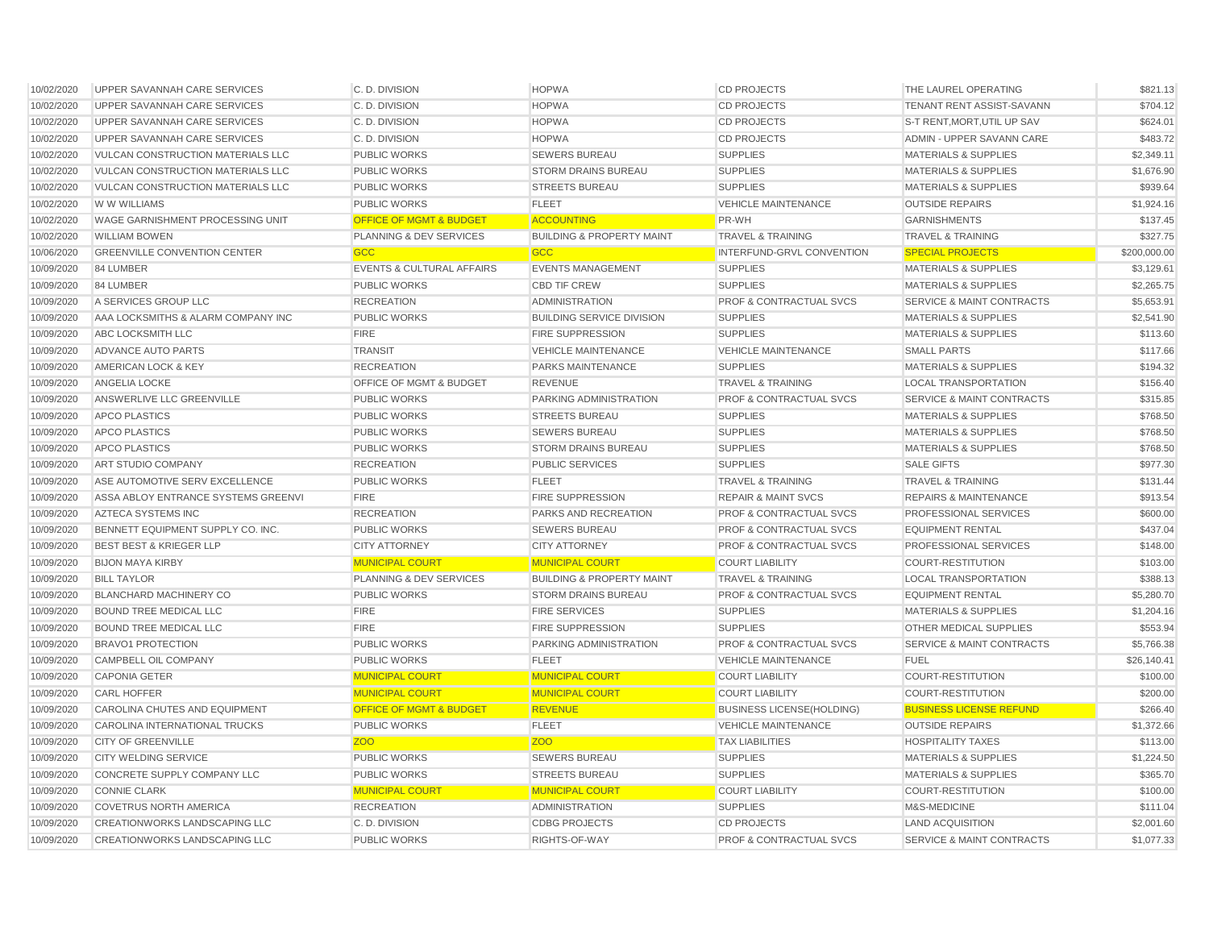| 10/02/2020 | UPPER SAVANNAH CARE SERVICES             | C. D. DIVISION                       | <b>HOPWA</b>                         | <b>CD PROJECTS</b>                 | THE LAUREL OPERATING                 | \$821.13     |
|------------|------------------------------------------|--------------------------------------|--------------------------------------|------------------------------------|--------------------------------------|--------------|
| 10/02/2020 | UPPER SAVANNAH CARE SERVICES             | C. D. DIVISION                       | <b>HOPWA</b>                         | <b>CD PROJECTS</b>                 | TENANT RENT ASSIST-SAVANN            | \$704.12     |
| 10/02/2020 | UPPER SAVANNAH CARE SERVICES             | C. D. DIVISION                       | <b>HOPWA</b>                         | <b>CD PROJECTS</b>                 | S-T RENT, MORT, UTIL UP SAV          | \$624.01     |
| 10/02/2020 | UPPER SAVANNAH CARE SERVICES             | C.D. DIVISION                        | <b>HOPWA</b>                         | <b>CD PROJECTS</b>                 | ADMIN - UPPER SAVANN CARE            | \$483.72     |
| 10/02/2020 | <b>VULCAN CONSTRUCTION MATERIALS LLC</b> | <b>PUBLIC WORKS</b>                  | <b>SEWERS BUREAU</b>                 | <b>SUPPLIES</b>                    | <b>MATERIALS &amp; SUPPLIES</b>      | \$2,349.11   |
| 10/02/2020 | <b>VULCAN CONSTRUCTION MATERIALS LLC</b> | <b>PUBLIC WORKS</b>                  | <b>STORM DRAINS BUREAU</b>           | <b>SUPPLIES</b>                    | <b>MATERIALS &amp; SUPPLIES</b>      | \$1,676.90   |
| 10/02/2020 | <b>VULCAN CONSTRUCTION MATERIALS LLC</b> | <b>PUBLIC WORKS</b>                  | <b>STREETS BUREAU</b>                | <b>SUPPLIES</b>                    | <b>MATERIALS &amp; SUPPLIES</b>      | \$939.64     |
| 10/02/2020 | W W WILLIAMS                             | <b>PUBLIC WORKS</b>                  | <b>FLEET</b>                         | <b>VEHICLE MAINTENANCE</b>         | <b>OUTSIDE REPAIRS</b>               | \$1,924.16   |
| 10/02/2020 | WAGE GARNISHMENT PROCESSING UNIT         | <b>OFFICE OF MGMT &amp; BUDGET</b>   | <b>ACCOUNTING</b>                    | PR-WH                              | <b>GARNISHMENTS</b>                  | \$137.45     |
| 10/02/2020 | <b>WILLIAM BOWEN</b>                     | <b>PLANNING &amp; DEV SERVICES</b>   | <b>BUILDING &amp; PROPERTY MAINT</b> | <b>TRAVEL &amp; TRAINING</b>       | <b>TRAVEL &amp; TRAINING</b>         | \$327.75     |
| 10/06/2020 | <b>GREENVILLE CONVENTION CENTER</b>      | <b>GCC</b>                           | <b>GCC</b>                           | INTERFUND-GRVL CONVENTION          | <b>SPECIAL PROJECTS</b>              | \$200,000.00 |
| 10/09/2020 | 84 LUMBER                                | <b>EVENTS &amp; CULTURAL AFFAIRS</b> | <b>EVENTS MANAGEMENT</b>             | <b>SUPPLIES</b>                    | <b>MATERIALS &amp; SUPPLIES</b>      | \$3,129.61   |
| 10/09/2020 | 84 LUMBER                                | <b>PUBLIC WORKS</b>                  | <b>CBD TIF CREW</b>                  | <b>SUPPLIES</b>                    | <b>MATERIALS &amp; SUPPLIES</b>      | \$2,265.75   |
| 10/09/2020 | A SERVICES GROUP LLC                     | <b>RECREATION</b>                    | <b>ADMINISTRATION</b>                | <b>PROF &amp; CONTRACTUAL SVCS</b> | <b>SERVICE &amp; MAINT CONTRACTS</b> | \$5,653.91   |
| 10/09/2020 | AAA LOCKSMITHS & ALARM COMPANY INC       | <b>PUBLIC WORKS</b>                  | <b>BUILDING SERVICE DIVISION</b>     | <b>SUPPLIES</b>                    | <b>MATERIALS &amp; SUPPLIES</b>      | \$2,541.90   |
| 10/09/2020 | <b>ABC LOCKSMITH LLC</b>                 | <b>FIRE</b>                          | FIRE SUPPRESSION                     | <b>SUPPLIES</b>                    | <b>MATERIALS &amp; SUPPLIES</b>      | \$113.60     |
| 10/09/2020 | ADVANCE AUTO PARTS                       | <b>TRANSIT</b>                       | <b>VEHICLE MAINTENANCE</b>           | <b>VEHICLE MAINTENANCE</b>         | <b>SMALL PARTS</b>                   | \$117.66     |
| 10/09/2020 | AMERICAN LOCK & KEY                      | <b>RECREATION</b>                    | PARKS MAINTENANCE                    | <b>SUPPLIES</b>                    | <b>MATERIALS &amp; SUPPLIES</b>      | \$194.32     |
| 10/09/2020 | <b>ANGELIA LOCKE</b>                     | OFFICE OF MGMT & BUDGET              | <b>REVENUE</b>                       | <b>TRAVEL &amp; TRAINING</b>       | <b>LOCAL TRANSPORTATION</b>          | \$156.40     |
| 10/09/2020 | ANSWERLIVE LLC GREENVILLE                | <b>PUBLIC WORKS</b>                  | PARKING ADMINISTRATION               | <b>PROF &amp; CONTRACTUAL SVCS</b> | <b>SERVICE &amp; MAINT CONTRACTS</b> | \$315.85     |
| 10/09/2020 | <b>APCO PLASTICS</b>                     | <b>PUBLIC WORKS</b>                  | <b>STREETS BUREAU</b>                | <b>SUPPLIES</b>                    | <b>MATERIALS &amp; SUPPLIES</b>      | \$768.50     |
| 10/09/2020 | <b>APCO PLASTICS</b>                     | <b>PUBLIC WORKS</b>                  | <b>SEWERS BUREAU</b>                 | <b>SUPPLIES</b>                    | <b>MATERIALS &amp; SUPPLIES</b>      | \$768.50     |
| 10/09/2020 | <b>APCO PLASTICS</b>                     | <b>PUBLIC WORKS</b>                  | <b>STORM DRAINS BUREAU</b>           | <b>SUPPLIES</b>                    | <b>MATERIALS &amp; SUPPLIES</b>      | \$768.50     |
| 10/09/2020 | ART STUDIO COMPANY                       | <b>RECREATION</b>                    | PUBLIC SERVICES                      | <b>SUPPLIES</b>                    | <b>SALE GIFTS</b>                    | \$977.30     |
| 10/09/2020 | ASE AUTOMOTIVE SERV EXCELLENCE           | <b>PUBLIC WORKS</b>                  | <b>FLEET</b>                         | <b>TRAVEL &amp; TRAINING</b>       | <b>TRAVEL &amp; TRAINING</b>         | \$131.44     |
| 10/09/2020 | ASSA ABLOY ENTRANCE SYSTEMS GREENVI      | <b>FIRE</b>                          | FIRE SUPPRESSION                     | <b>REPAIR &amp; MAINT SVCS</b>     | <b>REPAIRS &amp; MAINTENANCE</b>     | \$913.54     |
| 10/09/2020 | AZTECA SYSTEMS INC                       | <b>RECREATION</b>                    | PARKS AND RECREATION                 | <b>PROF &amp; CONTRACTUAL SVCS</b> | PROFESSIONAL SERVICES                | \$600.00     |
| 10/09/2020 | BENNETT EQUIPMENT SUPPLY CO. INC.        | <b>PUBLIC WORKS</b>                  | <b>SEWERS BUREAU</b>                 | <b>PROF &amp; CONTRACTUAL SVCS</b> | <b>EQUIPMENT RENTAL</b>              | \$437.04     |
| 10/09/2020 | <b>BEST BEST &amp; KRIEGER LLP</b>       | <b>CITY ATTORNEY</b>                 | <b>CITY ATTORNEY</b>                 | PROF & CONTRACTUAL SVCS            | PROFESSIONAL SERVICES                | \$148.00     |
| 10/09/2020 | <b>BIJON MAYA KIRBY</b>                  | <b>MUNICIPAL COURT</b>               | <b>MUNICIPAL COURT</b>               | <b>COURT LIABILITY</b>             | <b>COURT-RESTITUTION</b>             | \$103.00     |
| 10/09/2020 | <b>BILL TAYLOR</b>                       | <b>PLANNING &amp; DEV SERVICES</b>   | <b>BUILDING &amp; PROPERTY MAINT</b> | <b>TRAVEL &amp; TRAINING</b>       | <b>LOCAL TRANSPORTATION</b>          | \$388.13     |
| 10/09/2020 | <b>BLANCHARD MACHINERY CO</b>            | <b>PUBLIC WORKS</b>                  | <b>STORM DRAINS BUREAU</b>           | PROF & CONTRACTUAL SVCS            | <b>EQUIPMENT RENTAL</b>              | \$5,280.70   |
| 10/09/2020 | <b>BOUND TREE MEDICAL LLC</b>            | <b>FIRE</b>                          | <b>FIRE SERVICES</b>                 | <b>SUPPLIES</b>                    | <b>MATERIALS &amp; SUPPLIES</b>      | \$1,204.16   |
| 10/09/2020 | BOUND TREE MEDICAL LLC                   | <b>FIRE</b>                          | FIRE SUPPRESSION                     | <b>SUPPLIES</b>                    | OTHER MEDICAL SUPPLIES               | \$553.94     |
| 10/09/2020 | <b>BRAVO1 PROTECTION</b>                 | <b>PUBLIC WORKS</b>                  | PARKING ADMINISTRATION               | <b>PROF &amp; CONTRACTUAL SVCS</b> | SERVICE & MAINT CONTRACTS            | \$5,766.38   |
| 10/09/2020 | CAMPBELL OIL COMPANY                     | <b>PUBLIC WORKS</b>                  | <b>FLEET</b>                         | <b>VEHICLE MAINTENANCE</b>         | <b>FUEL</b>                          | \$26,140.41  |
| 10/09/2020 | <b>CAPONIA GETER</b>                     | <b>MUNICIPAL COURT</b>               | <b>MUNICIPAL COURT</b>               | <b>COURT LIABILITY</b>             | COURT-RESTITUTION                    | \$100.00     |
| 10/09/2020 | <b>CARL HOFFER</b>                       | <b>MUNICIPAL COURT</b>               | <b>MUNICIPAL COURT</b>               | <b>COURT LIABILITY</b>             | <b>COURT-RESTITUTION</b>             | \$200.00     |
| 10/09/2020 | <b>CAROLINA CHUTES AND EQUIPMENT</b>     | <b>OFFICE OF MGMT &amp; BUDGET</b>   | <b>REVENUE</b>                       | <b>BUSINESS LICENSE(HOLDING)</b>   | <b>BUSINESS LICENSE REFUND</b>       | \$266.40     |
| 10/09/2020 | CAROLINA INTERNATIONAL TRUCKS            | <b>PUBLIC WORKS</b>                  | <b>FLEET</b>                         | <b>VEHICLE MAINTENANCE</b>         | <b>OUTSIDE REPAIRS</b>               | \$1,372.66   |
| 10/09/2020 | <b>CITY OF GREENVILLE</b>                | <b>ZOO</b>                           | Z <sub>OO</sub>                      | <b>TAX LIABILITIES</b>             | <b>HOSPITALITY TAXES</b>             | \$113.00     |
| 10/09/2020 | <b>CITY WELDING SERVICE</b>              | <b>PUBLIC WORKS</b>                  | <b>SEWERS BUREAU</b>                 | <b>SUPPLIES</b>                    | <b>MATERIALS &amp; SUPPLIES</b>      | \$1,224.50   |
| 10/09/2020 | CONCRETE SUPPLY COMPANY LLC              | <b>PUBLIC WORKS</b>                  | <b>STREETS BUREAU</b>                | <b>SUPPLIES</b>                    | <b>MATERIALS &amp; SUPPLIES</b>      | \$365.70     |
| 10/09/2020 | <b>CONNIE CLARK</b>                      | <b>MUNICIPAL COURT</b>               | <b>MUNICIPAL COURT</b>               | <b>COURT LIABILITY</b>             | <b>COURT-RESTITUTION</b>             | \$100.00     |
| 10/09/2020 | <b>COVETRUS NORTH AMERICA</b>            | <b>RECREATION</b>                    | <b>ADMINISTRATION</b>                | <b>SUPPLIES</b>                    | M&S-MEDICINE                         | \$111.04     |
| 10/09/2020 | CREATIONWORKS LANDSCAPING LLC            | C.D. DIVISION                        | <b>CDBG PROJECTS</b>                 | <b>CD PROJECTS</b>                 | <b>LAND ACQUISITION</b>              | \$2,001.60   |
| 10/09/2020 | <b>CREATIONWORKS LANDSCAPING LLC</b>     | <b>PUBLIC WORKS</b>                  | RIGHTS-OF-WAY                        | <b>PROF &amp; CONTRACTUAL SVCS</b> | <b>SERVICE &amp; MAINT CONTRACTS</b> | \$1,077.33   |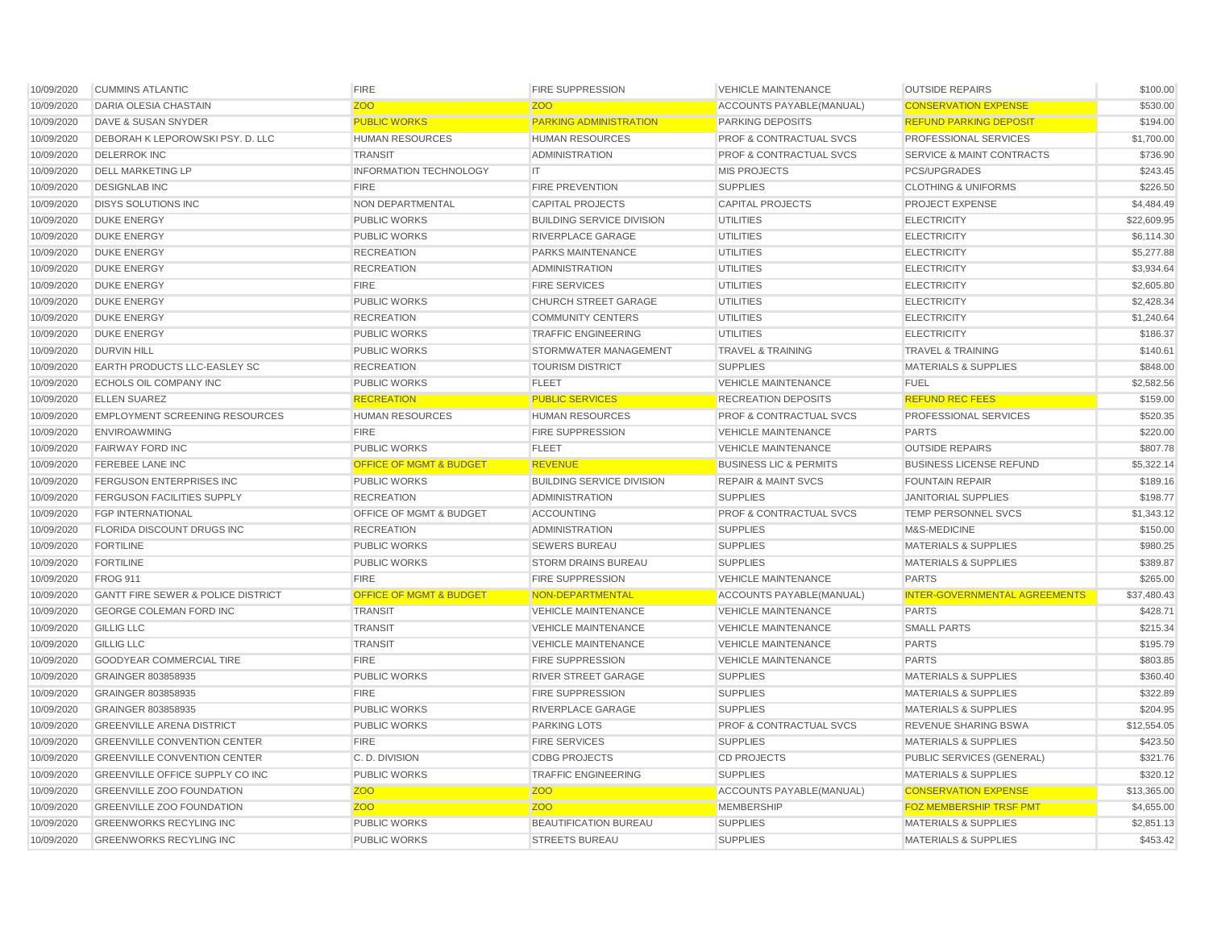| 10/09/2020 | <b>CUMMINS ATLANTIC</b>                       | <b>FIRE</b>                        | <b>FIRE SUPPRESSION</b>          | <b>VEHICLE MAINTENANCE</b>                     | <b>OUTSIDE REPAIRS</b>               | \$100.00    |
|------------|-----------------------------------------------|------------------------------------|----------------------------------|------------------------------------------------|--------------------------------------|-------------|
| 10/09/2020 | DARIA OLESIA CHASTAIN                         | <b>ZOO</b>                         | <b>ZOO</b>                       | ACCOUNTS PAYABLE (MANUAL)                      | <b>CONSERVATION EXPENSE</b>          | \$530.00    |
| 10/09/2020 | DAVE & SUSAN SNYDER                           | <b>PUBLIC WORKS</b>                | <b>PARKING ADMINISTRATION</b>    | <b>PARKING DEPOSITS</b>                        | <b>REFUND PARKING DEPOSIT</b>        | \$194.00    |
| 10/09/2020 | DEBORAH K LEPOROWSKI PSY. D. LLC              | <b>HUMAN RESOURCES</b>             | <b>HUMAN RESOURCES</b>           | <b>PROF &amp; CONTRACTUAL SVCS</b>             | PROFESSIONAL SERVICES                | \$1,700.00  |
| 10/09/2020 | <b>DELERROK INC</b>                           | <b>TRANSIT</b>                     | <b>ADMINISTRATION</b>            | <b>PROF &amp; CONTRACTUAL SVCS</b>             | <b>SERVICE &amp; MAINT CONTRACTS</b> | \$736.90    |
| 10/09/2020 | <b>DELL MARKETING LP</b>                      | <b>INFORMATION TECHNOLOGY</b>      | IT.                              | <b>MIS PROJECTS</b>                            | <b>PCS/UPGRADES</b>                  | \$243.45    |
| 10/09/2020 | <b>DESIGNLAB INC</b>                          | <b>FIRE</b>                        | FIRE PREVENTION                  | <b>SUPPLIES</b>                                | <b>CLOTHING &amp; UNIFORMS</b>       | \$226.50    |
| 10/09/2020 | <b>DISYS SOLUTIONS INC</b>                    | NON DEPARTMENTAL                   | <b>CAPITAL PROJECTS</b>          | <b>CAPITAL PROJECTS</b>                        | PROJECT EXPENSE                      | \$4,484.49  |
| 10/09/2020 | <b>DUKE ENERGY</b>                            | <b>PUBLIC WORKS</b>                | <b>BUILDING SERVICE DIVISION</b> | <b>UTILITIES</b>                               | <b>ELECTRICITY</b>                   | \$22,609.95 |
| 10/09/2020 | <b>DUKE ENERGY</b>                            | <b>PUBLIC WORKS</b>                | RIVERPLACE GARAGE                | <b>UTILITIES</b>                               | <b>ELECTRICITY</b>                   | \$6,114.30  |
| 10/09/2020 | <b>DUKE ENERGY</b>                            | <b>RECREATION</b>                  | <b>PARKS MAINTENANCE</b>         | <b>UTILITIES</b>                               | <b>ELECTRICITY</b>                   | \$5,277.88  |
| 10/09/2020 | <b>DUKE ENERGY</b>                            | <b>RECREATION</b>                  | <b>ADMINISTRATION</b>            | <b>UTILITIES</b>                               | <b>ELECTRICITY</b>                   | \$3,934.64  |
| 10/09/2020 | <b>DUKE ENERGY</b>                            | <b>FIRE</b>                        | <b>FIRE SERVICES</b>             | <b>UTILITIES</b>                               | <b>ELECTRICITY</b>                   | \$2,605.80  |
| 10/09/2020 | <b>DUKE ENERGY</b>                            | <b>PUBLIC WORKS</b>                | <b>CHURCH STREET GARAGE</b>      | <b>UTILITIES</b>                               | <b>ELECTRICITY</b>                   | \$2,428.34  |
| 10/09/2020 | <b>DUKE ENERGY</b>                            | <b>RECREATION</b>                  | <b>COMMUNITY CENTERS</b>         | <b>UTILITIES</b>                               | <b>ELECTRICITY</b>                   | \$1,240.64  |
| 10/09/2020 | <b>DUKE ENERGY</b>                            | <b>PUBLIC WORKS</b>                | <b>TRAFFIC ENGINEERING</b>       | <b>UTILITIES</b>                               | <b>ELECTRICITY</b>                   | \$186.37    |
| 10/09/2020 | <b>DURVIN HILL</b>                            | <b>PUBLIC WORKS</b>                | STORMWATER MANAGEMENT            | <b>TRAVEL &amp; TRAINING</b>                   | <b>TRAVEL &amp; TRAINING</b>         | \$140.61    |
| 10/09/2020 | EARTH PRODUCTS LLC-EASLEY SC                  | <b>RECREATION</b>                  | <b>TOURISM DISTRICT</b>          | <b>SUPPLIES</b>                                | <b>MATERIALS &amp; SUPPLIES</b>      | \$848.00    |
| 10/09/2020 | ECHOLS OIL COMPANY INC                        | <b>PUBLIC WORKS</b>                | <b>FLEET</b>                     | <b>VEHICLE MAINTENANCE</b>                     | <b>FUEL</b>                          | \$2,582.56  |
| 10/09/2020 | <b>ELLEN SUAREZ</b>                           | <b>RECREATION</b>                  | <b>PUBLIC SERVICES</b>           | <b>RECREATION DEPOSITS</b>                     | <b>REFUND REC FEES</b>               | \$159.00    |
| 10/09/2020 | <b>EMPLOYMENT SCREENING RESOURCES</b>         | <b>HUMAN RESOURCES</b>             | <b>HUMAN RESOURCES</b>           | <b>PROF &amp; CONTRACTUAL SVCS</b>             | PROFESSIONAL SERVICES                | \$520.35    |
| 10/09/2020 | <b>ENVIROAWMING</b>                           | <b>FIRE</b>                        | <b>FIRE SUPPRESSION</b>          | <b>VEHICLE MAINTENANCE</b>                     | <b>PARTS</b>                         | \$220.00    |
| 10/09/2020 | <b>FAIRWAY FORD INC</b>                       | PUBLIC WORKS                       | <b>FLEET</b>                     | <b>VEHICLE MAINTENANCE</b>                     | <b>OUTSIDE REPAIRS</b>               | \$807.78    |
| 10/09/2020 | <b>FEREBEE LANE INC</b>                       | <b>OFFICE OF MGMT &amp; BUDGET</b> | <b>REVENUE</b>                   | <b>BUSINESS LIC &amp; PERMITS</b>              | <b>BUSINESS LICENSE REFUND</b>       | \$5,322.14  |
| 10/09/2020 | <b>FERGUSON ENTERPRISES INC</b>               | <b>PUBLIC WORKS</b>                | <b>BUILDING SERVICE DIVISION</b> | <b>REPAIR &amp; MAINT SVCS</b>                 | <b>FOUNTAIN REPAIR</b>               | \$189.16    |
| 10/09/2020 | <b>FERGUSON FACILITIES SUPPLY</b>             | <b>RECREATION</b>                  | <b>ADMINISTRATION</b>            | <b>SUPPLIES</b>                                | <b>JANITORIAL SUPPLIES</b>           | \$198.77    |
| 10/09/2020 | <b>FGP INTERNATIONAL</b>                      | OFFICE OF MGMT & BUDGET            | <b>ACCOUNTING</b>                | <b>PROF &amp; CONTRACTUAL SVCS</b>             | TEMP PERSONNEL SVCS                  | \$1,343.12  |
| 10/09/2020 | FLORIDA DISCOUNT DRUGS INC                    | <b>RECREATION</b>                  | <b>ADMINISTRATION</b>            | <b>SUPPLIES</b>                                | M&S-MEDICINE                         | \$150.00    |
| 10/09/2020 | <b>FORTILINE</b>                              | <b>PUBLIC WORKS</b>                | <b>SEWERS BUREAU</b>             | <b>SUPPLIES</b>                                | <b>MATERIALS &amp; SUPPLIES</b>      | \$980.25    |
| 10/09/2020 | <b>FORTILINE</b>                              | <b>PUBLIC WORKS</b>                | <b>STORM DRAINS BUREAU</b>       | <b>SUPPLIES</b>                                | <b>MATERIALS &amp; SUPPLIES</b>      | \$389.87    |
| 10/09/2020 | <b>FROG 911</b>                               | <b>FIRE</b>                        | <b>FIRE SUPPRESSION</b>          | <b>VEHICLE MAINTENANCE</b>                     | <b>PARTS</b>                         | \$265.00    |
| 10/09/2020 | <b>GANTT FIRE SEWER &amp; POLICE DISTRICT</b> | <b>OFFICE OF MGMT &amp; BUDGET</b> | NON-DEPARTMENTAL                 | ACCOUNTS PAYABLE (MANUAL)                      | <b>INTER-GOVERNMENTAL AGREEMENTS</b> | \$37,480.43 |
| 10/09/2020 | <b>GEORGE COLEMAN FORD INC</b>                | <b>TRANSIT</b>                     | <b>VEHICLE MAINTENANCE</b>       | <b>VEHICLE MAINTENANCE</b>                     | <b>PARTS</b>                         | \$428.71    |
| 10/09/2020 | <b>GILLIG LLC</b>                             | <b>TRANSIT</b>                     | <b>VEHICLE MAINTENANCE</b>       | <b>VEHICLE MAINTENANCE</b>                     | <b>SMALL PARTS</b>                   | \$215.34    |
| 10/09/2020 | <b>GILLIG LLC</b>                             | <b>TRANSIT</b>                     | <b>VEHICLE MAINTENANCE</b>       | <b>VEHICLE MAINTENANCE</b>                     | <b>PARTS</b>                         | \$195.79    |
| 10/09/2020 | <b>GOODYEAR COMMERCIAL TIRE</b>               | <b>FIRE</b>                        | <b>FIRE SUPPRESSION</b>          | <b>VEHICLE MAINTENANCE</b>                     | <b>PARTS</b>                         | \$803.85    |
| 10/09/2020 | GRAINGER 803858935                            | PUBLIC WORKS                       | <b>RIVER STREET GARAGE</b>       | <b>SUPPLIES</b>                                | <b>MATERIALS &amp; SUPPLIES</b>      | \$360.40    |
| 10/09/2020 | GRAINGER 803858935                            | <b>FIRE</b>                        | <b>FIRE SUPPRESSION</b>          | <b>SUPPLIES</b>                                | <b>MATERIALS &amp; SUPPLIES</b>      | \$322.89    |
| 10/09/2020 | GRAINGER 803858935                            | <b>PUBLIC WORKS</b>                | RIVERPLACE GARAGE                | <b>SUPPLIES</b>                                | <b>MATERIALS &amp; SUPPLIES</b>      | \$204.95    |
| 10/09/2020 | <b>GREENVILLE ARENA DISTRICT</b>              | <b>PUBLIC WORKS</b>                | <b>PARKING LOTS</b>              | <b>PROF &amp; CONTRACTUAL SVCS</b>             | <b>REVENUE SHARING BSWA</b>          | \$12,554.05 |
| 10/09/2020 | <b>GREENVILLE CONVENTION CENTER</b>           | <b>FIRE</b>                        | <b>FIRE SERVICES</b>             | <b>SUPPLIES</b>                                | <b>MATERIALS &amp; SUPPLIES</b>      | \$423.50    |
| 10/09/2020 | <b>GREENVILLE CONVENTION CENTER</b>           | C.D. DIVISION                      | <b>CDBG PROJECTS</b>             | <b>CD PROJECTS</b>                             | PUBLIC SERVICES (GENERAL)            | \$321.76    |
| 10/09/2020 | <b>GREENVILLE OFFICE SUPPLY CO INC</b>        | PUBLIC WORKS                       | <b>TRAFFIC ENGINEERING</b>       | <b>SUPPLIES</b>                                | <b>MATERIALS &amp; SUPPLIES</b>      | \$320.12    |
| 10/09/2020 | <b>GREENVILLE ZOO FOUNDATION</b>              | <b>ZOO</b>                         | <b>ZOO</b>                       |                                                | <b>CONSERVATION EXPENSE</b>          | \$13,365.00 |
| 10/09/2020 | <b>GREENVILLE ZOO FOUNDATION</b>              | <b>ZOO</b>                         | <b>ZOO</b>                       | ACCOUNTS PAYABLE (MANUAL)<br><b>MEMBERSHIP</b> | <b>FOZ MEMBERSHIP TRSF PMT</b>       | \$4,655.00  |
| 10/09/2020 | <b>GREENWORKS RECYLING INC</b>                |                                    | <b>BEAUTIFICATION BUREAU</b>     |                                                |                                      |             |
|            |                                               | <b>PUBLIC WORKS</b>                |                                  | <b>SUPPLIES</b>                                | <b>MATERIALS &amp; SUPPLIES</b>      | \$2,851.13  |
| 10/09/2020 | <b>GREENWORKS RECYLING INC</b>                | <b>PUBLIC WORKS</b>                | <b>STREETS BUREAU</b>            | <b>SUPPLIES</b>                                | <b>MATERIALS &amp; SUPPLIES</b>      | \$453.42    |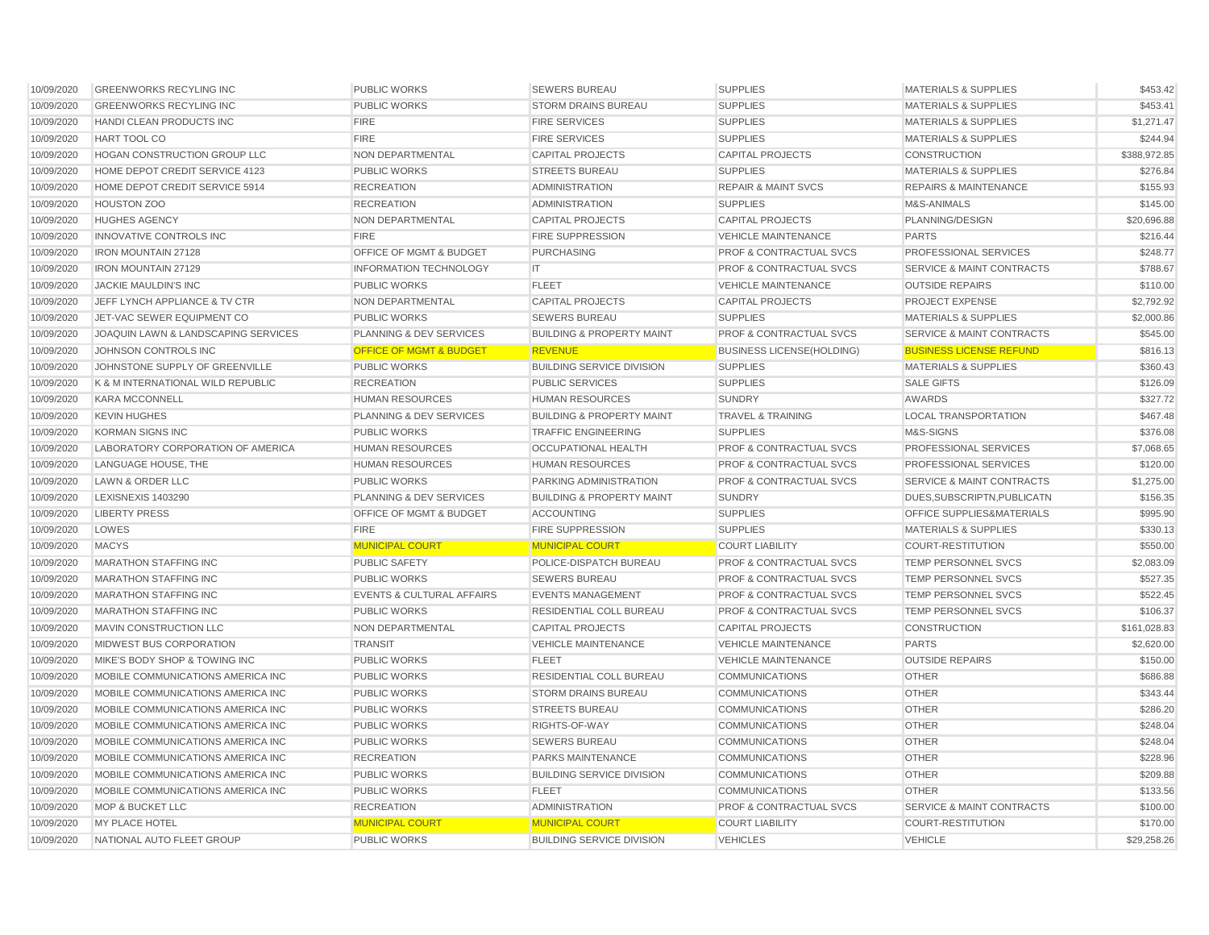| 10/09/2020 | <b>GREENWORKS RECYLING INC</b>      | <b>PUBLIC WORKS</b>                  | <b>SEWERS BUREAU</b>                 | <b>SUPPLIES</b>                    | <b>MATERIALS &amp; SUPPLIES</b>      | \$453.42     |
|------------|-------------------------------------|--------------------------------------|--------------------------------------|------------------------------------|--------------------------------------|--------------|
| 10/09/2020 | <b>GREENWORKS RECYLING INC</b>      | <b>PUBLIC WORKS</b>                  | <b>STORM DRAINS BUREAU</b>           | <b>SUPPLIES</b>                    | <b>MATERIALS &amp; SUPPLIES</b>      | \$453.41     |
| 10/09/2020 | HANDI CLEAN PRODUCTS INC            | <b>FIRE</b>                          | <b>FIRE SERVICES</b>                 | <b>SUPPLIES</b>                    | <b>MATERIALS &amp; SUPPLIES</b>      | \$1,271.47   |
| 10/09/2020 | HART TOOL CO                        | <b>FIRE</b>                          | <b>FIRE SERVICES</b>                 | <b>SUPPLIES</b>                    | <b>MATERIALS &amp; SUPPLIES</b>      | \$244.94     |
| 10/09/2020 | <b>HOGAN CONSTRUCTION GROUP LLC</b> | <b>NON DEPARTMENTAL</b>              | <b>CAPITAL PROJECTS</b>              | <b>CAPITAL PROJECTS</b>            | <b>CONSTRUCTION</b>                  | \$388,972.85 |
| 10/09/2020 | HOME DEPOT CREDIT SERVICE 4123      | <b>PUBLIC WORKS</b>                  | <b>STREETS BUREAU</b>                | <b>SUPPLIES</b>                    | <b>MATERIALS &amp; SUPPLIES</b>      | \$276.84     |
| 10/09/2020 | HOME DEPOT CREDIT SERVICE 5914      | <b>RECREATION</b>                    | <b>ADMINISTRATION</b>                | <b>REPAIR &amp; MAINT SVCS</b>     | <b>REPAIRS &amp; MAINTENANCE</b>     | \$155.93     |
| 10/09/2020 | <b>HOUSTON ZOO</b>                  | <b>RECREATION</b>                    | <b>ADMINISTRATION</b>                | <b>SUPPLIES</b>                    | M&S-ANIMALS                          | \$145.00     |
| 10/09/2020 | <b>HUGHES AGENCY</b>                | NON DEPARTMENTAL                     | <b>CAPITAL PROJECTS</b>              | <b>CAPITAL PROJECTS</b>            | PLANNING/DESIGN                      | \$20,696.88  |
| 10/09/2020 | <b>INNOVATIVE CONTROLS INC</b>      | <b>FIRE</b>                          | <b>FIRE SUPPRESSION</b>              | <b>VEHICLE MAINTENANCE</b>         | <b>PARTS</b>                         | \$216.44     |
| 10/09/2020 | <b>IRON MOUNTAIN 27128</b>          | OFFICE OF MGMT & BUDGET              | <b>PURCHASING</b>                    | <b>PROF &amp; CONTRACTUAL SVCS</b> | PROFESSIONAL SERVICES                | \$248.77     |
| 10/09/2020 | <b>IRON MOUNTAIN 27129</b>          | <b>INFORMATION TECHNOLOGY</b>        | IT                                   | <b>PROF &amp; CONTRACTUAL SVCS</b> | <b>SERVICE &amp; MAINT CONTRACTS</b> | \$788.67     |
| 10/09/2020 | JACKIE MAULDIN'S INC                | <b>PUBLIC WORKS</b>                  | <b>FLEET</b>                         | <b>VEHICLE MAINTENANCE</b>         | <b>OUTSIDE REPAIRS</b>               | \$110.00     |
| 10/09/2020 | JEFF LYNCH APPLIANCE & TV CTR       | NON DEPARTMENTAL                     | <b>CAPITAL PROJECTS</b>              | <b>CAPITAL PROJECTS</b>            | PROJECT EXPENSE                      | \$2,792.92   |
| 10/09/2020 | JET-VAC SEWER EQUIPMENT CO          | <b>PUBLIC WORKS</b>                  | <b>SEWERS BUREAU</b>                 | <b>SUPPLIES</b>                    | <b>MATERIALS &amp; SUPPLIES</b>      | \$2,000.86   |
| 10/09/2020 | JOAQUIN LAWN & LANDSCAPING SERVICES | PLANNING & DEV SERVICES              | <b>BUILDING &amp; PROPERTY MAINT</b> | <b>PROF &amp; CONTRACTUAL SVCS</b> | <b>SERVICE &amp; MAINT CONTRACTS</b> | \$545.00     |
| 10/09/2020 | JOHNSON CONTROLS INC                | <b>OFFICE OF MGMT &amp; BUDGET</b>   | <b>REVENUE</b>                       | <b>BUSINESS LICENSE(HOLDING)</b>   | <b>BUSINESS LICENSE REFUND</b>       | \$816.13     |
| 10/09/2020 | JOHNSTONE SUPPLY OF GREENVILLE      | <b>PUBLIC WORKS</b>                  | <b>BUILDING SERVICE DIVISION</b>     | <b>SUPPLIES</b>                    | <b>MATERIALS &amp; SUPPLIES</b>      | \$360.43     |
| 10/09/2020 | K & M INTERNATIONAL WILD REPUBLIC   | <b>RECREATION</b>                    | <b>PUBLIC SERVICES</b>               | <b>SUPPLIES</b>                    | <b>SALE GIFTS</b>                    | \$126.09     |
| 10/09/2020 | <b>KARA MCCONNELL</b>               | <b>HUMAN RESOURCES</b>               | <b>HUMAN RESOURCES</b>               | <b>SUNDRY</b>                      | <b>AWARDS</b>                        | \$327.72     |
| 10/09/2020 | <b>KEVIN HUGHES</b>                 | PLANNING & DEV SERVICES              | <b>BUILDING &amp; PROPERTY MAINT</b> | <b>TRAVEL &amp; TRAINING</b>       | <b>LOCAL TRANSPORTATION</b>          | \$467.48     |
| 10/09/2020 | <b>KORMAN SIGNS INC</b>             | <b>PUBLIC WORKS</b>                  | <b>TRAFFIC ENGINEERING</b>           | <b>SUPPLIES</b>                    | M&S-SIGNS                            | \$376.08     |
| 10/09/2020 | LABORATORY CORPORATION OF AMERICA   | <b>HUMAN RESOURCES</b>               | <b>OCCUPATIONAL HEALTH</b>           | PROF & CONTRACTUAL SVCS            | PROFESSIONAL SERVICES                | \$7,068.65   |
| 10/09/2020 | LANGUAGE HOUSE, THE                 | <b>HUMAN RESOURCES</b>               | <b>HUMAN RESOURCES</b>               | <b>PROF &amp; CONTRACTUAL SVCS</b> | PROFESSIONAL SERVICES                | \$120.00     |
| 10/09/2020 | LAWN & ORDER LLC                    | <b>PUBLIC WORKS</b>                  | PARKING ADMINISTRATION               | <b>PROF &amp; CONTRACTUAL SVCS</b> | <b>SERVICE &amp; MAINT CONTRACTS</b> | \$1,275.00   |
| 10/09/2020 | LEXISNEXIS 1403290                  | PLANNING & DEV SERVICES              | <b>BUILDING &amp; PROPERTY MAINT</b> | <b>SUNDRY</b>                      | DUES, SUBSCRIPTN, PUBLICATN          | \$156.35     |
| 10/09/2020 | <b>LIBERTY PRESS</b>                | OFFICE OF MGMT & BUDGET              | <b>ACCOUNTING</b>                    | <b>SUPPLIES</b>                    | OFFICE SUPPLIES&MATERIALS            | \$995.90     |
| 10/09/2020 | LOWES                               | <b>FIRE</b>                          | <b>FIRE SUPPRESSION</b>              | <b>SUPPLIES</b>                    | <b>MATERIALS &amp; SUPPLIES</b>      | \$330.13     |
| 10/09/2020 | <b>MACYS</b>                        | <b>MUNICIPAL COURT</b>               | <b>MUNICIPAL COURT</b>               | <b>COURT LIABILITY</b>             | <b>COURT-RESTITUTION</b>             | \$550.00     |
| 10/09/2020 | <b>MARATHON STAFFING INC</b>        | <b>PUBLIC SAFETY</b>                 | POLICE-DISPATCH BUREAU               | <b>PROF &amp; CONTRACTUAL SVCS</b> | TEMP PERSONNEL SVCS                  | \$2,083.09   |
| 10/09/2020 | <b>MARATHON STAFFING INC</b>        | <b>PUBLIC WORKS</b>                  | <b>SEWERS BUREAU</b>                 | <b>PROF &amp; CONTRACTUAL SVCS</b> | TEMP PERSONNEL SVCS                  | \$527.35     |
| 10/09/2020 | <b>MARATHON STAFFING INC</b>        | <b>EVENTS &amp; CULTURAL AFFAIRS</b> | <b>EVENTS MANAGEMENT</b>             | <b>PROF &amp; CONTRACTUAL SVCS</b> | <b>TEMP PERSONNEL SVCS</b>           | \$522.45     |
| 10/09/2020 | <b>MARATHON STAFFING INC</b>        | <b>PUBLIC WORKS</b>                  | <b>RESIDENTIAL COLL BUREAU</b>       | <b>PROF &amp; CONTRACTUAL SVCS</b> | TEMP PERSONNEL SVCS                  | \$106.37     |
| 10/09/2020 | MAVIN CONSTRUCTION LLC              | NON DEPARTMENTAL                     | <b>CAPITAL PROJECTS</b>              | <b>CAPITAL PROJECTS</b>            | <b>CONSTRUCTION</b>                  | \$161,028.83 |
| 10/09/2020 | <b>MIDWEST BUS CORPORATION</b>      | <b>TRANSIT</b>                       | <b>VEHICLE MAINTENANCE</b>           | <b>VEHICLE MAINTENANCE</b>         | <b>PARTS</b>                         | \$2,620.00   |
| 10/09/2020 | MIKE'S BODY SHOP & TOWING INC       | <b>PUBLIC WORKS</b>                  | <b>FLEET</b>                         | <b>VEHICLE MAINTENANCE</b>         | <b>OUTSIDE REPAIRS</b>               | \$150.00     |
| 10/09/2020 | MOBILE COMMUNICATIONS AMERICA INC   | <b>PUBLIC WORKS</b>                  | RESIDENTIAL COLL BUREAU              | <b>COMMUNICATIONS</b>              | <b>OTHER</b>                         | \$686.88     |
| 10/09/2020 | MOBILE COMMUNICATIONS AMERICA INC   | <b>PUBLIC WORKS</b>                  | <b>STORM DRAINS BUREAU</b>           | <b>COMMUNICATIONS</b>              | <b>OTHER</b>                         | \$343.44     |
| 10/09/2020 | MOBILE COMMUNICATIONS AMERICA INC   | <b>PUBLIC WORKS</b>                  | <b>STREETS BUREAU</b>                | <b>COMMUNICATIONS</b>              | <b>OTHER</b>                         | \$286.20     |
| 10/09/2020 | MOBILE COMMUNICATIONS AMERICA INC   | <b>PUBLIC WORKS</b>                  | RIGHTS-OF-WAY                        | <b>COMMUNICATIONS</b>              | <b>OTHER</b>                         | \$248.04     |
| 10/09/2020 | MOBILE COMMUNICATIONS AMERICA INC   | <b>PUBLIC WORKS</b>                  | <b>SEWERS BUREAU</b>                 | <b>COMMUNICATIONS</b>              | <b>OTHER</b>                         | \$248.04     |
| 10/09/2020 | MOBILE COMMUNICATIONS AMERICA INC   | <b>RECREATION</b>                    | <b>PARKS MAINTENANCE</b>             | <b>COMMUNICATIONS</b>              | <b>OTHER</b>                         | \$228.96     |
| 10/09/2020 | MOBILE COMMUNICATIONS AMERICA INC   | <b>PUBLIC WORKS</b>                  | <b>BUILDING SERVICE DIVISION</b>     | <b>COMMUNICATIONS</b>              | <b>OTHER</b>                         | \$209.88     |
| 10/09/2020 | MOBILE COMMUNICATIONS AMERICA INC   | <b>PUBLIC WORKS</b>                  | <b>FLEET</b>                         | <b>COMMUNICATIONS</b>              | <b>OTHER</b>                         | \$133.56     |
| 10/09/2020 | <b>MOP &amp; BUCKET LLC</b>         | <b>RECREATION</b>                    | <b>ADMINISTRATION</b>                | <b>PROF &amp; CONTRACTUAL SVCS</b> | <b>SERVICE &amp; MAINT CONTRACTS</b> | \$100.00     |
| 10/09/2020 | MY PLACE HOTEL                      | <b>MUNICIPAL COURT</b>               | <b>MUNICIPAL COURT</b>               | <b>COURT LIABILITY</b>             | <b>COURT-RESTITUTION</b>             | \$170.00     |
| 10/09/2020 | NATIONAL AUTO FLEET GROUP           | <b>PUBLIC WORKS</b>                  | <b>BUILDING SERVICE DIVISION</b>     | <b>VEHICLES</b>                    | <b>VEHICLE</b>                       | \$29,258.26  |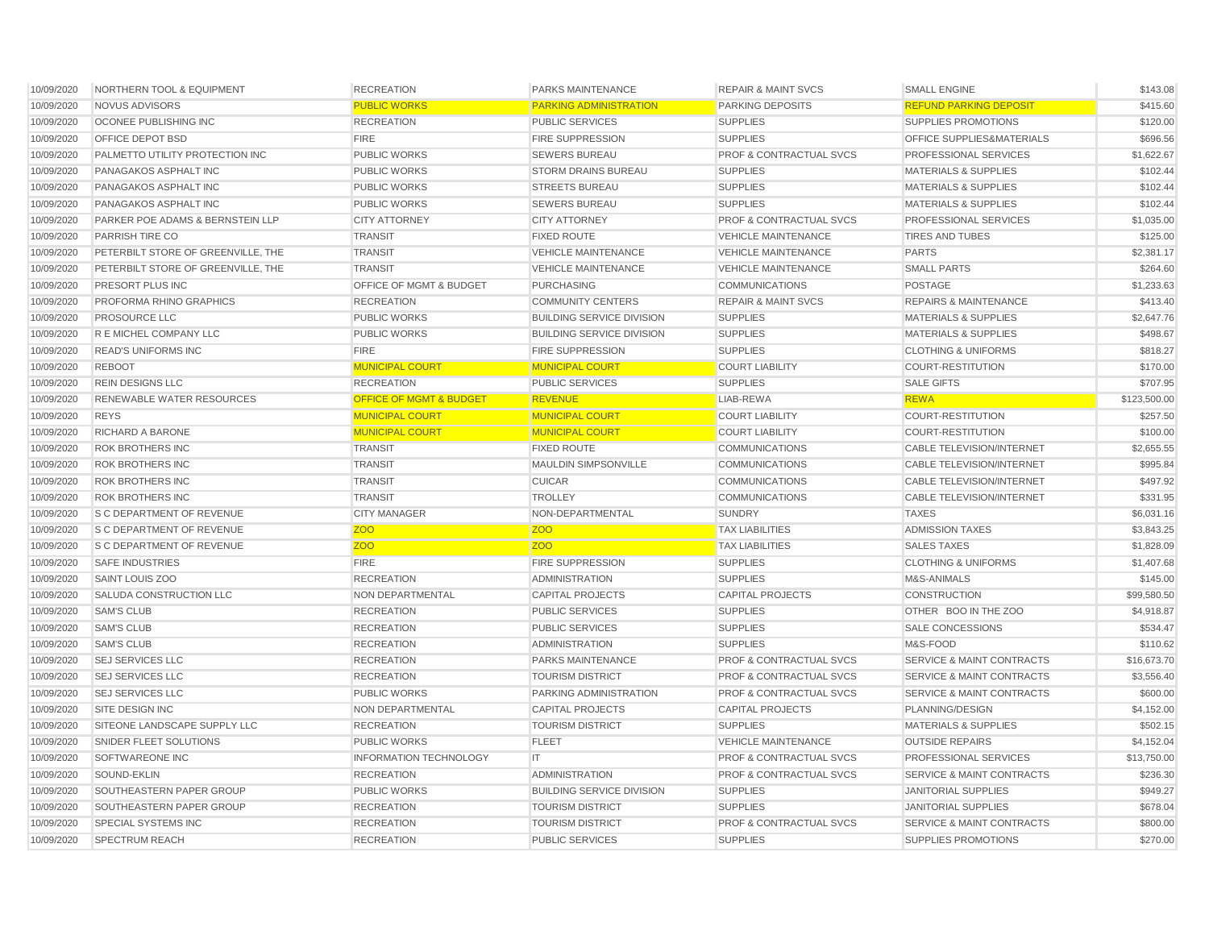| 10/09/2020 | NORTHERN TOOL & EQUIPMENT          | <b>RECREATION</b>                  | PARKS MAINTENANCE                | <b>REPAIR &amp; MAINT SVCS</b>     | <b>SMALL ENGINE</b>                  | \$143.08     |
|------------|------------------------------------|------------------------------------|----------------------------------|------------------------------------|--------------------------------------|--------------|
| 10/09/2020 | NOVUS ADVISORS                     | <b>PUBLIC WORKS</b>                | <b>PARKING ADMINISTRATION</b>    | <b>PARKING DEPOSITS</b>            | <b>REFUND PARKING DEPOSIT</b>        | \$415.60     |
| 10/09/2020 | <b>OCONEE PUBLISHING INC</b>       | <b>RECREATION</b>                  | <b>PUBLIC SERVICES</b>           | <b>SUPPLIES</b>                    | <b>SUPPLIES PROMOTIONS</b>           | \$120.00     |
| 10/09/2020 | OFFICE DEPOT BSD                   | <b>FIRE</b>                        | <b>FIRE SUPPRESSION</b>          | <b>SUPPLIES</b>                    | OFFICE SUPPLIES&MATERIALS            | \$696.56     |
| 10/09/2020 | PALMETTO UTILITY PROTECTION INC    | <b>PUBLIC WORKS</b>                | <b>SEWERS BUREAU</b>             | <b>PROF &amp; CONTRACTUAL SVCS</b> | <b>PROFESSIONAL SERVICES</b>         | \$1,622.67   |
| 10/09/2020 | PANAGAKOS ASPHALT INC              | <b>PUBLIC WORKS</b>                | <b>STORM DRAINS BUREAU</b>       | <b>SUPPLIES</b>                    | <b>MATERIALS &amp; SUPPLIES</b>      | \$102.44     |
| 10/09/2020 | PANAGAKOS ASPHALT INC              | <b>PUBLIC WORKS</b>                | <b>STREETS BUREAU</b>            | <b>SUPPLIES</b>                    | <b>MATERIALS &amp; SUPPLIES</b>      | \$102.44     |
| 10/09/2020 | PANAGAKOS ASPHALT INC              | <b>PUBLIC WORKS</b>                | <b>SEWERS BUREAU</b>             | <b>SUPPLIES</b>                    | <b>MATERIALS &amp; SUPPLIES</b>      | \$102.44     |
| 10/09/2020 | PARKER POE ADAMS & BERNSTEIN LLP   | <b>CITY ATTORNEY</b>               | <b>CITY ATTORNEY</b>             | <b>PROF &amp; CONTRACTUAL SVCS</b> | PROFESSIONAL SERVICES                | \$1,035.00   |
| 10/09/2020 | PARRISH TIRE CO                    | <b>TRANSIT</b>                     | <b>FIXED ROUTE</b>               | <b>VEHICLE MAINTENANCE</b>         | <b>TIRES AND TUBES</b>               | \$125.00     |
| 10/09/2020 | PETERBILT STORE OF GREENVILLE, THE | <b>TRANSIT</b>                     | <b>VEHICLE MAINTENANCE</b>       | <b>VEHICLE MAINTENANCE</b>         | <b>PARTS</b>                         | \$2,381.17   |
| 10/09/2020 | PETERBILT STORE OF GREENVILLE. THE | <b>TRANSIT</b>                     | <b>VEHICLE MAINTENANCE</b>       | <b>VEHICLE MAINTENANCE</b>         | <b>SMALL PARTS</b>                   | \$264.60     |
| 10/09/2020 | PRESORT PLUS INC                   | OFFICE OF MGMT & BUDGET            | <b>PURCHASING</b>                | <b>COMMUNICATIONS</b>              | <b>POSTAGE</b>                       | \$1,233.63   |
| 10/09/2020 | PROFORMA RHINO GRAPHICS            | <b>RECREATION</b>                  | <b>COMMUNITY CENTERS</b>         | <b>REPAIR &amp; MAINT SVCS</b>     | <b>REPAIRS &amp; MAINTENANCE</b>     | \$413.40     |
| 10/09/2020 | <b>PROSOURCE LLC</b>               | <b>PUBLIC WORKS</b>                | <b>BUILDING SERVICE DIVISION</b> | <b>SUPPLIES</b>                    | <b>MATERIALS &amp; SUPPLIES</b>      | \$2,647.76   |
| 10/09/2020 | R E MICHEL COMPANY LLC             | <b>PUBLIC WORKS</b>                | <b>BUILDING SERVICE DIVISION</b> | <b>SUPPLIES</b>                    | <b>MATERIALS &amp; SUPPLIES</b>      | \$498.67     |
| 10/09/2020 | <b>READ'S UNIFORMS INC</b>         | <b>FIRE</b>                        | <b>FIRE SUPPRESSION</b>          | <b>SUPPLIES</b>                    | <b>CLOTHING &amp; UNIFORMS</b>       | \$818.27     |
| 10/09/2020 | <b>REBOOT</b>                      | <b>MUNICIPAL COURT</b>             | <b>MUNICIPAL COURT</b>           | <b>COURT LIABILITY</b>             | <b>COURT-RESTITUTION</b>             | \$170.00     |
| 10/09/2020 | <b>REIN DESIGNS LLC</b>            | <b>RECREATION</b>                  | PUBLIC SERVICES                  | <b>SUPPLIES</b>                    | <b>SALE GIFTS</b>                    | \$707.95     |
| 10/09/2020 | RENEWABLE WATER RESOURCES          | <b>OFFICE OF MGMT &amp; BUDGET</b> | <b>REVENUE</b>                   | LIAB-REWA                          | <b>REWA</b>                          | \$123,500.00 |
| 10/09/2020 | <b>REYS</b>                        | <b>MUNICIPAL COURT</b>             | <b>MUNICIPAL COURT</b>           | <b>COURT LIABILITY</b>             | <b>COURT-RESTITUTION</b>             | \$257.50     |
| 10/09/2020 | <b>RICHARD A BARONE</b>            | <b>MUNICIPAL COURT</b>             | <b>MUNICIPAL COURT</b>           | <b>COURT LIABILITY</b>             | <b>COURT-RESTITUTION</b>             | \$100.00     |
| 10/09/2020 | <b>ROK BROTHERS INC</b>            | <b>TRANSIT</b>                     | <b>FIXED ROUTE</b>               | <b>COMMUNICATIONS</b>              | <b>CABLE TELEVISION/INTERNET</b>     | \$2,655.55   |
| 10/09/2020 | <b>ROK BROTHERS INC</b>            | <b>TRANSIT</b>                     | <b>MAULDIN SIMPSONVILLE</b>      | <b>COMMUNICATIONS</b>              | <b>CABLE TELEVISION/INTERNET</b>     | \$995.84     |
| 10/09/2020 | <b>ROK BROTHERS INC</b>            | <b>TRANSIT</b>                     | <b>CUICAR</b>                    | <b>COMMUNICATIONS</b>              | <b>CABLE TELEVISION/INTERNET</b>     | \$497.92     |
| 10/09/2020 | <b>ROK BROTHERS INC</b>            | <b>TRANSIT</b>                     | <b>TROLLEY</b>                   | <b>COMMUNICATIONS</b>              | CABLE TELEVISION/INTERNET            | \$331.95     |
| 10/09/2020 | S C DEPARTMENT OF REVENUE          | <b>CITY MANAGER</b>                | NON-DEPARTMENTAL                 | <b>SUNDRY</b>                      | <b>TAXES</b>                         | \$6,031.16   |
| 10/09/2020 | <b>S C DEPARTMENT OF REVENUE</b>   | <b>ZOO</b>                         | <b>ZOO</b>                       | <b>TAX LIABILITIES</b>             | <b>ADMISSION TAXES</b>               | \$3,843.25   |
| 10/09/2020 | <b>S C DEPARTMENT OF REVENUE</b>   | ZOO                                | <b>ZOO</b>                       | <b>TAX LIABILITIES</b>             | <b>SALES TAXES</b>                   | \$1,828.09   |
| 10/09/2020 | <b>SAFE INDUSTRIES</b>             | <b>FIRE</b>                        | <b>FIRE SUPPRESSION</b>          | <b>SUPPLIES</b>                    | <b>CLOTHING &amp; UNIFORMS</b>       | \$1,407.68   |
| 10/09/2020 | SAINT LOUIS ZOO                    | <b>RECREATION</b>                  | <b>ADMINISTRATION</b>            | <b>SUPPLIES</b>                    | M&S-ANIMALS                          | \$145.00     |
| 10/09/2020 | SALUDA CONSTRUCTION LLC            | <b>NON DEPARTMENTAL</b>            | <b>CAPITAL PROJECTS</b>          | <b>CAPITAL PROJECTS</b>            | <b>CONSTRUCTION</b>                  | \$99,580,50  |
| 10/09/2020 | <b>SAM'S CLUB</b>                  | <b>RECREATION</b>                  | <b>PUBLIC SERVICES</b>           | <b>SUPPLIES</b>                    | OTHER BOO IN THE ZOO                 | \$4,918.87   |
| 10/09/2020 | <b>SAM'S CLUB</b>                  | <b>RECREATION</b>                  | <b>PUBLIC SERVICES</b>           | <b>SUPPLIES</b>                    | SALE CONCESSIONS                     | \$534.47     |
| 10/09/2020 | <b>SAM'S CLUB</b>                  | <b>RECREATION</b>                  | <b>ADMINISTRATION</b>            | <b>SUPPLIES</b>                    | M&S-FOOD                             | \$110.62     |
| 10/09/2020 | <b>SEJ SERVICES LLC</b>            | <b>RECREATION</b>                  | PARKS MAINTENANCE                | <b>PROF &amp; CONTRACTUAL SVCS</b> | <b>SERVICE &amp; MAINT CONTRACTS</b> | \$16,673.70  |
| 10/09/2020 | <b>SEJ SERVICES LLC</b>            | <b>RECREATION</b>                  | <b>TOURISM DISTRICT</b>          | <b>PROF &amp; CONTRACTUAL SVCS</b> | <b>SERVICE &amp; MAINT CONTRACTS</b> | \$3,556.40   |
| 10/09/2020 | <b>SEJ SERVICES LLC</b>            | <b>PUBLIC WORKS</b>                | PARKING ADMINISTRATION           | PROF & CONTRACTUAL SVCS            | <b>SERVICE &amp; MAINT CONTRACTS</b> | \$600.00     |
| 10/09/2020 | <b>SITE DESIGN INC</b>             | NON DEPARTMENTAL                   | <b>CAPITAL PROJECTS</b>          | <b>CAPITAL PROJECTS</b>            | PLANNING/DESIGN                      | \$4,152.00   |
| 10/09/2020 | SITEONE LANDSCAPE SUPPLY LLC       | <b>RECREATION</b>                  | <b>TOURISM DISTRICT</b>          | <b>SUPPLIES</b>                    | <b>MATERIALS &amp; SUPPLIES</b>      | \$502.15     |
| 10/09/2020 | SNIDER FLEET SOLUTIONS             | <b>PUBLIC WORKS</b>                | <b>FLEET</b>                     | <b>VEHICLE MAINTENANCE</b>         | <b>OUTSIDE REPAIRS</b>               | \$4,152.04   |
| 10/09/2020 | SOFTWAREONE INC                    | <b>INFORMATION TECHNOLOGY</b>      | IT                               | <b>PROF &amp; CONTRACTUAL SVCS</b> | <b>PROFESSIONAL SERVICES</b>         | \$13,750.00  |
| 10/09/2020 | SOUND-EKLIN                        | <b>RECREATION</b>                  | <b>ADMINISTRATION</b>            | PROF & CONTRACTUAL SVCS            | <b>SERVICE &amp; MAINT CONTRACTS</b> | \$236.30     |
| 10/09/2020 | SOUTHEASTERN PAPER GROUP           | <b>PUBLIC WORKS</b>                | <b>BUILDING SERVICE DIVISION</b> | <b>SUPPLIES</b>                    | <b>JANITORIAL SUPPLIES</b>           | \$949.27     |
| 10/09/2020 | SOUTHEASTERN PAPER GROUP           | <b>RECREATION</b>                  | <b>TOURISM DISTRICT</b>          | <b>SUPPLIES</b>                    | <b>JANITORIAL SUPPLIES</b>           | \$678.04     |
| 10/09/2020 | SPECIAL SYSTEMS INC                | <b>RECREATION</b>                  | <b>TOURISM DISTRICT</b>          | <b>PROF &amp; CONTRACTUAL SVCS</b> | <b>SERVICE &amp; MAINT CONTRACTS</b> | \$800.00     |
| 10/09/2020 | <b>SPECTRUM REACH</b>              | <b>RECREATION</b>                  | PUBLIC SERVICES                  | <b>SUPPLIES</b>                    | <b>SUPPLIES PROMOTIONS</b>           | \$270.00     |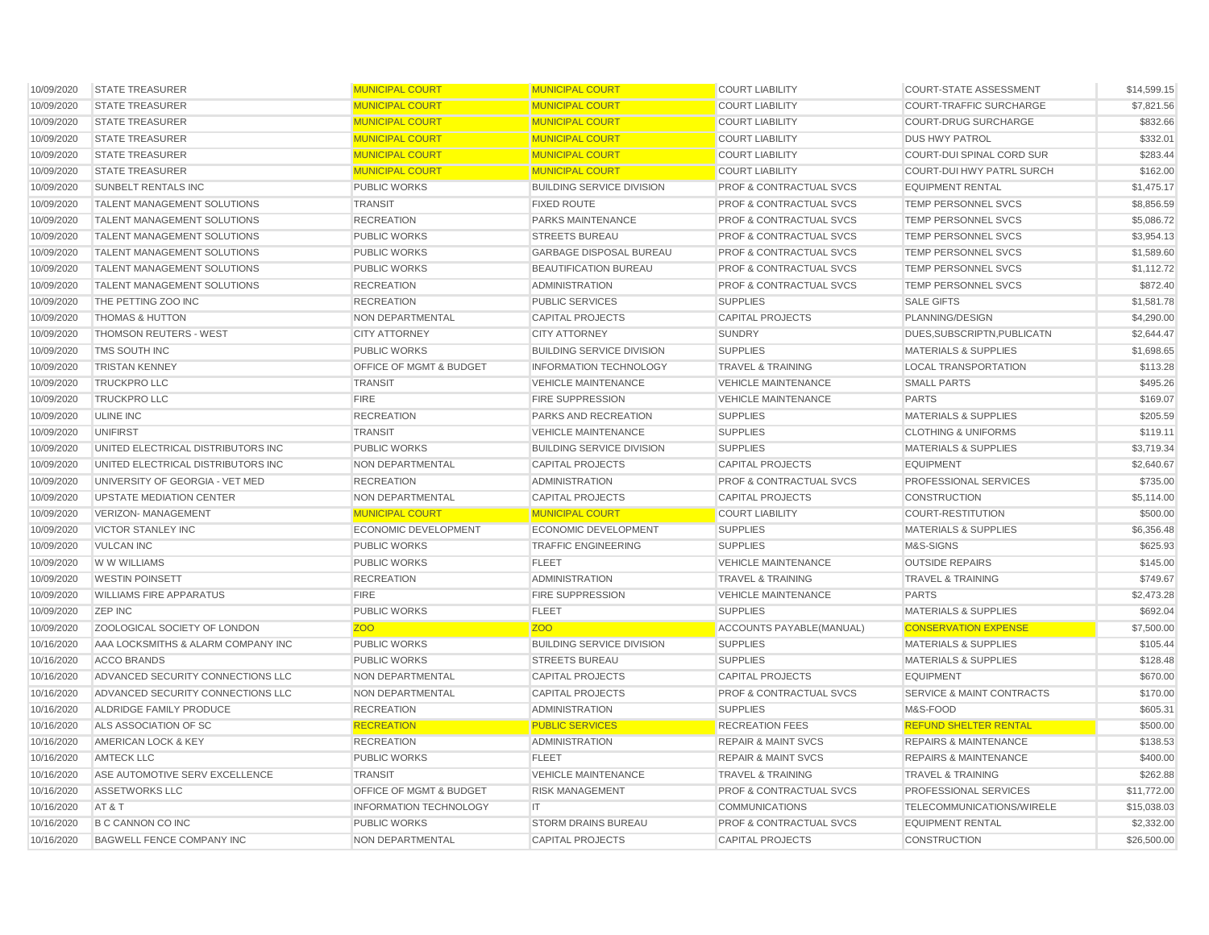| 10/09/2020 | <b>STATE TREASURER</b>             | <b>MUNICIPAL COURT</b>        | <b>MUNICIPAL COURT</b>           | <b>COURT LIABILITY</b>             | <b>COURT-STATE ASSESSMENT</b>        | \$14,599.15 |
|------------|------------------------------------|-------------------------------|----------------------------------|------------------------------------|--------------------------------------|-------------|
| 10/09/2020 | <b>STATE TREASURER</b>             | <b>MUNICIPAL COURT</b>        | <b>MUNICIPAL COURT</b>           | <b>COURT LIABILITY</b>             | <b>COURT-TRAFFIC SURCHARGE</b>       | \$7,821.56  |
| 10/09/2020 | <b>STATE TREASURER</b>             | <b>MUNICIPAL COURT</b>        | <b>MUNICIPAL COURT</b>           | <b>COURT LIABILITY</b>             | <b>COURT-DRUG SURCHARGE</b>          | \$832.66    |
| 10/09/2020 | <b>STATE TREASURER</b>             | <b>MUNICIPAL COURT</b>        | <b>MUNICIPAL COURT</b>           | <b>COURT LIABILITY</b>             | <b>DUS HWY PATROL</b>                | \$332.01    |
| 10/09/2020 | <b>STATE TREASURER</b>             | <b>MUNICIPAL COURT</b>        | <b>MUNICIPAL COURT</b>           | <b>COURT LIABILITY</b>             | <b>COURT-DUI SPINAL CORD SUR</b>     | \$283.44    |
| 10/09/2020 | <b>STATE TREASURER</b>             | <b>MUNICIPAL COURT</b>        | <b>MUNICIPAL COURT</b>           | <b>COURT LIABILITY</b>             | <b>COURT-DUI HWY PATRL SURCH</b>     | \$162.00    |
| 10/09/2020 | SUNBELT RENTALS INC                | <b>PUBLIC WORKS</b>           | <b>BUILDING SERVICE DIVISION</b> | <b>PROF &amp; CONTRACTUAL SVCS</b> | <b>EQUIPMENT RENTAL</b>              | \$1,475.17  |
| 10/09/2020 | <b>TALENT MANAGEMENT SOLUTIONS</b> | <b>TRANSIT</b>                | <b>FIXED ROUTE</b>               | <b>PROF &amp; CONTRACTUAL SVCS</b> | <b>TEMP PERSONNEL SVCS</b>           | \$8,856.59  |
| 10/09/2020 | <b>TALENT MANAGEMENT SOLUTIONS</b> | <b>RECREATION</b>             | PARKS MAINTENANCE                | <b>PROF &amp; CONTRACTUAL SVCS</b> | <b>TEMP PERSONNEL SVCS</b>           | \$5,086.72  |
| 10/09/2020 | <b>TALENT MANAGEMENT SOLUTIONS</b> | <b>PUBLIC WORKS</b>           | <b>STREETS BUREAU</b>            | <b>PROF &amp; CONTRACTUAL SVCS</b> | <b>TEMP PERSONNEL SVCS</b>           | \$3,954.13  |
| 10/09/2020 | <b>TALENT MANAGEMENT SOLUTIONS</b> | <b>PUBLIC WORKS</b>           | <b>GARBAGE DISPOSAL BUREAU</b>   | <b>PROF &amp; CONTRACTUAL SVCS</b> | <b>TEMP PERSONNEL SVCS</b>           | \$1,589.60  |
| 10/09/2020 | <b>TALENT MANAGEMENT SOLUTIONS</b> | <b>PUBLIC WORKS</b>           | BEAUTIFICATION BUREAU            | <b>PROF &amp; CONTRACTUAL SVCS</b> | TEMP PERSONNEL SVCS                  | \$1,112.72  |
| 10/09/2020 | <b>TALENT MANAGEMENT SOLUTIONS</b> | <b>RECREATION</b>             | <b>ADMINISTRATION</b>            | <b>PROF &amp; CONTRACTUAL SVCS</b> | TEMP PERSONNEL SVCS                  | \$872.40    |
| 10/09/2020 | THE PETTING ZOO INC                | <b>RECREATION</b>             | <b>PUBLIC SERVICES</b>           | <b>SUPPLIES</b>                    | <b>SALE GIFTS</b>                    | \$1,581.78  |
| 10/09/2020 | <b>THOMAS &amp; HUTTON</b>         | NON DEPARTMENTAL              | <b>CAPITAL PROJECTS</b>          | <b>CAPITAL PROJECTS</b>            | PLANNING/DESIGN                      | \$4,290.00  |
| 10/09/2020 | <b>THOMSON REUTERS - WEST</b>      | <b>CITY ATTORNEY</b>          | <b>CITY ATTORNEY</b>             | <b>SUNDRY</b>                      | DUES, SUBSCRIPTN, PUBLICATN          | \$2,644.47  |
| 10/09/2020 | TMS SOUTH INC                      | <b>PUBLIC WORKS</b>           | <b>BUILDING SERVICE DIVISION</b> | <b>SUPPLIES</b>                    | <b>MATERIALS &amp; SUPPLIES</b>      | \$1,698.65  |
| 10/09/2020 | <b>TRISTAN KENNEY</b>              | OFFICE OF MGMT & BUDGET       | <b>INFORMATION TECHNOLOGY</b>    | <b>TRAVEL &amp; TRAINING</b>       | <b>LOCAL TRANSPORTATION</b>          | \$113.28    |
| 10/09/2020 | <b>TRUCKPROLLC</b>                 | <b>TRANSIT</b>                | <b>VEHICLE MAINTENANCE</b>       | <b>VEHICLE MAINTENANCE</b>         | <b>SMALL PARTS</b>                   | \$495.26    |
| 10/09/2020 | <b>TRUCKPROLLC</b>                 | <b>FIRE</b>                   | <b>FIRE SUPPRESSION</b>          | <b>VEHICLE MAINTENANCE</b>         | <b>PARTS</b>                         | \$169.07    |
| 10/09/2020 | <b>ULINE INC</b>                   | <b>RECREATION</b>             | PARKS AND RECREATION             | <b>SUPPLIES</b>                    | <b>MATERIALS &amp; SUPPLIES</b>      | \$205.59    |
| 10/09/2020 | <b>UNIFIRST</b>                    | <b>TRANSIT</b>                | <b>VEHICLE MAINTENANCE</b>       | <b>SUPPLIES</b>                    | <b>CLOTHING &amp; UNIFORMS</b>       | \$119.11    |
| 10/09/2020 | UNITED ELECTRICAL DISTRIBUTORS INC | <b>PUBLIC WORKS</b>           | <b>BUILDING SERVICE DIVISION</b> | <b>SUPPLIES</b>                    | <b>MATERIALS &amp; SUPPLIES</b>      | \$3,719.34  |
| 10/09/2020 | UNITED ELECTRICAL DISTRIBUTORS INC | NON DEPARTMENTAL              | <b>CAPITAL PROJECTS</b>          | <b>CAPITAL PROJECTS</b>            | <b>EQUIPMENT</b>                     | \$2,640.67  |
| 10/09/2020 | UNIVERSITY OF GEORGIA - VET MED    | <b>RECREATION</b>             | <b>ADMINISTRATION</b>            | <b>PROF &amp; CONTRACTUAL SVCS</b> | PROFESSIONAL SERVICES                | \$735.00    |
| 10/09/2020 | UPSTATE MEDIATION CENTER           | NON DEPARTMENTAL              | <b>CAPITAL PROJECTS</b>          | <b>CAPITAL PROJECTS</b>            | <b>CONSTRUCTION</b>                  | \$5,114.00  |
| 10/09/2020 | VERIZON- MANAGEMENT                | <b>MUNICIPAL COURT</b>        | <b>MUNICIPAL COURT</b>           | <b>COURT LIABILITY</b>             | <b>COURT-RESTITUTION</b>             | \$500.00    |
| 10/09/2020 | <b>VICTOR STANLEY INC</b>          | <b>ECONOMIC DEVELOPMENT</b>   | <b>ECONOMIC DEVELOPMENT</b>      | <b>SUPPLIES</b>                    | <b>MATERIALS &amp; SUPPLIES</b>      | \$6,356.48  |
| 10/09/2020 | <b>VULCAN INC</b>                  | <b>PUBLIC WORKS</b>           | <b>TRAFFIC ENGINEERING</b>       | <b>SUPPLIES</b>                    | M&S-SIGNS                            | \$625.93    |
| 10/09/2020 | W W WILLIAMS                       | <b>PUBLIC WORKS</b>           | <b>FLEET</b>                     | <b>VEHICLE MAINTENANCE</b>         | <b>OUTSIDE REPAIRS</b>               | \$145.00    |
| 10/09/2020 | <b>WESTIN POINSETT</b>             | <b>RECREATION</b>             | <b>ADMINISTRATION</b>            | TRAVEL & TRAINING                  | <b>TRAVEL &amp; TRAINING</b>         | \$749.67    |
| 10/09/2020 | <b>WILLIAMS FIRE APPARATUS</b>     | <b>FIRE</b>                   | <b>FIRE SUPPRESSION</b>          | <b>VEHICLE MAINTENANCE</b>         | <b>PARTS</b>                         | \$2,473.28  |
| 10/09/2020 | <b>ZEP INC</b>                     | <b>PUBLIC WORKS</b>           | <b>FLEET</b>                     | <b>SUPPLIES</b>                    | <b>MATERIALS &amp; SUPPLIES</b>      | \$692.04    |
| 10/09/2020 | ZOOLOGICAL SOCIETY OF LONDON       | <b>ZOO</b>                    | Z <sub>OO</sub>                  | ACCOUNTS PAYABLE(MANUAL)           | <b>CONSERVATION EXPENSE</b>          | \$7,500.00  |
| 10/16/2020 | AAA LOCKSMITHS & ALARM COMPANY INC | <b>PUBLIC WORKS</b>           | <b>BUILDING SERVICE DIVISION</b> | <b>SUPPLIES</b>                    | <b>MATERIALS &amp; SUPPLIES</b>      | \$105.44    |
| 10/16/2020 | <b>ACCO BRANDS</b>                 | <b>PUBLIC WORKS</b>           | <b>STREETS BUREAU</b>            | <b>SUPPLIES</b>                    | <b>MATERIALS &amp; SUPPLIES</b>      | \$128.48    |
| 10/16/2020 | ADVANCED SECURITY CONNECTIONS LLC  | NON DEPARTMENTAL              | <b>CAPITAL PROJECTS</b>          | <b>CAPITAL PROJECTS</b>            | <b>EQUIPMENT</b>                     | \$670.00    |
| 10/16/2020 | ADVANCED SECURITY CONNECTIONS LLC  | NON DEPARTMENTAL              | <b>CAPITAL PROJECTS</b>          | PROF & CONTRACTUAL SVCS            | <b>SERVICE &amp; MAINT CONTRACTS</b> | \$170.00    |
| 10/16/2020 | <b>ALDRIDGE FAMILY PRODUCE</b>     | <b>RECREATION</b>             | <b>ADMINISTRATION</b>            | <b>SUPPLIES</b>                    | M&S-FOOD                             | \$605.31    |
| 10/16/2020 | ALS ASSOCIATION OF SC              | <b>RECREATION</b>             | <b>PUBLIC SERVICES</b>           | <b>RECREATION FEES</b>             | <b>REFUND SHELTER RENTAL</b>         | \$500.00    |
| 10/16/2020 | <b>AMERICAN LOCK &amp; KEY</b>     | <b>RECREATION</b>             | <b>ADMINISTRATION</b>            | <b>REPAIR &amp; MAINT SVCS</b>     | <b>REPAIRS &amp; MAINTENANCE</b>     | \$138.53    |
| 10/16/2020 | <b>AMTECK LLC</b>                  | <b>PUBLIC WORKS</b>           | <b>FLEET</b>                     | <b>REPAIR &amp; MAINT SVCS</b>     | <b>REPAIRS &amp; MAINTENANCE</b>     | \$400.00    |
| 10/16/2020 | ASE AUTOMOTIVE SERV EXCELLENCE     | <b>TRANSIT</b>                | <b>VEHICLE MAINTENANCE</b>       | <b>TRAVEL &amp; TRAINING</b>       | <b>TRAVEL &amp; TRAINING</b>         | \$262.88    |
| 10/16/2020 | ASSETWORKS LLC                     | OFFICE OF MGMT & BUDGET       | <b>RISK MANAGEMENT</b>           | <b>PROF &amp; CONTRACTUAL SVCS</b> | PROFESSIONAL SERVICES                | \$11,772.00 |
| 10/16/2020 | AT&T                               | <b>INFORMATION TECHNOLOGY</b> | IT.                              | <b>COMMUNICATIONS</b>              | TELECOMMUNICATIONS/WIRELE            | \$15,038.03 |
| 10/16/2020 | <b>B C CANNON CO INC</b>           | <b>PUBLIC WORKS</b>           | <b>STORM DRAINS BUREAU</b>       | <b>PROF &amp; CONTRACTUAL SVCS</b> | <b>EQUIPMENT RENTAL</b>              | \$2,332.00  |
| 10/16/2020 | <b>BAGWELL FENCE COMPANY INC</b>   | NON DEPARTMENTAL              | <b>CAPITAL PROJECTS</b>          | <b>CAPITAL PROJECTS</b>            | <b>CONSTRUCTION</b>                  | \$26,500.00 |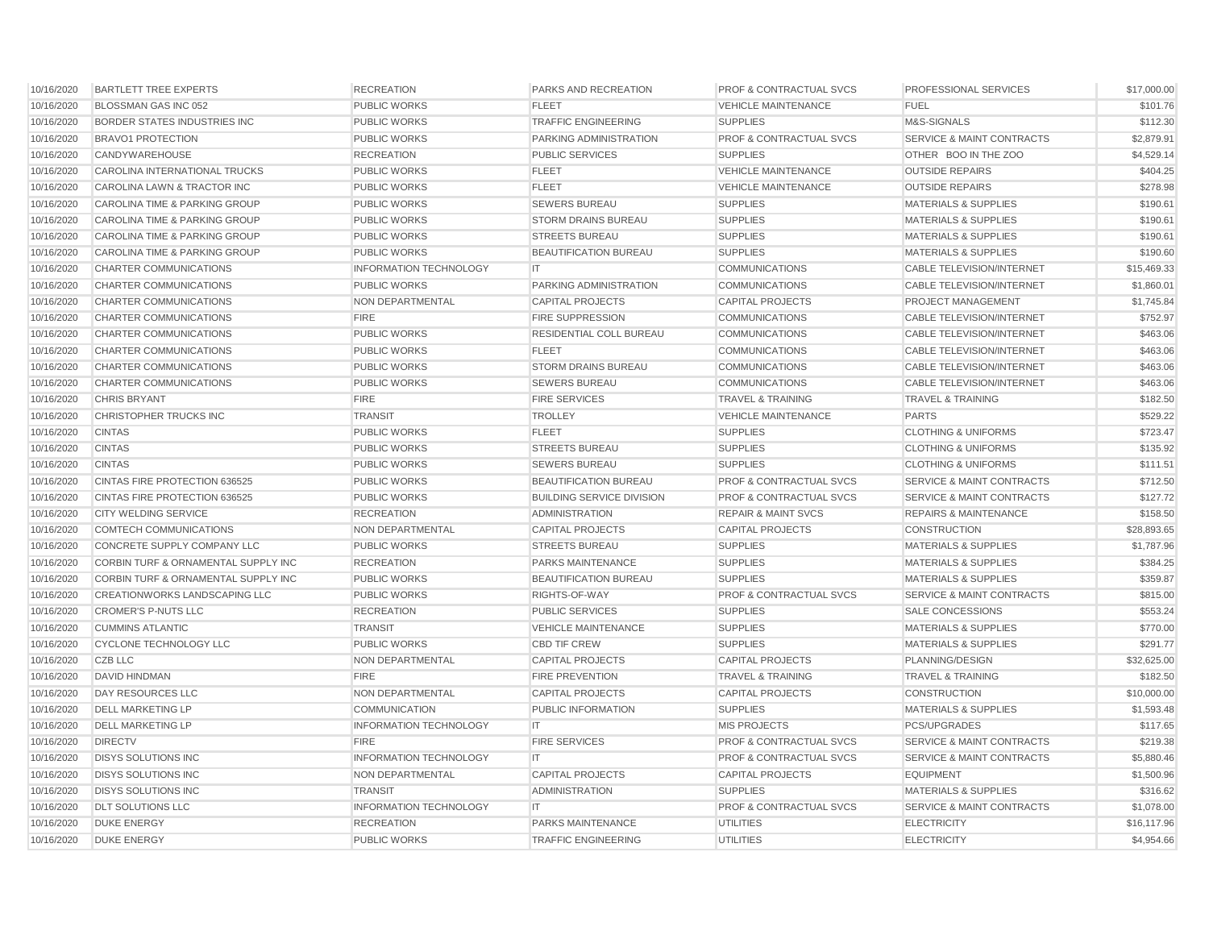| 10/16/2020 | <b>BARTLETT TREE EXPERTS</b>             | <b>RECREATION</b>             | PARKS AND RECREATION             | <b>PROF &amp; CONTRACTUAL SVCS</b> | <b>PROFESSIONAL SERVICES</b>         | \$17,000.00 |
|------------|------------------------------------------|-------------------------------|----------------------------------|------------------------------------|--------------------------------------|-------------|
| 10/16/2020 | BLOSSMAN GAS INC 052                     | <b>PUBLIC WORKS</b>           | <b>FLEET</b>                     | <b>VEHICLE MAINTENANCE</b>         | <b>FUEL</b>                          | \$101.76    |
| 10/16/2020 | <b>BORDER STATES INDUSTRIES INC</b>      | <b>PUBLIC WORKS</b>           | <b>TRAFFIC ENGINEERING</b>       | <b>SUPPLIES</b>                    | M&S-SIGNALS                          | \$112.30    |
| 10/16/2020 | <b>BRAVO1 PROTECTION</b>                 | <b>PUBLIC WORKS</b>           | <b>PARKING ADMINISTRATION</b>    | <b>PROF &amp; CONTRACTUAL SVCS</b> | <b>SERVICE &amp; MAINT CONTRACTS</b> | \$2,879.91  |
| 10/16/2020 | CANDYWAREHOUSE                           | <b>RECREATION</b>             | <b>PUBLIC SERVICES</b>           | <b>SUPPLIES</b>                    | OTHER BOO IN THE ZOO                 | \$4,529.14  |
| 10/16/2020 | <b>CAROLINA INTERNATIONAL TRUCKS</b>     | <b>PUBLIC WORKS</b>           | <b>FLEET</b>                     | <b>VEHICLE MAINTENANCE</b>         | <b>OUTSIDE REPAIRS</b>               | \$404.25    |
| 10/16/2020 | CAROLINA LAWN & TRACTOR INC              | <b>PUBLIC WORKS</b>           | <b>FLEET</b>                     | <b>VEHICLE MAINTENANCE</b>         | <b>OUTSIDE REPAIRS</b>               | \$278.98    |
| 10/16/2020 | <b>CAROLINA TIME &amp; PARKING GROUP</b> | <b>PUBLIC WORKS</b>           | <b>SEWERS BUREAU</b>             | <b>SUPPLIES</b>                    | <b>MATERIALS &amp; SUPPLIES</b>      | \$190.61    |
| 10/16/2020 | <b>CAROLINA TIME &amp; PARKING GROUP</b> | <b>PUBLIC WORKS</b>           | <b>STORM DRAINS BUREAU</b>       | <b>SUPPLIES</b>                    | <b>MATERIALS &amp; SUPPLIES</b>      | \$190.61    |
| 10/16/2020 | CAROLINA TIME & PARKING GROUP            | <b>PUBLIC WORKS</b>           | <b>STREETS BUREAU</b>            | <b>SUPPLIES</b>                    | <b>MATERIALS &amp; SUPPLIES</b>      | \$190.61    |
| 10/16/2020 | <b>CAROLINA TIME &amp; PARKING GROUP</b> | <b>PUBLIC WORKS</b>           | BEAUTIFICATION BUREAU            | <b>SUPPLIES</b>                    | <b>MATERIALS &amp; SUPPLIES</b>      | \$190.60    |
| 10/16/2020 | CHARTER COMMUNICATIONS                   | <b>INFORMATION TECHNOLOGY</b> | IT                               | <b>COMMUNICATIONS</b>              | <b>CABLE TELEVISION/INTERNET</b>     | \$15,469.33 |
| 10/16/2020 | <b>CHARTER COMMUNICATIONS</b>            | <b>PUBLIC WORKS</b>           | PARKING ADMINISTRATION           | <b>COMMUNICATIONS</b>              | <b>CABLE TELEVISION/INTERNET</b>     | \$1,860.01  |
| 10/16/2020 | <b>CHARTER COMMUNICATIONS</b>            | NON DEPARTMENTAL              | <b>CAPITAL PROJECTS</b>          | <b>CAPITAL PROJECTS</b>            | <b>PROJECT MANAGEMENT</b>            | \$1,745.84  |
| 10/16/2020 | <b>CHARTER COMMUNICATIONS</b>            | <b>FIRE</b>                   | <b>FIRE SUPPRESSION</b>          | <b>COMMUNICATIONS</b>              | <b>CABLE TELEVISION/INTERNET</b>     | \$752.97    |
| 10/16/2020 | <b>CHARTER COMMUNICATIONS</b>            | <b>PUBLIC WORKS</b>           | RESIDENTIAL COLL BUREAU          | <b>COMMUNICATIONS</b>              | <b>CABLE TELEVISION/INTERNET</b>     | \$463.06    |
| 10/16/2020 | <b>CHARTER COMMUNICATIONS</b>            | <b>PUBLIC WORKS</b>           | <b>FLEET</b>                     | <b>COMMUNICATIONS</b>              | <b>CABLE TELEVISION/INTERNET</b>     | \$463.06    |
| 10/16/2020 | <b>CHARTER COMMUNICATIONS</b>            | <b>PUBLIC WORKS</b>           | <b>STORM DRAINS BUREAU</b>       | <b>COMMUNICATIONS</b>              | <b>CABLE TELEVISION/INTERNET</b>     | \$463.06    |
| 10/16/2020 | CHARTER COMMUNICATIONS                   | <b>PUBLIC WORKS</b>           | <b>SEWERS BUREAU</b>             | <b>COMMUNICATIONS</b>              | <b>CABLE TELEVISION/INTERNET</b>     | \$463.06    |
| 10/16/2020 | <b>CHRIS BRYANT</b>                      | <b>FIRE</b>                   | <b>FIRE SERVICES</b>             | <b>TRAVEL &amp; TRAINING</b>       | <b>TRAVEL &amp; TRAINING</b>         | \$182.50    |
| 10/16/2020 | CHRISTOPHER TRUCKS INC                   | <b>TRANSIT</b>                | <b>TROLLEY</b>                   | <b>VEHICLE MAINTENANCE</b>         | <b>PARTS</b>                         | \$529.22    |
| 10/16/2020 | <b>CINTAS</b>                            | <b>PUBLIC WORKS</b>           | <b>FLEET</b>                     | <b>SUPPLIES</b>                    | <b>CLOTHING &amp; UNIFORMS</b>       | \$723.47    |
| 10/16/2020 | <b>CINTAS</b>                            | <b>PUBLIC WORKS</b>           | <b>STREETS BUREAU</b>            | <b>SUPPLIES</b>                    | <b>CLOTHING &amp; UNIFORMS</b>       | \$135.92    |
| 10/16/2020 | <b>CINTAS</b>                            | <b>PUBLIC WORKS</b>           | <b>SEWERS BUREAU</b>             | <b>SUPPLIES</b>                    | <b>CLOTHING &amp; UNIFORMS</b>       | \$111.51    |
| 10/16/2020 | <b>CINTAS FIRE PROTECTION 636525</b>     | <b>PUBLIC WORKS</b>           | BEAUTIFICATION BUREAU            | <b>PROF &amp; CONTRACTUAL SVCS</b> | <b>SERVICE &amp; MAINT CONTRACTS</b> | \$712.50    |
| 10/16/2020 | CINTAS FIRE PROTECTION 636525            | <b>PUBLIC WORKS</b>           | <b>BUILDING SERVICE DIVISION</b> | <b>PROF &amp; CONTRACTUAL SVCS</b> | <b>SERVICE &amp; MAINT CONTRACTS</b> | \$127.72    |
| 10/16/2020 | <b>CITY WELDING SERVICE</b>              | <b>RECREATION</b>             | <b>ADMINISTRATION</b>            | <b>REPAIR &amp; MAINT SVCS</b>     | <b>REPAIRS &amp; MAINTENANCE</b>     | \$158.50    |
| 10/16/2020 | COMTECH COMMUNICATIONS                   | NON DEPARTMENTAL              | <b>CAPITAL PROJECTS</b>          | <b>CAPITAL PROJECTS</b>            | <b>CONSTRUCTION</b>                  | \$28,893.65 |
| 10/16/2020 | CONCRETE SUPPLY COMPANY LLC              | <b>PUBLIC WORKS</b>           | <b>STREETS BUREAU</b>            | <b>SUPPLIES</b>                    | <b>MATERIALS &amp; SUPPLIES</b>      | \$1,787.96  |
| 10/16/2020 | CORBIN TURF & ORNAMENTAL SUPPLY INC      | <b>RECREATION</b>             | PARKS MAINTENANCE                | <b>SUPPLIES</b>                    | <b>MATERIALS &amp; SUPPLIES</b>      | \$384.25    |
| 10/16/2020 | CORBIN TURF & ORNAMENTAL SUPPLY INC      | <b>PUBLIC WORKS</b>           | <b>BEAUTIFICATION BUREAU</b>     | <b>SUPPLIES</b>                    | <b>MATERIALS &amp; SUPPLIES</b>      | \$359.87    |
| 10/16/2020 | <b>CREATIONWORKS LANDSCAPING LLC</b>     | <b>PUBLIC WORKS</b>           | RIGHTS-OF-WAY                    | <b>PROF &amp; CONTRACTUAL SVCS</b> | <b>SERVICE &amp; MAINT CONTRACTS</b> | \$815.00    |
| 10/16/2020 | <b>CROMER'S P-NUTS LLC</b>               | <b>RECREATION</b>             | <b>PUBLIC SERVICES</b>           | <b>SUPPLIES</b>                    | SALE CONCESSIONS                     | \$553.24    |
| 10/16/2020 | <b>CUMMINS ATLANTIC</b>                  | <b>TRANSIT</b>                | <b>VEHICLE MAINTENANCE</b>       | <b>SUPPLIES</b>                    | <b>MATERIALS &amp; SUPPLIES</b>      | \$770.00    |
| 10/16/2020 | CYCLONE TECHNOLOGY LLC                   | <b>PUBLIC WORKS</b>           | <b>CBD TIF CREW</b>              | <b>SUPPLIES</b>                    | <b>MATERIALS &amp; SUPPLIES</b>      | \$291.77    |
| 10/16/2020 | CZB LLC                                  | NON DEPARTMENTAL              | <b>CAPITAL PROJECTS</b>          | CAPITAL PROJECTS                   | PLANNING/DESIGN                      | \$32,625.00 |
| 10/16/2020 | <b>DAVID HINDMAN</b>                     | <b>FIRE</b>                   | <b>FIRE PREVENTION</b>           | <b>TRAVEL &amp; TRAINING</b>       | <b>TRAVEL &amp; TRAINING</b>         | \$182.50    |
| 10/16/2020 | DAY RESOURCES LLC                        | NON DEPARTMENTAL              | <b>CAPITAL PROJECTS</b>          | <b>CAPITAL PROJECTS</b>            | <b>CONSTRUCTION</b>                  | \$10,000.00 |
| 10/16/2020 | <b>DELL MARKETING LP</b>                 | <b>COMMUNICATION</b>          | PUBLIC INFORMATION               | <b>SUPPLIES</b>                    | <b>MATERIALS &amp; SUPPLIES</b>      | \$1,593.48  |
| 10/16/2020 | <b>DELL MARKETING LP</b>                 | <b>INFORMATION TECHNOLOGY</b> | IT                               | <b>MIS PROJECTS</b>                | <b>PCS/UPGRADES</b>                  | \$117.65    |
| 10/16/2020 | <b>DIRECTV</b>                           | <b>FIRE</b>                   | <b>FIRE SERVICES</b>             | <b>PROF &amp; CONTRACTUAL SVCS</b> | <b>SERVICE &amp; MAINT CONTRACTS</b> | \$219.38    |
| 10/16/2020 | <b>DISYS SOLUTIONS INC</b>               | <b>INFORMATION TECHNOLOGY</b> | IT                               | <b>PROF &amp; CONTRACTUAL SVCS</b> | <b>SERVICE &amp; MAINT CONTRACTS</b> | \$5,880.46  |
| 10/16/2020 | <b>DISYS SOLUTIONS INC</b>               | NON DEPARTMENTAL              | <b>CAPITAL PROJECTS</b>          | <b>CAPITAL PROJECTS</b>            | <b>EQUIPMENT</b>                     | \$1,500.96  |
| 10/16/2020 | <b>DISYS SOLUTIONS INC</b>               | <b>TRANSIT</b>                | <b>ADMINISTRATION</b>            | <b>SUPPLIES</b>                    | <b>MATERIALS &amp; SUPPLIES</b>      | \$316.62    |
| 10/16/2020 | <b>DLT SOLUTIONS LLC</b>                 | <b>INFORMATION TECHNOLOGY</b> | IT.                              | <b>PROF &amp; CONTRACTUAL SVCS</b> | <b>SERVICE &amp; MAINT CONTRACTS</b> | \$1,078.00  |
| 10/16/2020 | <b>DUKE ENERGY</b>                       | <b>RECREATION</b>             | PARKS MAINTENANCE                | <b>UTILITIES</b>                   | <b>ELECTRICITY</b>                   | \$16,117.96 |
| 10/16/2020 | <b>DUKE ENERGY</b>                       | <b>PUBLIC WORKS</b>           | <b>TRAFFIC ENGINEERING</b>       | <b>UTILITIES</b>                   | <b>ELECTRICITY</b>                   | \$4,954.66  |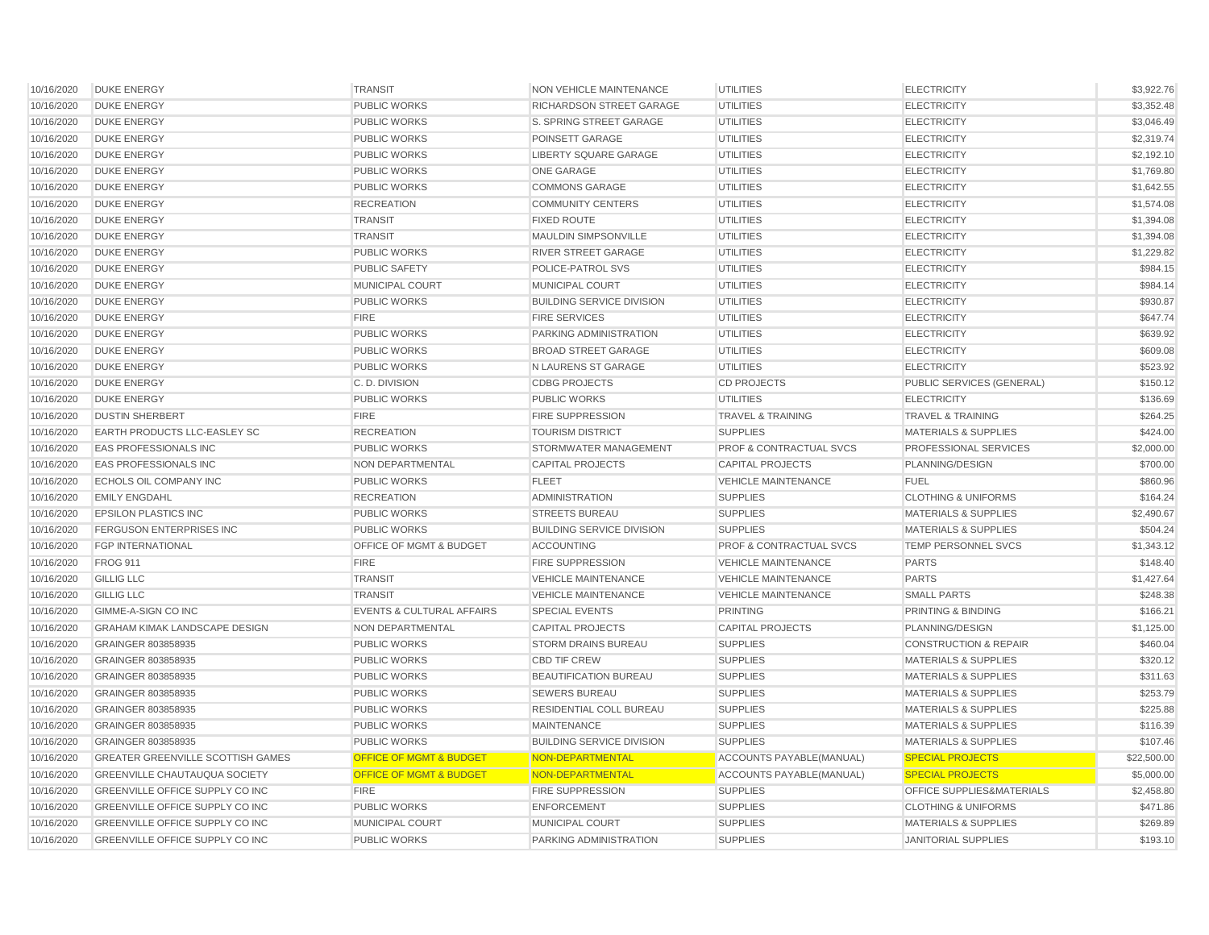| 10/16/2020 | <b>DUKE ENERGY</b>                       | <b>TRANSIT</b>                       | <b>NON VEHICLE MAINTENANCE</b>   | <b>UTILITIES</b>                   | <b>ELECTRICITY</b>               | \$3,922.76  |
|------------|------------------------------------------|--------------------------------------|----------------------------------|------------------------------------|----------------------------------|-------------|
| 10/16/2020 | <b>DUKE ENERGY</b>                       | <b>PUBLIC WORKS</b>                  | RICHARDSON STREET GARAGE         | <b>UTILITIES</b>                   | <b>ELECTRICITY</b>               | \$3,352.48  |
| 10/16/2020 | <b>DUKE ENERGY</b>                       | PUBLIC WORKS                         | S. SPRING STREET GARAGE          | <b>UTILITIES</b>                   | <b>ELECTRICITY</b>               | \$3,046.49  |
| 10/16/2020 | <b>DUKE ENERGY</b>                       | <b>PUBLIC WORKS</b>                  | POINSETT GARAGE                  | <b>UTILITIES</b>                   | <b>ELECTRICITY</b>               | \$2,319.74  |
| 10/16/2020 | <b>DUKE ENERGY</b>                       | <b>PUBLIC WORKS</b>                  | <b>LIBERTY SQUARE GARAGE</b>     | <b>UTILITIES</b>                   | <b>ELECTRICITY</b>               | \$2,192.10  |
| 10/16/2020 | <b>DUKE ENERGY</b>                       | <b>PUBLIC WORKS</b>                  | <b>ONE GARAGE</b>                | <b>UTILITIES</b>                   | <b>ELECTRICITY</b>               | \$1,769.80  |
| 10/16/2020 | <b>DUKE ENERGY</b>                       | <b>PUBLIC WORKS</b>                  | <b>COMMONS GARAGE</b>            | <b>UTILITIES</b>                   | <b>ELECTRICITY</b>               | \$1,642.55  |
| 10/16/2020 | <b>DUKE ENERGY</b>                       | <b>RECREATION</b>                    | <b>COMMUNITY CENTERS</b>         | <b>UTILITIES</b>                   | <b>ELECTRICITY</b>               | \$1,574.08  |
| 10/16/2020 | <b>DUKE ENERGY</b>                       | <b>TRANSIT</b>                       | <b>FIXED ROUTE</b>               | <b>UTILITIES</b>                   | <b>ELECTRICITY</b>               | \$1,394.08  |
| 10/16/2020 | <b>DUKE ENERGY</b>                       | <b>TRANSIT</b>                       | <b>MAULDIN SIMPSONVILLE</b>      | <b>UTILITIES</b>                   | <b>ELECTRICITY</b>               | \$1,394.08  |
| 10/16/2020 | <b>DUKE ENERGY</b>                       | <b>PUBLIC WORKS</b>                  | <b>RIVER STREET GARAGE</b>       | <b>UTILITIES</b>                   | <b>ELECTRICITY</b>               | \$1,229.82  |
| 10/16/2020 | <b>DUKE ENERGY</b>                       | <b>PUBLIC SAFETY</b>                 | <b>POLICE-PATROL SVS</b>         | UTILITIES                          | <b>ELECTRICITY</b>               | \$984.15    |
| 10/16/2020 | <b>DUKE ENERGY</b>                       | MUNICIPAL COURT                      | MUNICIPAL COURT                  | <b>UTILITIES</b>                   | <b>ELECTRICITY</b>               | \$984.14    |
| 10/16/2020 | <b>DUKE ENERGY</b>                       | <b>PUBLIC WORKS</b>                  | <b>BUILDING SERVICE DIVISION</b> | <b>UTILITIES</b>                   | <b>ELECTRICITY</b>               | \$930.87    |
| 10/16/2020 | <b>DUKE ENERGY</b>                       | <b>FIRE</b>                          | <b>FIRE SERVICES</b>             | <b>UTILITIES</b>                   | <b>ELECTRICITY</b>               | \$647.74    |
| 10/16/2020 | <b>DUKE ENERGY</b>                       | <b>PUBLIC WORKS</b>                  | PARKING ADMINISTRATION           | <b>UTILITIES</b>                   | <b>ELECTRICITY</b>               | \$639.92    |
| 10/16/2020 | <b>DUKE ENERGY</b>                       | <b>PUBLIC WORKS</b>                  | <b>BROAD STREET GARAGE</b>       | <b>UTILITIES</b>                   | <b>ELECTRICITY</b>               | \$609.08    |
| 10/16/2020 | <b>DUKE ENERGY</b>                       | <b>PUBLIC WORKS</b>                  | N LAURENS ST GARAGE              | <b>UTILITIES</b>                   | <b>ELECTRICITY</b>               | \$523.92    |
| 10/16/2020 | <b>DUKE ENERGY</b>                       | C.D. DIVISION                        | <b>CDBG PROJECTS</b>             | <b>CD PROJECTS</b>                 | <b>PUBLIC SERVICES (GENERAL)</b> | \$150.12    |
| 10/16/2020 | <b>DUKE ENERGY</b>                       | <b>PUBLIC WORKS</b>                  | <b>PUBLIC WORKS</b>              | <b>UTILITIES</b>                   | <b>ELECTRICITY</b>               | \$136.69    |
| 10/16/2020 | <b>DUSTIN SHERBERT</b>                   | <b>FIRE</b>                          | <b>FIRE SUPPRESSION</b>          | <b>TRAVEL &amp; TRAINING</b>       | <b>TRAVEL &amp; TRAINING</b>     | \$264.25    |
| 10/16/2020 | EARTH PRODUCTS LLC-EASLEY SC             | <b>RECREATION</b>                    | <b>TOURISM DISTRICT</b>          | <b>SUPPLIES</b>                    | <b>MATERIALS &amp; SUPPLIES</b>  | \$424.00    |
| 10/16/2020 | <b>EAS PROFESSIONALS INC</b>             | <b>PUBLIC WORKS</b>                  | STORMWATER MANAGEMENT            | <b>PROF &amp; CONTRACTUAL SVCS</b> | PROFESSIONAL SERVICES            | \$2,000.00  |
| 10/16/2020 | <b>EAS PROFESSIONALS INC</b>             | NON DEPARTMENTAL                     | <b>CAPITAL PROJECTS</b>          | <b>CAPITAL PROJECTS</b>            | PLANNING/DESIGN                  | \$700.00    |
| 10/16/2020 | <b>ECHOLS OIL COMPANY INC</b>            | <b>PUBLIC WORKS</b>                  | <b>FLEET</b>                     | <b>VEHICLE MAINTENANCE</b>         | FUEL                             | \$860.96    |
| 10/16/2020 | <b>EMILY ENGDAHL</b>                     | <b>RECREATION</b>                    | <b>ADMINISTRATION</b>            | <b>SUPPLIES</b>                    | <b>CLOTHING &amp; UNIFORMS</b>   | \$164.24    |
| 10/16/2020 | <b>EPSILON PLASTICS INC</b>              | <b>PUBLIC WORKS</b>                  | <b>STREETS BUREAU</b>            | <b>SUPPLIES</b>                    | <b>MATERIALS &amp; SUPPLIES</b>  | \$2,490.67  |
| 10/16/2020 | <b>FERGUSON ENTERPRISES INC</b>          | <b>PUBLIC WORKS</b>                  | <b>BUILDING SERVICE DIVISION</b> | <b>SUPPLIES</b>                    | <b>MATERIALS &amp; SUPPLIES</b>  | \$504.24    |
| 10/16/2020 | <b>FGP INTERNATIONAL</b>                 | OFFICE OF MGMT & BUDGET              | <b>ACCOUNTING</b>                | <b>PROF &amp; CONTRACTUAL SVCS</b> | TEMP PERSONNEL SVCS              | \$1,343.12  |
| 10/16/2020 | <b>FROG 911</b>                          | <b>FIRE</b>                          | <b>FIRE SUPPRESSION</b>          | <b>VEHICLE MAINTENANCE</b>         | <b>PARTS</b>                     | \$148.40    |
| 10/16/2020 | <b>GILLIG LLC</b>                        | <b>TRANSIT</b>                       | <b>VEHICLE MAINTENANCE</b>       | <b>VEHICLE MAINTENANCE</b>         | <b>PARTS</b>                     | \$1,427.64  |
| 10/16/2020 | <b>GILLIG LLC</b>                        | <b>TRANSIT</b>                       | <b>VEHICLE MAINTENANCE</b>       | <b>VEHICLE MAINTENANCE</b>         | <b>SMALL PARTS</b>               | \$248.38    |
| 10/16/2020 | GIMME-A-SIGN CO INC                      | <b>EVENTS &amp; CULTURAL AFFAIRS</b> | <b>SPECIAL EVENTS</b>            | <b>PRINTING</b>                    | PRINTING & BINDING               | \$166.21    |
| 10/16/2020 | <b>GRAHAM KIMAK LANDSCAPE DESIGN</b>     | <b>NON DEPARTMENTAL</b>              | <b>CAPITAL PROJECTS</b>          | CAPITAL PROJECTS                   | PLANNING/DESIGN                  | \$1,125.00  |
| 10/16/2020 | GRAINGER 803858935                       | <b>PUBLIC WORKS</b>                  | <b>STORM DRAINS BUREAU</b>       | <b>SUPPLIES</b>                    | <b>CONSTRUCTION &amp; REPAIR</b> | \$460.04    |
| 10/16/2020 | GRAINGER 803858935                       | <b>PUBLIC WORKS</b>                  | <b>CBD TIF CREW</b>              | <b>SUPPLIES</b>                    | <b>MATERIALS &amp; SUPPLIES</b>  | \$320.12    |
| 10/16/2020 | GRAINGER 803858935                       | <b>PUBLIC WORKS</b>                  | <b>BEAUTIFICATION BUREAU</b>     | <b>SUPPLIES</b>                    | <b>MATERIALS &amp; SUPPLIES</b>  | \$311.63    |
| 10/16/2020 | GRAINGER 803858935                       | PUBLIC WORKS                         | <b>SEWERS BUREAU</b>             | <b>SUPPLIES</b>                    | <b>MATERIALS &amp; SUPPLIES</b>  | \$253.79    |
| 10/16/2020 | GRAINGER 803858935                       | <b>PUBLIC WORKS</b>                  | RESIDENTIAL COLL BUREAU          | <b>SUPPLIES</b>                    | <b>MATERIALS &amp; SUPPLIES</b>  | \$225.88    |
| 10/16/2020 | GRAINGER 803858935                       | <b>PUBLIC WORKS</b>                  | <b>MAINTENANCE</b>               | <b>SUPPLIES</b>                    | <b>MATERIALS &amp; SUPPLIES</b>  | \$116.39    |
| 10/16/2020 | GRAINGER 803858935                       | <b>PUBLIC WORKS</b>                  | <b>BUILDING SERVICE DIVISION</b> | <b>SUPPLIES</b>                    | <b>MATERIALS &amp; SUPPLIES</b>  | \$107.46    |
| 10/16/2020 | <b>GREATER GREENVILLE SCOTTISH GAMES</b> | <b>OFFICE OF MGMT &amp; BUDGET</b>   | NON-DEPARTMENTAL                 | ACCOUNTS PAYABLE(MANUAL)           | <b>SPECIAL PROJECTS</b>          | \$22,500.00 |
| 10/16/2020 | <b>GREENVILLE CHAUTAUQUA SOCIETY</b>     | OFFICE OF MGMT & BUDGET              | NON-DEPARTMENTAL                 | ACCOUNTS PAYABLE(MANUAL)           | <b>SPECIAL PROJECTS</b>          | \$5,000.00  |
| 10/16/2020 | GREENVILLE OFFICE SUPPLY CO INC          | <b>FIRE</b>                          | <b>FIRE SUPPRESSION</b>          | <b>SUPPLIES</b>                    | OFFICE SUPPLIES&MATERIALS        | \$2,458.80  |
| 10/16/2020 | <b>GREENVILLE OFFICE SUPPLY CO INC</b>   | <b>PUBLIC WORKS</b>                  | <b>ENFORCEMENT</b>               | <b>SUPPLIES</b>                    | <b>CLOTHING &amp; UNIFORMS</b>   | \$471.86    |
|            |                                          |                                      |                                  |                                    |                                  |             |
| 10/16/2020 | <b>GREENVILLE OFFICE SUPPLY CO INC</b>   | <b>MUNICIPAL COURT</b>               | <b>MUNICIPAL COURT</b>           | <b>SUPPLIES</b>                    | <b>MATERIALS &amp; SUPPLIES</b>  | \$269.89    |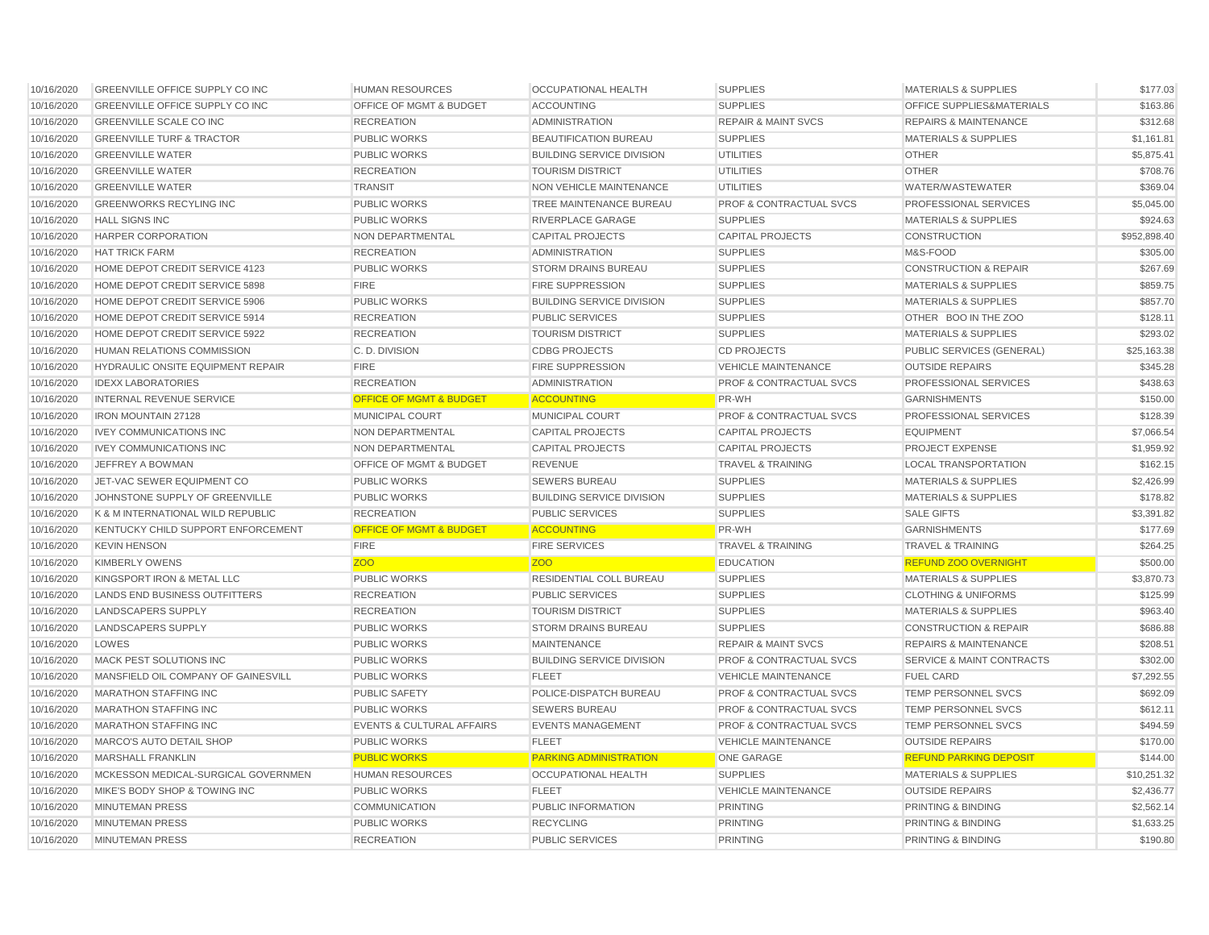| 10/16/2020 | <b>GREENVILLE OFFICE SUPPLY CO INC</b> | <b>HUMAN RESOURCES</b>               | <b>OCCUPATIONAL HEALTH</b>       | <b>SUPPLIES</b>                    | <b>MATERIALS &amp; SUPPLIES</b>      | \$177.03     |
|------------|----------------------------------------|--------------------------------------|----------------------------------|------------------------------------|--------------------------------------|--------------|
| 10/16/2020 | GREENVILLE OFFICE SUPPLY CO INC        | OFFICE OF MGMT & BUDGET              | <b>ACCOUNTING</b>                | <b>SUPPLIES</b>                    | OFFICE SUPPLIES&MATERIALS            | \$163.86     |
| 10/16/2020 | <b>GREENVILLE SCALE CO INC</b>         | <b>RECREATION</b>                    | <b>ADMINISTRATION</b>            | <b>REPAIR &amp; MAINT SVCS</b>     | <b>REPAIRS &amp; MAINTENANCE</b>     | \$312.68     |
| 10/16/2020 | <b>GREENVILLE TURF &amp; TRACTOR</b>   | <b>PUBLIC WORKS</b>                  | <b>BEAUTIFICATION BUREAU</b>     | <b>SUPPLIES</b>                    | <b>MATERIALS &amp; SUPPLIES</b>      | \$1,161.81   |
| 10/16/2020 | <b>GREENVILLE WATER</b>                | <b>PUBLIC WORKS</b>                  | <b>BUILDING SERVICE DIVISION</b> | <b>UTILITIES</b>                   | <b>OTHER</b>                         | \$5,875.41   |
| 10/16/2020 | <b>GREENVILLE WATER</b>                | <b>RECREATION</b>                    | <b>TOURISM DISTRICT</b>          | <b>UTILITIES</b>                   | <b>OTHER</b>                         | \$708.76     |
| 10/16/2020 | <b>GREENVILLE WATER</b>                | <b>TRANSIT</b>                       | <b>NON VEHICLE MAINTENANCE</b>   | <b>UTILITIES</b>                   | WATER/WASTEWATER                     | \$369.04     |
| 10/16/2020 | <b>GREENWORKS RECYLING INC</b>         | <b>PUBLIC WORKS</b>                  | TREE MAINTENANCE BUREAU          | <b>PROF &amp; CONTRACTUAL SVCS</b> | PROFESSIONAL SERVICES                | \$5,045.00   |
| 10/16/2020 | <b>HALL SIGNS INC</b>                  | <b>PUBLIC WORKS</b>                  | RIVERPLACE GARAGE                | <b>SUPPLIES</b>                    | <b>MATERIALS &amp; SUPPLIES</b>      | \$924.63     |
| 10/16/2020 | HARPER CORPORATION                     | NON DEPARTMENTAL                     | <b>CAPITAL PROJECTS</b>          | <b>CAPITAL PROJECTS</b>            | <b>CONSTRUCTION</b>                  | \$952,898.40 |
| 10/16/2020 | <b>HAT TRICK FARM</b>                  | <b>RECREATION</b>                    | <b>ADMINISTRATION</b>            | <b>SUPPLIES</b>                    | M&S-FOOD                             | \$305.00     |
| 10/16/2020 | HOME DEPOT CREDIT SERVICE 4123         | <b>PUBLIC WORKS</b>                  | <b>STORM DRAINS BUREAU</b>       | <b>SUPPLIES</b>                    | <b>CONSTRUCTION &amp; REPAIR</b>     | \$267.69     |
| 10/16/2020 | HOME DEPOT CREDIT SERVICE 5898         | <b>FIRE</b>                          | <b>FIRE SUPPRESSION</b>          | <b>SUPPLIES</b>                    | <b>MATERIALS &amp; SUPPLIES</b>      | \$859.75     |
| 10/16/2020 | HOME DEPOT CREDIT SERVICE 5906         | <b>PUBLIC WORKS</b>                  | <b>BUILDING SERVICE DIVISION</b> | <b>SUPPLIES</b>                    | <b>MATERIALS &amp; SUPPLIES</b>      | \$857.70     |
| 10/16/2020 | HOME DEPOT CREDIT SERVICE 5914         | <b>RECREATION</b>                    | <b>PUBLIC SERVICES</b>           | <b>SUPPLIES</b>                    | OTHER BOO IN THE ZOO                 | \$128.11     |
| 10/16/2020 | HOME DEPOT CREDIT SERVICE 5922         | <b>RECREATION</b>                    | <b>TOURISM DISTRICT</b>          | <b>SUPPLIES</b>                    | <b>MATERIALS &amp; SUPPLIES</b>      | \$293.02     |
| 10/16/2020 | <b>HUMAN RELATIONS COMMISSION</b>      | C.D. DIVISION                        | <b>CDBG PROJECTS</b>             | <b>CD PROJECTS</b>                 | PUBLIC SERVICES (GENERAL)            | \$25,163.38  |
| 10/16/2020 | HYDRAULIC ONSITE EQUIPMENT REPAIR      | <b>FIRE</b>                          | <b>FIRE SUPPRESSION</b>          | <b>VEHICLE MAINTENANCE</b>         | <b>OUTSIDE REPAIRS</b>               | \$345.28     |
| 10/16/2020 | <b>IDEXX LABORATORIES</b>              | <b>RECREATION</b>                    | <b>ADMINISTRATION</b>            | <b>PROF &amp; CONTRACTUAL SVCS</b> | PROFESSIONAL SERVICES                | \$438.63     |
| 10/16/2020 | <b>INTERNAL REVENUE SERVICE</b>        | <b>OFFICE OF MGMT &amp; BUDGET</b>   | <b>ACCOUNTING</b>                | PR-WH                              | <b>GARNISHMENTS</b>                  | \$150.00     |
| 10/16/2020 | <b>IRON MOUNTAIN 27128</b>             | <b>MUNICIPAL COURT</b>               | <b>MUNICIPAL COURT</b>           | <b>PROF &amp; CONTRACTUAL SVCS</b> | <b>PROFESSIONAL SERVICES</b>         | \$128.39     |
| 10/16/2020 | <b>IVEY COMMUNICATIONS INC</b>         | <b>NON DEPARTMENTAL</b>              | <b>CAPITAL PROJECTS</b>          | <b>CAPITAL PROJECTS</b>            | <b>EQUIPMENT</b>                     | \$7,066.54   |
| 10/16/2020 | <b>IVEY COMMUNICATIONS INC</b>         | NON DEPARTMENTAL                     | <b>CAPITAL PROJECTS</b>          | <b>CAPITAL PROJECTS</b>            | PROJECT EXPENSE                      | \$1,959.92   |
| 10/16/2020 | JEFFREY A BOWMAN                       | OFFICE OF MGMT & BUDGET              | <b>REVENUE</b>                   | <b>TRAVEL &amp; TRAINING</b>       | <b>LOCAL TRANSPORTATION</b>          | \$162.15     |
| 10/16/2020 | JET-VAC SEWER EQUIPMENT CO             | <b>PUBLIC WORKS</b>                  | <b>SEWERS BUREAU</b>             | <b>SUPPLIES</b>                    | <b>MATERIALS &amp; SUPPLIES</b>      | \$2,426.99   |
| 10/16/2020 | JOHNSTONE SUPPLY OF GREENVILLE         | <b>PUBLIC WORKS</b>                  | <b>BUILDING SERVICE DIVISION</b> | <b>SUPPLIES</b>                    | <b>MATERIALS &amp; SUPPLIES</b>      | \$178.82     |
| 10/16/2020 | K & M INTERNATIONAL WILD REPUBLIC      | <b>RECREATION</b>                    | PUBLIC SERVICES                  | <b>SUPPLIES</b>                    | <b>SALE GIFTS</b>                    | \$3,391.82   |
| 10/16/2020 | KENTUCKY CHILD SUPPORT ENFORCEMENT     | <b>OFFICE OF MGMT &amp; BUDGET</b>   | <b>ACCOUNTING</b>                | PR-WH                              | <b>GARNISHMENTS</b>                  | \$177.69     |
| 10/16/2020 | <b>KEVIN HENSON</b>                    | <b>FIRE</b>                          | <b>FIRE SERVICES</b>             | <b>TRAVEL &amp; TRAINING</b>       | <b>TRAVEL &amp; TRAINING</b>         | \$264.25     |
| 10/16/2020 | <b>KIMBERLY OWENS</b>                  | Z <sub>O</sub> O                     | 700                              | <b>EDUCATION</b>                   | <b>REFUND ZOO OVERNIGHT</b>          | \$500.00     |
| 10/16/2020 | KINGSPORT IRON & METAL LLC             | <b>PUBLIC WORKS</b>                  | <b>RESIDENTIAL COLL BUREAU</b>   | <b>SUPPLIES</b>                    | <b>MATERIALS &amp; SUPPLIES</b>      | \$3,870.73   |
| 10/16/2020 | <b>LANDS END BUSINESS OUTFITTERS</b>   | <b>RECREATION</b>                    | <b>PUBLIC SERVICES</b>           | <b>SUPPLIES</b>                    | <b>CLOTHING &amp; UNIFORMS</b>       | \$125.99     |
| 10/16/2020 | <b>LANDSCAPERS SUPPLY</b>              | <b>RECREATION</b>                    | <b>TOURISM DISTRICT</b>          | <b>SUPPLIES</b>                    | MATERIALS & SUPPLIES                 | \$963.40     |
| 10/16/2020 | LANDSCAPERS SUPPLY                     | <b>PUBLIC WORKS</b>                  | <b>STORM DRAINS BUREAU</b>       | <b>SUPPLIES</b>                    | <b>CONSTRUCTION &amp; REPAIR</b>     | \$686.88     |
| 10/16/2020 | LOWES                                  | <b>PUBLIC WORKS</b>                  | <b>MAINTENANCE</b>               | <b>REPAIR &amp; MAINT SVCS</b>     | <b>REPAIRS &amp; MAINTENANCE</b>     | \$208.51     |
| 10/16/2020 | <b>MACK PEST SOLUTIONS INC</b>         | <b>PUBLIC WORKS</b>                  | <b>BUILDING SERVICE DIVISION</b> | <b>PROF &amp; CONTRACTUAL SVCS</b> | <b>SERVICE &amp; MAINT CONTRACTS</b> | \$302.00     |
| 10/16/2020 | MANSFIELD OIL COMPANY OF GAINESVILL    | <b>PUBLIC WORKS</b>                  | <b>FLEET</b>                     | <b>VEHICLE MAINTENANCE</b>         | <b>FUEL CARD</b>                     | \$7,292.55   |
| 10/16/2020 | MARATHON STAFFING INC                  | <b>PUBLIC SAFETY</b>                 | POLICE-DISPATCH BUREAU           | <b>PROF &amp; CONTRACTUAL SVCS</b> | TEMP PERSONNEL SVCS                  | \$692.09     |
| 10/16/2020 | <b>MARATHON STAFFING INC</b>           | <b>PUBLIC WORKS</b>                  | <b>SEWERS BUREAU</b>             | <b>PROF &amp; CONTRACTUAL SVCS</b> | TEMP PERSONNEL SVCS                  | \$612.11     |
| 10/16/2020 | <b>MARATHON STAFFING INC</b>           | <b>EVENTS &amp; CULTURAL AFFAIRS</b> | <b>EVENTS MANAGEMENT</b>         | <b>PROF &amp; CONTRACTUAL SVCS</b> | TEMP PERSONNEL SVCS                  | \$494.59     |
| 10/16/2020 | MARCO'S AUTO DETAIL SHOP               | <b>PUBLIC WORKS</b>                  | <b>FLEET</b>                     | <b>VEHICLE MAINTENANCE</b>         | <b>OUTSIDE REPAIRS</b>               | \$170.00     |
| 10/16/2020 | <b>MARSHALL FRANKLIN</b>               | <b>PUBLIC WORKS</b>                  | <b>PARKING ADMINISTRATION</b>    | <b>ONE GARAGE</b>                  | <b>REFUND PARKING DEPOSIT</b>        | \$144.00     |
| 10/16/2020 | MCKESSON MEDICAL-SURGICAL GOVERNMEN    | <b>HUMAN RESOURCES</b>               | <b>OCCUPATIONAL HEALTH</b>       | <b>SUPPLIES</b>                    | <b>MATERIALS &amp; SUPPLIES</b>      | \$10,251.32  |
| 10/16/2020 | MIKE'S BODY SHOP & TOWING INC          | <b>PUBLIC WORKS</b>                  | <b>FLEET</b>                     | <b>VEHICLE MAINTENANCE</b>         | <b>OUTSIDE REPAIRS</b>               | \$2,436.77   |
| 10/16/2020 | <b>MINUTEMAN PRESS</b>                 | <b>COMMUNICATION</b>                 | PUBLIC INFORMATION               | <b>PRINTING</b>                    | PRINTING & BINDING                   | \$2,562.14   |
| 10/16/2020 | <b>MINUTEMAN PRESS</b>                 | <b>PUBLIC WORKS</b>                  | <b>RECYCLING</b>                 | <b>PRINTING</b>                    | <b>PRINTING &amp; BINDING</b>        | \$1.633.25   |
|            |                                        |                                      |                                  |                                    |                                      |              |
| 10/16/2020 | <b>MINUTEMAN PRESS</b>                 | <b>RECREATION</b>                    | <b>PUBLIC SERVICES</b>           | <b>PRINTING</b>                    | <b>PRINTING &amp; BINDING</b>        | \$190.80     |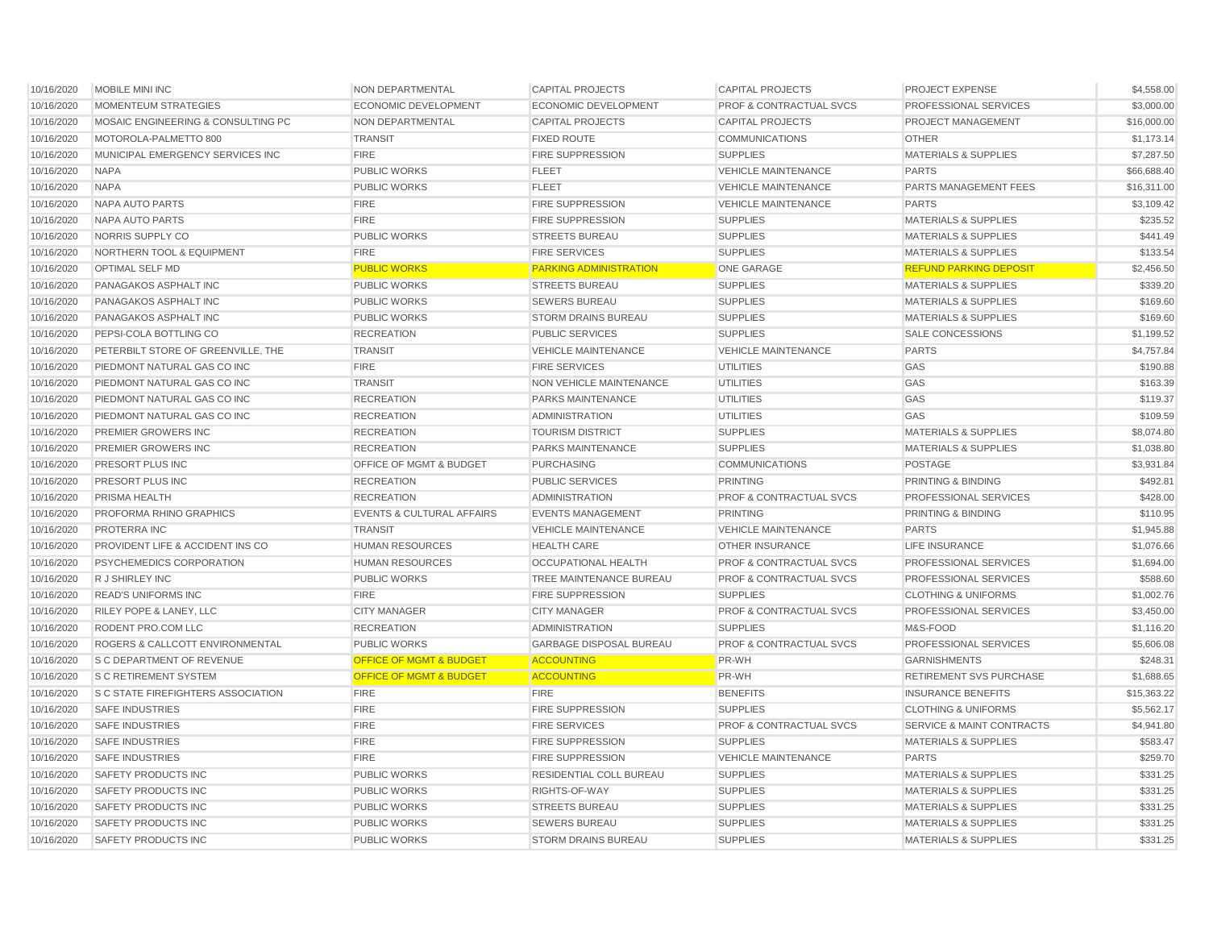| 10/16/2020 | MOBILE MINI INC                           | NON DEPARTMENTAL                     | <b>CAPITAL PROJECTS</b>        | <b>CAPITAL PROJECTS</b>            | PROJECT EXPENSE                      | \$4,558.00  |
|------------|-------------------------------------------|--------------------------------------|--------------------------------|------------------------------------|--------------------------------------|-------------|
| 10/16/2020 | <b>MOMENTEUM STRATEGIES</b>               | <b>ECONOMIC DEVELOPMENT</b>          | <b>ECONOMIC DEVELOPMENT</b>    | PROF & CONTRACTUAL SVCS            | PROFESSIONAL SERVICES                | \$3,000.00  |
| 10/16/2020 | MOSAIC ENGINEERING & CONSULTING PC        | NON DEPARTMENTAL                     | <b>CAPITAL PROJECTS</b>        | <b>CAPITAL PROJECTS</b>            | PROJECT MANAGEMENT                   | \$16,000.00 |
| 10/16/2020 | MOTOROLA-PALMETTO 800                     | <b>TRANSIT</b>                       | <b>FIXED ROUTE</b>             | <b>COMMUNICATIONS</b>              | <b>OTHER</b>                         | \$1,173.14  |
| 10/16/2020 | MUNICIPAL EMERGENCY SERVICES INC          | <b>FIRE</b>                          | <b>FIRE SUPPRESSION</b>        | <b>SUPPLIES</b>                    | <b>MATERIALS &amp; SUPPLIES</b>      | \$7,287.50  |
| 10/16/2020 | <b>NAPA</b>                               | <b>PUBLIC WORKS</b>                  | <b>FLEET</b>                   | <b>VEHICLE MAINTENANCE</b>         | <b>PARTS</b>                         | \$66,688.40 |
| 10/16/2020 | <b>NAPA</b>                               | <b>PUBLIC WORKS</b>                  | <b>FLEET</b>                   | <b>VEHICLE MAINTENANCE</b>         | PARTS MANAGEMENT FEES                | \$16,311.00 |
| 10/16/2020 | <b>NAPA AUTO PARTS</b>                    | <b>FIRE</b>                          | <b>FIRE SUPPRESSION</b>        | <b>VEHICLE MAINTENANCE</b>         | <b>PARTS</b>                         | \$3,109.42  |
| 10/16/2020 | <b>NAPA AUTO PARTS</b>                    | <b>FIRE</b>                          | <b>FIRE SUPPRESSION</b>        | <b>SUPPLIES</b>                    | <b>MATERIALS &amp; SUPPLIES</b>      | \$235.52    |
| 10/16/2020 | NORRIS SUPPLY CO                          | <b>PUBLIC WORKS</b>                  | <b>STREETS BUREAU</b>          | <b>SUPPLIES</b>                    | <b>MATERIALS &amp; SUPPLIES</b>      | \$441.49    |
| 10/16/2020 | NORTHERN TOOL & EQUIPMENT                 | <b>FIRE</b>                          | <b>FIRE SERVICES</b>           | <b>SUPPLIES</b>                    | <b>MATERIALS &amp; SUPPLIES</b>      | \$133.54    |
| 10/16/2020 | <b>OPTIMAL SELF MD</b>                    | <b>PUBLIC WORKS</b>                  | <b>PARKING ADMINISTRATION</b>  | <b>ONE GARAGE</b>                  | <b>REFUND PARKING DEPOSIT</b>        | \$2,456.50  |
| 10/16/2020 | PANAGAKOS ASPHALT INC                     | <b>PUBLIC WORKS</b>                  | <b>STREETS BUREAU</b>          | <b>SUPPLIES</b>                    | <b>MATERIALS &amp; SUPPLIES</b>      | \$339.20    |
| 10/16/2020 | PANAGAKOS ASPHALT INC                     | <b>PUBLIC WORKS</b>                  | <b>SEWERS BUREAU</b>           | <b>SUPPLIES</b>                    | <b>MATERIALS &amp; SUPPLIES</b>      | \$169.60    |
| 10/16/2020 | PANAGAKOS ASPHALT INC                     | <b>PUBLIC WORKS</b>                  | <b>STORM DRAINS BUREAU</b>     | <b>SUPPLIES</b>                    | <b>MATERIALS &amp; SUPPLIES</b>      | \$169.60    |
| 10/16/2020 | PEPSI-COLA BOTTLING CO                    | <b>RECREATION</b>                    | <b>PUBLIC SERVICES</b>         | <b>SUPPLIES</b>                    | SALE CONCESSIONS                     | \$1,199.52  |
| 10/16/2020 | PETERBILT STORE OF GREENVILLE, THE        | <b>TRANSIT</b>                       | <b>VEHICLE MAINTENANCE</b>     | <b>VEHICLE MAINTENANCE</b>         | <b>PARTS</b>                         | \$4,757.84  |
| 10/16/2020 | PIEDMONT NATURAL GAS CO INC               | <b>FIRE</b>                          | <b>FIRE SERVICES</b>           | <b>UTILITIES</b>                   | GAS                                  | \$190.88    |
| 10/16/2020 | PIEDMONT NATURAL GAS CO INC               | <b>TRANSIT</b>                       | NON VEHICLE MAINTENANCE        | <b>UTILITIES</b>                   | GAS                                  | \$163.39    |
| 10/16/2020 | PIEDMONT NATURAL GAS CO INC               | <b>RECREATION</b>                    | <b>PARKS MAINTENANCE</b>       | <b>UTILITIES</b>                   | GAS                                  | \$119.37    |
| 10/16/2020 | PIEDMONT NATURAL GAS CO INC               | <b>RECREATION</b>                    | <b>ADMINISTRATION</b>          | <b>UTILITIES</b>                   | GAS                                  | \$109.59    |
| 10/16/2020 | PREMIER GROWERS INC                       | <b>RECREATION</b>                    | <b>TOURISM DISTRICT</b>        | <b>SUPPLIES</b>                    | <b>MATERIALS &amp; SUPPLIES</b>      | \$8,074.80  |
| 10/16/2020 | <b>PREMIER GROWERS INC</b>                | <b>RECREATION</b>                    | PARKS MAINTENANCE              | <b>SUPPLIES</b>                    | <b>MATERIALS &amp; SUPPLIES</b>      | \$1,038.80  |
| 10/16/2020 | PRESORT PLUS INC                          | OFFICE OF MGMT & BUDGET              | <b>PURCHASING</b>              | <b>COMMUNICATIONS</b>              | <b>POSTAGE</b>                       | \$3,931.84  |
| 10/16/2020 | PRESORT PLUS INC                          | <b>RECREATION</b>                    | <b>PUBLIC SERVICES</b>         | <b>PRINTING</b>                    | PRINTING & BINDING                   | \$492.81    |
| 10/16/2020 | PRISMA HEALTH                             | <b>RECREATION</b>                    | <b>ADMINISTRATION</b>          | <b>PROF &amp; CONTRACTUAL SVCS</b> | PROFESSIONAL SERVICES                | \$428.00    |
| 10/16/2020 | PROFORMA RHINO GRAPHICS                   | <b>EVENTS &amp; CULTURAL AFFAIRS</b> | <b>EVENTS MANAGEMENT</b>       | <b>PRINTING</b>                    | PRINTING & BINDING                   | \$110.95    |
| 10/16/2020 | <b>PROTERRA INC</b>                       | <b>TRANSIT</b>                       | <b>VEHICLE MAINTENANCE</b>     | <b>VEHICLE MAINTENANCE</b>         | <b>PARTS</b>                         | \$1,945.88  |
| 10/16/2020 | PROVIDENT LIFE & ACCIDENT INS CO          | <b>HUMAN RESOURCES</b>               | <b>HEALTH CARE</b>             | <b>OTHER INSURANCE</b>             | <b>LIFE INSURANCE</b>                | \$1,076.66  |
| 10/16/2020 | PSYCHEMEDICS CORPORATION                  | <b>HUMAN RESOURCES</b>               | OCCUPATIONAL HEALTH            | <b>PROF &amp; CONTRACTUAL SVCS</b> | PROFESSIONAL SERVICES                | \$1,694.00  |
| 10/16/2020 | R J SHIRLEY INC                           | <b>PUBLIC WORKS</b>                  | TREE MAINTENANCE BUREAU        | <b>PROF &amp; CONTRACTUAL SVCS</b> | PROFESSIONAL SERVICES                | \$588.60    |
| 10/16/2020 | <b>READ'S UNIFORMS INC</b>                | <b>FIRE</b>                          | <b>FIRE SUPPRESSION</b>        | <b>SUPPLIES</b>                    | <b>CLOTHING &amp; UNIFORMS</b>       | \$1,002.76  |
| 10/16/2020 | RILEY POPE & LANEY, LLC                   | <b>CITY MANAGER</b>                  | <b>CITY MANAGER</b>            | <b>PROF &amp; CONTRACTUAL SVCS</b> | PROFESSIONAL SERVICES                | \$3,450.00  |
| 10/16/2020 | RODENT PRO.COM LLC                        | <b>RECREATION</b>                    | <b>ADMINISTRATION</b>          | <b>SUPPLIES</b>                    | M&S-FOOD                             | \$1,116.20  |
| 10/16/2020 | ROGERS & CALLCOTT ENVIRONMENTAL           | <b>PUBLIC WORKS</b>                  | <b>GARBAGE DISPOSAL BUREAU</b> | <b>PROF &amp; CONTRACTUAL SVCS</b> | PROFESSIONAL SERVICES                | \$5,606.08  |
| 10/16/2020 | S C DEPARTMENT OF REVENUE                 | <b>OFFICE OF MGMT &amp; BUDGET</b>   | <b>ACCOUNTING</b>              | <b>PR-WH</b>                       | <b>GARNISHMENTS</b>                  | \$248.31    |
| 10/16/2020 | <b>S C RETIREMENT SYSTEM</b>              | <b>OFFICE OF MGMT &amp; BUDGET</b>   | <b>ACCOUNTING</b>              | PR-WH                              | <b>RETIREMENT SVS PURCHASE</b>       | \$1,688.65  |
| 10/16/2020 | <b>S C STATE FIREFIGHTERS ASSOCIATION</b> | <b>FIRE</b>                          | <b>FIRE</b>                    | <b>BENEFITS</b>                    | <b>INSURANCE BENEFITS</b>            | \$15,363.22 |
| 10/16/2020 | <b>SAFE INDUSTRIES</b>                    | <b>FIRE</b>                          | <b>FIRE SUPPRESSION</b>        | <b>SUPPLIES</b>                    | <b>CLOTHING &amp; UNIFORMS</b>       | \$5,562.17  |
| 10/16/2020 | <b>SAFE INDUSTRIES</b>                    | <b>FIRE</b>                          | <b>FIRE SERVICES</b>           | <b>PROF &amp; CONTRACTUAL SVCS</b> | <b>SERVICE &amp; MAINT CONTRACTS</b> | \$4,941.80  |
| 10/16/2020 | <b>SAFE INDUSTRIES</b>                    | <b>FIRE</b>                          | <b>FIRE SUPPRESSION</b>        | <b>SUPPLIES</b>                    | <b>MATERIALS &amp; SUPPLIES</b>      | \$583.47    |
| 10/16/2020 | <b>SAFE INDUSTRIES</b>                    | <b>FIRE</b>                          | <b>FIRE SUPPRESSION</b>        | <b>VEHICLE MAINTENANCE</b>         | <b>PARTS</b>                         | \$259.70    |
| 10/16/2020 | <b>SAFETY PRODUCTS INC</b>                | <b>PUBLIC WORKS</b>                  | RESIDENTIAL COLL BUREAU        | <b>SUPPLIES</b>                    | <b>MATERIALS &amp; SUPPLIES</b>      | \$331.25    |
| 10/16/2020 | <b>SAFETY PRODUCTS INC</b>                | <b>PUBLIC WORKS</b>                  | RIGHTS-OF-WAY                  | <b>SUPPLIES</b>                    | <b>MATERIALS &amp; SUPPLIES</b>      | \$331.25    |
| 10/16/2020 | <b>SAFETY PRODUCTS INC</b>                | <b>PUBLIC WORKS</b>                  | <b>STREETS BUREAU</b>          | <b>SUPPLIES</b>                    | <b>MATERIALS &amp; SUPPLIES</b>      | \$331.25    |
| 10/16/2020 | <b>SAFETY PRODUCTS INC</b>                | <b>PUBLIC WORKS</b>                  | <b>SEWERS BUREAU</b>           | <b>SUPPLIES</b>                    | <b>MATERIALS &amp; SUPPLIES</b>      | \$331.25    |
| 10/16/2020 | <b>SAFETY PRODUCTS INC</b>                | <b>PUBLIC WORKS</b>                  | <b>STORM DRAINS BUREAU</b>     | <b>SUPPLIES</b>                    | <b>MATERIALS &amp; SUPPLIES</b>      | \$331.25    |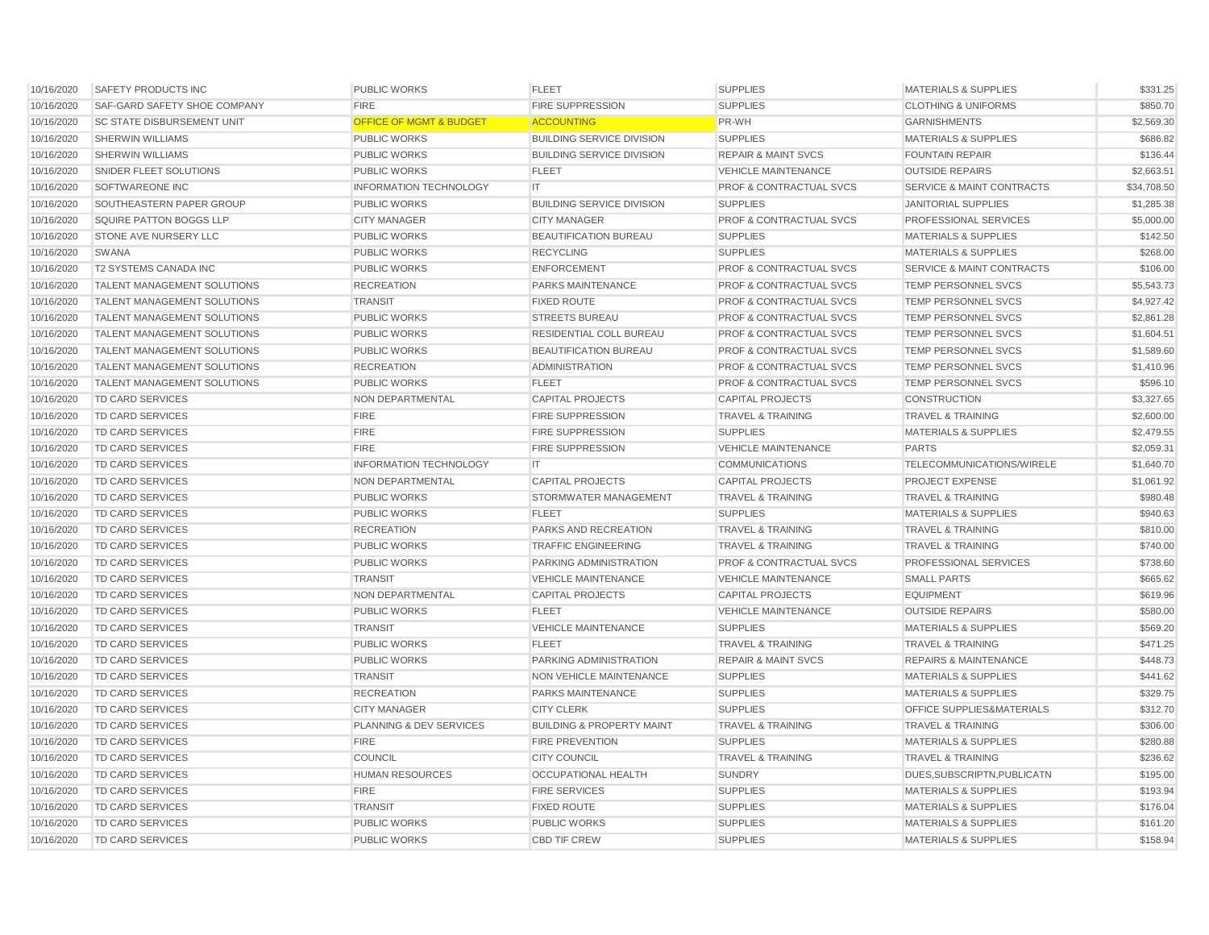| 10/16/2020 | <b>SAFETY PRODUCTS INC</b>         | <b>PUBLIC WORKS</b>                | <b>FLEET</b>                         | <b>SUPPLIES</b>                    | <b>MATERIALS &amp; SUPPLIES</b>      | \$331.25    |
|------------|------------------------------------|------------------------------------|--------------------------------------|------------------------------------|--------------------------------------|-------------|
| 10/16/2020 | SAF-GARD SAFETY SHOE COMPANY       | <b>FIRE</b>                        | <b>FIRE SUPPRESSION</b>              | <b>SUPPLIES</b>                    | <b>CLOTHING &amp; UNIFORMS</b>       | \$850.70    |
| 10/16/2020 | <b>SC STATE DISBURSEMENT UNIT</b>  | <b>OFFICE OF MGMT &amp; BUDGET</b> | <b>ACCOUNTING</b>                    | PR-WH                              | <b>GARNISHMENTS</b>                  | \$2,569.30  |
| 10/16/2020 | <b>SHERWIN WILLIAMS</b>            | <b>PUBLIC WORKS</b>                | <b>BUILDING SERVICE DIVISION</b>     | <b>SUPPLIES</b>                    | <b>MATERIALS &amp; SUPPLIES</b>      | \$686.82    |
| 10/16/2020 | <b>SHERWIN WILLIAMS</b>            | <b>PUBLIC WORKS</b>                | <b>BUILDING SERVICE DIVISION</b>     | <b>REPAIR &amp; MAINT SVCS</b>     | <b>FOUNTAIN REPAIR</b>               | \$136.44    |
| 10/16/2020 | SNIDER FLEET SOLUTIONS             | <b>PUBLIC WORKS</b>                | <b>FLEET</b>                         | <b>VEHICLE MAINTENANCE</b>         | <b>OUTSIDE REPAIRS</b>               | \$2,663.51  |
| 10/16/2020 | SOFTWAREONE INC                    | <b>INFORMATION TECHNOLOGY</b>      | IT                                   | <b>PROF &amp; CONTRACTUAL SVCS</b> | SERVICE & MAINT CONTRACTS            | \$34,708.50 |
| 10/16/2020 | SOUTHEASTERN PAPER GROUP           | <b>PUBLIC WORKS</b>                | <b>BUILDING SERVICE DIVISION</b>     | <b>SUPPLIES</b>                    | <b>JANITORIAL SUPPLIES</b>           | \$1,285.38  |
| 10/16/2020 | SQUIRE PATTON BOGGS LLP            | <b>CITY MANAGER</b>                | <b>CITY MANAGER</b>                  | <b>PROF &amp; CONTRACTUAL SVCS</b> | PROFESSIONAL SERVICES                | \$5,000.00  |
| 10/16/2020 | STONE AVE NURSERY LLC              | <b>PUBLIC WORKS</b>                | BEAUTIFICATION BUREAU                | <b>SUPPLIES</b>                    | <b>MATERIALS &amp; SUPPLIES</b>      | \$142.50    |
| 10/16/2020 | <b>SWANA</b>                       | <b>PUBLIC WORKS</b>                | <b>RECYCLING</b>                     | <b>SUPPLIES</b>                    | <b>MATERIALS &amp; SUPPLIES</b>      | \$268.00    |
| 10/16/2020 | <b>T2 SYSTEMS CANADA INC</b>       | <b>PUBLIC WORKS</b>                | <b>ENFORCEMENT</b>                   | <b>PROF &amp; CONTRACTUAL SVCS</b> | <b>SERVICE &amp; MAINT CONTRACTS</b> | \$106.00    |
| 10/16/2020 | <b>TALENT MANAGEMENT SOLUTIONS</b> | <b>RECREATION</b>                  | PARKS MAINTENANCE                    | <b>PROF &amp; CONTRACTUAL SVCS</b> | <b>TEMP PERSONNEL SVCS</b>           | \$5,543.73  |
| 10/16/2020 | <b>TALENT MANAGEMENT SOLUTIONS</b> | <b>TRANSIT</b>                     | <b>FIXED ROUTE</b>                   | <b>PROF &amp; CONTRACTUAL SVCS</b> | <b>TEMP PERSONNEL SVCS</b>           | \$4,927.42  |
| 10/16/2020 | <b>TALENT MANAGEMENT SOLUTIONS</b> | <b>PUBLIC WORKS</b>                | <b>STREETS BUREAU</b>                | <b>PROF &amp; CONTRACTUAL SVCS</b> | TEMP PERSONNEL SVCS                  | \$2,861.28  |
| 10/16/2020 | <b>TALENT MANAGEMENT SOLUTIONS</b> | <b>PUBLIC WORKS</b>                | <b>RESIDENTIAL COLL BUREAU</b>       | <b>PROF &amp; CONTRACTUAL SVCS</b> | <b>TEMP PERSONNEL SVCS</b>           | \$1,604.51  |
| 10/16/2020 | <b>TALENT MANAGEMENT SOLUTIONS</b> | <b>PUBLIC WORKS</b>                | <b>BEAUTIFICATION BUREAU</b>         | <b>PROF &amp; CONTRACTUAL SVCS</b> | <b>TEMP PERSONNEL SVCS</b>           | \$1,589.60  |
| 10/16/2020 | <b>TALENT MANAGEMENT SOLUTIONS</b> | <b>RECREATION</b>                  | <b>ADMINISTRATION</b>                | <b>PROF &amp; CONTRACTUAL SVCS</b> | <b>TEMP PERSONNEL SVCS</b>           | \$1,410.96  |
| 10/16/2020 | <b>TALENT MANAGEMENT SOLUTIONS</b> | <b>PUBLIC WORKS</b>                | <b>FLEET</b>                         | <b>PROF &amp; CONTRACTUAL SVCS</b> | <b>TEMP PERSONNEL SVCS</b>           | \$596.10    |
| 10/16/2020 | <b>TD CARD SERVICES</b>            | NON DEPARTMENTAL                   | <b>CAPITAL PROJECTS</b>              | <b>CAPITAL PROJECTS</b>            | <b>CONSTRUCTION</b>                  | \$3,327.65  |
| 10/16/2020 | <b>TD CARD SERVICES</b>            | <b>FIRE</b>                        | <b>FIRE SUPPRESSION</b>              | <b>TRAVEL &amp; TRAINING</b>       | <b>TRAVEL &amp; TRAINING</b>         | \$2,600.00  |
| 10/16/2020 | <b>TD CARD SERVICES</b>            | <b>FIRE</b>                        | <b>FIRE SUPPRESSION</b>              | <b>SUPPLIES</b>                    | <b>MATERIALS &amp; SUPPLIES</b>      | \$2,479.55  |
| 10/16/2020 | TD CARD SERVICES                   | <b>FIRE</b>                        | <b>FIRE SUPPRESSION</b>              | <b>VEHICLE MAINTENANCE</b>         | <b>PARTS</b>                         | \$2,059.31  |
| 10/16/2020 | <b>TD CARD SERVICES</b>            | <b>INFORMATION TECHNOLOGY</b>      | IT.                                  | <b>COMMUNICATIONS</b>              | TELECOMMUNICATIONS/WIRELE            | \$1,640.70  |
| 10/16/2020 | <b>TD CARD SERVICES</b>            | NON DEPARTMENTAL                   | <b>CAPITAL PROJECTS</b>              | <b>CAPITAL PROJECTS</b>            | PROJECT EXPENSE                      | \$1,061.92  |
| 10/16/2020 | <b>TD CARD SERVICES</b>            | <b>PUBLIC WORKS</b>                | STORMWATER MANAGEMENT                | <b>TRAVEL &amp; TRAINING</b>       | <b>TRAVEL &amp; TRAINING</b>         | \$980.48    |
| 10/16/2020 | <b>TD CARD SERVICES</b>            | <b>PUBLIC WORKS</b>                | <b>FLEET</b>                         | <b>SUPPLIES</b>                    | <b>MATERIALS &amp; SUPPLIES</b>      | \$940.63    |
| 10/16/2020 | <b>TD CARD SERVICES</b>            | <b>RECREATION</b>                  | PARKS AND RECREATION                 | <b>TRAVEL &amp; TRAINING</b>       | <b>TRAVEL &amp; TRAINING</b>         | \$810.00    |
| 10/16/2020 | <b>TD CARD SERVICES</b>            | <b>PUBLIC WORKS</b>                | <b>TRAFFIC ENGINEERING</b>           | <b>TRAVEL &amp; TRAINING</b>       | <b>TRAVEL &amp; TRAINING</b>         | \$740.00    |
| 10/16/2020 | <b>TD CARD SERVICES</b>            | <b>PUBLIC WORKS</b>                | PARKING ADMINISTRATION               | <b>PROF &amp; CONTRACTUAL SVCS</b> | PROFESSIONAL SERVICES                | \$738.60    |
| 10/16/2020 | <b>TD CARD SERVICES</b>            | <b>TRANSIT</b>                     | <b>VEHICLE MAINTENANCE</b>           | <b>VEHICLE MAINTENANCE</b>         | <b>SMALL PARTS</b>                   | \$665.62    |
| 10/16/2020 | <b>TD CARD SERVICES</b>            | NON DEPARTMENTAL                   | <b>CAPITAL PROJECTS</b>              | <b>CAPITAL PROJECTS</b>            | <b>EQUIPMENT</b>                     | \$619.96    |
| 10/16/2020 | <b>TD CARD SERVICES</b>            | <b>PUBLIC WORKS</b>                | <b>FLEET</b>                         | <b>VEHICLE MAINTENANCE</b>         | <b>OUTSIDE REPAIRS</b>               | \$580.00    |
| 10/16/2020 | <b>TD CARD SERVICES</b>            | <b>TRANSIT</b>                     | <b>VEHICLE MAINTENANCE</b>           | <b>SUPPLIES</b>                    | <b>MATERIALS &amp; SUPPLIES</b>      | \$569.20    |
| 10/16/2020 | <b>TD CARD SERVICES</b>            | <b>PUBLIC WORKS</b>                | <b>FLEET</b>                         | <b>TRAVEL &amp; TRAINING</b>       | <b>TRAVEL &amp; TRAINING</b>         | \$471.25    |
| 10/16/2020 | <b>TD CARD SERVICES</b>            | <b>PUBLIC WORKS</b>                | PARKING ADMINISTRATION               | <b>REPAIR &amp; MAINT SVCS</b>     | <b>REPAIRS &amp; MAINTENANCE</b>     | \$448.73    |
| 10/16/2020 | <b>TD CARD SERVICES</b>            | <b>TRANSIT</b>                     | <b>NON VEHICLE MAINTENANCE</b>       | <b>SUPPLIES</b>                    | <b>MATERIALS &amp; SUPPLIES</b>      | \$441.62    |
| 10/16/2020 | <b>TD CARD SERVICES</b>            | <b>RECREATION</b>                  | PARKS MAINTENANCE                    | <b>SUPPLIES</b>                    | <b>MATERIALS &amp; SUPPLIES</b>      | \$329.75    |
| 10/16/2020 | <b>TD CARD SERVICES</b>            | <b>CITY MANAGER</b>                | <b>CITY CLERK</b>                    | <b>SUPPLIES</b>                    | OFFICE SUPPLIES&MATERIALS            | \$312.70    |
| 10/16/2020 | <b>TD CARD SERVICES</b>            | PLANNING & DEV SERVICES            | <b>BUILDING &amp; PROPERTY MAINT</b> | <b>TRAVEL &amp; TRAINING</b>       | <b>TRAVEL &amp; TRAINING</b>         | \$306.00    |
| 10/16/2020 | <b>TD CARD SERVICES</b>            | <b>FIRE</b>                        | FIRE PREVENTION                      | <b>SUPPLIES</b>                    | <b>MATERIALS &amp; SUPPLIES</b>      | \$280.88    |
| 10/16/2020 | <b>TD CARD SERVICES</b>            | <b>COUNCIL</b>                     | <b>CITY COUNCIL</b>                  | <b>TRAVEL &amp; TRAINING</b>       | <b>TRAVEL &amp; TRAINING</b>         | \$236.62    |
| 10/16/2020 | TD CARD SERVICES                   | <b>HUMAN RESOURCES</b>             | <b>OCCUPATIONAL HEALTH</b>           | <b>SUNDRY</b>                      | DUES, SUBSCRIPTN, PUBLICATN          | \$195.00    |
| 10/16/2020 | <b>TD CARD SERVICES</b>            | <b>FIRE</b>                        | <b>FIRE SERVICES</b>                 | <b>SUPPLIES</b>                    | MATERIALS & SUPPLIES                 | \$193.94    |
| 10/16/2020 | <b>TD CARD SERVICES</b>            | <b>TRANSIT</b>                     | <b>FIXED ROUTE</b>                   | <b>SUPPLIES</b>                    | <b>MATERIALS &amp; SUPPLIES</b>      | \$176.04    |
| 10/16/2020 | TD CARD SERVICES                   | <b>PUBLIC WORKS</b>                | <b>PUBLIC WORKS</b>                  | <b>SUPPLIES</b>                    | <b>MATERIALS &amp; SUPPLIES</b>      | \$161.20    |
| 10/16/2020 | <b>TD CARD SERVICES</b>            | <b>PUBLIC WORKS</b>                | <b>CBD TIF CREW</b>                  | <b>SUPPLIES</b>                    | <b>MATERIALS &amp; SUPPLIES</b>      | \$158.94    |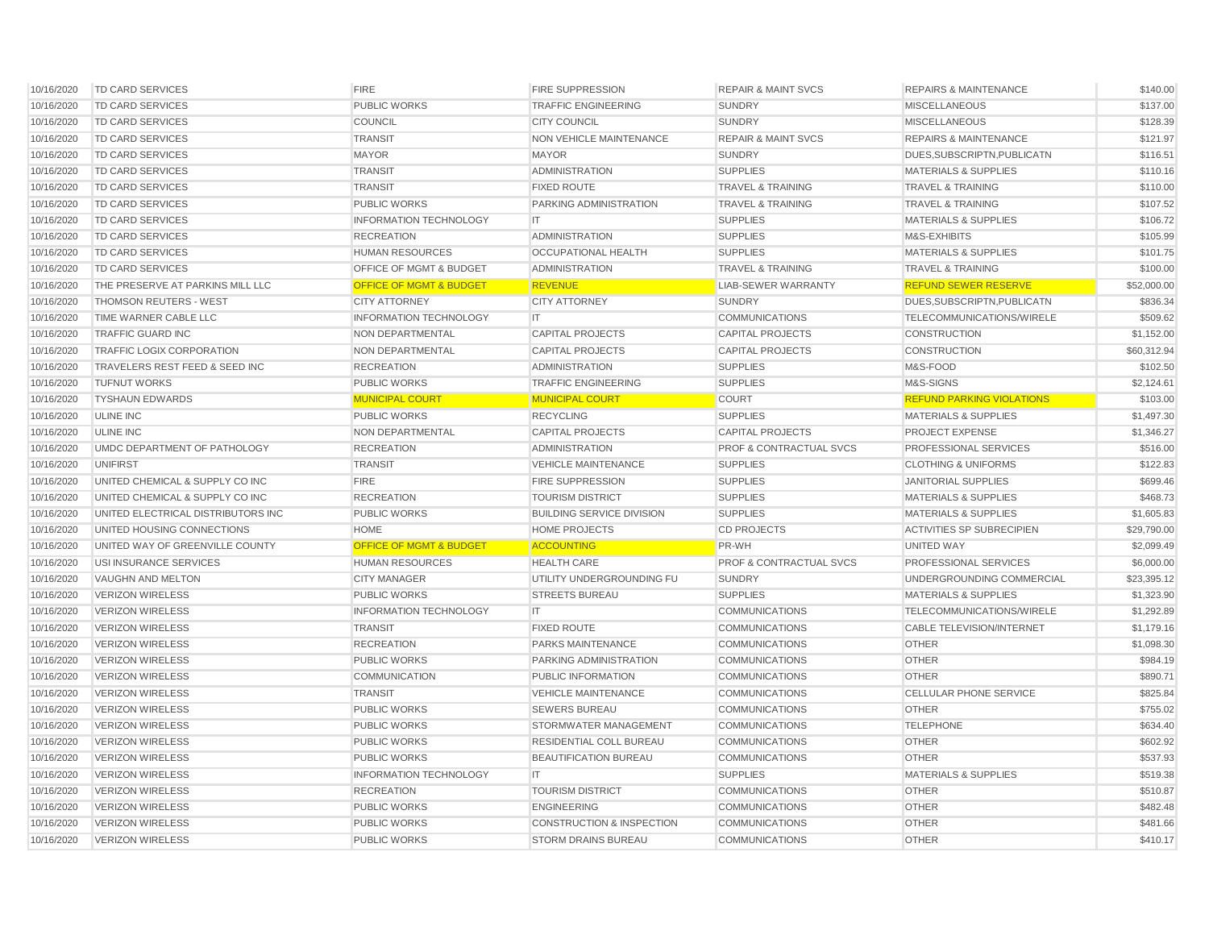| 10/16/2020 | <b>TD CARD SERVICES</b>            | <b>FIRE</b>                        | <b>FIRE SUPPRESSION</b>              | <b>REPAIR &amp; MAINT SVCS</b>     | <b>REPAIRS &amp; MAINTENANCE</b> | \$140.00    |
|------------|------------------------------------|------------------------------------|--------------------------------------|------------------------------------|----------------------------------|-------------|
| 10/16/2020 | <b>TD CARD SERVICES</b>            | <b>PUBLIC WORKS</b>                | <b>TRAFFIC ENGINEERING</b>           | <b>SUNDRY</b>                      | <b>MISCELLANEOUS</b>             | \$137.00    |
| 10/16/2020 | TD CARD SERVICES                   | COUNCIL                            | <b>CITY COUNCIL</b>                  | <b>SUNDRY</b>                      | <b>MISCELLANEOUS</b>             | \$128.39    |
| 10/16/2020 | <b>TD CARD SERVICES</b>            | <b>TRANSIT</b>                     | <b>NON VEHICLE MAINTENANCE</b>       | <b>REPAIR &amp; MAINT SVCS</b>     | <b>REPAIRS &amp; MAINTENANCE</b> | \$121.97    |
| 10/16/2020 | <b>TD CARD SERVICES</b>            | <b>MAYOR</b>                       | <b>MAYOR</b>                         | <b>SUNDRY</b>                      | DUES, SUBSCRIPTN, PUBLICATN      | \$116.51    |
| 10/16/2020 | <b>TD CARD SERVICES</b>            | <b>TRANSIT</b>                     | <b>ADMINISTRATION</b>                | <b>SUPPLIES</b>                    | <b>MATERIALS &amp; SUPPLIES</b>  | \$110.16    |
| 10/16/2020 | <b>TD CARD SERVICES</b>            | <b>TRANSIT</b>                     | <b>FIXED ROUTE</b>                   | <b>TRAVEL &amp; TRAINING</b>       | <b>TRAVEL &amp; TRAINING</b>     | \$110.00    |
| 10/16/2020 | TD CARD SERVICES                   | <b>PUBLIC WORKS</b>                | <b>PARKING ADMINISTRATION</b>        | <b>TRAVEL &amp; TRAINING</b>       | <b>TRAVEL &amp; TRAINING</b>     | \$107.52    |
| 10/16/2020 | TD CARD SERVICES                   | <b>INFORMATION TECHNOLOGY</b>      | IT                                   | <b>SUPPLIES</b>                    | <b>MATERIALS &amp; SUPPLIES</b>  | \$106.72    |
| 10/16/2020 | TD CARD SERVICES                   | <b>RECREATION</b>                  | <b>ADMINISTRATION</b>                | <b>SUPPLIES</b>                    | M&S-EXHIBITS                     | \$105.99    |
| 10/16/2020 | <b>TD CARD SERVICES</b>            | <b>HUMAN RESOURCES</b>             | <b>OCCUPATIONAL HEALTH</b>           | <b>SUPPLIES</b>                    | <b>MATERIALS &amp; SUPPLIES</b>  | \$101.75    |
| 10/16/2020 | <b>TD CARD SERVICES</b>            | <b>OFFICE OF MGMT &amp; BUDGET</b> | <b>ADMINISTRATION</b>                | <b>TRAVEL &amp; TRAINING</b>       | <b>TRAVEL &amp; TRAINING</b>     | \$100.00    |
| 10/16/2020 | THE PRESERVE AT PARKINS MILL LLC   | <b>OFFICE OF MGMT &amp; BUDGET</b> | <b>REVENUE</b>                       | <b>LIAB-SEWER WARRANTY</b>         | <b>REFUND SEWER RESERVE</b>      | \$52,000.00 |
| 10/16/2020 | THOMSON REUTERS - WEST             | <b>CITY ATTORNEY</b>               | <b>CITY ATTORNEY</b>                 | <b>SUNDRY</b>                      | DUES, SUBSCRIPTN, PUBLICATN      | \$836.34    |
| 10/16/2020 | TIME WARNER CABLE LLC              | <b>INFORMATION TECHNOLOGY</b>      | IT                                   | <b>COMMUNICATIONS</b>              | TELECOMMUNICATIONS/WIRELE        | \$509.62    |
| 10/16/2020 | <b>TRAFFIC GUARD INC</b>           | NON DEPARTMENTAL                   | <b>CAPITAL PROJECTS</b>              | <b>CAPITAL PROJECTS</b>            | <b>CONSTRUCTION</b>              | \$1,152.00  |
| 10/16/2020 | TRAFFIC LOGIX CORPORATION          | <b>NON DEPARTMENTAL</b>            | <b>CAPITAL PROJECTS</b>              | <b>CAPITAL PROJECTS</b>            | <b>CONSTRUCTION</b>              | \$60,312.94 |
| 10/16/2020 | TRAVELERS REST FEED & SEED INC     | <b>RECREATION</b>                  | <b>ADMINISTRATION</b>                | <b>SUPPLIES</b>                    | M&S-FOOD                         | \$102.50    |
| 10/16/2020 | <b>TUFNUT WORKS</b>                | <b>PUBLIC WORKS</b>                | <b>TRAFFIC ENGINEERING</b>           | <b>SUPPLIES</b>                    | M&S-SIGNS                        | \$2,124.61  |
| 10/16/2020 | <b>TYSHAUN EDWARDS</b>             | <b>MUNICIPAL COURT</b>             | <b>MUNICIPAL COURT</b>               | <b>COURT</b>                       | <b>REFUND PARKING VIOLATIONS</b> | \$103.00    |
| 10/16/2020 | <b>ULINE INC</b>                   | <b>PUBLIC WORKS</b>                | <b>RECYCLING</b>                     | <b>SUPPLIES</b>                    | <b>MATERIALS &amp; SUPPLIES</b>  | \$1,497.30  |
| 10/16/2020 | <b>ULINE INC</b>                   | <b>NON DEPARTMENTAL</b>            | <b>CAPITAL PROJECTS</b>              | <b>CAPITAL PROJECTS</b>            | PROJECT EXPENSE                  | \$1,346.27  |
| 10/16/2020 | UMDC DEPARTMENT OF PATHOLOGY       | <b>RECREATION</b>                  | <b>ADMINISTRATION</b>                | <b>PROF &amp; CONTRACTUAL SVCS</b> | PROFESSIONAL SERVICES            | \$516.00    |
| 10/16/2020 | <b>UNIFIRST</b>                    | <b>TRANSIT</b>                     | <b>VEHICLE MAINTENANCE</b>           | <b>SUPPLIES</b>                    | <b>CLOTHING &amp; UNIFORMS</b>   | \$122.83    |
| 10/16/2020 | UNITED CHEMICAL & SUPPLY CO INC    | <b>FIRE</b>                        | <b>FIRE SUPPRESSION</b>              | <b>SUPPLIES</b>                    | <b>JANITORIAL SUPPLIES</b>       | \$699.46    |
| 10/16/2020 | UNITED CHEMICAL & SUPPLY CO INC    | <b>RECREATION</b>                  | <b>TOURISM DISTRICT</b>              | <b>SUPPLIES</b>                    | <b>MATERIALS &amp; SUPPLIES</b>  | \$468.73    |
| 10/16/2020 | UNITED ELECTRICAL DISTRIBUTORS INC | <b>PUBLIC WORKS</b>                | <b>BUILDING SERVICE DIVISION</b>     | <b>SUPPLIES</b>                    | <b>MATERIALS &amp; SUPPLIES</b>  | \$1,605.83  |
| 10/16/2020 | UNITED HOUSING CONNECTIONS         | <b>HOME</b>                        | <b>HOME PROJECTS</b>                 | <b>CD PROJECTS</b>                 | <b>ACTIVITIES SP SUBRECIPIEN</b> | \$29,790.00 |
| 10/16/2020 | UNITED WAY OF GREENVILLE COUNTY    | <b>OFFICE OF MGMT &amp; BUDGET</b> | <b>ACCOUNTING</b>                    | PR-WH                              | UNITED WAY                       | \$2,099.49  |
| 10/16/2020 | USI INSURANCE SERVICES             | <b>HUMAN RESOURCES</b>             | <b>HEALTH CARE</b>                   | <b>PROF &amp; CONTRACTUAL SVCS</b> | PROFESSIONAL SERVICES            | \$6,000.00  |
| 10/16/2020 | VAUGHN AND MELTON                  | <b>CITY MANAGER</b>                | UTILITY UNDERGROUNDING FU            | <b>SUNDRY</b>                      | UNDERGROUNDING COMMERCIAL        | \$23,395.12 |
| 10/16/2020 | <b>VERIZON WIRELESS</b>            | <b>PUBLIC WORKS</b>                | <b>STREETS BUREAU</b>                | <b>SUPPLIES</b>                    | <b>MATERIALS &amp; SUPPLIES</b>  | \$1,323.90  |
| 10/16/2020 | <b>VERIZON WIRELESS</b>            | <b>INFORMATION TECHNOLOGY</b>      | IT                                   | <b>COMMUNICATIONS</b>              | TELECOMMUNICATIONS/WIRELE        | \$1,292.89  |
| 10/16/2020 | <b>VERIZON WIRELESS</b>            | TRANSIT                            | <b>FIXED ROUTE</b>                   | <b>COMMUNICATIONS</b>              | CABLE TELEVISION/INTERNET        | \$1,179.16  |
| 10/16/2020 | <b>VERIZON WIRELESS</b>            | <b>RECREATION</b>                  | <b>PARKS MAINTENANCE</b>             | <b>COMMUNICATIONS</b>              | <b>OTHER</b>                     | \$1,098.30  |
| 10/16/2020 | <b>VERIZON WIRELESS</b>            | <b>PUBLIC WORKS</b>                | PARKING ADMINISTRATION               | <b>COMMUNICATIONS</b>              | <b>OTHER</b>                     | \$984.19    |
| 10/16/2020 | <b>VERIZON WIRELESS</b>            | <b>COMMUNICATION</b>               | PUBLIC INFORMATION                   | <b>COMMUNICATIONS</b>              | <b>OTHER</b>                     | \$890.71    |
| 10/16/2020 | <b>VERIZON WIRELESS</b>            | <b>TRANSIT</b>                     | <b>VEHICLE MAINTENANCE</b>           | <b>COMMUNICATIONS</b>              | CELLULAR PHONE SERVICE           | \$825.84    |
| 10/16/2020 | <b>VERIZON WIRELESS</b>            | <b>PUBLIC WORKS</b>                | <b>SEWERS BUREAU</b>                 | <b>COMMUNICATIONS</b>              | <b>OTHER</b>                     | \$755.02    |
| 10/16/2020 | <b>VERIZON WIRELESS</b>            | <b>PUBLIC WORKS</b>                | <b>STORMWATER MANAGEMENT</b>         | <b>COMMUNICATIONS</b>              | <b>TELEPHONE</b>                 | \$634.40    |
| 10/16/2020 | <b>VERIZON WIRELESS</b>            | <b>PUBLIC WORKS</b>                | RESIDENTIAL COLL BUREAU              | <b>COMMUNICATIONS</b>              | <b>OTHER</b>                     | \$602.92    |
| 10/16/2020 | <b>VERIZON WIRELESS</b>            | <b>PUBLIC WORKS</b>                | <b>BEAUTIFICATION BUREAU</b>         | <b>COMMUNICATIONS</b>              | <b>OTHER</b>                     | \$537.93    |
| 10/16/2020 | <b>VERIZON WIRELESS</b>            | <b>INFORMATION TECHNOLOGY</b>      | IT.                                  | <b>SUPPLIES</b>                    | <b>MATERIALS &amp; SUPPLIES</b>  | \$519.38    |
| 10/16/2020 | <b>VERIZON WIRELESS</b>            | <b>RECREATION</b>                  | <b>TOURISM DISTRICT</b>              | <b>COMMUNICATIONS</b>              | <b>OTHER</b>                     | \$510.87    |
| 10/16/2020 | <b>VERIZON WIRELESS</b>            | <b>PUBLIC WORKS</b>                | <b>ENGINEERING</b>                   | <b>COMMUNICATIONS</b>              | <b>OTHER</b>                     | \$482.48    |
| 10/16/2020 | <b>VERIZON WIRELESS</b>            | <b>PUBLIC WORKS</b>                | <b>CONSTRUCTION &amp; INSPECTION</b> | <b>COMMUNICATIONS</b>              | <b>OTHER</b>                     | \$481.66    |
| 10/16/2020 | <b>VERIZON WIRELESS</b>            | <b>PUBLIC WORKS</b>                | <b>STORM DRAINS BUREAU</b>           | <b>COMMUNICATIONS</b>              | <b>OTHER</b>                     | \$410.17    |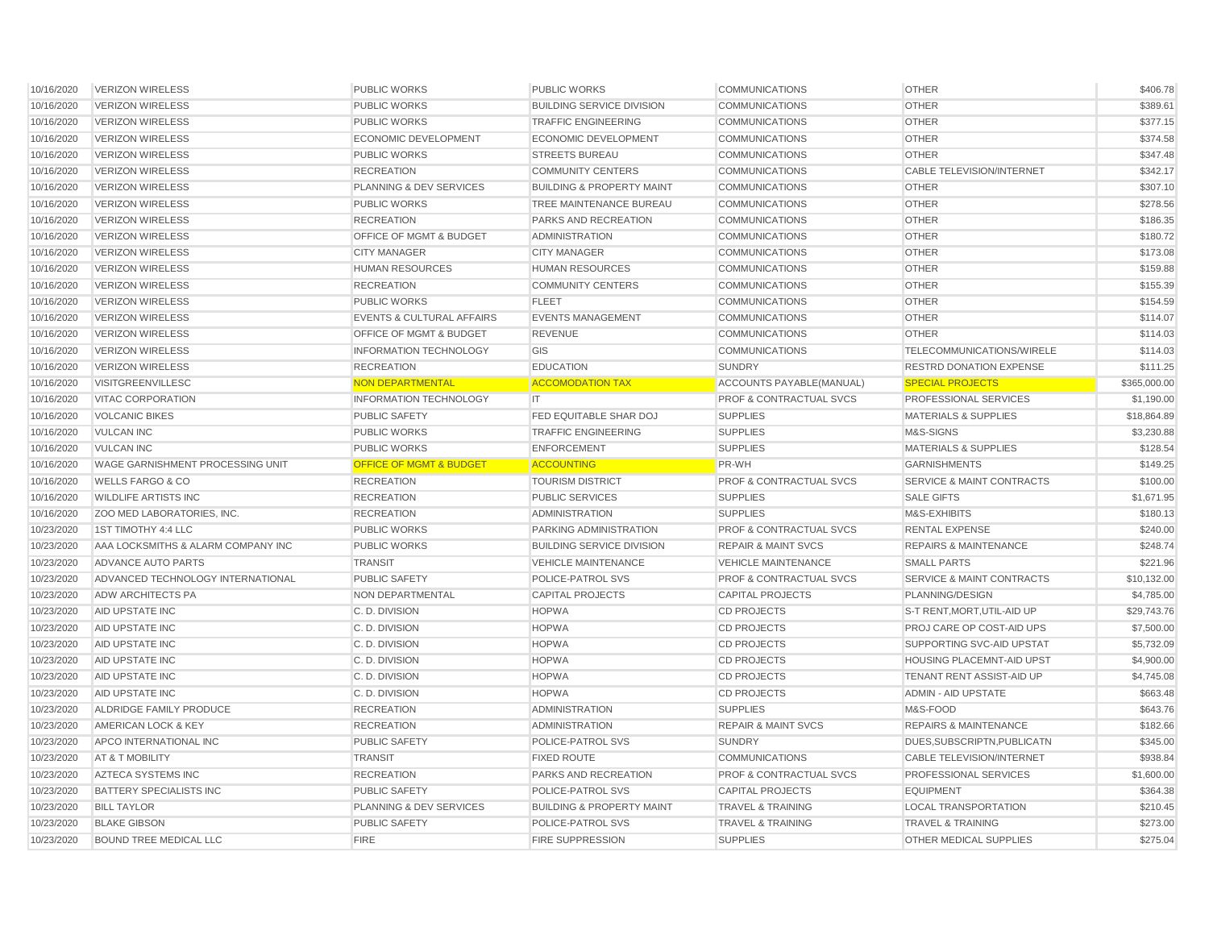| 10/16/2020               | VERIZON WIRELESS                                     | <b>PUBLIC WORKS</b>                  | <b>PUBLIC WORKS</b>                          | <b>COMMUNICATIONS</b>                           | <b>OTHER</b>                                           | \$406.78             |
|--------------------------|------------------------------------------------------|--------------------------------------|----------------------------------------------|-------------------------------------------------|--------------------------------------------------------|----------------------|
| 10/16/2020               | <b>VERIZON WIRELESS</b>                              | <b>PUBLIC WORKS</b>                  | <b>BUILDING SERVICE DIVISION</b>             | <b>COMMUNICATIONS</b>                           | <b>OTHER</b>                                           | \$389.61             |
| 10/16/2020               | <b>VERIZON WIRELESS</b>                              | <b>PUBLIC WORKS</b>                  | <b>TRAFFIC ENGINEERING</b>                   | <b>COMMUNICATIONS</b>                           | <b>OTHER</b>                                           | \$377.15             |
| 10/16/2020               | <b>VERIZON WIRELESS</b>                              | <b>ECONOMIC DEVELOPMENT</b>          | <b>ECONOMIC DEVELOPMENT</b>                  | <b>COMMUNICATIONS</b>                           | <b>OTHER</b>                                           | \$374.58             |
| 10/16/2020               | <b>VERIZON WIRELESS</b>                              | <b>PUBLIC WORKS</b>                  | <b>STREETS BUREAU</b>                        | <b>COMMUNICATIONS</b>                           | <b>OTHER</b>                                           | \$347.48             |
| 10/16/2020               | <b>VERIZON WIRELESS</b>                              | <b>RECREATION</b>                    | <b>COMMUNITY CENTERS</b>                     | <b>COMMUNICATIONS</b>                           | CABLE TELEVISION/INTERNET                              | \$342.17             |
| 10/16/2020               | <b>VERIZON WIRELESS</b>                              | PLANNING & DEV SERVICES              | <b>BUILDING &amp; PROPERTY MAINT</b>         | <b>COMMUNICATIONS</b>                           | <b>OTHER</b>                                           | \$307.10             |
| 10/16/2020               | <b>VERIZON WIRELESS</b>                              | <b>PUBLIC WORKS</b>                  | TREE MAINTENANCE BUREAU                      | <b>COMMUNICATIONS</b>                           | <b>OTHER</b>                                           | \$278.56             |
| 10/16/2020               | <b>VERIZON WIRELESS</b>                              | <b>RECREATION</b>                    | PARKS AND RECREATION                         | <b>COMMUNICATIONS</b>                           | <b>OTHER</b>                                           | \$186.35             |
| 10/16/2020               | <b>VERIZON WIRELESS</b>                              | OFFICE OF MGMT & BUDGET              | <b>ADMINISTRATION</b>                        | <b>COMMUNICATIONS</b>                           | <b>OTHER</b>                                           | \$180.72             |
| 10/16/2020               | <b>VERIZON WIRELESS</b>                              | <b>CITY MANAGER</b>                  | <b>CITY MANAGER</b>                          | <b>COMMUNICATIONS</b>                           | <b>OTHER</b>                                           | \$173.08             |
| 10/16/2020               | <b>VERIZON WIRELESS</b>                              | <b>HUMAN RESOURCES</b>               | <b>HUMAN RESOURCES</b>                       | <b>COMMUNICATIONS</b>                           | <b>OTHER</b>                                           | \$159.88             |
| 10/16/2020               | <b>VERIZON WIRELESS</b>                              | <b>RECREATION</b>                    | <b>COMMUNITY CENTERS</b>                     | <b>COMMUNICATIONS</b>                           | <b>OTHER</b>                                           | \$155.39             |
| 10/16/2020               | <b>VERIZON WIRELESS</b>                              | <b>PUBLIC WORKS</b>                  | <b>FLEET</b>                                 | <b>COMMUNICATIONS</b>                           | <b>OTHER</b>                                           | \$154.59             |
| 10/16/2020               | <b>VERIZON WIRELESS</b>                              | <b>EVENTS &amp; CULTURAL AFFAIRS</b> | <b>EVENTS MANAGEMENT</b>                     | <b>COMMUNICATIONS</b>                           | <b>OTHER</b>                                           | \$114.07             |
| 10/16/2020               | <b>VERIZON WIRELESS</b>                              | OFFICE OF MGMT & BUDGET              | <b>REVENUE</b>                               | <b>COMMUNICATIONS</b>                           | <b>OTHER</b>                                           | \$114.03             |
| 10/16/2020               | <b>VERIZON WIRELESS</b>                              | <b>INFORMATION TECHNOLOGY</b>        | GIS                                          | <b>COMMUNICATIONS</b>                           | TELECOMMUNICATIONS/WIRELE                              | \$114.03             |
| 10/16/2020               | <b>VERIZON WIRELESS</b>                              | <b>RECREATION</b>                    | <b>EDUCATION</b>                             | <b>SUNDRY</b>                                   | <b>RESTRD DONATION EXPENSE</b>                         | \$111.25             |
| 10/16/2020               | <b>VISITGREENVILLESC</b>                             | <b>NON DEPARTMENTAL</b>              | <b>ACCOMODATION TAX</b>                      | ACCOUNTS PAYABLE(MANUAL)                        | <b>SPECIAL PROJECTS</b>                                | \$365,000.00         |
| 10/16/2020               | <b>VITAC CORPORATION</b>                             | <b>INFORMATION TECHNOLOGY</b>        | IT.                                          | <b>PROF &amp; CONTRACTUAL SVCS</b>              | PROFESSIONAL SERVICES                                  | \$1,190.00           |
| 10/16/2020               | <b>VOLCANIC BIKES</b>                                | <b>PUBLIC SAFETY</b>                 | FED EQUITABLE SHAR DOJ                       | <b>SUPPLIES</b>                                 | <b>MATERIALS &amp; SUPPLIES</b>                        | \$18,864.89          |
| 10/16/2020               | <b>VULCAN INC</b>                                    | <b>PUBLIC WORKS</b>                  | <b>TRAFFIC ENGINEERING</b>                   | <b>SUPPLIES</b>                                 | M&S-SIGNS                                              | \$3,230.88           |
| 10/16/2020               | <b>VULCAN INC</b>                                    | <b>PUBLIC WORKS</b>                  | <b>ENFORCEMENT</b>                           | <b>SUPPLIES</b>                                 | <b>MATERIALS &amp; SUPPLIES</b>                        | \$128.54             |
| 10/16/2020               | WAGE GARNISHMENT PROCESSING UNIT                     | <b>OFFICE OF MGMT &amp; BUDGET</b>   | <b>ACCOUNTING</b>                            | PR-WH                                           | <b>GARNISHMENTS</b>                                    | \$149.25             |
| 10/16/2020               | <b>WELLS FARGO &amp; CO</b>                          | <b>RECREATION</b>                    | <b>TOURISM DISTRICT</b>                      | <b>PROF &amp; CONTRACTUAL SVCS</b>              | <b>SERVICE &amp; MAINT CONTRACTS</b>                   | \$100.00             |
| 10/16/2020               | <b>WILDLIFE ARTISTS INC</b>                          | <b>RECREATION</b>                    | PUBLIC SERVICES                              | <b>SUPPLIES</b>                                 | <b>SALE GIFTS</b>                                      | \$1,671.95           |
| 10/16/2020               | ZOO MED LABORATORIES, INC.                           | <b>RECREATION</b>                    | <b>ADMINISTRATION</b>                        | <b>SUPPLIES</b>                                 | M&S-EXHIBITS                                           | \$180.13             |
| 10/23/2020               | 1ST TIMOTHY 4:4 LLC                                  | <b>PUBLIC WORKS</b>                  | PARKING ADMINISTRATION                       | <b>PROF &amp; CONTRACTUAL SVCS</b>              | <b>RENTAL EXPENSE</b>                                  | \$240.00             |
| 10/23/2020               | AAA LOCKSMITHS & ALARM COMPANY INC                   |                                      |                                              |                                                 |                                                        | \$248.74             |
| 10/23/2020               |                                                      | <b>PUBLIC WORKS</b>                  | <b>BUILDING SERVICE DIVISION</b>             | <b>REPAIR &amp; MAINT SVCS</b>                  | <b>REPAIRS &amp; MAINTENANCE</b>                       |                      |
|                          | ADVANCE AUTO PARTS                                   | <b>TRANSIT</b>                       | <b>VEHICLE MAINTENANCE</b>                   | <b>VEHICLE MAINTENANCE</b>                      | <b>SMALL PARTS</b>                                     | \$221.96             |
| 10/23/2020               | ADVANCED TECHNOLOGY INTERNATIONAL                    | <b>PUBLIC SAFETY</b>                 | POLICE-PATROL SVS                            | <b>PROF &amp; CONTRACTUAL SVCS</b>              | <b>SERVICE &amp; MAINT CONTRACTS</b>                   | \$10,132.00          |
| 10/23/2020               | <b>ADW ARCHITECTS PA</b>                             | NON DEPARTMENTAL                     | <b>CAPITAL PROJECTS</b>                      | <b>CAPITAL PROJECTS</b>                         | PLANNING/DESIGN                                        | \$4,785.00           |
| 10/23/2020               | AID UPSTATE INC                                      | C. D. DIVISION                       | <b>HOPWA</b>                                 | <b>CD PROJECTS</b>                              | S-T RENT, MORT, UTIL-AID UP                            | \$29,743.76          |
| 10/23/2020               | AID UPSTATE INC                                      | C. D. DIVISION                       | <b>HOPWA</b>                                 | <b>CD PROJECTS</b>                              | PROJ CARE OP COST-AID UPS                              | \$7,500.00           |
| 10/23/2020               | AID UPSTATE INC                                      | C.D. DIVISION                        | <b>HOPWA</b>                                 | <b>CD PROJECTS</b>                              | SUPPORTING SVC-AID UPSTAT                              | \$5,732.09           |
| 10/23/2020               | AID UPSTATE INC                                      | C.D. DIVISION                        | <b>HOPWA</b>                                 | <b>CD PROJECTS</b>                              | HOUSING PLACEMNT-AID UPST                              | \$4,900.00           |
| 10/23/2020               | AID UPSTATE INC                                      | C.D. DIVISION                        | <b>HOPWA</b>                                 | <b>CD PROJECTS</b>                              | TENANT RENT ASSIST-AID UP                              | \$4,745.08           |
| 10/23/2020               | AID UPSTATE INC                                      | C. D. DIVISION                       | <b>HOPWA</b>                                 | <b>CD PROJECTS</b>                              | <b>ADMIN - AID UPSTATE</b>                             | \$663.48             |
| 10/23/2020               | ALDRIDGE FAMILY PRODUCE                              | <b>RECREATION</b>                    | <b>ADMINISTRATION</b>                        | <b>SUPPLIES</b>                                 | M&S-FOOD                                               | \$643.76             |
| 10/23/2020               | AMERICAN LOCK & KEY                                  | <b>RECREATION</b>                    | <b>ADMINISTRATION</b>                        | <b>REPAIR &amp; MAINT SVCS</b>                  | <b>REPAIRS &amp; MAINTENANCE</b>                       | \$182.66             |
| 10/23/2020               | APCO INTERNATIONAL INC                               | <b>PUBLIC SAFETY</b>                 | POLICE-PATROL SVS                            | <b>SUNDRY</b>                                   | DUES, SUBSCRIPTN, PUBLICATN                            | \$345.00             |
| 10/23/2020               | AT & T MOBILITY                                      | <b>TRANSIT</b>                       | <b>FIXED ROUTE</b>                           | <b>COMMUNICATIONS</b>                           | CABLE TELEVISION/INTERNET                              | \$938.84             |
| 10/23/2020               | AZTECA SYSTEMS INC                                   | <b>RECREATION</b>                    | <b>PARKS AND RECREATION</b>                  | <b>PROF &amp; CONTRACTUAL SVCS</b>              | <b>PROFESSIONAL SERVICES</b>                           | \$1,600.00           |
| 10/23/2020               | <b>BATTERY SPECIALISTS INC</b>                       | <b>PUBLIC SAFETY</b>                 | POLICE-PATROL SVS                            | <b>CAPITAL PROJECTS</b>                         | <b>EQUIPMENT</b>                                       | \$364.38             |
| 10/23/2020               | <b>BILL TAYLOR</b>                                   | PLANNING & DEV SERVICES              | <b>BUILDING &amp; PROPERTY MAINT</b>         | <b>TRAVEL &amp; TRAINING</b>                    | <b>LOCAL TRANSPORTATION</b>                            | \$210.45             |
| 10/23/2020<br>10/23/2020 | <b>BLAKE GIBSON</b><br><b>BOUND TREE MEDICAL LLC</b> | <b>PUBLIC SAFETY</b><br><b>FIRE</b>  | POLICE-PATROL SVS<br><b>FIRE SUPPRESSION</b> | <b>TRAVEL &amp; TRAINING</b><br><b>SUPPLIES</b> | <b>TRAVEL &amp; TRAINING</b><br>OTHER MEDICAL SUPPLIES | \$273.00<br>\$275.04 |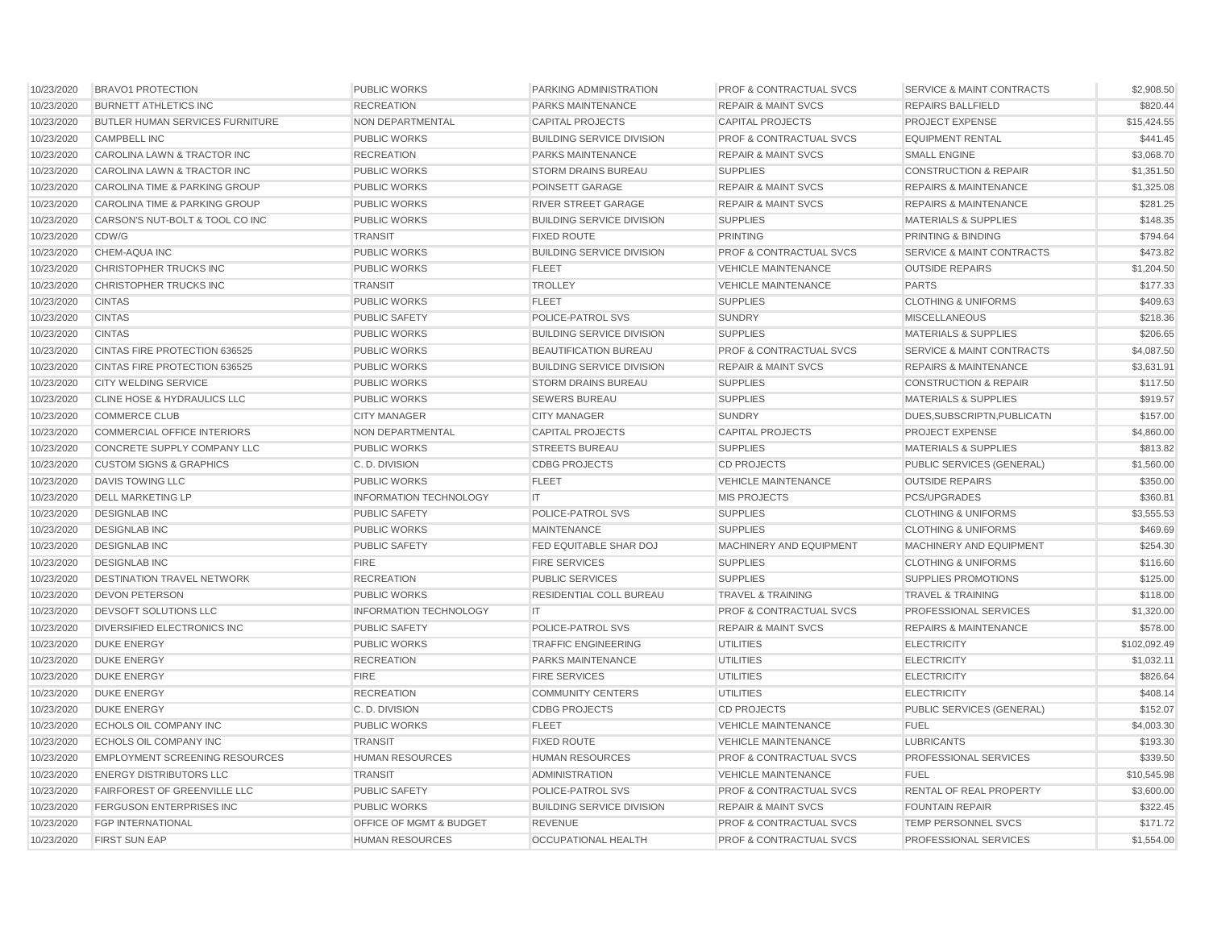| 10/23/2020 | <b>BRAVO1 PROTECTION</b>              | <b>PUBLIC WORKS</b>           | PARKING ADMINISTRATION           | <b>PROF &amp; CONTRACTUAL SVCS</b> | <b>SERVICE &amp; MAINT CONTRACTS</b> | \$2,908.50   |
|------------|---------------------------------------|-------------------------------|----------------------------------|------------------------------------|--------------------------------------|--------------|
| 10/23/2020 | <b>BURNETT ATHLETICS INC</b>          | <b>RECREATION</b>             | <b>PARKS MAINTENANCE</b>         | <b>REPAIR &amp; MAINT SVCS</b>     | <b>REPAIRS BALLFIELD</b>             | \$820.44     |
| 10/23/2020 | BUTLER HUMAN SERVICES FURNITURE       | NON DEPARTMENTAL              | <b>CAPITAL PROJECTS</b>          | <b>CAPITAL PROJECTS</b>            | PROJECT EXPENSE                      | \$15,424.55  |
| 10/23/2020 | <b>CAMPBELL INC</b>                   | <b>PUBLIC WORKS</b>           | <b>BUILDING SERVICE DIVISION</b> | <b>PROF &amp; CONTRACTUAL SVCS</b> | <b>EQUIPMENT RENTAL</b>              | \$441.45     |
| 10/23/2020 | CAROLINA LAWN & TRACTOR INC           | <b>RECREATION</b>             | PARKS MAINTENANCE                | <b>REPAIR &amp; MAINT SVCS</b>     | <b>SMALL ENGINE</b>                  | \$3,068.70   |
| 10/23/2020 | CAROLINA LAWN & TRACTOR INC           | <b>PUBLIC WORKS</b>           | <b>STORM DRAINS BUREAU</b>       | <b>SUPPLIES</b>                    | <b>CONSTRUCTION &amp; REPAIR</b>     | \$1,351.50   |
| 10/23/2020 | CAROLINA TIME & PARKING GROUP         | <b>PUBLIC WORKS</b>           | POINSETT GARAGE                  | <b>REPAIR &amp; MAINT SVCS</b>     | <b>REPAIRS &amp; MAINTENANCE</b>     | \$1,325.08   |
| 10/23/2020 | CAROLINA TIME & PARKING GROUP         | <b>PUBLIC WORKS</b>           | RIVER STREET GARAGE              | <b>REPAIR &amp; MAINT SVCS</b>     | <b>REPAIRS &amp; MAINTENANCE</b>     | \$281.25     |
| 10/23/2020 | CARSON'S NUT-BOLT & TOOL CO INC       | <b>PUBLIC WORKS</b>           | <b>BUILDING SERVICE DIVISION</b> | <b>SUPPLIES</b>                    | <b>MATERIALS &amp; SUPPLIES</b>      | \$148.35     |
| 10/23/2020 | CDW/G                                 | <b>TRANSIT</b>                | <b>FIXED ROUTE</b>               | <b>PRINTING</b>                    | <b>PRINTING &amp; BINDING</b>        | \$794.64     |
| 10/23/2020 | CHEM-AQUA INC                         | <b>PUBLIC WORKS</b>           | <b>BUILDING SERVICE DIVISION</b> | <b>PROF &amp; CONTRACTUAL SVCS</b> | <b>SERVICE &amp; MAINT CONTRACTS</b> | \$473.82     |
| 10/23/2020 | CHRISTOPHER TRUCKS INC                | <b>PUBLIC WORKS</b>           | <b>FLEET</b>                     | <b>VEHICLE MAINTENANCE</b>         | <b>OUTSIDE REPAIRS</b>               | \$1,204.50   |
| 10/23/2020 | CHRISTOPHER TRUCKS INC                | <b>TRANSIT</b>                | <b>TROLLEY</b>                   | <b>VEHICLE MAINTENANCE</b>         | <b>PARTS</b>                         | \$177.33     |
| 10/23/2020 | <b>CINTAS</b>                         | <b>PUBLIC WORKS</b>           | <b>FLEET</b>                     | <b>SUPPLIES</b>                    | <b>CLOTHING &amp; UNIFORMS</b>       | \$409.63     |
| 10/23/2020 | <b>CINTAS</b>                         | <b>PUBLIC SAFETY</b>          | POLICE-PATROL SVS                | <b>SUNDRY</b>                      | <b>MISCELLANEOUS</b>                 | \$218.36     |
| 10/23/2020 | <b>CINTAS</b>                         | <b>PUBLIC WORKS</b>           | <b>BUILDING SERVICE DIVISION</b> | <b>SUPPLIES</b>                    | <b>MATERIALS &amp; SUPPLIES</b>      | \$206.65     |
| 10/23/2020 | CINTAS FIRE PROTECTION 636525         | <b>PUBLIC WORKS</b>           | BEAUTIFICATION BUREAU            | <b>PROF &amp; CONTRACTUAL SVCS</b> | SERVICE & MAINT CONTRACTS            | \$4,087.50   |
| 10/23/2020 | CINTAS FIRE PROTECTION 636525         | <b>PUBLIC WORKS</b>           | <b>BUILDING SERVICE DIVISION</b> | <b>REPAIR &amp; MAINT SVCS</b>     | <b>REPAIRS &amp; MAINTENANCE</b>     | \$3,631.91   |
| 10/23/2020 | <b>CITY WELDING SERVICE</b>           | <b>PUBLIC WORKS</b>           | <b>STORM DRAINS BUREAU</b>       | <b>SUPPLIES</b>                    | <b>CONSTRUCTION &amp; REPAIR</b>     | \$117.50     |
| 10/23/2020 | CLINE HOSE & HYDRAULICS LLC           | <b>PUBLIC WORKS</b>           | <b>SEWERS BUREAU</b>             | <b>SUPPLIES</b>                    | <b>MATERIALS &amp; SUPPLIES</b>      | \$919.57     |
| 10/23/2020 | <b>COMMERCE CLUB</b>                  | <b>CITY MANAGER</b>           | <b>CITY MANAGER</b>              | <b>SUNDRY</b>                      | DUES, SUBSCRIPTN, PUBLICATN          | \$157.00     |
| 10/23/2020 | COMMERCIAL OFFICE INTERIORS           | NON DEPARTMENTAL              | <b>CAPITAL PROJECTS</b>          | <b>CAPITAL PROJECTS</b>            | <b>PROJECT EXPENSE</b>               | \$4.860.00   |
| 10/23/2020 | <b>CONCRETE SUPPLY COMPANY LLC</b>    | <b>PUBLIC WORKS</b>           | <b>STREETS BUREAU</b>            | <b>SUPPLIES</b>                    | <b>MATERIALS &amp; SUPPLIES</b>      | \$813.82     |
| 10/23/2020 | <b>CUSTOM SIGNS &amp; GRAPHICS</b>    | C.D. DIVISION                 | <b>CDBG PROJECTS</b>             | <b>CD PROJECTS</b>                 | PUBLIC SERVICES (GENERAL)            | \$1,560.00   |
| 10/23/2020 | <b>DAVIS TOWING LLC</b>               | <b>PUBLIC WORKS</b>           | <b>FLEET</b>                     | <b>VEHICLE MAINTENANCE</b>         | <b>OUTSIDE REPAIRS</b>               | \$350.00     |
| 10/23/2020 | <b>DELL MARKETING LP</b>              | <b>INFORMATION TECHNOLOGY</b> | <b>IT</b>                        | <b>MIS PROJECTS</b>                | PCS/UPGRADES                         | \$360.81     |
| 10/23/2020 | <b>DESIGNLAB INC</b>                  | <b>PUBLIC SAFETY</b>          | POLICE-PATROL SVS                | <b>SUPPLIES</b>                    | <b>CLOTHING &amp; UNIFORMS</b>       | \$3,555.53   |
| 10/23/2020 | <b>DESIGNLAB INC</b>                  | <b>PUBLIC WORKS</b>           | <b>MAINTENANCE</b>               | <b>SUPPLIES</b>                    | <b>CLOTHING &amp; UNIFORMS</b>       | \$469.69     |
| 10/23/2020 | <b>DESIGNLAB INC</b>                  | PUBLIC SAFETY                 | FED EQUITABLE SHAR DOJ           | MACHINERY AND EQUIPMENT            | MACHINERY AND EQUIPMENT              | \$254.30     |
| 10/23/2020 | <b>DESIGNLAB INC</b>                  | <b>FIRE</b>                   | <b>FIRE SERVICES</b>             | <b>SUPPLIES</b>                    | <b>CLOTHING &amp; UNIFORMS</b>       | \$116.60     |
| 10/23/2020 | <b>DESTINATION TRAVEL NETWORK</b>     | <b>RECREATION</b>             | <b>PUBLIC SERVICES</b>           | <b>SUPPLIES</b>                    | <b>SUPPLIES PROMOTIONS</b>           | \$125.00     |
| 10/23/2020 | <b>DEVON PETERSON</b>                 | <b>PUBLIC WORKS</b>           | <b>RESIDENTIAL COLL BUREAU</b>   | <b>TRAVEL &amp; TRAINING</b>       | <b>TRAVEL &amp; TRAINING</b>         | \$118.00     |
| 10/23/2020 | <b>DEVSOFT SOLUTIONS LLC</b>          | <b>INFORMATION TECHNOLOGY</b> | IT                               | <b>PROF &amp; CONTRACTUAL SVCS</b> | <b>PROFESSIONAL SERVICES</b>         | \$1,320.00   |
| 10/23/2020 | DIVERSIFIED ELECTRONICS INC           | <b>PUBLIC SAFETY</b>          | POLICE-PATROL SVS                | <b>REPAIR &amp; MAINT SVCS</b>     | <b>REPAIRS &amp; MAINTENANCE</b>     | \$578.00     |
| 10/23/2020 | <b>DUKE ENERGY</b>                    | <b>PUBLIC WORKS</b>           | <b>TRAFFIC ENGINEERING</b>       | <b>UTILITIES</b>                   | <b>ELECTRICITY</b>                   | \$102,092.49 |
| 10/23/2020 | <b>DUKE ENERGY</b>                    | <b>RECREATION</b>             | <b>PARKS MAINTENANCE</b>         | <b>UTILITIES</b>                   | <b>ELECTRICITY</b>                   | \$1,032.11   |
| 10/23/2020 | <b>DUKE ENERGY</b>                    | <b>FIRE</b>                   | <b>FIRE SERVICES</b>             | <b>UTILITIES</b>                   | <b>ELECTRICITY</b>                   | \$826.64     |
| 10/23/2020 | <b>DUKE ENERGY</b>                    | <b>RECREATION</b>             | <b>COMMUNITY CENTERS</b>         | <b>UTILITIES</b>                   | <b>ELECTRICITY</b>                   | \$408.14     |
| 10/23/2020 | <b>DUKE ENERGY</b>                    | C.D. DIVISION                 | <b>CDBG PROJECTS</b>             | <b>CD PROJECTS</b>                 | PUBLIC SERVICES (GENERAL)            | \$152.07     |
| 10/23/2020 | ECHOLS OIL COMPANY INC                | PUBLIC WORKS                  | <b>FLEET</b>                     | <b>VEHICLE MAINTENANCE</b>         | <b>FUEL</b>                          | \$4,003.30   |
| 10/23/2020 | <b>ECHOLS OIL COMPANY INC</b>         | <b>TRANSIT</b>                | <b>FIXED ROUTE</b>               | <b>VEHICLE MAINTENANCE</b>         | <b>LUBRICANTS</b>                    | \$193.30     |
| 10/23/2020 | <b>EMPLOYMENT SCREENING RESOURCES</b> | <b>HUMAN RESOURCES</b>        | <b>HUMAN RESOURCES</b>           | <b>PROF &amp; CONTRACTUAL SVCS</b> | <b>PROFESSIONAL SERVICES</b>         | \$339.50     |
| 10/23/2020 | <b>ENERGY DISTRIBUTORS LLC</b>        | <b>TRANSIT</b>                | <b>ADMINISTRATION</b>            | <b>VEHICLE MAINTENANCE</b>         | <b>FUEL</b>                          | \$10,545.98  |
| 10/23/2020 | FAIRFOREST OF GREENVILLE LLC          | <b>PUBLIC SAFETY</b>          | POLICE-PATROL SVS                | <b>PROF &amp; CONTRACTUAL SVCS</b> | RENTAL OF REAL PROPERTY              | \$3,600.00   |
| 10/23/2020 | <b>FERGUSON ENTERPRISES INC</b>       | <b>PUBLIC WORKS</b>           | <b>BUILDING SERVICE DIVISION</b> | <b>REPAIR &amp; MAINT SVCS</b>     | <b>FOUNTAIN REPAIR</b>               | \$322.45     |
| 10/23/2020 | <b>FGP INTERNATIONAL</b>              | OFFICE OF MGMT & BUDGET       | <b>REVENUE</b>                   | PROF & CONTRACTUAL SVCS            | TEMP PERSONNEL SVCS                  | \$171.72     |
| 10/23/2020 | <b>FIRST SUN EAP</b>                  | HUMAN RESOURCES               | <b>OCCUPATIONAL HEALTH</b>       | <b>PROF &amp; CONTRACTUAL SVCS</b> | PROFESSIONAL SERVICES                | \$1,554.00   |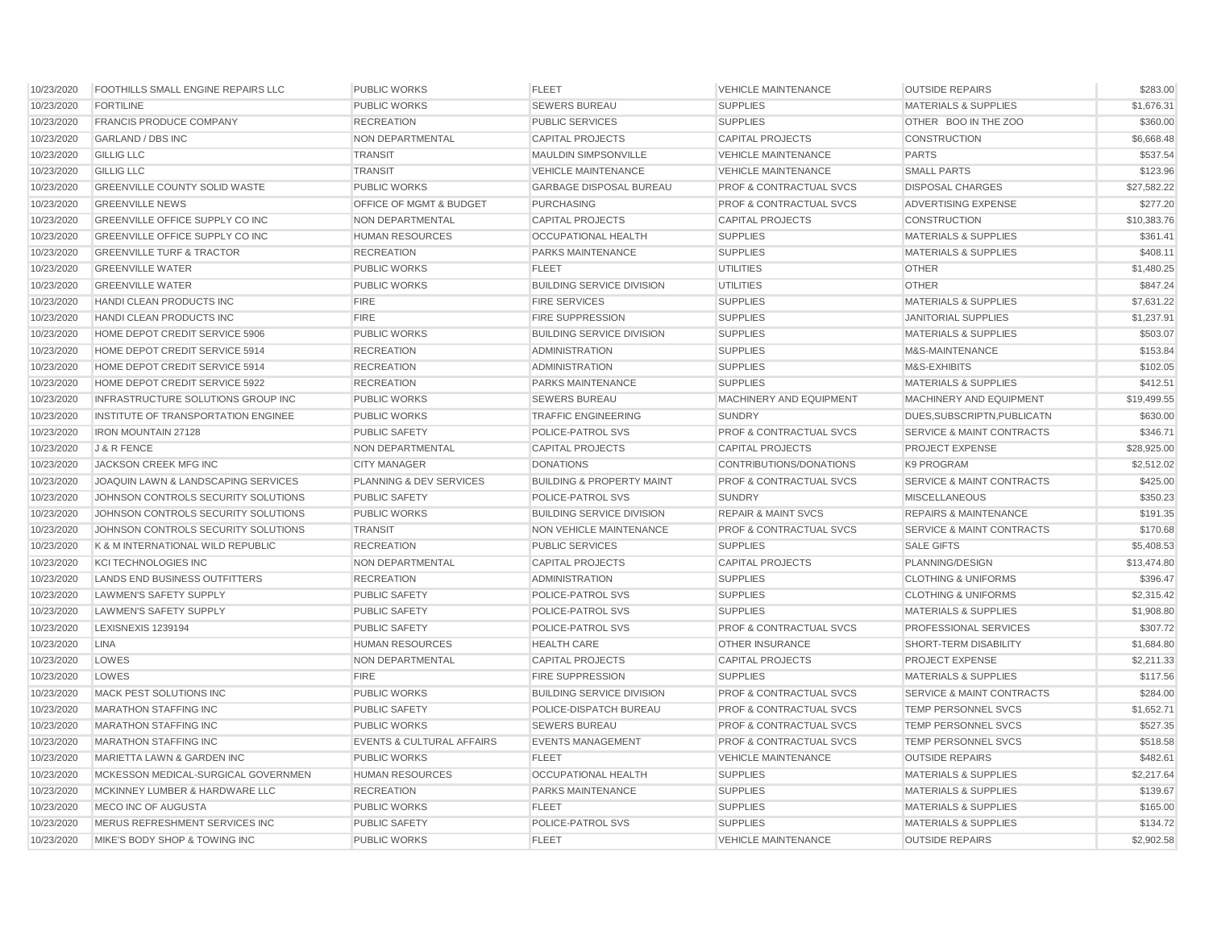| 10/23/2020 | <b>FOOTHILLS SMALL ENGINE REPAIRS LLC</b> | <b>PUBLIC WORKS</b>                  | <b>FLEET</b>                         | <b>VEHICLE MAINTENANCE</b>         | <b>OUTSIDE REPAIRS</b>               | \$283.00    |
|------------|-------------------------------------------|--------------------------------------|--------------------------------------|------------------------------------|--------------------------------------|-------------|
| 10/23/2020 | <b>FORTILINE</b>                          | <b>PUBLIC WORKS</b>                  | <b>SEWERS BUREAU</b>                 | <b>SUPPLIES</b>                    | <b>MATERIALS &amp; SUPPLIES</b>      | \$1,676.31  |
| 10/23/2020 | <b>FRANCIS PRODUCE COMPANY</b>            | <b>RECREATION</b>                    | <b>PUBLIC SERVICES</b>               | <b>SUPPLIES</b>                    | OTHER BOO IN THE ZOO                 | \$360.00    |
| 10/23/2020 | <b>GARLAND / DBS INC</b>                  | NON DEPARTMENTAL                     | <b>CAPITAL PROJECTS</b>              | <b>CAPITAL PROJECTS</b>            | <b>CONSTRUCTION</b>                  | \$6,668.48  |
| 10/23/2020 | <b>GILLIG LLC</b>                         | <b>TRANSIT</b>                       | MAULDIN SIMPSONVILLE                 | <b>VEHICLE MAINTENANCE</b>         | <b>PARTS</b>                         | \$537.54    |
| 10/23/2020 | <b>GILLIG LLC</b>                         | <b>TRANSIT</b>                       | <b>VEHICLE MAINTENANCE</b>           | <b>VEHICLE MAINTENANCE</b>         | <b>SMALL PARTS</b>                   | \$123.96    |
| 10/23/2020 | <b>GREENVILLE COUNTY SOLID WASTE</b>      | <b>PUBLIC WORKS</b>                  | <b>GARBAGE DISPOSAL BUREAU</b>       | <b>PROF &amp; CONTRACTUAL SVCS</b> | <b>DISPOSAL CHARGES</b>              | \$27,582.22 |
| 10/23/2020 | <b>GREENVILLE NEWS</b>                    | <b>OFFICE OF MGMT &amp; BUDGET</b>   | <b>PURCHASING</b>                    | <b>PROF &amp; CONTRACTUAL SVCS</b> | ADVERTISING EXPENSE                  | \$277.20    |
| 10/23/2020 | <b>GREENVILLE OFFICE SUPPLY CO INC</b>    | <b>NON DEPARTMENTAL</b>              | <b>CAPITAL PROJECTS</b>              | <b>CAPITAL PROJECTS</b>            | <b>CONSTRUCTION</b>                  | \$10,383.76 |
| 10/23/2020 | <b>GREENVILLE OFFICE SUPPLY CO INC</b>    | <b>HUMAN RESOURCES</b>               | <b>OCCUPATIONAL HEALTH</b>           | <b>SUPPLIES</b>                    | <b>MATERIALS &amp; SUPPLIES</b>      | \$361.41    |
| 10/23/2020 | <b>GREENVILLE TURF &amp; TRACTOR</b>      | <b>RECREATION</b>                    | PARKS MAINTENANCE                    | <b>SUPPLIES</b>                    | <b>MATERIALS &amp; SUPPLIES</b>      | \$408.11    |
| 10/23/2020 | <b>GREENVILLE WATER</b>                   | <b>PUBLIC WORKS</b>                  | <b>FLEET</b>                         | <b>UTILITIES</b>                   | <b>OTHER</b>                         | \$1,480.25  |
| 10/23/2020 | <b>GREENVILLE WATER</b>                   | <b>PUBLIC WORKS</b>                  | <b>BUILDING SERVICE DIVISION</b>     | <b>UTILITIES</b>                   | <b>OTHER</b>                         | \$847.24    |
| 10/23/2020 | <b>HANDI CLEAN PRODUCTS INC</b>           | <b>FIRE</b>                          | <b>FIRE SERVICES</b>                 | <b>SUPPLIES</b>                    | <b>MATERIALS &amp; SUPPLIES</b>      | \$7,631.22  |
| 10/23/2020 | HANDI CLEAN PRODUCTS INC                  | <b>FIRE</b>                          | <b>FIRE SUPPRESSION</b>              | <b>SUPPLIES</b>                    | <b>JANITORIAL SUPPLIES</b>           | \$1,237.91  |
| 10/23/2020 | HOME DEPOT CREDIT SERVICE 5906            | <b>PUBLIC WORKS</b>                  | <b>BUILDING SERVICE DIVISION</b>     | <b>SUPPLIES</b>                    | <b>MATERIALS &amp; SUPPLIES</b>      | \$503.07    |
| 10/23/2020 | HOME DEPOT CREDIT SERVICE 5914            | <b>RECREATION</b>                    | <b>ADMINISTRATION</b>                | <b>SUPPLIES</b>                    | M&S-MAINTENANCE                      | \$153.84    |
| 10/23/2020 | HOME DEPOT CREDIT SERVICE 5914            | <b>RECREATION</b>                    | <b>ADMINISTRATION</b>                | <b>SUPPLIES</b>                    | M&S-EXHIBITS                         | \$102.05    |
| 10/23/2020 | HOME DEPOT CREDIT SERVICE 5922            | <b>RECREATION</b>                    | PARKS MAINTENANCE                    | <b>SUPPLIES</b>                    | <b>MATERIALS &amp; SUPPLIES</b>      | \$412.51    |
| 10/23/2020 | INFRASTRUCTURE SOLUTIONS GROUP INC        | <b>PUBLIC WORKS</b>                  | <b>SEWERS BUREAU</b>                 | MACHINERY AND EQUIPMENT            | MACHINERY AND EQUIPMENT              | \$19,499.55 |
| 10/23/2020 | INSTITUTE OF TRANSPORTATION ENGINEE       | <b>PUBLIC WORKS</b>                  | <b>TRAFFIC ENGINEERING</b>           | <b>SUNDRY</b>                      | DUES, SUBSCRIPTN, PUBLICATN          | \$630.00    |
| 10/23/2020 | <b>IRON MOUNTAIN 27128</b>                | <b>PUBLIC SAFETY</b>                 | POLICE-PATROL SVS                    | <b>PROF &amp; CONTRACTUAL SVCS</b> | <b>SERVICE &amp; MAINT CONTRACTS</b> | \$346.71    |
| 10/23/2020 | J & R FENCE                               | NON DEPARTMENTAL                     | <b>CAPITAL PROJECTS</b>              | <b>CAPITAL PROJECTS</b>            | PROJECT EXPENSE                      | \$28,925.00 |
| 10/23/2020 | JACKSON CREEK MFG INC                     | <b>CITY MANAGER</b>                  | <b>DONATIONS</b>                     | CONTRIBUTIONS/DONATIONS            | <b>K9 PROGRAM</b>                    | \$2,512.02  |
| 10/23/2020 | JOAQUIN LAWN & LANDSCAPING SERVICES       | PLANNING & DEV SERVICES              | <b>BUILDING &amp; PROPERTY MAINT</b> | <b>PROF &amp; CONTRACTUAL SVCS</b> | <b>SERVICE &amp; MAINT CONTRACTS</b> | \$425.00    |
| 10/23/2020 | JOHNSON CONTROLS SECURITY SOLUTIONS       | <b>PUBLIC SAFETY</b>                 | POLICE-PATROL SVS                    | <b>SUNDRY</b>                      | <b>MISCELLANEOUS</b>                 | \$350.23    |
| 10/23/2020 | JOHNSON CONTROLS SECURITY SOLUTIONS       | <b>PUBLIC WORKS</b>                  | <b>BUILDING SERVICE DIVISION</b>     | <b>REPAIR &amp; MAINT SVCS</b>     | <b>REPAIRS &amp; MAINTENANCE</b>     | \$191.35    |
| 10/23/2020 | JOHNSON CONTROLS SECURITY SOLUTIONS       | <b>TRANSIT</b>                       | NON VEHICLE MAINTENANCE              | PROF & CONTRACTUAL SVCS            | SERVICE & MAINT CONTRACTS            | \$170.68    |
| 10/23/2020 | K & M INTERNATIONAL WILD REPUBLIC         | <b>RECREATION</b>                    | <b>PUBLIC SERVICES</b>               | <b>SUPPLIES</b>                    | <b>SALE GIFTS</b>                    | \$5,408.53  |
| 10/23/2020 | <b>KCI TECHNOLOGIES INC</b>               | <b>NON DEPARTMENTAL</b>              | <b>CAPITAL PROJECTS</b>              | <b>CAPITAL PROJECTS</b>            | PLANNING/DESIGN                      | \$13,474.80 |
| 10/23/2020 | LANDS END BUSINESS OUTFITTERS             | <b>RECREATION</b>                    | <b>ADMINISTRATION</b>                | <b>SUPPLIES</b>                    | <b>CLOTHING &amp; UNIFORMS</b>       | \$396.47    |
| 10/23/2020 | <b>LAWMEN'S SAFETY SUPPLY</b>             | <b>PUBLIC SAFETY</b>                 | POLICE-PATROL SVS                    | <b>SUPPLIES</b>                    | <b>CLOTHING &amp; UNIFORMS</b>       | \$2,315.42  |
| 10/23/2020 | LAWMEN'S SAFETY SUPPLY                    | <b>PUBLIC SAFETY</b>                 | POLICE-PATROL SVS                    | <b>SUPPLIES</b>                    | <b>MATERIALS &amp; SUPPLIES</b>      | \$1,908.80  |
| 10/23/2020 | LEXISNEXIS 1239194                        | <b>PUBLIC SAFETY</b>                 | POLICE-PATROL SVS                    | <b>PROF &amp; CONTRACTUAL SVCS</b> | PROFESSIONAL SERVICES                | \$307.72    |
| 10/23/2020 | <b>LINA</b>                               | <b>HUMAN RESOURCES</b>               | <b>HEALTH CARE</b>                   | <b>OTHER INSURANCE</b>             | SHORT-TERM DISABILITY                | \$1,684.80  |
| 10/23/2020 | LOWES                                     | NON DEPARTMENTAL                     | <b>CAPITAL PROJECTS</b>              | <b>CAPITAL PROJECTS</b>            | PROJECT EXPENSE                      | \$2,211.33  |
| 10/23/2020 | LOWES                                     | <b>FIRE</b>                          | <b>FIRE SUPPRESSION</b>              | <b>SUPPLIES</b>                    | <b>MATERIALS &amp; SUPPLIES</b>      | \$117.56    |
| 10/23/2020 | <b>MACK PEST SOLUTIONS INC</b>            | <b>PUBLIC WORKS</b>                  | <b>BUILDING SERVICE DIVISION</b>     | <b>PROF &amp; CONTRACTUAL SVCS</b> | <b>SERVICE &amp; MAINT CONTRACTS</b> | \$284.00    |
| 10/23/2020 | <b>MARATHON STAFFING INC</b>              | <b>PUBLIC SAFETY</b>                 | POLICE-DISPATCH BUREAU               | <b>PROF &amp; CONTRACTUAL SVCS</b> | TEMP PERSONNEL SVCS                  | \$1,652.71  |
| 10/23/2020 | <b>MARATHON STAFFING INC</b>              | <b>PUBLIC WORKS</b>                  | <b>SEWERS BUREAU</b>                 | <b>PROF &amp; CONTRACTUAL SVCS</b> | <b>TEMP PERSONNEL SVCS</b>           | \$527.35    |
| 10/23/2020 | <b>MARATHON STAFFING INC</b>              | <b>EVENTS &amp; CULTURAL AFFAIRS</b> | <b>EVENTS MANAGEMENT</b>             | <b>PROF &amp; CONTRACTUAL SVCS</b> | TEMP PERSONNEL SVCS                  | \$518.58    |
| 10/23/2020 | MARIETTA LAWN & GARDEN INC                | <b>PUBLIC WORKS</b>                  | <b>FLEET</b>                         | <b>VEHICLE MAINTENANCE</b>         | <b>OUTSIDE REPAIRS</b>               | \$482.61    |
| 10/23/2020 | MCKESSON MEDICAL-SURGICAL GOVERNMEN       | <b>HUMAN RESOURCES</b>               | <b>OCCUPATIONAL HEALTH</b>           | <b>SUPPLIES</b>                    | <b>MATERIALS &amp; SUPPLIES</b>      | \$2,217.64  |
| 10/23/2020 | MCKINNEY LUMBER & HARDWARE LLC            | <b>RECREATION</b>                    | PARKS MAINTENANCE                    | <b>SUPPLIES</b>                    | <b>MATERIALS &amp; SUPPLIES</b>      | \$139.67    |
| 10/23/2020 | MECO INC OF AUGUSTA                       | <b>PUBLIC WORKS</b>                  | <b>FLEET</b>                         | <b>SUPPLIES</b>                    | <b>MATERIALS &amp; SUPPLIES</b>      | \$165.00    |
| 10/23/2020 | MERUS REFRESHMENT SERVICES INC            | <b>PUBLIC SAFETY</b>                 | POLICE-PATROL SVS                    | <b>SUPPLIES</b>                    | <b>MATERIALS &amp; SUPPLIES</b>      | \$134.72    |
| 10/23/2020 | MIKE'S BODY SHOP & TOWING INC             | <b>PUBLIC WORKS</b>                  | <b>FLEET</b>                         | <b>VEHICLE MAINTENANCE</b>         | <b>OUTSIDE REPAIRS</b>               | \$2,902.58  |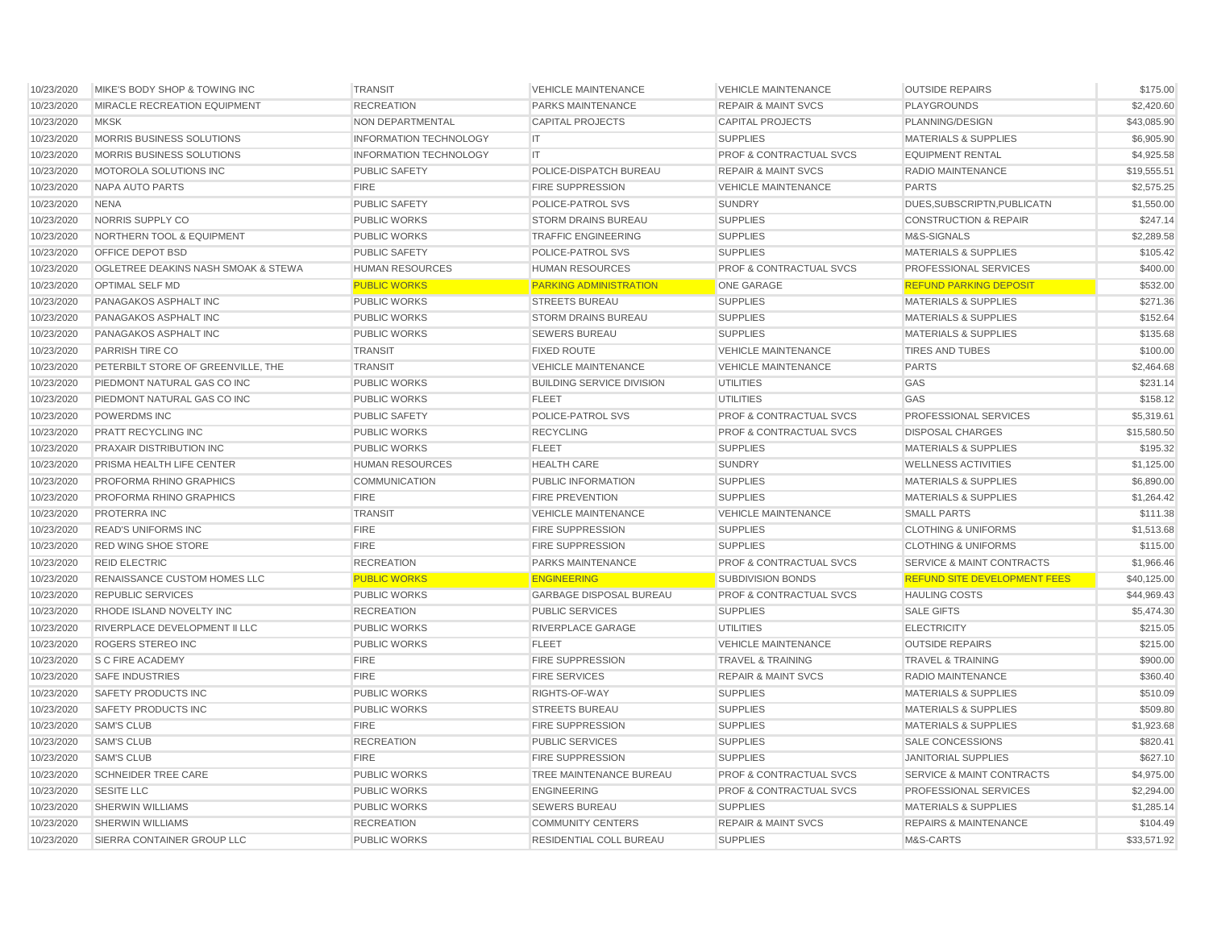| 10/23/2020 | MIKE'S BODY SHOP & TOWING INC        | <b>TRANSIT</b>                | <b>VEHICLE MAINTENANCE</b>       | <b>VEHICLE MAINTENANCE</b>         | <b>OUTSIDE REPAIRS</b>               | \$175.00    |
|------------|--------------------------------------|-------------------------------|----------------------------------|------------------------------------|--------------------------------------|-------------|
| 10/23/2020 | MIRACLE RECREATION EQUIPMENT         | <b>RECREATION</b>             | <b>PARKS MAINTENANCE</b>         | <b>REPAIR &amp; MAINT SVCS</b>     | <b>PLAYGROUNDS</b>                   | \$2,420.60  |
| 10/23/2020 | <b>MKSK</b>                          | NON DEPARTMENTAL              | <b>CAPITAL PROJECTS</b>          | <b>CAPITAL PROJECTS</b>            | PLANNING/DESIGN                      | \$43,085.90 |
| 10/23/2020 | MORRIS BUSINESS SOLUTIONS            | <b>INFORMATION TECHNOLOGY</b> | IT                               | <b>SUPPLIES</b>                    | <b>MATERIALS &amp; SUPPLIES</b>      | \$6,905.90  |
| 10/23/2020 | MORRIS BUSINESS SOLUTIONS            | <b>INFORMATION TECHNOLOGY</b> | IT.                              | <b>PROF &amp; CONTRACTUAL SVCS</b> | <b>EQUIPMENT RENTAL</b>              | \$4,925.58  |
| 10/23/2020 | MOTOROLA SOLUTIONS INC               | <b>PUBLIC SAFETY</b>          | POLICE-DISPATCH BUREAU           | <b>REPAIR &amp; MAINT SVCS</b>     | <b>RADIO MAINTENANCE</b>             | \$19,555.51 |
| 10/23/2020 | <b>NAPA AUTO PARTS</b>               | <b>FIRE</b>                   | <b>FIRE SUPPRESSION</b>          | <b>VEHICLE MAINTENANCE</b>         | <b>PARTS</b>                         | \$2,575.25  |
| 10/23/2020 | <b>NENA</b>                          | PUBLIC SAFETY                 | POLICE-PATROL SVS                | <b>SUNDRY</b>                      | DUES, SUBSCRIPTN, PUBLICATN          | \$1,550.00  |
| 10/23/2020 | NORRIS SUPPLY CO                     | <b>PUBLIC WORKS</b>           | STORM DRAINS BUREAU              | <b>SUPPLIES</b>                    | <b>CONSTRUCTION &amp; REPAIR</b>     | \$247.14    |
| 10/23/2020 | <b>NORTHERN TOOL &amp; EQUIPMENT</b> | <b>PUBLIC WORKS</b>           | <b>TRAFFIC ENGINEERING</b>       | <b>SUPPLIES</b>                    | M&S-SIGNALS                          | \$2,289.58  |
| 10/23/2020 | OFFICE DEPOT BSD                     | <b>PUBLIC SAFETY</b>          | POLICE-PATROL SVS                | <b>SUPPLIES</b>                    | <b>MATERIALS &amp; SUPPLIES</b>      | \$105.42    |
| 10/23/2020 | OGLETREE DEAKINS NASH SMOAK & STEWA  | <b>HUMAN RESOURCES</b>        | <b>HUMAN RESOURCES</b>           | <b>PROF &amp; CONTRACTUAL SVCS</b> | <b>PROFESSIONAL SERVICES</b>         | \$400.00    |
| 10/23/2020 | <b>OPTIMAL SELF MD</b>               | <b>PUBLIC WORKS</b>           | <b>PARKING ADMINISTRATION</b>    | <b>ONE GARAGE</b>                  | <b>REFUND PARKING DEPOSIT</b>        | \$532.00    |
| 10/23/2020 | PANAGAKOS ASPHALT INC                | <b>PUBLIC WORKS</b>           | <b>STREETS BUREAU</b>            | <b>SUPPLIES</b>                    | <b>MATERIALS &amp; SUPPLIES</b>      | \$271.36    |
| 10/23/2020 | PANAGAKOS ASPHALT INC                | <b>PUBLIC WORKS</b>           | <b>STORM DRAINS BUREAU</b>       | <b>SUPPLIES</b>                    | <b>MATERIALS &amp; SUPPLIES</b>      | \$152.64    |
| 10/23/2020 | PANAGAKOS ASPHALT INC                | <b>PUBLIC WORKS</b>           | <b>SEWERS BUREAU</b>             | <b>SUPPLIES</b>                    | <b>MATERIALS &amp; SUPPLIES</b>      | \$135.68    |
| 10/23/2020 | PARRISH TIRE CO                      | <b>TRANSIT</b>                | <b>FIXED ROUTE</b>               | <b>VEHICLE MAINTENANCE</b>         | <b>TIRES AND TUBES</b>               | \$100.00    |
| 10/23/2020 | PETERBILT STORE OF GREENVILLE, THE   | <b>TRANSIT</b>                | <b>VEHICLE MAINTENANCE</b>       | <b>VEHICLE MAINTENANCE</b>         | <b>PARTS</b>                         | \$2,464.68  |
| 10/23/2020 | PIEDMONT NATURAL GAS CO INC          | PUBLIC WORKS                  | <b>BUILDING SERVICE DIVISION</b> | <b>UTILITIES</b>                   | GAS                                  | \$231.14    |
| 10/23/2020 | PIEDMONT NATURAL GAS CO INC          | <b>PUBLIC WORKS</b>           | <b>FLEET</b>                     | <b>UTILITIES</b>                   | GAS                                  | \$158.12    |
| 10/23/2020 | <b>POWERDMS INC</b>                  | <b>PUBLIC SAFETY</b>          | POLICE-PATROL SVS                | <b>PROF &amp; CONTRACTUAL SVCS</b> | PROFESSIONAL SERVICES                | \$5,319.61  |
| 10/23/2020 | PRATT RECYCLING INC                  | <b>PUBLIC WORKS</b>           | <b>RECYCLING</b>                 | <b>PROF &amp; CONTRACTUAL SVCS</b> | <b>DISPOSAL CHARGES</b>              | \$15,580,50 |
| 10/23/2020 | <b>PRAXAIR DISTRIBUTION INC</b>      | <b>PUBLIC WORKS</b>           | <b>FLEET</b>                     | <b>SUPPLIES</b>                    | <b>MATERIALS &amp; SUPPLIES</b>      | \$195.32    |
| 10/23/2020 | PRISMA HEALTH LIFE CENTER            | <b>HUMAN RESOURCES</b>        | <b>HEALTH CARE</b>               | <b>SUNDRY</b>                      | <b>WELLNESS ACTIVITIES</b>           | \$1,125.00  |
| 10/23/2020 | PROFORMA RHINO GRAPHICS              | <b>COMMUNICATION</b>          | PUBLIC INFORMATION               | <b>SUPPLIES</b>                    | <b>MATERIALS &amp; SUPPLIES</b>      | \$6,890.00  |
| 10/23/2020 | PROFORMA RHINO GRAPHICS              | <b>FIRE</b>                   | <b>FIRE PREVENTION</b>           | <b>SUPPLIES</b>                    | <b>MATERIALS &amp; SUPPLIES</b>      | \$1,264.42  |
| 10/23/2020 | PROTERRA INC                         | <b>TRANSIT</b>                | <b>VEHICLE MAINTENANCE</b>       | <b>VEHICLE MAINTENANCE</b>         | <b>SMALL PARTS</b>                   | \$111.38    |
| 10/23/2020 | <b>READ'S UNIFORMS INC</b>           | <b>FIRE</b>                   | FIRE SUPPRESSION                 | <b>SUPPLIES</b>                    | <b>CLOTHING &amp; UNIFORMS</b>       | \$1,513.68  |
| 10/23/2020 | RED WING SHOE STORE                  | <b>FIRE</b>                   | FIRE SUPPRESSION                 | <b>SUPPLIES</b>                    | <b>CLOTHING &amp; UNIFORMS</b>       | \$115.00    |
| 10/23/2020 | <b>REID ELECTRIC</b>                 | <b>RECREATION</b>             | PARKS MAINTENANCE                | <b>PROF &amp; CONTRACTUAL SVCS</b> | <b>SERVICE &amp; MAINT CONTRACTS</b> | \$1,966.46  |
| 10/23/2020 | RENAISSANCE CUSTOM HOMES LLC         | <b>PUBLIC WORKS</b>           | <b>ENGINEERING</b>               | SUBDIVISION BONDS                  | <b>REFUND SITE DEVELOPMENT FEES</b>  | \$40,125.00 |
| 10/23/2020 | <b>REPUBLIC SERVICES</b>             | <b>PUBLIC WORKS</b>           | <b>GARBAGE DISPOSAL BUREAU</b>   | <b>PROF &amp; CONTRACTUAL SVCS</b> | <b>HAULING COSTS</b>                 | \$44,969.43 |
| 10/23/2020 | RHODE ISLAND NOVELTY INC             | <b>RECREATION</b>             | <b>PUBLIC SERVICES</b>           | <b>SUPPLIES</b>                    | <b>SALE GIFTS</b>                    | \$5,474.30  |
| 10/23/2020 | RIVERPLACE DEVELOPMENT II LLC        | <b>PUBLIC WORKS</b>           | RIVERPLACE GARAGE                | <b>UTILITIES</b>                   | <b>ELECTRICITY</b>                   | \$215.05    |
| 10/23/2020 | ROGERS STEREO INC                    | <b>PUBLIC WORKS</b>           | <b>FLEET</b>                     | <b>VEHICLE MAINTENANCE</b>         | <b>OUTSIDE REPAIRS</b>               | \$215.00    |
| 10/23/2020 | <b>S C FIRE ACADEMY</b>              | <b>FIRE</b>                   | <b>FIRE SUPPRESSION</b>          | <b>TRAVEL &amp; TRAINING</b>       | <b>TRAVEL &amp; TRAINING</b>         | \$900.00    |
| 10/23/2020 | <b>SAFE INDUSTRIES</b>               | <b>FIRE</b>                   | <b>FIRE SERVICES</b>             | <b>REPAIR &amp; MAINT SVCS</b>     | <b>RADIO MAINTENANCE</b>             | \$360.40    |
| 10/23/2020 | <b>SAFETY PRODUCTS INC</b>           | <b>PUBLIC WORKS</b>           | RIGHTS-OF-WAY                    | <b>SUPPLIES</b>                    | <b>MATERIALS &amp; SUPPLIES</b>      | \$510.09    |
| 10/23/2020 | <b>SAFETY PRODUCTS INC</b>           | PUBLIC WORKS                  | <b>STREETS BUREAU</b>            | <b>SUPPLIES</b>                    | <b>MATERIALS &amp; SUPPLIES</b>      | \$509.80    |
| 10/23/2020 | <b>SAM'S CLUB</b>                    | <b>FIRE</b>                   | <b>FIRE SUPPRESSION</b>          | <b>SUPPLIES</b>                    | <b>MATERIALS &amp; SUPPLIES</b>      | \$1,923.68  |
| 10/23/2020 | <b>SAM'S CLUB</b>                    | <b>RECREATION</b>             | <b>PUBLIC SERVICES</b>           | <b>SUPPLIES</b>                    | <b>SALE CONCESSIONS</b>              | \$820.41    |
| 10/23/2020 | <b>SAM'S CLUB</b>                    | <b>FIRE</b>                   | <b>FIRE SUPPRESSION</b>          | <b>SUPPLIES</b>                    | <b>JANITORIAL SUPPLIES</b>           | \$627.10    |
| 10/23/2020 | <b>SCHNEIDER TREE CARE</b>           | <b>PUBLIC WORKS</b>           | TREE MAINTENANCE BUREAU          | <b>PROF &amp; CONTRACTUAL SVCS</b> | <b>SERVICE &amp; MAINT CONTRACTS</b> | \$4,975.00  |
| 10/23/2020 | <b>SESITE LLC</b>                    | <b>PUBLIC WORKS</b>           | <b>ENGINEERING</b>               | <b>PROF &amp; CONTRACTUAL SVCS</b> | PROFESSIONAL SERVICES                | \$2,294.00  |
| 10/23/2020 | <b>SHERWIN WILLIAMS</b>              | <b>PUBLIC WORKS</b>           | <b>SEWERS BUREAU</b>             | <b>SUPPLIES</b>                    | <b>MATERIALS &amp; SUPPLIES</b>      | \$1,285.14  |
| 10/23/2020 | <b>SHERWIN WILLIAMS</b>              | <b>RECREATION</b>             | <b>COMMUNITY CENTERS</b>         | <b>REPAIR &amp; MAINT SVCS</b>     | <b>REPAIRS &amp; MAINTENANCE</b>     | \$104.49    |
| 10/23/2020 | SIERRA CONTAINER GROUP LLC           | <b>PUBLIC WORKS</b>           | RESIDENTIAL COLL BUREAU          | <b>SUPPLIES</b>                    | M&S-CARTS                            | \$33,571.92 |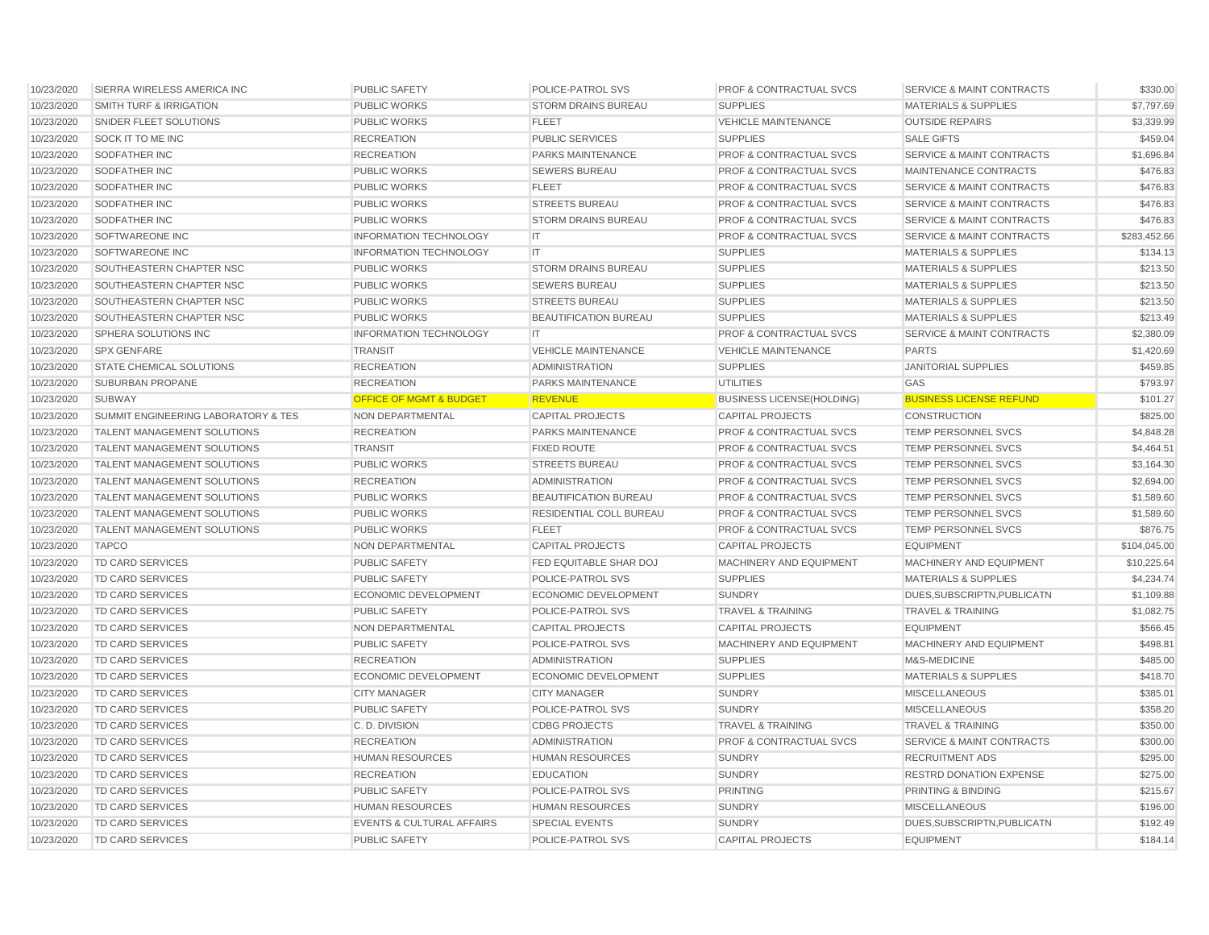| 10/23/2020 | SIERRA WIRELESS AMERICA INC         | <b>PUBLIC SAFETY</b>                 | POLICE-PATROL SVS           | <b>PROF &amp; CONTRACTUAL SVCS</b> | <b>SERVICE &amp; MAINT CONTRACTS</b> | \$330.00     |
|------------|-------------------------------------|--------------------------------------|-----------------------------|------------------------------------|--------------------------------------|--------------|
| 10/23/2020 | <b>SMITH TURF &amp; IRRIGATION</b>  | <b>PUBLIC WORKS</b>                  | <b>STORM DRAINS BUREAU</b>  | <b>SUPPLIES</b>                    | <b>MATERIALS &amp; SUPPLIES</b>      | \$7,797.69   |
| 10/23/2020 | SNIDER FLEET SOLUTIONS              | <b>PUBLIC WORKS</b>                  | <b>FLEET</b>                | <b>VEHICLE MAINTENANCE</b>         | <b>OUTSIDE REPAIRS</b>               | \$3,339.99   |
| 10/23/2020 | SOCK IT TO ME INC                   | <b>RECREATION</b>                    | <b>PUBLIC SERVICES</b>      | <b>SUPPLIES</b>                    | <b>SALE GIFTS</b>                    | \$459.04     |
| 10/23/2020 | SODFATHER INC                       | <b>RECREATION</b>                    | PARKS MAINTENANCE           | PROF & CONTRACTUAL SVCS            | SERVICE & MAINT CONTRACTS            | \$1,696.84   |
| 10/23/2020 | <b>SODFATHER INC</b>                | <b>PUBLIC WORKS</b>                  | <b>SEWERS BUREAU</b>        | <b>PROF &amp; CONTRACTUAL SVCS</b> | MAINTENANCE CONTRACTS                | \$476.83     |
| 10/23/2020 | SODFATHER INC                       | <b>PUBLIC WORKS</b>                  | <b>FLEET</b>                | <b>PROF &amp; CONTRACTUAL SVCS</b> | <b>SERVICE &amp; MAINT CONTRACTS</b> | \$476.83     |
| 10/23/2020 | SODFATHER INC                       | <b>PUBLIC WORKS</b>                  | <b>STREETS BUREAU</b>       | <b>PROF &amp; CONTRACTUAL SVCS</b> | <b>SERVICE &amp; MAINT CONTRACTS</b> | \$476.83     |
| 10/23/2020 | SODFATHER INC                       | <b>PUBLIC WORKS</b>                  | <b>STORM DRAINS BUREAU</b>  | <b>PROF &amp; CONTRACTUAL SVCS</b> | <b>SERVICE &amp; MAINT CONTRACTS</b> | \$476.83     |
| 10/23/2020 | SOFTWAREONE INC                     | <b>INFORMATION TECHNOLOGY</b>        | IT                          | <b>PROF &amp; CONTRACTUAL SVCS</b> | <b>SERVICE &amp; MAINT CONTRACTS</b> | \$283,452.66 |
| 10/23/2020 | SOFTWAREONE INC                     | <b>INFORMATION TECHNOLOGY</b>        | IT                          | <b>SUPPLIES</b>                    | <b>MATERIALS &amp; SUPPLIES</b>      | \$134.13     |
| 10/23/2020 | SOUTHEASTERN CHAPTER NSC            | <b>PUBLIC WORKS</b>                  | <b>STORM DRAINS BUREAU</b>  | <b>SUPPLIES</b>                    | <b>MATERIALS &amp; SUPPLIES</b>      | \$213.50     |
| 10/23/2020 | SOUTHEASTERN CHAPTER NSC            | <b>PUBLIC WORKS</b>                  | <b>SEWERS BUREAU</b>        | <b>SUPPLIES</b>                    | <b>MATERIALS &amp; SUPPLIES</b>      | \$213.50     |
| 10/23/2020 | SOUTHEASTERN CHAPTER NSC            | <b>PUBLIC WORKS</b>                  | <b>STREETS BUREAU</b>       | <b>SUPPLIES</b>                    | <b>MATERIALS &amp; SUPPLIES</b>      | \$213.50     |
| 10/23/2020 | SOUTHEASTERN CHAPTER NSC            | <b>PUBLIC WORKS</b>                  | BEAUTIFICATION BUREAU       | <b>SUPPLIES</b>                    | <b>MATERIALS &amp; SUPPLIES</b>      | \$213.49     |
| 10/23/2020 | SPHERA SOLUTIONS INC                | <b>INFORMATION TECHNOLOGY</b>        | IT.                         | <b>PROF &amp; CONTRACTUAL SVCS</b> | <b>SERVICE &amp; MAINT CONTRACTS</b> | \$2,380.09   |
| 10/23/2020 | <b>SPX GENFARE</b>                  | <b>TRANSIT</b>                       | <b>VEHICLE MAINTENANCE</b>  | <b>VEHICLE MAINTENANCE</b>         | <b>PARTS</b>                         | \$1,420.69   |
| 10/23/2020 | <b>STATE CHEMICAL SOLUTIONS</b>     | <b>RECREATION</b>                    | <b>ADMINISTRATION</b>       | <b>SUPPLIES</b>                    | <b>JANITORIAL SUPPLIES</b>           | \$459.85     |
| 10/23/2020 | SUBURBAN PROPANE                    | <b>RECREATION</b>                    | PARKS MAINTENANCE           | <b>UTILITIES</b>                   | GAS                                  | \$793.97     |
| 10/23/2020 | SUBWAY                              | <b>OFFICE OF MGMT &amp; BUDGET</b>   | <b>REVENUE</b>              | <b>BUSINESS LICENSE(HOLDING)</b>   | <b>BUSINESS LICENSE REFUND</b>       | \$101.27     |
| 10/23/2020 | SUMMIT ENGINEERING LABORATORY & TES | NON DEPARTMENTAL                     | CAPITAL PROJECTS            | <b>CAPITAL PROJECTS</b>            | <b>CONSTRUCTION</b>                  | \$825.00     |
| 10/23/2020 | <b>TALENT MANAGEMENT SOLUTIONS</b>  | <b>RECREATION</b>                    | <b>PARKS MAINTENANCE</b>    | <b>PROF &amp; CONTRACTUAL SVCS</b> | TEMP PERSONNEL SVCS                  | \$4,848.28   |
| 10/23/2020 | <b>TALENT MANAGEMENT SOLUTIONS</b>  | <b>TRANSIT</b>                       | <b>FIXED ROUTE</b>          | <b>PROF &amp; CONTRACTUAL SVCS</b> | TEMP PERSONNEL SVCS                  | \$4,464.51   |
| 10/23/2020 | TALENT MANAGEMENT SOLUTIONS         | <b>PUBLIC WORKS</b>                  | <b>STREETS BUREAU</b>       | <b>PROF &amp; CONTRACTUAL SVCS</b> | TEMP PERSONNEL SVCS                  | \$3,164.30   |
| 10/23/2020 | TALENT MANAGEMENT SOLUTIONS         | <b>RECREATION</b>                    | <b>ADMINISTRATION</b>       | <b>PROF &amp; CONTRACTUAL SVCS</b> | TEMP PERSONNEL SVCS                  | \$2,694.00   |
| 10/23/2020 | <b>TALENT MANAGEMENT SOLUTIONS</b>  | <b>PUBLIC WORKS</b>                  | BEAUTIFICATION BUREAU       | <b>PROF &amp; CONTRACTUAL SVCS</b> | <b>TEMP PERSONNEL SVCS</b>           | \$1,589.60   |
| 10/23/2020 | <b>TALENT MANAGEMENT SOLUTIONS</b>  | <b>PUBLIC WORKS</b>                  | RESIDENTIAL COLL BUREAU     | <b>PROF &amp; CONTRACTUAL SVCS</b> | <b>TEMP PERSONNEL SVCS</b>           | \$1,589.60   |
| 10/23/2020 | <b>TALENT MANAGEMENT SOLUTIONS</b>  | <b>PUBLIC WORKS</b>                  | <b>FLEET</b>                | PROF & CONTRACTUAL SVCS            | TEMP PERSONNEL SVCS                  | \$876.75     |
| 10/23/2020 | <b>TAPCO</b>                        | NON DEPARTMENTAL                     | <b>CAPITAL PROJECTS</b>     | <b>CAPITAL PROJECTS</b>            | <b>EQUIPMENT</b>                     | \$104,045.00 |
| 10/23/2020 | <b>TD CARD SERVICES</b>             | <b>PUBLIC SAFETY</b>                 | FED EQUITABLE SHAR DOJ      | MACHINERY AND EQUIPMENT            | MACHINERY AND EQUIPMENT              | \$10,225.64  |
| 10/23/2020 | <b>TD CARD SERVICES</b>             | <b>PUBLIC SAFETY</b>                 | POLICE-PATROL SVS           | <b>SUPPLIES</b>                    | <b>MATERIALS &amp; SUPPLIES</b>      | \$4,234.74   |
| 10/23/2020 | TD CARD SERVICES                    | <b>ECONOMIC DEVELOPMENT</b>          | <b>ECONOMIC DEVELOPMENT</b> | <b>SUNDRY</b>                      | DUES.SUBSCRIPTN.PUBLICATN            | \$1,109.88   |
| 10/23/2020 | <b>TD CARD SERVICES</b>             | <b>PUBLIC SAFETY</b>                 | POLICE-PATROL SVS           | <b>TRAVEL &amp; TRAINING</b>       | <b>TRAVEL &amp; TRAINING</b>         | \$1,082.75   |
| 10/23/2020 | <b>TD CARD SERVICES</b>             | NON DEPARTMENTAL                     | <b>CAPITAL PROJECTS</b>     | <b>CAPITAL PROJECTS</b>            | <b>EQUIPMENT</b>                     | \$566.45     |
| 10/23/2020 | TD CARD SERVICES                    | <b>PUBLIC SAFETY</b>                 | POLICE-PATROL SVS           | <b>MACHINERY AND EQUIPMENT</b>     | MACHINERY AND EQUIPMENT              | \$498.81     |
| 10/23/2020 | <b>TD CARD SERVICES</b>             | <b>RECREATION</b>                    | <b>ADMINISTRATION</b>       | <b>SUPPLIES</b>                    | M&S-MEDICINE                         | \$485.00     |
| 10/23/2020 | <b>TD CARD SERVICES</b>             | <b>ECONOMIC DEVELOPMENT</b>          | <b>ECONOMIC DEVELOPMENT</b> | <b>SUPPLIES</b>                    | <b>MATERIALS &amp; SUPPLIES</b>      | \$418.70     |
| 10/23/2020 | <b>TD CARD SERVICES</b>             | <b>CITY MANAGER</b>                  | <b>CITY MANAGER</b>         | <b>SUNDRY</b>                      | <b>MISCELLANEOUS</b>                 | \$385.01     |
| 10/23/2020 | <b>TD CARD SERVICES</b>             | <b>PUBLIC SAFETY</b>                 | POLICE-PATROL SVS           | <b>SUNDRY</b>                      | <b>MISCELLANEOUS</b>                 | \$358.20     |
| 10/23/2020 | <b>TD CARD SERVICES</b>             | C.D. DIVISION                        | <b>CDBG PROJECTS</b>        | <b>TRAVEL &amp; TRAINING</b>       | <b>TRAVEL &amp; TRAINING</b>         | \$350.00     |
| 10/23/2020 | <b>TD CARD SERVICES</b>             | <b>RECREATION</b>                    | <b>ADMINISTRATION</b>       | <b>PROF &amp; CONTRACTUAL SVCS</b> | <b>SERVICE &amp; MAINT CONTRACTS</b> | \$300.00     |
| 10/23/2020 | <b>TD CARD SERVICES</b>             | <b>HUMAN RESOURCES</b>               | <b>HUMAN RESOURCES</b>      | <b>SUNDRY</b>                      | <b>RECRUITMENT ADS</b>               | \$295.00     |
| 10/23/2020 | <b>TD CARD SERVICES</b>             | <b>RECREATION</b>                    | <b>EDUCATION</b>            | <b>SUNDRY</b>                      | <b>RESTRD DONATION EXPENSE</b>       | \$275.00     |
| 10/23/2020 | <b>TD CARD SERVICES</b>             | PUBLIC SAFETY                        | POLICE-PATROL SVS           | <b>PRINTING</b>                    | PRINTING & BINDING                   | \$215.67     |
| 10/23/2020 | <b>TD CARD SERVICES</b>             | <b>HUMAN RESOURCES</b>               | <b>HUMAN RESOURCES</b>      | <b>SUNDRY</b>                      | <b>MISCELLANEOUS</b>                 | \$196.00     |
| 10/23/2020 | TD CARD SERVICES                    | <b>EVENTS &amp; CULTURAL AFFAIRS</b> | <b>SPECIAL EVENTS</b>       | <b>SUNDRY</b>                      | DUES, SUBSCRIPTN, PUBLICATN          | \$192.49     |
| 10/23/2020 | TD CARD SERVICES                    | <b>PUBLIC SAFETY</b>                 | POLICE-PATROL SVS           | <b>CAPITAL PROJECTS</b>            | <b>EQUIPMENT</b>                     | \$184.14     |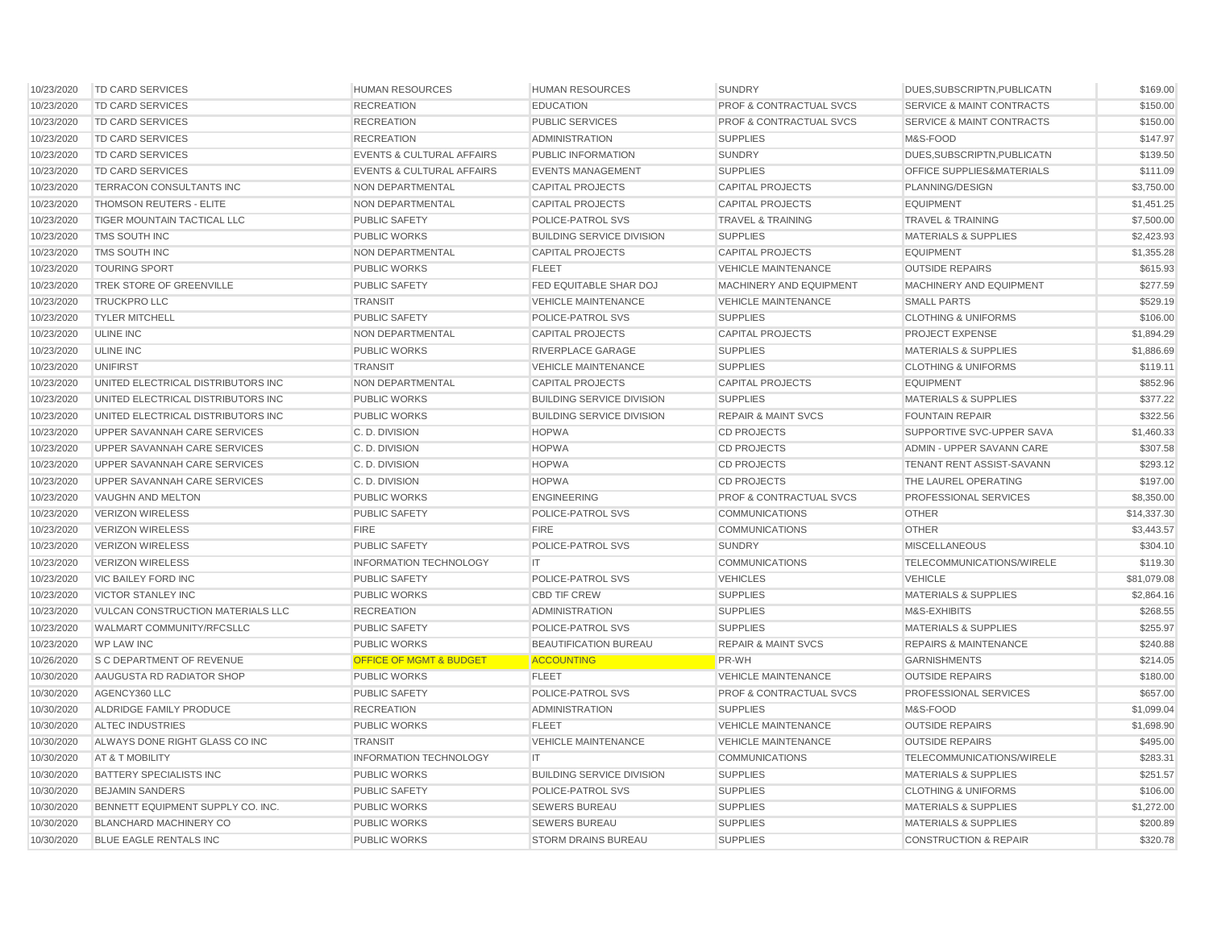| 10/23/2020 | TD CARD SERVICES                   | <b>HUMAN RESOURCES</b>               | <b>HUMAN RESOURCES</b>           | <b>SUNDRY</b>                      | DUES, SUBSCRIPTN, PUBLICATN          | \$169.00    |
|------------|------------------------------------|--------------------------------------|----------------------------------|------------------------------------|--------------------------------------|-------------|
| 10/23/2020 | <b>TD CARD SERVICES</b>            | <b>RECREATION</b>                    | <b>EDUCATION</b>                 | <b>PROF &amp; CONTRACTUAL SVCS</b> | <b>SERVICE &amp; MAINT CONTRACTS</b> | \$150.00    |
| 10/23/2020 | <b>TD CARD SERVICES</b>            | <b>RECREATION</b>                    | PUBLIC SERVICES                  | PROF & CONTRACTUAL SVCS            | <b>SERVICE &amp; MAINT CONTRACTS</b> | \$150.00    |
| 10/23/2020 | <b>TD CARD SERVICES</b>            | <b>RECREATION</b>                    | <b>ADMINISTRATION</b>            | <b>SUPPLIES</b>                    | M&S-FOOD                             | \$147.97    |
| 10/23/2020 | TD CARD SERVICES                   | <b>EVENTS &amp; CULTURAL AFFAIRS</b> | PUBLIC INFORMATION               | <b>SUNDRY</b>                      | DUES, SUBSCRIPTN, PUBLICATN          | \$139.50    |
| 10/23/2020 | TD CARD SERVICES                   | <b>EVENTS &amp; CULTURAL AFFAIRS</b> | <b>EVENTS MANAGEMENT</b>         | <b>SUPPLIES</b>                    | <b>OFFICE SUPPLIES&amp;MATERIALS</b> | \$111.09    |
| 10/23/2020 | TERRACON CONSULTANTS INC           | <b>NON DEPARTMENTAL</b>              | <b>CAPITAL PROJECTS</b>          | <b>CAPITAL PROJECTS</b>            | PLANNING/DESIGN                      | \$3,750.00  |
| 10/23/2020 | THOMSON REUTERS - ELITE            | NON DEPARTMENTAL                     | <b>CAPITAL PROJECTS</b>          | <b>CAPITAL PROJECTS</b>            | <b>EQUIPMENT</b>                     | \$1,451.25  |
| 10/23/2020 | TIGER MOUNTAIN TACTICAL LLC        | <b>PUBLIC SAFETY</b>                 | POLICE-PATROL SVS                | <b>TRAVEL &amp; TRAINING</b>       | <b>TRAVEL &amp; TRAINING</b>         | \$7,500.00  |
| 10/23/2020 | TMS SOUTH INC                      | <b>PUBLIC WORKS</b>                  | <b>BUILDING SERVICE DIVISION</b> | <b>SUPPLIES</b>                    | <b>MATERIALS &amp; SUPPLIES</b>      | \$2,423.93  |
| 10/23/2020 | TMS SOUTH INC                      | NON DEPARTMENTAL                     | <b>CAPITAL PROJECTS</b>          | <b>CAPITAL PROJECTS</b>            | <b>EQUIPMENT</b>                     | \$1,355.28  |
| 10/23/2020 | <b>TOURING SPORT</b>               | <b>PUBLIC WORKS</b>                  | <b>FLEET</b>                     | <b>VEHICLE MAINTENANCE</b>         | <b>OUTSIDE REPAIRS</b>               | \$615.93    |
| 10/23/2020 | TREK STORE OF GREENVILLE           | <b>PUBLIC SAFETY</b>                 | FED EQUITABLE SHAR DOJ           | MACHINERY AND EQUIPMENT            | MACHINERY AND EQUIPMENT              | \$277.59    |
| 10/23/2020 | TRUCKPRO LLC                       | <b>TRANSIT</b>                       | <b>VEHICLE MAINTENANCE</b>       | <b>VEHICLE MAINTENANCE</b>         | <b>SMALL PARTS</b>                   | \$529.19    |
| 10/23/2020 | <b>TYLER MITCHELL</b>              | <b>PUBLIC SAFETY</b>                 | POLICE-PATROL SVS                | <b>SUPPLIES</b>                    | <b>CLOTHING &amp; UNIFORMS</b>       | \$106.00    |
| 10/23/2020 | <b>ULINE INC</b>                   | NON DEPARTMENTAL                     | <b>CAPITAL PROJECTS</b>          | <b>CAPITAL PROJECTS</b>            | <b>PROJECT EXPENSE</b>               | \$1,894.29  |
| 10/23/2020 | ULINE INC                          | <b>PUBLIC WORKS</b>                  | <b>RIVERPLACE GARAGE</b>         | <b>SUPPLIES</b>                    | <b>MATERIALS &amp; SUPPLIES</b>      | \$1,886.69  |
| 10/23/2020 | UNIFIRST                           | <b>TRANSIT</b>                       | <b>VEHICLE MAINTENANCE</b>       | <b>SUPPLIES</b>                    | <b>CLOTHING &amp; UNIFORMS</b>       | \$119.11    |
| 10/23/2020 | UNITED ELECTRICAL DISTRIBUTORS INC | NON DEPARTMENTAL                     | <b>CAPITAL PROJECTS</b>          | <b>CAPITAL PROJECTS</b>            | <b>EQUIPMENT</b>                     | \$852.96    |
| 10/23/2020 | UNITED ELECTRICAL DISTRIBUTORS INC | <b>PUBLIC WORKS</b>                  | <b>BUILDING SERVICE DIVISION</b> | <b>SUPPLIES</b>                    | <b>MATERIALS &amp; SUPPLIES</b>      | \$377.22    |
| 10/23/2020 | UNITED ELECTRICAL DISTRIBUTORS INC | <b>PUBLIC WORKS</b>                  | <b>BUILDING SERVICE DIVISION</b> | <b>REPAIR &amp; MAINT SVCS</b>     | <b>FOUNTAIN REPAIR</b>               | \$322.56    |
| 10/23/2020 | UPPER SAVANNAH CARE SERVICES       | C.D. DIVISION                        | <b>HOPWA</b>                     | <b>CD PROJECTS</b>                 | SUPPORTIVE SVC-UPPER SAVA            | \$1,460.33  |
| 10/23/2020 | UPPER SAVANNAH CARE SERVICES       | C.D. DIVISION                        | <b>HOPWA</b>                     | <b>CD PROJECTS</b>                 | ADMIN - UPPER SAVANN CARE            | \$307.58    |
| 10/23/2020 | UPPER SAVANNAH CARE SERVICES       | C.D. DIVISION                        | <b>HOPWA</b>                     | <b>CD PROJECTS</b>                 | <b>TENANT RENT ASSIST-SAVANN</b>     | \$293.12    |
| 10/23/2020 | UPPER SAVANNAH CARE SERVICES       | C.D. DIVISION                        | <b>HOPWA</b>                     | <b>CD PROJECTS</b>                 | THE LAUREL OPERATING                 | \$197.00    |
| 10/23/2020 | VAUGHN AND MELTON                  | <b>PUBLIC WORKS</b>                  | <b>ENGINEERING</b>               | <b>PROF &amp; CONTRACTUAL SVCS</b> | <b>PROFESSIONAL SERVICES</b>         | \$8,350.00  |
| 10/23/2020 | <b>VERIZON WIRELESS</b>            | <b>PUBLIC SAFETY</b>                 | POLICE-PATROL SVS                | <b>COMMUNICATIONS</b>              | <b>OTHER</b>                         | \$14,337.30 |
| 10/23/2020 | <b>VERIZON WIRELESS</b>            | <b>FIRE</b>                          | <b>FIRE</b>                      | <b>COMMUNICATIONS</b>              | <b>OTHER</b>                         | \$3,443.57  |
| 10/23/2020 | <b>VERIZON WIRELESS</b>            | <b>PUBLIC SAFETY</b>                 | POLICE-PATROL SVS                | <b>SUNDRY</b>                      | <b>MISCELLANEOUS</b>                 | \$304.10    |
| 10/23/2020 | <b>VERIZON WIRELESS</b>            | <b>INFORMATION TECHNOLOGY</b>        | IT.                              | <b>COMMUNICATIONS</b>              | TELECOMMUNICATIONS/WIRELE            | \$119.30    |
| 10/23/2020 | <b>VIC BAILEY FORD INC</b>         | <b>PUBLIC SAFETY</b>                 | POLICE-PATROL SVS                | <b>VEHICLES</b>                    | <b>VEHICLE</b>                       | \$81,079.08 |
| 10/23/2020 | <b>VICTOR STANLEY INC</b>          | <b>PUBLIC WORKS</b>                  | <b>CBD TIF CREW</b>              | <b>SUPPLIES</b>                    | <b>MATERIALS &amp; SUPPLIES</b>      | \$2,864.16  |
| 10/23/2020 | VULCAN CONSTRUCTION MATERIALS LLC  | <b>RECREATION</b>                    | <b>ADMINISTRATION</b>            | <b>SUPPLIES</b>                    | M&S-EXHIBITS                         | \$268.55    |
| 10/23/2020 | WALMART COMMUNITY/RFCSLLC          | <b>PUBLIC SAFETY</b>                 | POLICE-PATROL SVS                | <b>SUPPLIES</b>                    | <b>MATERIALS &amp; SUPPLIES</b>      | \$255.97    |
| 10/23/2020 | <b>WP LAW INC</b>                  | <b>PUBLIC WORKS</b>                  | <b>BEAUTIFICATION BUREAU</b>     | <b>REPAIR &amp; MAINT SVCS</b>     | <b>REPAIRS &amp; MAINTENANCE</b>     | \$240.88    |
| 10/26/2020 | <b>S C DEPARTMENT OF REVENUE</b>   | OFFICE OF MGMT & BUDGET              | <b>ACCOUNTING</b>                | PR-WH                              | <b>GARNISHMENTS</b>                  | \$214.05    |
| 10/30/2020 | AAUGUSTA RD RADIATOR SHOP          | <b>PUBLIC WORKS</b>                  | <b>FLEET</b>                     | <b>VEHICLE MAINTENANCE</b>         | <b>OUTSIDE REPAIRS</b>               | \$180.00    |
| 10/30/2020 | AGENCY360 LLC                      | <b>PUBLIC SAFETY</b>                 | POLICE-PATROL SVS                | <b>PROF &amp; CONTRACTUAL SVCS</b> | <b>PROFESSIONAL SERVICES</b>         | \$657.00    |
| 10/30/2020 | ALDRIDGE FAMILY PRODUCE            | <b>RECREATION</b>                    | <b>ADMINISTRATION</b>            | <b>SUPPLIES</b>                    | M&S-FOOD                             | \$1,099.04  |
| 10/30/2020 | <b>ALTEC INDUSTRIES</b>            | <b>PUBLIC WORKS</b>                  | <b>FLEET</b>                     | <b>VEHICLE MAINTENANCE</b>         | <b>OUTSIDE REPAIRS</b>               | \$1,698.90  |
| 10/30/2020 | ALWAYS DONE RIGHT GLASS CO INC     | <b>TRANSIT</b>                       | <b>VEHICLE MAINTENANCE</b>       | <b>VEHICLE MAINTENANCE</b>         | <b>OUTSIDE REPAIRS</b>               | \$495.00    |
| 10/30/2020 | AT & T MOBILITY                    | <b>INFORMATION TECHNOLOGY</b>        | <b>IT</b>                        | <b>COMMUNICATIONS</b>              | <b>TELECOMMUNICATIONS/WIRELE</b>     | \$283.31    |
| 10/30/2020 | <b>BATTERY SPECIALISTS INC</b>     | <b>PUBLIC WORKS</b>                  | <b>BUILDING SERVICE DIVISION</b> | <b>SUPPLIES</b>                    | <b>MATERIALS &amp; SUPPLIES</b>      | \$251.57    |
| 10/30/2020 | <b>BEJAMIN SANDERS</b>             | <b>PUBLIC SAFETY</b>                 | POLICE-PATROL SVS                | <b>SUPPLIES</b>                    | <b>CLOTHING &amp; UNIFORMS</b>       | \$106.00    |
| 10/30/2020 | BENNETT EQUIPMENT SUPPLY CO. INC.  | <b>PUBLIC WORKS</b>                  | <b>SEWERS BUREAU</b>             | <b>SUPPLIES</b>                    | <b>MATERIALS &amp; SUPPLIES</b>      | \$1,272.00  |
| 10/30/2020 | <b>BLANCHARD MACHINERY CO</b>      | <b>PUBLIC WORKS</b>                  | <b>SEWERS BUREAU</b>             | <b>SUPPLIES</b>                    | <b>MATERIALS &amp; SUPPLIES</b>      | \$200.89    |
| 10/30/2020 | BLUE EAGLE RENTALS INC             | <b>PUBLIC WORKS</b>                  | <b>STORM DRAINS BUREAU</b>       | <b>SUPPLIES</b>                    | <b>CONSTRUCTION &amp; REPAIR</b>     | \$320.78    |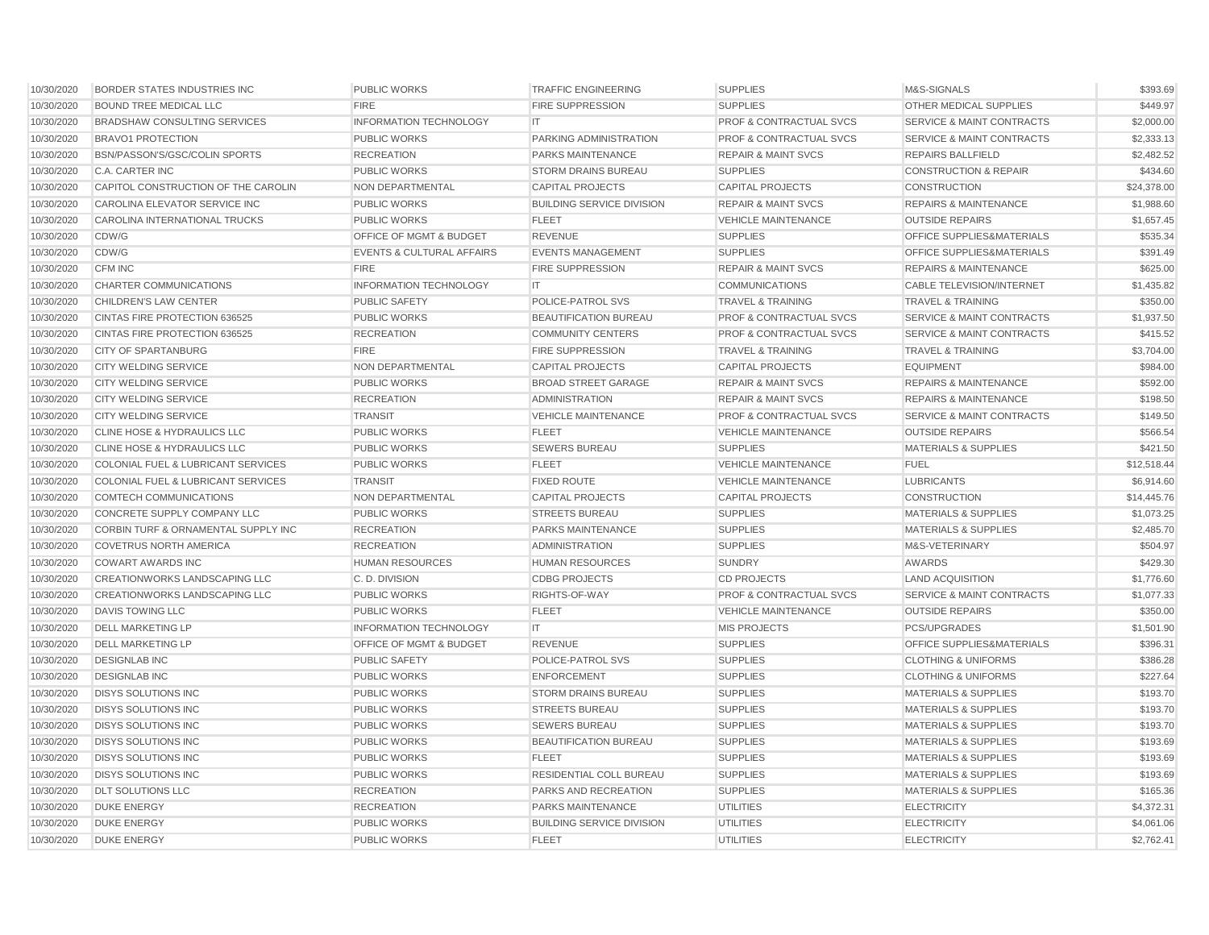| 10/30/2020 | BORDER STATES INDUSTRIES INC                  | <b>PUBLIC WORKS</b>                  | <b>TRAFFIC ENGINEERING</b>       | <b>SUPPLIES</b>                    | M&S-SIGNALS                          | \$393.69    |
|------------|-----------------------------------------------|--------------------------------------|----------------------------------|------------------------------------|--------------------------------------|-------------|
| 10/30/2020 | <b>BOUND TREE MEDICAL LLC</b>                 | <b>FIRE</b>                          | <b>FIRE SUPPRESSION</b>          | <b>SUPPLIES</b>                    | OTHER MEDICAL SUPPLIES               | \$449.97    |
| 10/30/2020 | <b>BRADSHAW CONSULTING SERVICES</b>           | <b>INFORMATION TECHNOLOGY</b>        | IT                               | <b>PROF &amp; CONTRACTUAL SVCS</b> | <b>SERVICE &amp; MAINT CONTRACTS</b> | \$2,000.00  |
| 10/30/2020 | <b>BRAVO1 PROTECTION</b>                      | PUBLIC WORKS                         | <b>PARKING ADMINISTRATION</b>    | <b>PROF &amp; CONTRACTUAL SVCS</b> | <b>SERVICE &amp; MAINT CONTRACTS</b> | \$2,333.13  |
| 10/30/2020 | BSN/PASSON'S/GSC/COLIN SPORTS                 | <b>RECREATION</b>                    | PARKS MAINTENANCE                | <b>REPAIR &amp; MAINT SVCS</b>     | <b>REPAIRS BALLFIELD</b>             | \$2,482.52  |
| 10/30/2020 | C.A. CARTER INC                               | <b>PUBLIC WORKS</b>                  | <b>STORM DRAINS BUREAU</b>       | <b>SUPPLIES</b>                    | <b>CONSTRUCTION &amp; REPAIR</b>     | \$434.60    |
| 10/30/2020 | CAPITOL CONSTRUCTION OF THE CAROLIN           | NON DEPARTMENTAL                     | <b>CAPITAL PROJECTS</b>          | <b>CAPITAL PROJECTS</b>            | <b>CONSTRUCTION</b>                  | \$24,378.00 |
| 10/30/2020 | CAROLINA ELEVATOR SERVICE INC                 | <b>PUBLIC WORKS</b>                  | <b>BUILDING SERVICE DIVISION</b> | <b>REPAIR &amp; MAINT SVCS</b>     | <b>REPAIRS &amp; MAINTENANCE</b>     | \$1,988.60  |
| 10/30/2020 | <b>CAROLINA INTERNATIONAL TRUCKS</b>          | <b>PUBLIC WORKS</b>                  | <b>FLEET</b>                     | <b>VEHICLE MAINTENANCE</b>         | <b>OUTSIDE REPAIRS</b>               | \$1,657.45  |
| 10/30/2020 | CDW/G                                         | OFFICE OF MGMT & BUDGET              | <b>REVENUE</b>                   | <b>SUPPLIES</b>                    | OFFICE SUPPLIES&MATERIALS            | \$535.34    |
| 10/30/2020 | CDW/G                                         | <b>EVENTS &amp; CULTURAL AFFAIRS</b> | <b>EVENTS MANAGEMENT</b>         | <b>SUPPLIES</b>                    | OFFICE SUPPLIES&MATERIALS            | \$391.49    |
| 10/30/2020 | CFM INC                                       | <b>FIRE</b>                          | <b>FIRE SUPPRESSION</b>          | <b>REPAIR &amp; MAINT SVCS</b>     | <b>REPAIRS &amp; MAINTENANCE</b>     | \$625.00    |
| 10/30/2020 | <b>CHARTER COMMUNICATIONS</b>                 | <b>INFORMATION TECHNOLOGY</b>        | IT.                              | <b>COMMUNICATIONS</b>              | <b>CABLE TELEVISION/INTERNET</b>     | \$1,435.82  |
| 10/30/2020 | <b>CHILDREN'S LAW CENTER</b>                  | <b>PUBLIC SAFETY</b>                 | POLICE-PATROL SVS                | <b>TRAVEL &amp; TRAINING</b>       | <b>TRAVEL &amp; TRAINING</b>         | \$350.00    |
| 10/30/2020 | CINTAS FIRE PROTECTION 636525                 | <b>PUBLIC WORKS</b>                  | BEAUTIFICATION BUREAU            | <b>PROF &amp; CONTRACTUAL SVCS</b> | <b>SERVICE &amp; MAINT CONTRACTS</b> | \$1,937.50  |
| 10/30/2020 | CINTAS FIRE PROTECTION 636525                 | <b>RECREATION</b>                    | <b>COMMUNITY CENTERS</b>         | <b>PROF &amp; CONTRACTUAL SVCS</b> | <b>SERVICE &amp; MAINT CONTRACTS</b> | \$415.52    |
| 10/30/2020 | <b>CITY OF SPARTANBURG</b>                    | <b>FIRE</b>                          | <b>FIRE SUPPRESSION</b>          | <b>TRAVEL &amp; TRAINING</b>       | <b>TRAVEL &amp; TRAINING</b>         | \$3,704.00  |
| 10/30/2020 | CITY WELDING SERVICE                          | NON DEPARTMENTAL                     | <b>CAPITAL PROJECTS</b>          | <b>CAPITAL PROJECTS</b>            | <b>EQUIPMENT</b>                     | \$984.00    |
| 10/30/2020 | <b>CITY WELDING SERVICE</b>                   | <b>PUBLIC WORKS</b>                  | <b>BROAD STREET GARAGE</b>       | <b>REPAIR &amp; MAINT SVCS</b>     | <b>REPAIRS &amp; MAINTENANCE</b>     | \$592.00    |
| 10/30/2020 | CITY WELDING SERVICE                          | <b>RECREATION</b>                    | <b>ADMINISTRATION</b>            | <b>REPAIR &amp; MAINT SVCS</b>     | <b>REPAIRS &amp; MAINTENANCE</b>     | \$198.50    |
| 10/30/2020 | <b>CITY WELDING SERVICE</b>                   | <b>TRANSIT</b>                       | <b>VEHICLE MAINTENANCE</b>       | <b>PROF &amp; CONTRACTUAL SVCS</b> | <b>SERVICE &amp; MAINT CONTRACTS</b> | \$149.50    |
| 10/30/2020 | <b>CLINE HOSE &amp; HYDRAULICS LLC</b>        | <b>PUBLIC WORKS</b>                  | <b>FLEET</b>                     | <b>VEHICLE MAINTENANCE</b>         | <b>OUTSIDE REPAIRS</b>               | \$566.54    |
| 10/30/2020 | CLINE HOSE & HYDRAULICS LLC                   | <b>PUBLIC WORKS</b>                  | <b>SEWERS BUREAU</b>             | <b>SUPPLIES</b>                    | <b>MATERIALS &amp; SUPPLIES</b>      | \$421.50    |
| 10/30/2020 | <b>COLONIAL FUEL &amp; LUBRICANT SERVICES</b> | <b>PUBLIC WORKS</b>                  | <b>FLEET</b>                     | <b>VEHICLE MAINTENANCE</b>         | <b>FUEL</b>                          | \$12,518.44 |
| 10/30/2020 | <b>COLONIAL FUEL &amp; LUBRICANT SERVICES</b> | <b>TRANSIT</b>                       | <b>FIXED ROUTE</b>               | <b>VEHICLE MAINTENANCE</b>         | <b>LUBRICANTS</b>                    | \$6,914.60  |
| 10/30/2020 | COMTECH COMMUNICATIONS                        | NON DEPARTMENTAL                     | <b>CAPITAL PROJECTS</b>          | <b>CAPITAL PROJECTS</b>            | <b>CONSTRUCTION</b>                  | \$14,445.76 |
| 10/30/2020 | <b>CONCRETE SUPPLY COMPANY LLC</b>            | <b>PUBLIC WORKS</b>                  | <b>STREETS BUREAU</b>            | <b>SUPPLIES</b>                    | <b>MATERIALS &amp; SUPPLIES</b>      | \$1,073.25  |
| 10/30/2020 | CORBIN TURF & ORNAMENTAL SUPPLY INC           | <b>RECREATION</b>                    | PARKS MAINTENANCE                | <b>SUPPLIES</b>                    | <b>MATERIALS &amp; SUPPLIES</b>      | \$2,485.70  |
| 10/30/2020 | <b>COVETRUS NORTH AMERICA</b>                 | <b>RECREATION</b>                    | <b>ADMINISTRATION</b>            | <b>SUPPLIES</b>                    | M&S-VETERINARY                       | \$504.97    |
| 10/30/2020 | <b>COWART AWARDS INC</b>                      | <b>HUMAN RESOURCES</b>               | <b>HUMAN RESOURCES</b>           | <b>SUNDRY</b>                      | AWARDS                               | \$429.30    |
| 10/30/2020 | <b>CREATIONWORKS LANDSCAPING LLC</b>          | C.D. DIVISION                        | <b>CDBG PROJECTS</b>             | <b>CD PROJECTS</b>                 | <b>LAND ACQUISITION</b>              | \$1,776.60  |
| 10/30/2020 | <b>CREATIONWORKS LANDSCAPING LLC</b>          | <b>PUBLIC WORKS</b>                  | RIGHTS-OF-WAY                    | <b>PROF &amp; CONTRACTUAL SVCS</b> | <b>SERVICE &amp; MAINT CONTRACTS</b> | \$1,077.33  |
| 10/30/2020 | <b>DAVIS TOWING LLC</b>                       | <b>PUBLIC WORKS</b>                  | <b>FLEET</b>                     | <b>VEHICLE MAINTENANCE</b>         | <b>OUTSIDE REPAIRS</b>               | \$350.00    |
| 10/30/2020 | <b>DELL MARKETING LP</b>                      | <b>INFORMATION TECHNOLOGY</b>        | IT.                              | <b>MIS PROJECTS</b>                | <b>PCS/UPGRADES</b>                  | \$1,501.90  |
| 10/30/2020 | <b>DELL MARKETING LP</b>                      | OFFICE OF MGMT & BUDGET              | <b>REVENUE</b>                   | <b>SUPPLIES</b>                    | OFFICE SUPPLIES&MATERIALS            | \$396.31    |
| 10/30/2020 | <b>DESIGNLAB INC</b>                          | <b>PUBLIC SAFETY</b>                 | <b>POLICE-PATROL SVS</b>         | <b>SUPPLIES</b>                    | <b>CLOTHING &amp; UNIFORMS</b>       | \$386.28    |
| 10/30/2020 | <b>DESIGNLAB INC</b>                          | <b>PUBLIC WORKS</b>                  | <b>ENFORCEMENT</b>               | <b>SUPPLIES</b>                    | <b>CLOTHING &amp; UNIFORMS</b>       | \$227.64    |
| 10/30/2020 | <b>DISYS SOLUTIONS INC</b>                    | <b>PUBLIC WORKS</b>                  | <b>STORM DRAINS BUREAU</b>       | <b>SUPPLIES</b>                    | <b>MATERIALS &amp; SUPPLIES</b>      | \$193.70    |
| 10/30/2020 | <b>DISYS SOLUTIONS INC</b>                    | <b>PUBLIC WORKS</b>                  | <b>STREETS BUREAU</b>            | <b>SUPPLIES</b>                    | <b>MATERIALS &amp; SUPPLIES</b>      | \$193.70    |
| 10/30/2020 | <b>DISYS SOLUTIONS INC</b>                    | <b>PUBLIC WORKS</b>                  | <b>SEWERS BUREAU</b>             | <b>SUPPLIES</b>                    | <b>MATERIALS &amp; SUPPLIES</b>      | \$193.70    |
| 10/30/2020 | <b>DISYS SOLUTIONS INC</b>                    | <b>PUBLIC WORKS</b>                  | BEAUTIFICATION BUREAU            | <b>SUPPLIES</b>                    | <b>MATERIALS &amp; SUPPLIES</b>      | \$193.69    |
| 10/30/2020 | <b>DISYS SOLUTIONS INC</b>                    | <b>PUBLIC WORKS</b>                  | <b>FLEET</b>                     | <b>SUPPLIES</b>                    | <b>MATERIALS &amp; SUPPLIES</b>      | \$193.69    |
| 10/30/2020 | <b>DISYS SOLUTIONS INC</b>                    | <b>PUBLIC WORKS</b>                  | RESIDENTIAL COLL BUREAU          | <b>SUPPLIES</b>                    | <b>MATERIALS &amp; SUPPLIES</b>      | \$193.69    |
| 10/30/2020 | <b>DLT SOLUTIONS LLC</b>                      | <b>RECREATION</b>                    | PARKS AND RECREATION             | <b>SUPPLIES</b>                    | <b>MATERIALS &amp; SUPPLIES</b>      | \$165.36    |
| 10/30/2020 | <b>DUKE ENERGY</b>                            | <b>RECREATION</b>                    | <b>PARKS MAINTENANCE</b>         | <b>UTILITIES</b>                   | <b>ELECTRICITY</b>                   | \$4,372.31  |
| 10/30/2020 | <b>DUKE ENERGY</b>                            | <b>PUBLIC WORKS</b>                  | <b>BUILDING SERVICE DIVISION</b> | <b>UTILITIES</b>                   | <b>ELECTRICITY</b>                   | \$4,061.06  |
| 10/30/2020 | <b>DUKE ENERGY</b>                            | <b>PUBLIC WORKS</b>                  | <b>FLEET</b>                     | <b>UTILITIES</b>                   | <b>ELECTRICITY</b>                   | \$2,762.41  |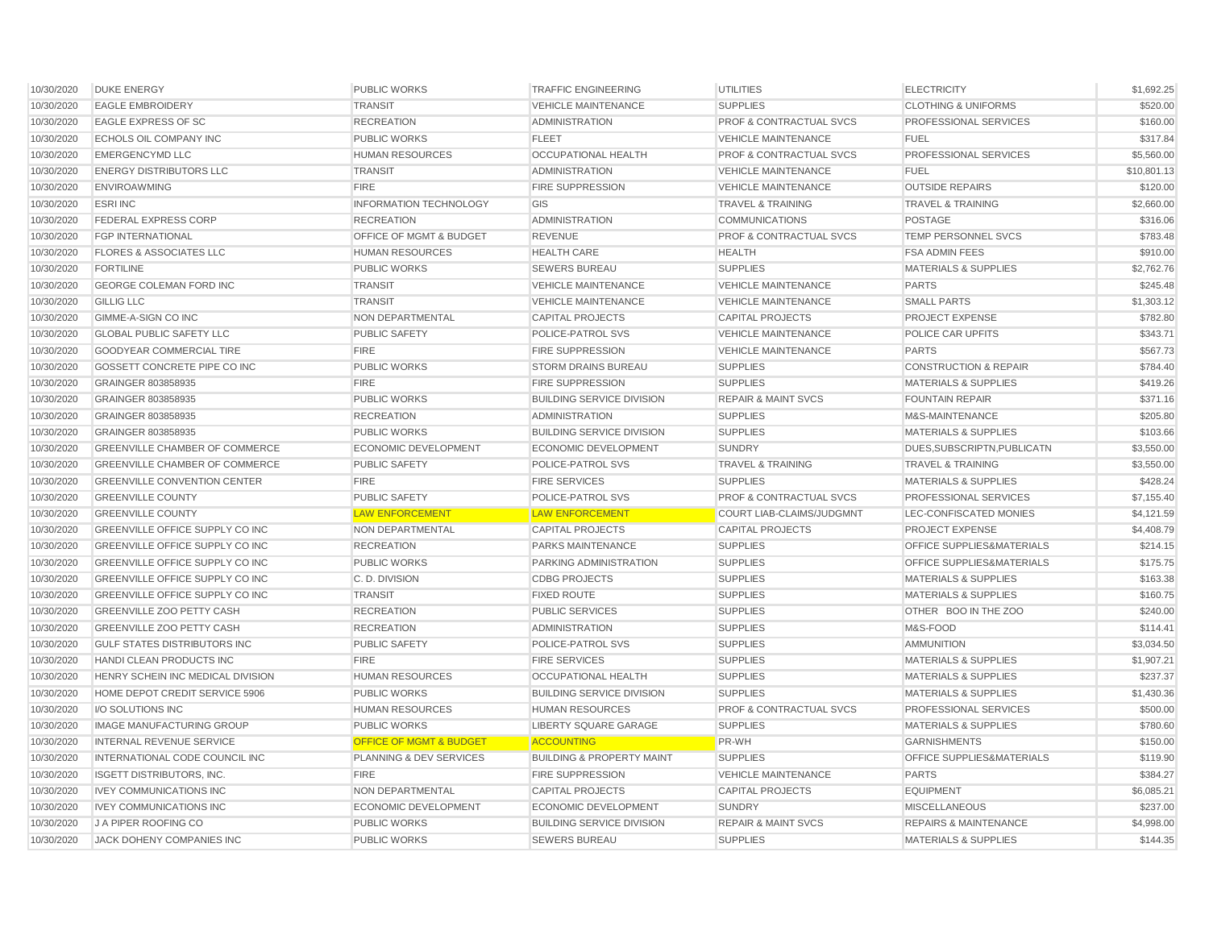| 10/30/2020 | <b>DUKE ENERGY</b>                     | <b>PUBLIC WORKS</b>                | <b>TRAFFIC ENGINEERING</b>           | <b>UTILITIES</b>                   | <b>ELECTRICITY</b>                   | \$1,692.25  |
|------------|----------------------------------------|------------------------------------|--------------------------------------|------------------------------------|--------------------------------------|-------------|
| 10/30/2020 | <b>EAGLE EMBROIDERY</b>                | <b>TRANSIT</b>                     | <b>VEHICLE MAINTENANCE</b>           | <b>SUPPLIES</b>                    | <b>CLOTHING &amp; UNIFORMS</b>       | \$520.00    |
| 10/30/2020 | <b>EAGLE EXPRESS OF SC</b>             | <b>RECREATION</b>                  | <b>ADMINISTRATION</b>                | <b>PROF &amp; CONTRACTUAL SVCS</b> | PROFESSIONAL SERVICES                | \$160.00    |
| 10/30/2020 | ECHOLS OIL COMPANY INC                 | <b>PUBLIC WORKS</b>                | <b>FLEET</b>                         | <b>VEHICLE MAINTENANCE</b>         | <b>FUEL</b>                          | \$317.84    |
| 10/30/2020 | <b>EMERGENCYMD LLC</b>                 | HUMAN RESOURCES                    | OCCUPATIONAL HEALTH                  | PROF & CONTRACTUAL SVCS            | PROFESSIONAL SERVICES                | \$5,560.00  |
| 10/30/2020 | <b>ENERGY DISTRIBUTORS LLC</b>         | <b>TRANSIT</b>                     | <b>ADMINISTRATION</b>                | <b>VEHICLE MAINTENANCE</b>         | <b>FUEL</b>                          | \$10,801.13 |
| 10/30/2020 | <b>ENVIROAWMING</b>                    | <b>FIRE</b>                        | <b>FIRE SUPPRESSION</b>              | <b>VEHICLE MAINTENANCE</b>         | <b>OUTSIDE REPAIRS</b>               | \$120.00    |
| 10/30/2020 | <b>ESRIINC</b>                         | <b>INFORMATION TECHNOLOGY</b>      | GIS                                  | <b>TRAVEL &amp; TRAINING</b>       | <b>TRAVEL &amp; TRAINING</b>         | \$2,660.00  |
| 10/30/2020 | <b>FEDERAL EXPRESS CORP</b>            | <b>RECREATION</b>                  | <b>ADMINISTRATION</b>                | <b>COMMUNICATIONS</b>              | <b>POSTAGE</b>                       | \$316.06    |
| 10/30/2020 | <b>FGP INTERNATIONAL</b>               | OFFICE OF MGMT & BUDGET            | REVENUE                              | <b>PROF &amp; CONTRACTUAL SVCS</b> | TEMP PERSONNEL SVCS                  | \$783.48    |
| 10/30/2020 | <b>FLORES &amp; ASSOCIATES LLC</b>     | <b>HUMAN RESOURCES</b>             | <b>HEALTH CARE</b>                   | <b>HEALTH</b>                      | <b>FSA ADMIN FEES</b>                | \$910.00    |
| 10/30/2020 | <b>FORTILINE</b>                       | <b>PUBLIC WORKS</b>                | <b>SEWERS BUREAU</b>                 | <b>SUPPLIES</b>                    | <b>MATERIALS &amp; SUPPLIES</b>      | \$2,762.76  |
| 10/30/2020 | <b>GEORGE COLEMAN FORD INC</b>         | <b>TRANSIT</b>                     | <b>VEHICLE MAINTENANCE</b>           | <b>VEHICLE MAINTENANCE</b>         | <b>PARTS</b>                         | \$245.48    |
| 10/30/2020 | <b>GILLIG LLC</b>                      | <b>TRANSIT</b>                     | <b>VEHICLE MAINTENANCE</b>           | <b>VEHICLE MAINTENANCE</b>         | <b>SMALL PARTS</b>                   | \$1,303.12  |
| 10/30/2020 | GIMME-A-SIGN CO INC                    | NON DEPARTMENTAL                   | <b>CAPITAL PROJECTS</b>              | <b>CAPITAL PROJECTS</b>            | <b>PROJECT EXPENSE</b>               | \$782.80    |
| 10/30/2020 | <b>GLOBAL PUBLIC SAFETY LLC</b>        | <b>PUBLIC SAFETY</b>               | POLICE-PATROL SVS                    | <b>VEHICLE MAINTENANCE</b>         | POLICE CAR UPFITS                    | \$343.71    |
| 10/30/2020 | GOODYEAR COMMERCIAL TIRE               | <b>FIRE</b>                        | <b>FIRE SUPPRESSION</b>              | <b>VEHICLE MAINTENANCE</b>         | <b>PARTS</b>                         | \$567.73    |
| 10/30/2020 | GOSSETT CONCRETE PIPE CO INC           | <b>PUBLIC WORKS</b>                | <b>STORM DRAINS BUREAU</b>           | <b>SUPPLIES</b>                    | <b>CONSTRUCTION &amp; REPAIR</b>     | \$784.40    |
| 10/30/2020 | GRAINGER 803858935                     | <b>FIRE</b>                        | <b>FIRE SUPPRESSION</b>              | <b>SUPPLIES</b>                    | <b>MATERIALS &amp; SUPPLIES</b>      | \$419.26    |
| 10/30/2020 | GRAINGER 803858935                     | <b>PUBLIC WORKS</b>                | <b>BUILDING SERVICE DIVISION</b>     | <b>REPAIR &amp; MAINT SVCS</b>     | <b>FOUNTAIN REPAIR</b>               | \$371.16    |
| 10/30/2020 | GRAINGER 803858935                     | <b>RECREATION</b>                  | <b>ADMINISTRATION</b>                | <b>SUPPLIES</b>                    | M&S-MAINTENANCE                      | \$205.80    |
| 10/30/2020 | GRAINGER 803858935                     | <b>PUBLIC WORKS</b>                | <b>BUILDING SERVICE DIVISION</b>     | <b>SUPPLIES</b>                    | <b>MATERIALS &amp; SUPPLIES</b>      | \$103.66    |
| 10/30/2020 | <b>GREENVILLE CHAMBER OF COMMERCE</b>  | ECONOMIC DEVELOPMENT               | <b>ECONOMIC DEVELOPMENT</b>          | <b>SUNDRY</b>                      | DUES, SUBSCRIPTN, PUBLICATN          | \$3,550.00  |
| 10/30/2020 | <b>GREENVILLE CHAMBER OF COMMERCE</b>  | <b>PUBLIC SAFETY</b>               | POLICE-PATROL SVS                    | <b>TRAVEL &amp; TRAINING</b>       | <b>TRAVEL &amp; TRAINING</b>         | \$3,550.00  |
| 10/30/2020 | <b>GREENVILLE CONVENTION CENTER</b>    | <b>FIRE</b>                        | <b>FIRE SERVICES</b>                 | <b>SUPPLIES</b>                    | <b>MATERIALS &amp; SUPPLIES</b>      | \$428.24    |
| 10/30/2020 | <b>GREENVILLE COUNTY</b>               | <b>PUBLIC SAFETY</b>               | POLICE-PATROL SVS                    | <b>PROF &amp; CONTRACTUAL SVCS</b> | PROFESSIONAL SERVICES                | \$7,155.40  |
| 10/30/2020 | <b>GREENVILLE COUNTY</b>               | <b>LAW ENFORCEMENT</b>             | <b>LAW ENFORCEMENT</b>               | <b>COURT LIAB-CLAIMS/JUDGMNT</b>   | LEC-CONFISCATED MONIES               | \$4.121.59  |
| 10/30/2020 | GREENVILLE OFFICE SUPPLY CO INC        | NON DEPARTMENTAL                   | <b>CAPITAL PROJECTS</b>              | <b>CAPITAL PROJECTS</b>            | PROJECT EXPENSE                      | \$4,408.79  |
| 10/30/2020 | GREENVILLE OFFICE SUPPLY CO INC        | <b>RECREATION</b>                  | PARKS MAINTENANCE                    | <b>SUPPLIES</b>                    | OFFICE SUPPLIES&MATERIALS            | \$214.15    |
| 10/30/2020 | <b>GREENVILLE OFFICE SUPPLY CO INC</b> | <b>PUBLIC WORKS</b>                | PARKING ADMINISTRATION               | <b>SUPPLIES</b>                    | <b>OFFICE SUPPLIES&amp;MATERIALS</b> | \$175.75    |
| 10/30/2020 | GREENVILLE OFFICE SUPPLY CO INC        | C.D. DIVISION                      | <b>CDBG PROJECTS</b>                 | <b>SUPPLIES</b>                    | <b>MATERIALS &amp; SUPPLIES</b>      | \$163.38    |
| 10/30/2020 | <b>GREENVILLE OFFICE SUPPLY CO INC</b> | <b>TRANSIT</b>                     | <b>FIXED ROUTE</b>                   | <b>SUPPLIES</b>                    | <b>MATERIALS &amp; SUPPLIES</b>      | \$160.75    |
| 10/30/2020 | <b>GREENVILLE ZOO PETTY CASH</b>       | <b>RECREATION</b>                  | <b>PUBLIC SERVICES</b>               | <b>SUPPLIES</b>                    | OTHER BOO IN THE ZOO                 | \$240.00    |
| 10/30/2020 | <b>GREENVILLE ZOO PETTY CASH</b>       | <b>RECREATION</b>                  | <b>ADMINISTRATION</b>                | <b>SUPPLIES</b>                    | M&S-FOOD                             | \$114.41    |
| 10/30/2020 | <b>GULF STATES DISTRIBUTORS INC</b>    | <b>PUBLIC SAFETY</b>               | POLICE-PATROL SVS                    | <b>SUPPLIES</b>                    | <b>AMMUNITION</b>                    | \$3,034.50  |
| 10/30/2020 | HANDI CLEAN PRODUCTS INC               | <b>FIRE</b>                        | <b>FIRE SERVICES</b>                 | <b>SUPPLIES</b>                    | <b>MATERIALS &amp; SUPPLIES</b>      | \$1,907.21  |
| 10/30/2020 | HENRY SCHEIN INC MEDICAL DIVISION      | <b>HUMAN RESOURCES</b>             | <b>OCCUPATIONAL HEALTH</b>           | <b>SUPPLIES</b>                    | <b>MATERIALS &amp; SUPPLIES</b>      | \$237.37    |
| 10/30/2020 | HOME DEPOT CREDIT SERVICE 5906         | <b>PUBLIC WORKS</b>                | <b>BUILDING SERVICE DIVISION</b>     | <b>SUPPLIES</b>                    | <b>MATERIALS &amp; SUPPLIES</b>      | \$1,430.36  |
| 10/30/2020 | I/O SOLUTIONS INC                      | <b>HUMAN RESOURCES</b>             | <b>HUMAN RESOURCES</b>               | <b>PROF &amp; CONTRACTUAL SVCS</b> | PROFESSIONAL SERVICES                | \$500.00    |
| 10/30/2020 | <b>IMAGE MANUFACTURING GROUP</b>       | <b>PUBLIC WORKS</b>                | LIBERTY SQUARE GARAGE                | <b>SUPPLIES</b>                    | <b>MATERIALS &amp; SUPPLIES</b>      | \$780.60    |
| 10/30/2020 | <b>INTERNAL REVENUE SERVICE</b>        | <b>OFFICE OF MGMT &amp; BUDGET</b> | <b>ACCOUNTING</b>                    | PR-WH                              | <b>GARNISHMENTS</b>                  | \$150.00    |
| 10/30/2020 | INTERNATIONAL CODE COUNCIL INC         | PLANNING & DEV SERVICES            | <b>BUILDING &amp; PROPERTY MAINT</b> | <b>SUPPLIES</b>                    | OFFICE SUPPLIES&MATERIALS            | \$119.90    |
| 10/30/2020 | <b>ISGETT DISTRIBUTORS, INC.</b>       | <b>FIRE</b>                        | <b>FIRE SUPPRESSION</b>              | <b>VEHICLE MAINTENANCE</b>         | <b>PARTS</b>                         | \$384.27    |
| 10/30/2020 | <b>IVEY COMMUNICATIONS INC</b>         | NON DEPARTMENTAL                   | <b>CAPITAL PROJECTS</b>              | <b>CAPITAL PROJECTS</b>            | <b>EQUIPMENT</b>                     | \$6,085.21  |
| 10/30/2020 | <b>IVEY COMMUNICATIONS INC</b>         | <b>ECONOMIC DEVELOPMENT</b>        | ECONOMIC DEVELOPMENT                 | <b>SUNDRY</b>                      | <b>MISCELLANEOUS</b>                 | \$237.00    |
| 10/30/2020 | J A PIPER ROOFING CO                   | <b>PUBLIC WORKS</b>                | <b>BUILDING SERVICE DIVISION</b>     | <b>REPAIR &amp; MAINT SVCS</b>     | <b>REPAIRS &amp; MAINTENANCE</b>     | \$4,998.00  |
| 10/30/2020 | JACK DOHENY COMPANIES INC              | <b>PUBLIC WORKS</b>                | <b>SEWERS BUREAU</b>                 | <b>SUPPLIES</b>                    | <b>MATERIALS &amp; SUPPLIES</b>      | \$144.35    |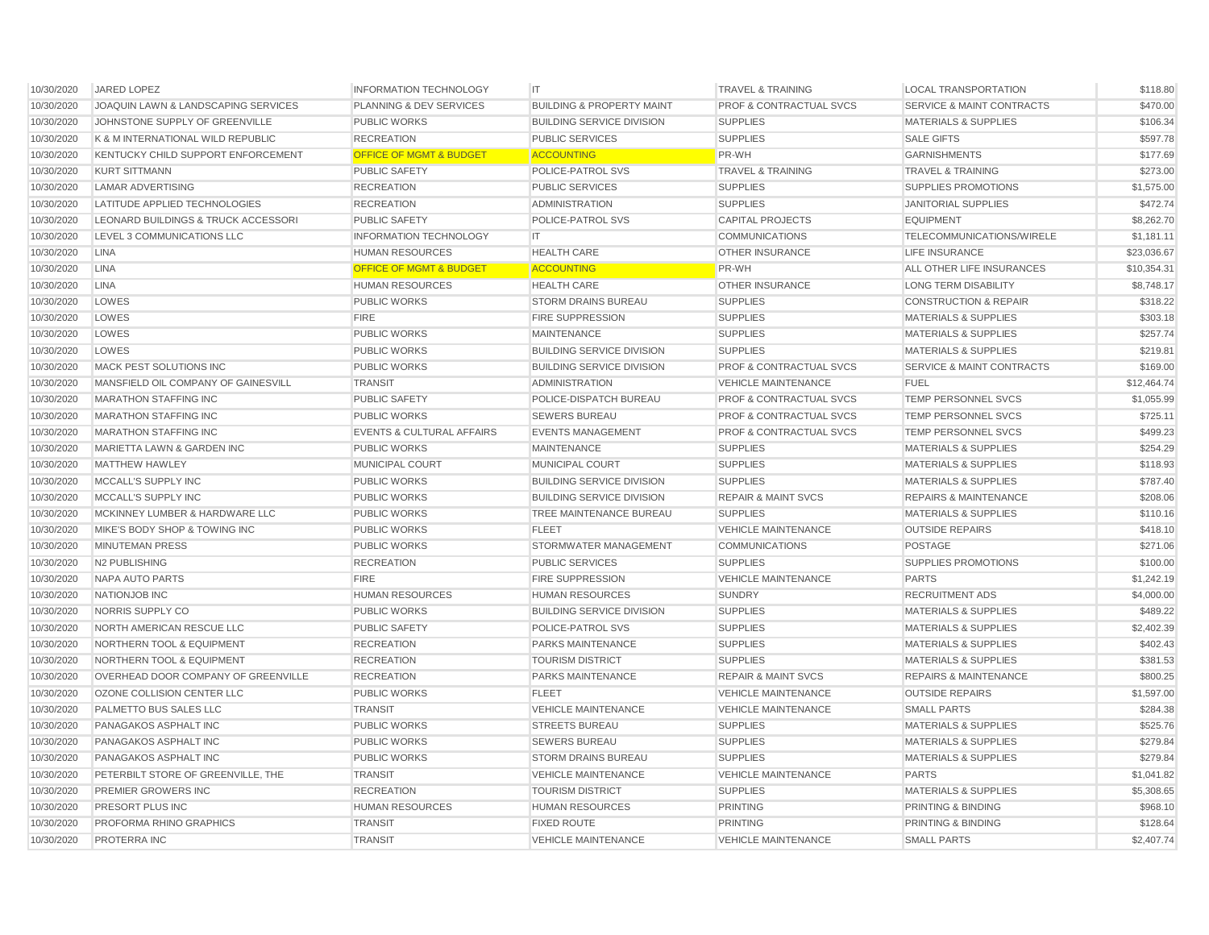| 10/30/2020 | JARED LOPEZ                          | <b>INFORMATION TECHNOLOGY</b>        | <b>IT</b>                            | <b>TRAVEL &amp; TRAINING</b>       | <b>LOCAL TRANSPORTATION</b>          | \$118.80    |
|------------|--------------------------------------|--------------------------------------|--------------------------------------|------------------------------------|--------------------------------------|-------------|
| 10/30/2020 | JOAQUIN LAWN & LANDSCAPING SERVICES  | <b>PLANNING &amp; DEV SERVICES</b>   | <b>BUILDING &amp; PROPERTY MAINT</b> | <b>PROF &amp; CONTRACTUAL SVCS</b> | <b>SERVICE &amp; MAINT CONTRACTS</b> | \$470.00    |
| 10/30/2020 | JOHNSTONE SUPPLY OF GREENVILLE       | <b>PUBLIC WORKS</b>                  | <b>BUILDING SERVICE DIVISION</b>     | <b>SUPPLIES</b>                    | <b>MATERIALS &amp; SUPPLIES</b>      | \$106.34    |
| 10/30/2020 | K & M INTERNATIONAL WILD REPUBLIC    | <b>RECREATION</b>                    | <b>PUBLIC SERVICES</b>               | <b>SUPPLIES</b>                    | <b>SALE GIFTS</b>                    | \$597.78    |
| 10/30/2020 | KENTUCKY CHILD SUPPORT ENFORCEMENT   | <b>OFFICE OF MGMT &amp; BUDGET</b>   | <b>ACCOUNTING</b>                    | <b>PR-WH</b>                       | <b>GARNISHMENTS</b>                  | \$177.69    |
| 10/30/2020 | <b>KURT SITTMANN</b>                 | <b>PUBLIC SAFETY</b>                 | POLICE-PATROL SVS                    | <b>TRAVEL &amp; TRAINING</b>       | <b>TRAVEL &amp; TRAINING</b>         | \$273.00    |
| 10/30/2020 | <b>LAMAR ADVERTISING</b>             | <b>RECREATION</b>                    | <b>PUBLIC SERVICES</b>               | <b>SUPPLIES</b>                    | <b>SUPPLIES PROMOTIONS</b>           | \$1,575.00  |
| 10/30/2020 | LATITUDE APPLIED TECHNOLOGIES        | <b>RECREATION</b>                    | <b>ADMINISTRATION</b>                | <b>SUPPLIES</b>                    | <b>JANITORIAL SUPPLIES</b>           | \$472.74    |
| 10/30/2020 | LEONARD BUILDINGS & TRUCK ACCESSORI  | <b>PUBLIC SAFETY</b>                 | POLICE-PATROL SVS                    | <b>CAPITAL PROJECTS</b>            | <b>EQUIPMENT</b>                     | \$8,262.70  |
| 10/30/2020 | LEVEL 3 COMMUNICATIONS LLC           | <b>INFORMATION TECHNOLOGY</b>        | IT.                                  | <b>COMMUNICATIONS</b>              | TELECOMMUNICATIONS/WIRELE            | \$1,181.11  |
| 10/30/2020 | <b>LINA</b>                          | <b>HUMAN RESOURCES</b>               | <b>HEALTH CARE</b>                   | <b>OTHER INSURANCE</b>             | LIFE INSURANCE                       | \$23,036.67 |
| 10/30/2020 | <b>LINA</b>                          | <b>OFFICE OF MGMT &amp; BUDGET</b>   | <b>ACCOUNTING</b>                    | <b>PR-WH</b>                       | ALL OTHER LIFE INSURANCES            | \$10,354.31 |
| 10/30/2020 | <b>LINA</b>                          | <b>HUMAN RESOURCES</b>               | <b>HEALTH CARE</b>                   | <b>OTHER INSURANCE</b>             | <b>LONG TERM DISABILITY</b>          | \$8,748.17  |
| 10/30/2020 | LOWES                                | <b>PUBLIC WORKS</b>                  | <b>STORM DRAINS BUREAU</b>           | <b>SUPPLIES</b>                    | <b>CONSTRUCTION &amp; REPAIR</b>     | \$318.22    |
| 10/30/2020 | LOWES                                | <b>FIRE</b>                          | <b>FIRE SUPPRESSION</b>              | <b>SUPPLIES</b>                    | <b>MATERIALS &amp; SUPPLIES</b>      | \$303.18    |
| 10/30/2020 | LOWES                                | <b>PUBLIC WORKS</b>                  | <b>MAINTENANCE</b>                   | <b>SUPPLIES</b>                    | <b>MATERIALS &amp; SUPPLIES</b>      | \$257.74    |
| 10/30/2020 | LOWES                                | <b>PUBLIC WORKS</b>                  | <b>BUILDING SERVICE DIVISION</b>     | <b>SUPPLIES</b>                    | <b>MATERIALS &amp; SUPPLIES</b>      | \$219.81    |
| 10/30/2020 | MACK PEST SOLUTIONS INC              | <b>PUBLIC WORKS</b>                  | <b>BUILDING SERVICE DIVISION</b>     | <b>PROF &amp; CONTRACTUAL SVCS</b> | <b>SERVICE &amp; MAINT CONTRACTS</b> | \$169.00    |
| 10/30/2020 | MANSFIELD OIL COMPANY OF GAINESVILL  | <b>TRANSIT</b>                       | <b>ADMINISTRATION</b>                | <b>VEHICLE MAINTENANCE</b>         | <b>FUEL</b>                          | \$12,464.74 |
| 10/30/2020 | <b>MARATHON STAFFING INC</b>         | <b>PUBLIC SAFETY</b>                 | POLICE-DISPATCH BUREAU               | <b>PROF &amp; CONTRACTUAL SVCS</b> | <b>TEMP PERSONNEL SVCS</b>           | \$1,055.99  |
| 10/30/2020 | <b>MARATHON STAFFING INC</b>         | <b>PUBLIC WORKS</b>                  | <b>SEWERS BUREAU</b>                 | <b>PROF &amp; CONTRACTUAL SVCS</b> | <b>TEMP PERSONNEL SVCS</b>           | \$725.11    |
| 10/30/2020 | <b>MARATHON STAFFING INC</b>         | <b>EVENTS &amp; CULTURAL AFFAIRS</b> | <b>EVENTS MANAGEMENT</b>             | <b>PROF &amp; CONTRACTUAL SVCS</b> | <b>TEMP PERSONNEL SVCS</b>           | \$499.23    |
| 10/30/2020 | MARIETTA LAWN & GARDEN INC           | <b>PUBLIC WORKS</b>                  | <b>MAINTENANCE</b>                   | <b>SUPPLIES</b>                    | <b>MATERIALS &amp; SUPPLIES</b>      | \$254.29    |
| 10/30/2020 | <b>MATTHEW HAWLEY</b>                | MUNICIPAL COURT                      | <b>MUNICIPAL COURT</b>               | <b>SUPPLIES</b>                    | <b>MATERIALS &amp; SUPPLIES</b>      | \$118.93    |
| 10/30/2020 | MCCALL'S SUPPLY INC                  | <b>PUBLIC WORKS</b>                  | <b>BUILDING SERVICE DIVISION</b>     | <b>SUPPLIES</b>                    | <b>MATERIALS &amp; SUPPLIES</b>      | \$787.40    |
| 10/30/2020 | MCCALL'S SUPPLY INC                  | <b>PUBLIC WORKS</b>                  | <b>BUILDING SERVICE DIVISION</b>     | <b>REPAIR &amp; MAINT SVCS</b>     | <b>REPAIRS &amp; MAINTENANCE</b>     | \$208.06    |
| 10/30/2020 | MCKINNEY LUMBER & HARDWARE LLC       | <b>PUBLIC WORKS</b>                  | TREE MAINTENANCE BUREAU              | <b>SUPPLIES</b>                    | <b>MATERIALS &amp; SUPPLIES</b>      | \$110.16    |
| 10/30/2020 | MIKE'S BODY SHOP & TOWING INC        | <b>PUBLIC WORKS</b>                  | <b>FLEET</b>                         | <b>VEHICLE MAINTENANCE</b>         | <b>OUTSIDE REPAIRS</b>               | \$418.10    |
| 10/30/2020 | <b>MINUTEMAN PRESS</b>               | <b>PUBLIC WORKS</b>                  | STORMWATER MANAGEMENT                | <b>COMMUNICATIONS</b>              | <b>POSTAGE</b>                       | \$271.06    |
| 10/30/2020 | N2 PUBLISHING                        | <b>RECREATION</b>                    | <b>PUBLIC SERVICES</b>               | <b>SUPPLIES</b>                    | SUPPLIES PROMOTIONS                  | \$100.00    |
| 10/30/2020 | NAPA AUTO PARTS                      | <b>FIRE</b>                          | <b>FIRE SUPPRESSION</b>              | <b>VEHICLE MAINTENANCE</b>         | <b>PARTS</b>                         | \$1,242.19  |
| 10/30/2020 | <b>NATIONJOB INC</b>                 | <b>HUMAN RESOURCES</b>               | <b>HUMAN RESOURCES</b>               | <b>SUNDRY</b>                      | <b>RECRUITMENT ADS</b>               | \$4,000.00  |
| 10/30/2020 | NORRIS SUPPLY CO                     | <b>PUBLIC WORKS</b>                  | <b>BUILDING SERVICE DIVISION</b>     | <b>SUPPLIES</b>                    | <b>MATERIALS &amp; SUPPLIES</b>      | \$489.22    |
| 10/30/2020 | NORTH AMERICAN RESCUE LLC            | <b>PUBLIC SAFETY</b>                 | POLICE-PATROL SVS                    | <b>SUPPLIES</b>                    | <b>MATERIALS &amp; SUPPLIES</b>      | \$2,402.39  |
| 10/30/2020 | <b>NORTHERN TOOL &amp; EQUIPMENT</b> | <b>RECREATION</b>                    | <b>PARKS MAINTENANCE</b>             | <b>SUPPLIES</b>                    | <b>MATERIALS &amp; SUPPLIES</b>      | \$402.43    |
| 10/30/2020 | NORTHERN TOOL & EQUIPMENT            | <b>RECREATION</b>                    | <b>TOURISM DISTRICT</b>              | <b>SUPPLIES</b>                    | <b>MATERIALS &amp; SUPPLIES</b>      | \$381.53    |
| 10/30/2020 | OVERHEAD DOOR COMPANY OF GREENVILLE  | <b>RECREATION</b>                    | <b>PARKS MAINTENANCE</b>             | <b>REPAIR &amp; MAINT SVCS</b>     | <b>REPAIRS &amp; MAINTENANCE</b>     | \$800.25    |
| 10/30/2020 | OZONE COLLISION CENTER LLC           | <b>PUBLIC WORKS</b>                  | <b>FLEET</b>                         | <b>VEHICLE MAINTENANCE</b>         | <b>OUTSIDE REPAIRS</b>               | \$1,597.00  |
| 10/30/2020 | PALMETTO BUS SALES LLC               | <b>TRANSIT</b>                       | <b>VEHICLE MAINTENANCE</b>           | <b>VEHICLE MAINTENANCE</b>         | <b>SMALL PARTS</b>                   | \$284.38    |
| 10/30/2020 | PANAGAKOS ASPHALT INC                | <b>PUBLIC WORKS</b>                  | <b>STREETS BUREAU</b>                | <b>SUPPLIES</b>                    | <b>MATERIALS &amp; SUPPLIES</b>      | \$525.76    |
| 10/30/2020 | PANAGAKOS ASPHALT INC                | <b>PUBLIC WORKS</b>                  | <b>SEWERS BUREAU</b>                 | <b>SUPPLIES</b>                    | <b>MATERIALS &amp; SUPPLIES</b>      | \$279.84    |
| 10/30/2020 | PANAGAKOS ASPHALT INC                | <b>PUBLIC WORKS</b>                  | <b>STORM DRAINS BUREAU</b>           | <b>SUPPLIES</b>                    | <b>MATERIALS &amp; SUPPLIES</b>      | \$279.84    |
| 10/30/2020 | PETERBILT STORE OF GREENVILLE, THE   | <b>TRANSIT</b>                       | <b>VEHICLE MAINTENANCE</b>           | <b>VEHICLE MAINTENANCE</b>         | <b>PARTS</b>                         | \$1,041.82  |
| 10/30/2020 | PREMIER GROWERS INC                  | <b>RECREATION</b>                    | <b>TOURISM DISTRICT</b>              | <b>SUPPLIES</b>                    | <b>MATERIALS &amp; SUPPLIES</b>      | \$5,308.65  |
| 10/30/2020 | PRESORT PLUS INC                     | <b>HUMAN RESOURCES</b>               | <b>HUMAN RESOURCES</b>               | <b>PRINTING</b>                    | PRINTING & BINDING                   | \$968.10    |
| 10/30/2020 | PROFORMA RHINO GRAPHICS              | <b>TRANSIT</b>                       | <b>FIXED ROUTE</b>                   | <b>PRINTING</b>                    | PRINTING & BINDING                   | \$128.64    |
| 10/30/2020 | <b>PROTERRA INC</b>                  | <b>TRANSIT</b>                       | <b>VEHICLE MAINTENANCE</b>           | <b>VEHICLE MAINTENANCE</b>         | <b>SMALL PARTS</b>                   | \$2,407.74  |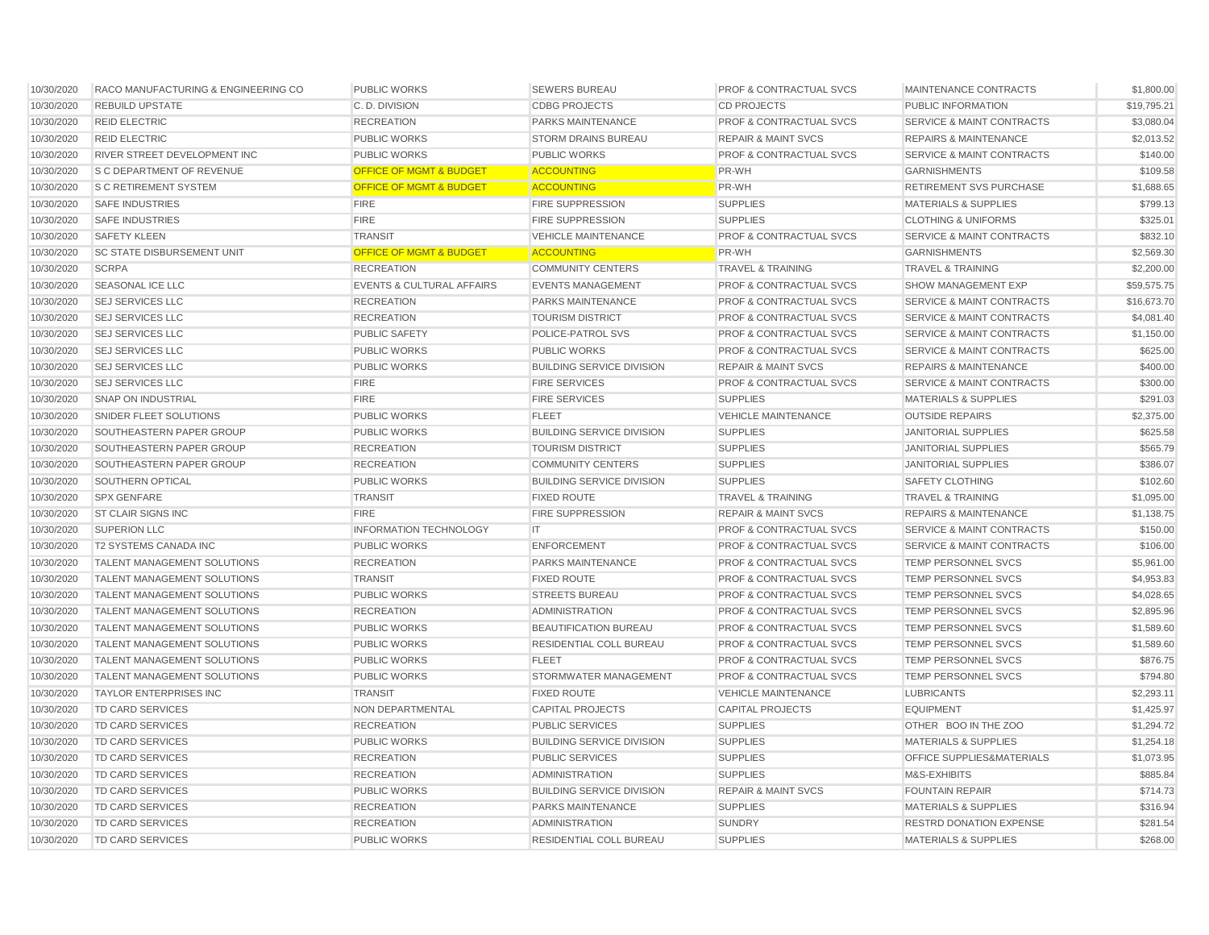| 10/30/2020 | RACO MANUFACTURING & ENGINEERING CO | <b>PUBLIC WORKS</b>                  | <b>SEWERS BUREAU</b>             | <b>PROF &amp; CONTRACTUAL SVCS</b> | MAINTENANCE CONTRACTS                | \$1,800.00  |
|------------|-------------------------------------|--------------------------------------|----------------------------------|------------------------------------|--------------------------------------|-------------|
| 10/30/2020 | <b>REBUILD UPSTATE</b>              | C.D. DIVISION                        | <b>CDBG PROJECTS</b>             | <b>CD PROJECTS</b>                 | PUBLIC INFORMATION                   | \$19,795.21 |
| 10/30/2020 | <b>REID ELECTRIC</b>                | <b>RECREATION</b>                    | PARKS MAINTENANCE                | <b>PROF &amp; CONTRACTUAL SVCS</b> | <b>SERVICE &amp; MAINT CONTRACTS</b> | \$3,080.04  |
| 10/30/2020 | <b>REID ELECTRIC</b>                | <b>PUBLIC WORKS</b>                  | <b>STORM DRAINS BUREAU</b>       | <b>REPAIR &amp; MAINT SVCS</b>     | <b>REPAIRS &amp; MAINTENANCE</b>     | \$2,013.52  |
| 10/30/2020 | RIVER STREET DEVELOPMENT INC        | <b>PUBLIC WORKS</b>                  | <b>PUBLIC WORKS</b>              | <b>PROF &amp; CONTRACTUAL SVCS</b> | <b>SERVICE &amp; MAINT CONTRACTS</b> | \$140.00    |
| 10/30/2020 | <b>S C DEPARTMENT OF REVENUE</b>    | <b>OFFICE OF MGMT &amp; BUDGET</b>   | <b>ACCOUNTING</b>                | <b>PR-WH</b>                       | <b>GARNISHMENTS</b>                  | \$109.58    |
| 10/30/2020 | <b>S C RETIREMENT SYSTEM</b>        | <b>OFFICE OF MGMT &amp; BUDGET</b>   | <b>ACCOUNTING</b>                | PR-WH                              | <b>RETIREMENT SVS PURCHASE</b>       | \$1,688.65  |
| 10/30/2020 | <b>SAFE INDUSTRIES</b>              | <b>FIRE</b>                          | <b>FIRE SUPPRESSION</b>          | <b>SUPPLIES</b>                    | <b>MATERIALS &amp; SUPPLIES</b>      | \$799.13    |
| 10/30/2020 | <b>SAFE INDUSTRIES</b>              | <b>FIRE</b>                          | <b>FIRE SUPPRESSION</b>          | <b>SUPPLIES</b>                    | <b>CLOTHING &amp; UNIFORMS</b>       | \$325.01    |
| 10/30/2020 | <b>SAFETY KLEEN</b>                 | <b>TRANSIT</b>                       | <b>VEHICLE MAINTENANCE</b>       | <b>PROF &amp; CONTRACTUAL SVCS</b> | <b>SERVICE &amp; MAINT CONTRACTS</b> | \$832.10    |
| 10/30/2020 | <b>SC STATE DISBURSEMENT UNIT</b>   | <b>OFFICE OF MGMT &amp; BUDGET</b>   | <b>ACCOUNTING</b>                | <b>PR-WH</b>                       | <b>GARNISHMENTS</b>                  | \$2,569.30  |
| 10/30/2020 | <b>SCRPA</b>                        | <b>RECREATION</b>                    | <b>COMMUNITY CENTERS</b>         | <b>TRAVEL &amp; TRAINING</b>       | <b>TRAVEL &amp; TRAINING</b>         | \$2,200.00  |
| 10/30/2020 | <b>SEASONAL ICE LLC</b>             | <b>EVENTS &amp; CULTURAL AFFAIRS</b> | <b>EVENTS MANAGEMENT</b>         | <b>PROF &amp; CONTRACTUAL SVCS</b> | SHOW MANAGEMENT EXP                  | \$59,575.75 |
| 10/30/2020 | <b>SEJ SERVICES LLC</b>             | <b>RECREATION</b>                    | PARKS MAINTENANCE                | <b>PROF &amp; CONTRACTUAL SVCS</b> | <b>SERVICE &amp; MAINT CONTRACTS</b> | \$16,673.70 |
| 10/30/2020 | <b>SEJ SERVICES LLC</b>             | <b>RECREATION</b>                    | <b>TOURISM DISTRICT</b>          | <b>PROF &amp; CONTRACTUAL SVCS</b> | <b>SERVICE &amp; MAINT CONTRACTS</b> | \$4,081.40  |
| 10/30/2020 | <b>SEJ SERVICES LLC</b>             | <b>PUBLIC SAFETY</b>                 | POLICE-PATROL SVS                | <b>PROF &amp; CONTRACTUAL SVCS</b> | <b>SERVICE &amp; MAINT CONTRACTS</b> | \$1,150.00  |
| 10/30/2020 | <b>SEJ SERVICES LLC</b>             | <b>PUBLIC WORKS</b>                  | <b>PUBLIC WORKS</b>              | <b>PROF &amp; CONTRACTUAL SVCS</b> | <b>SERVICE &amp; MAINT CONTRACTS</b> | \$625.00    |
| 10/30/2020 | <b>SEJ SERVICES LLC</b>             | <b>PUBLIC WORKS</b>                  | <b>BUILDING SERVICE DIVISION</b> | <b>REPAIR &amp; MAINT SVCS</b>     | <b>REPAIRS &amp; MAINTENANCE</b>     | \$400.00    |
| 10/30/2020 | <b>SEJ SERVICES LLC</b>             | <b>FIRE</b>                          | <b>FIRE SERVICES</b>             | <b>PROF &amp; CONTRACTUAL SVCS</b> | <b>SERVICE &amp; MAINT CONTRACTS</b> | \$300.00    |
| 10/30/2020 | <b>SNAP ON INDUSTRIAL</b>           | <b>FIRE</b>                          | <b>FIRE SERVICES</b>             | <b>SUPPLIES</b>                    | <b>MATERIALS &amp; SUPPLIES</b>      | \$291.03    |
| 10/30/2020 | SNIDER FLEET SOLUTIONS              | <b>PUBLIC WORKS</b>                  | <b>FLEET</b>                     | <b>VEHICLE MAINTENANCE</b>         | <b>OUTSIDE REPAIRS</b>               | \$2,375.00  |
| 10/30/2020 | SOUTHEASTERN PAPER GROUP            | <b>PUBLIC WORKS</b>                  | <b>BUILDING SERVICE DIVISION</b> | <b>SUPPLIES</b>                    | <b>JANITORIAL SUPPLIES</b>           | \$625.58    |
| 10/30/2020 | SOUTHEASTERN PAPER GROUP            | <b>RECREATION</b>                    | <b>TOURISM DISTRICT</b>          | <b>SUPPLIES</b>                    | <b>JANITORIAL SUPPLIES</b>           | \$565.79    |
| 10/30/2020 | SOUTHEASTERN PAPER GROUP            | <b>RECREATION</b>                    | <b>COMMUNITY CENTERS</b>         | <b>SUPPLIES</b>                    | <b>JANITORIAL SUPPLIES</b>           | \$386.07    |
| 10/30/2020 | SOUTHERN OPTICAL                    | <b>PUBLIC WORKS</b>                  | <b>BUILDING SERVICE DIVISION</b> | <b>SUPPLIES</b>                    | SAFETY CLOTHING                      | \$102.60    |
| 10/30/2020 | <b>SPX GENFARE</b>                  | <b>TRANSIT</b>                       | <b>FIXED ROUTE</b>               | <b>TRAVEL &amp; TRAINING</b>       | <b>TRAVEL &amp; TRAINING</b>         | \$1,095.00  |
| 10/30/2020 | <b>ST CLAIR SIGNS INC</b>           | <b>FIRE</b>                          | <b>FIRE SUPPRESSION</b>          | <b>REPAIR &amp; MAINT SVCS</b>     | <b>REPAIRS &amp; MAINTENANCE</b>     | \$1,138.75  |
| 10/30/2020 | <b>SUPERION LLC</b>                 | <b>INFORMATION TECHNOLOGY</b>        | IT                               | <b>PROF &amp; CONTRACTUAL SVCS</b> | SERVICE & MAINT CONTRACTS            | \$150.00    |
| 10/30/2020 | T2 SYSTEMS CANADA INC               | <b>PUBLIC WORKS</b>                  | <b>ENFORCEMENT</b>               | <b>PROF &amp; CONTRACTUAL SVCS</b> | SERVICE & MAINT CONTRACTS            | \$106.00    |
| 10/30/2020 | TALENT MANAGEMENT SOLUTIONS         | <b>RECREATION</b>                    | PARKS MAINTENANCE                | <b>PROF &amp; CONTRACTUAL SVCS</b> | TEMP PERSONNEL SVCS                  | \$5,961.00  |
| 10/30/2020 | TALENT MANAGEMENT SOLUTIONS         | <b>TRANSIT</b>                       | <b>FIXED ROUTE</b>               | <b>PROF &amp; CONTRACTUAL SVCS</b> | TEMP PERSONNEL SVCS                  | \$4,953.83  |
| 10/30/2020 | <b>TALENT MANAGEMENT SOLUTIONS</b>  | <b>PUBLIC WORKS</b>                  | <b>STREETS BUREAU</b>            | <b>PROF &amp; CONTRACTUAL SVCS</b> | <b>TEMP PERSONNEL SVCS</b>           | \$4,028.65  |
| 10/30/2020 | <b>TALENT MANAGEMENT SOLUTIONS</b>  | <b>RECREATION</b>                    | <b>ADMINISTRATION</b>            | PROF & CONTRACTUAL SVCS            | TEMP PERSONNEL SVCS                  | \$2,895.96  |
| 10/30/2020 | TALENT MANAGEMENT SOLUTIONS         | <b>PUBLIC WORKS</b>                  | <b>BEAUTIFICATION BUREAU</b>     | <b>PROF &amp; CONTRACTUAL SVCS</b> | TEMP PERSONNEL SVCS                  | \$1,589.60  |
| 10/30/2020 | TALENT MANAGEMENT SOLUTIONS         | <b>PUBLIC WORKS</b>                  | RESIDENTIAL COLL BUREAU          | <b>PROF &amp; CONTRACTUAL SVCS</b> | TEMP PERSONNEL SVCS                  | \$1,589.60  |
| 10/30/2020 | <b>TALENT MANAGEMENT SOLUTIONS</b>  | <b>PUBLIC WORKS</b>                  | <b>FLEET</b>                     | <b>PROF &amp; CONTRACTUAL SVCS</b> | <b>TEMP PERSONNEL SVCS</b>           | \$876.75    |
| 10/30/2020 | <b>TALENT MANAGEMENT SOLUTIONS</b>  | <b>PUBLIC WORKS</b>                  | STORMWATER MANAGEMENT            | <b>PROF &amp; CONTRACTUAL SVCS</b> | <b>TEMP PERSONNEL SVCS</b>           | \$794.80    |
| 10/30/2020 | <b>TAYLOR ENTERPRISES INC</b>       | <b>TRANSIT</b>                       | <b>FIXED ROUTE</b>               | <b>VEHICLE MAINTENANCE</b>         | <b>LUBRICANTS</b>                    | \$2,293.11  |
| 10/30/2020 | <b>TD CARD SERVICES</b>             | NON DEPARTMENTAL                     | <b>CAPITAL PROJECTS</b>          | <b>CAPITAL PROJECTS</b>            | <b>EQUIPMENT</b>                     | \$1,425.97  |
| 10/30/2020 | <b>TD CARD SERVICES</b>             | <b>RECREATION</b>                    | <b>PUBLIC SERVICES</b>           | <b>SUPPLIES</b>                    | OTHER BOO IN THE ZOO                 | \$1,294.72  |
| 10/30/2020 | <b>TD CARD SERVICES</b>             | <b>PUBLIC WORKS</b>                  | <b>BUILDING SERVICE DIVISION</b> | <b>SUPPLIES</b>                    | <b>MATERIALS &amp; SUPPLIES</b>      | \$1,254.18  |
| 10/30/2020 | TD CARD SERVICES                    | <b>RECREATION</b>                    | <b>PUBLIC SERVICES</b>           | <b>SUPPLIES</b>                    | <b>OFFICE SUPPLIES&amp;MATERIALS</b> | \$1,073.95  |
| 10/30/2020 | <b>TD CARD SERVICES</b>             | <b>RECREATION</b>                    | <b>ADMINISTRATION</b>            | <b>SUPPLIES</b>                    | M&S-EXHIBITS                         | \$885.84    |
| 10/30/2020 | <b>TD CARD SERVICES</b>             | <b>PUBLIC WORKS</b>                  | <b>BUILDING SERVICE DIVISION</b> | <b>REPAIR &amp; MAINT SVCS</b>     | <b>FOUNTAIN REPAIR</b>               | \$714.73    |
| 10/30/2020 | <b>TD CARD SERVICES</b>             | <b>RECREATION</b>                    | PARKS MAINTENANCE                | <b>SUPPLIES</b>                    | <b>MATERIALS &amp; SUPPLIES</b>      | \$316.94    |
| 10/30/2020 | <b>TD CARD SERVICES</b>             | <b>RECREATION</b>                    | <b>ADMINISTRATION</b>            | <b>SUNDRY</b>                      | <b>RESTRD DONATION EXPENSE</b>       | \$281.54    |
| 10/30/2020 | TD CARD SERVICES                    | <b>PUBLIC WORKS</b>                  | RESIDENTIAL COLL BUREAU          | <b>SUPPLIES</b>                    | <b>MATERIALS &amp; SUPPLIES</b>      | \$268.00    |